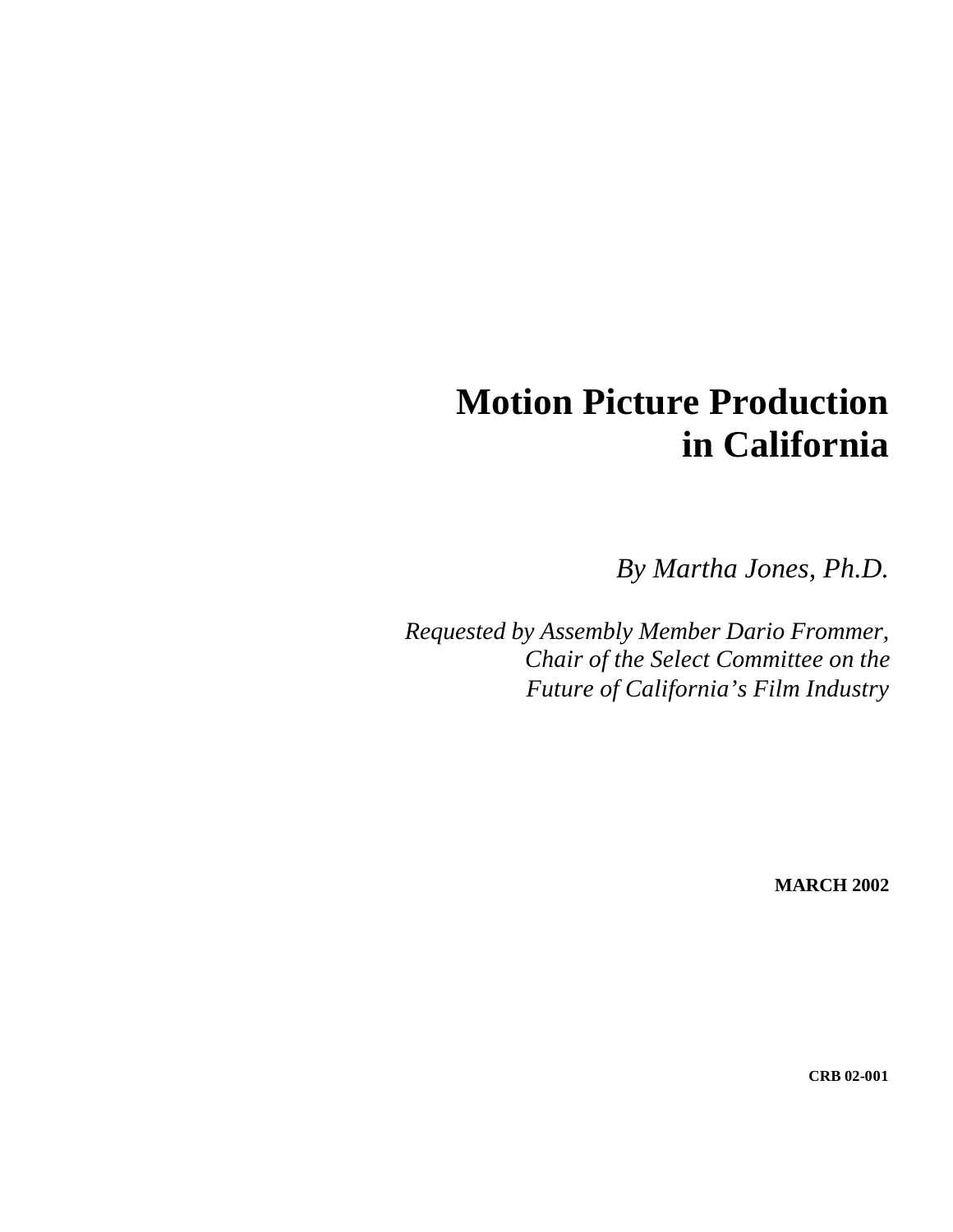# **Motion Picture Production in California**

*By Martha Jones, Ph.D.* 

*Requested by Assembly Member Dario Frommer, Chair of the Select Committee on the Future of California's Film Industry* 

**MARCH 2002** 

**CRB 02-001**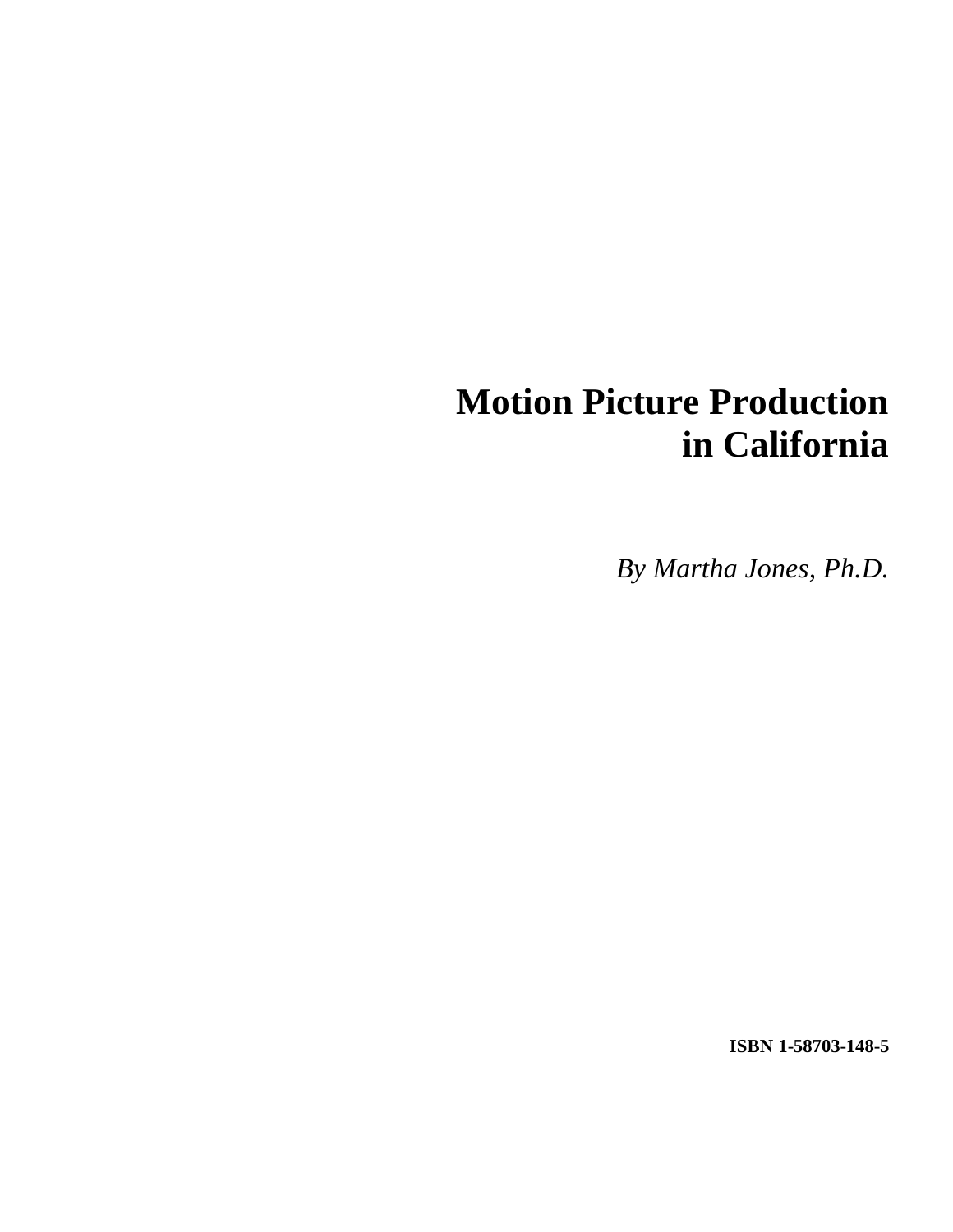# **Motion Picture Production in California**

*By Martha Jones, Ph.D.* 

**ISBN 1-58703-148-5**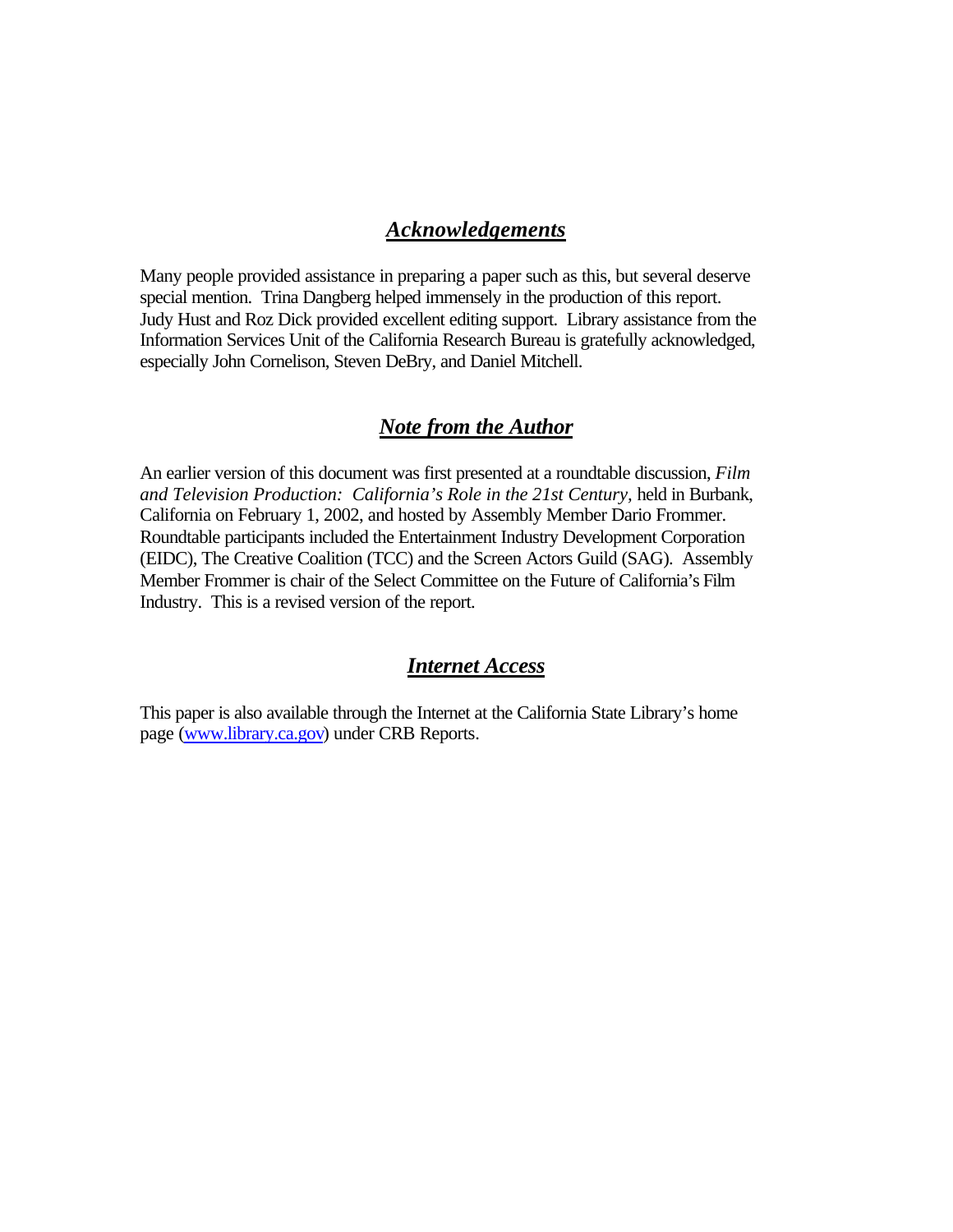#### *Acknowledgements*

Many people provided assistance in preparing a paper such as this, but several deserve special mention. Trina Dangberg helped immensely in the production of this report. Judy Hust and Roz Dick provided excellent editing support. Library assistance from the Information Services Unit of the California Research Bureau is gratefully acknowledged, especially John Cornelison, Steven DeBry, and Daniel Mitchell.

#### *Note from the Author*

An earlier version of this document was first presented at a roundtable discussion, *Film and Television Production: California's Role in the 21st Century,* held in Burbank, California on February 1, 2002, and hosted by Assembly Member Dario Frommer. Roundtable participants included the Entertainment Industry Development Corporation (EIDC), The Creative Coalition (TCC) and the Screen Actors Guild (SAG). Assembly Member Frommer is chair of the Select Committee on the Future of California's Film Industry. This is a revised version of the report.

#### *Internet Access*

This paper is also available through the Internet at the California State Library's home page (www.library.ca.gov) under CRB Reports.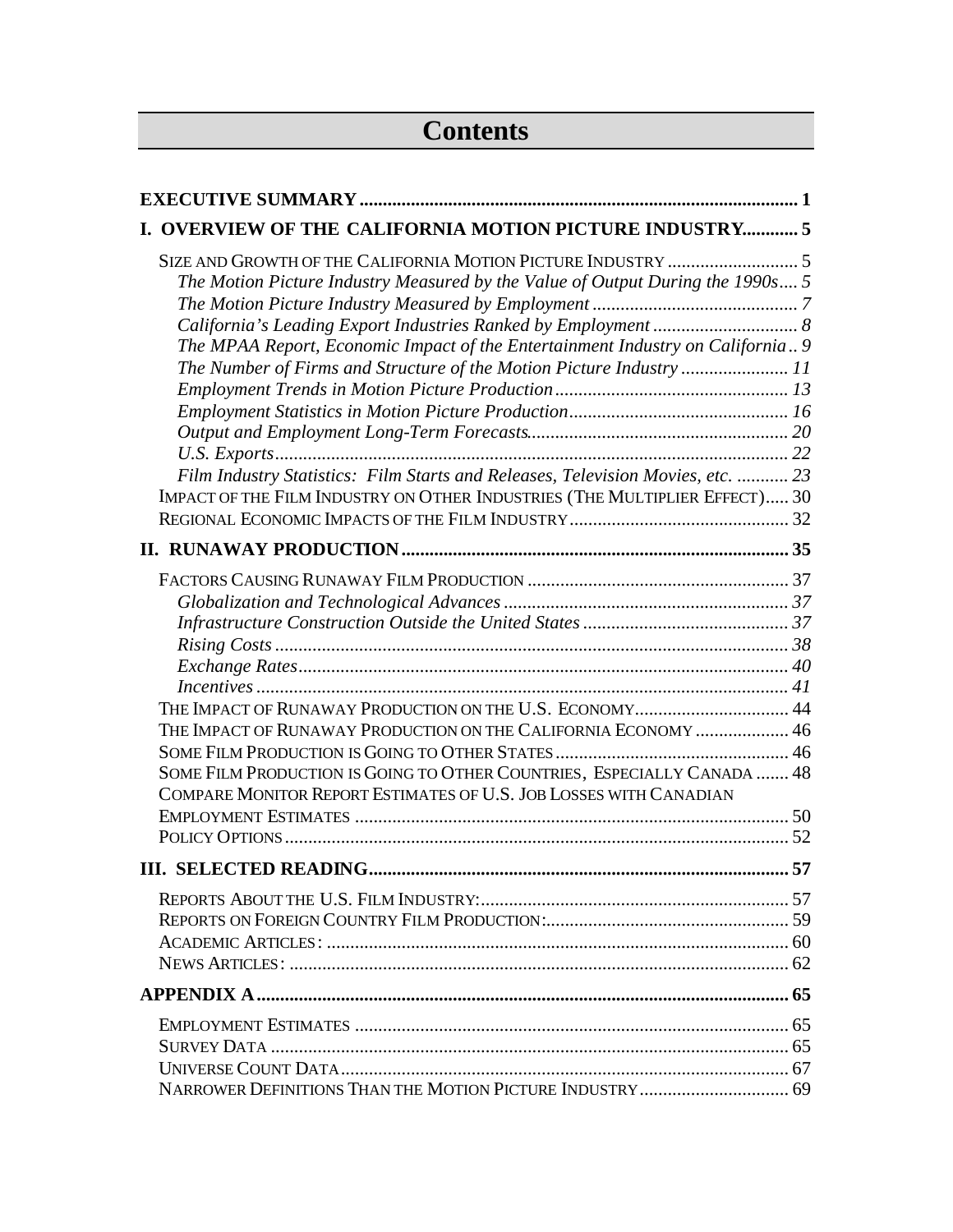# **Contents**

| I. OVERVIEW OF THE CALIFORNIA MOTION PICTURE INDUSTRY 5                                                                                                          |  |
|------------------------------------------------------------------------------------------------------------------------------------------------------------------|--|
| The Motion Picture Industry Measured by the Value of Output During the 1990s 5<br>The MPAA Report, Economic Impact of the Entertainment Industry on California 9 |  |
| The Number of Firms and Structure of the Motion Picture Industry 11                                                                                              |  |
|                                                                                                                                                                  |  |
|                                                                                                                                                                  |  |
| Film Industry Statistics: Film Starts and Releases, Television Movies, etc.  23                                                                                  |  |
| IMPACT OF THE FILM INDUSTRY ON OTHER INDUSTRIES (THE MULTIPLIER EFFECT) 30                                                                                       |  |
|                                                                                                                                                                  |  |
|                                                                                                                                                                  |  |
|                                                                                                                                                                  |  |
|                                                                                                                                                                  |  |
|                                                                                                                                                                  |  |
|                                                                                                                                                                  |  |
| THE IMPACT OF RUNAWAY PRODUCTION ON THE U.S. ECONOMY 44                                                                                                          |  |
| THE IMPACT OF RUNAWAY PRODUCTION ON THE CALIFORNIA ECONOMY  46                                                                                                   |  |
|                                                                                                                                                                  |  |
| SOME FILM PRODUCTION IS GOING TO OTHER COUNTRIES, ESPECIALLY CANADA  48<br>COMPARE MONITOR REPORT ESTIMATES OF U.S. JOB LOSSES WITH CANADIAN                     |  |
|                                                                                                                                                                  |  |
|                                                                                                                                                                  |  |
|                                                                                                                                                                  |  |
|                                                                                                                                                                  |  |
|                                                                                                                                                                  |  |
|                                                                                                                                                                  |  |
|                                                                                                                                                                  |  |
|                                                                                                                                                                  |  |
|                                                                                                                                                                  |  |
|                                                                                                                                                                  |  |
|                                                                                                                                                                  |  |
|                                                                                                                                                                  |  |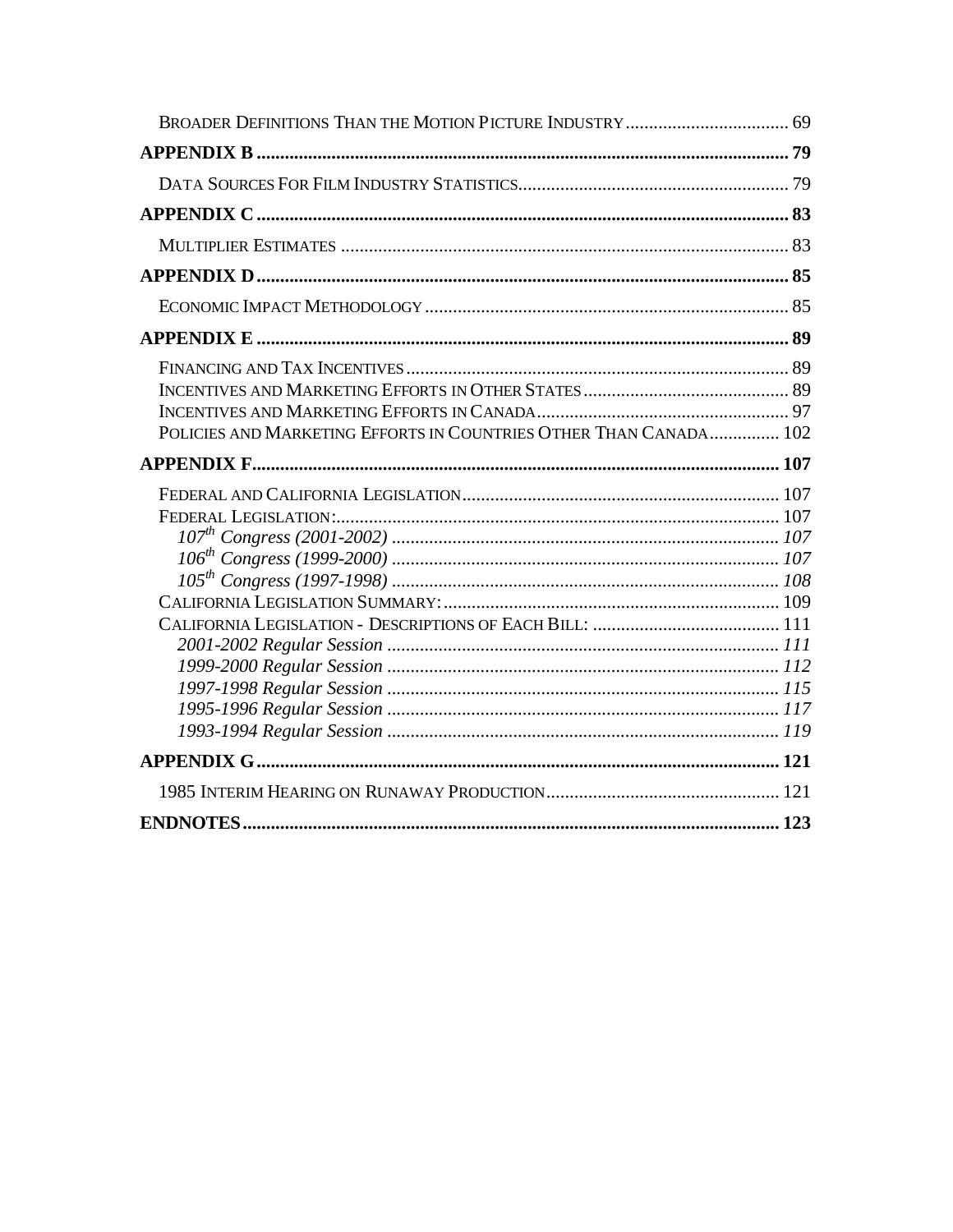| POLICIES AND MARKETING EFFORTS IN COUNTRIES OTHER THAN CANADA 102 |  |
|-------------------------------------------------------------------|--|
|                                                                   |  |
|                                                                   |  |
|                                                                   |  |
|                                                                   |  |
|                                                                   |  |
|                                                                   |  |
|                                                                   |  |
|                                                                   |  |
|                                                                   |  |
|                                                                   |  |
|                                                                   |  |
|                                                                   |  |
|                                                                   |  |
|                                                                   |  |
|                                                                   |  |
|                                                                   |  |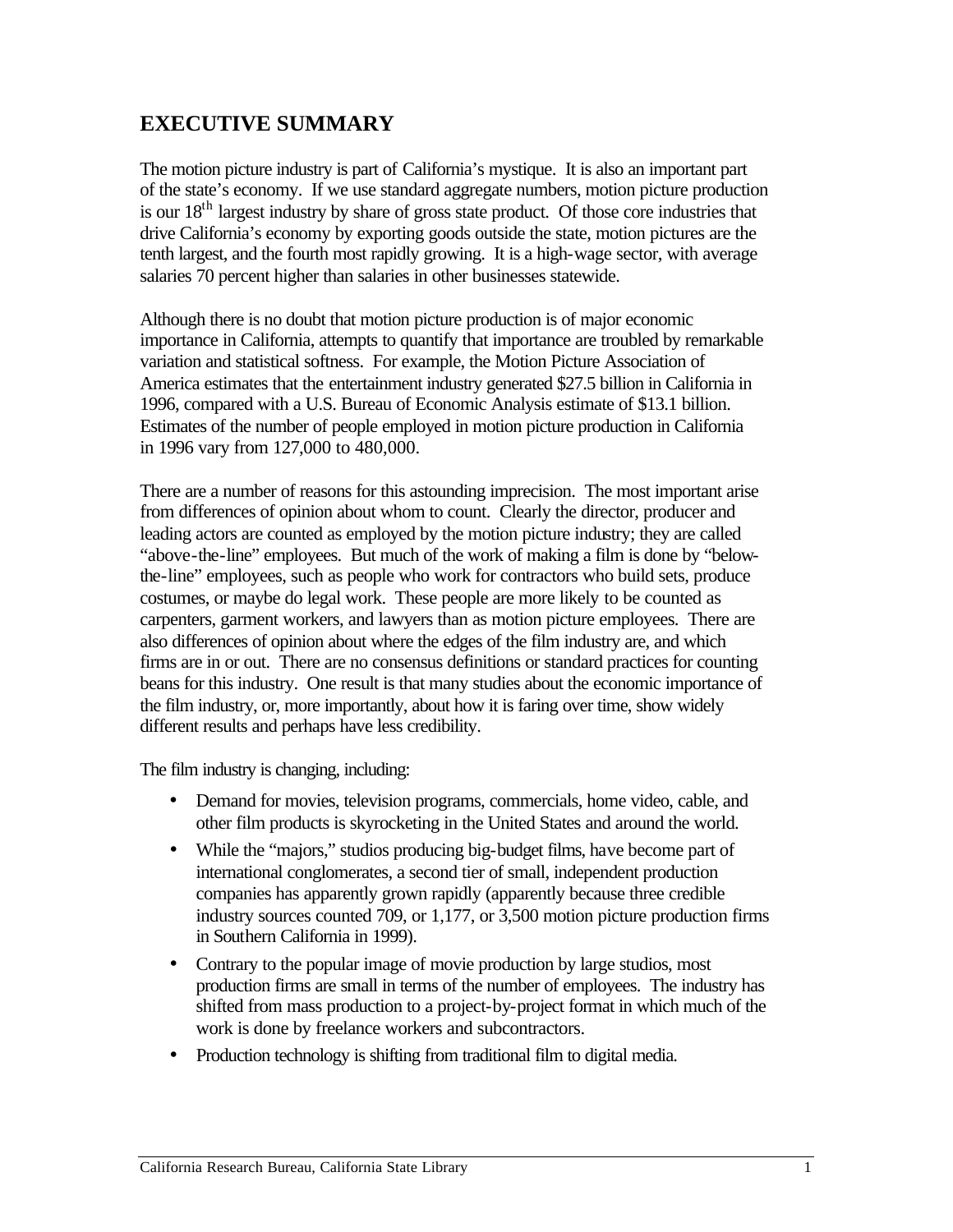## **EXECUTIVE SUMMARY**

The motion picture industry is part of California's mystique. It is also an important part of the state's economy. If we use standard aggregate numbers, motion picture production is our  $18<sup>th</sup>$  largest industry by share of gross state product. Of those core industries that drive California's economy by exporting goods outside the state, motion pictures are the tenth largest, and the fourth most rapidly growing. It is a high-wage sector, with average salaries 70 percent higher than salaries in other businesses statewide.

Although there is no doubt that motion picture production is of major economic importance in California, attempts to quantify that importance are troubled by remarkable variation and statistical softness. For example, the Motion Picture Association of America estimates that the entertainment industry generated \$27.5 billion in California in 1996, compared with a U.S. Bureau of Economic Analysis estimate of \$13.1 billion. Estimates of the number of people employed in motion picture production in California in 1996 vary from 127,000 to 480,000.

There are a number of reasons for this astounding imprecision. The most important arise from differences of opinion about whom to count. Clearly the director, producer and leading actors are counted as employed by the motion picture industry; they are called "above-the-line" employees. But much of the work of making a film is done by "belowthe-line" employees, such as people who work for contractors who build sets, produce costumes, or maybe do legal work. These people are more likely to be counted as carpenters, garment workers, and lawyers than as motion picture employees. There are also differences of opinion about where the edges of the film industry are, and which firms are in or out. There are no consensus definitions or standard practices for counting beans for this industry. One result is that many studies about the economic importance of the film industry, or, more importantly, about how it is faring over time, show widely different results and perhaps have less credibility.

The film industry is changing, including:

- • Demand for movies, television programs, commercials, home video, cable, and other film products is skyrocketing in the United States and around the world.
- While the "majors," studios producing big-budget films, have become part of international conglomerates, a second tier of small, independent production companies has apparently grown rapidly (apparently because three credible industry sources counted 709, or 1,177, or 3,500 motion picture production firms in Southern California in 1999).
- Contrary to the popular image of movie production by large studios, most production firms are small in terms of the number of employees. The industry has shifted from mass production to a project-by-project format in which much of the work is done by freelance workers and subcontractors.
- Production technology is shifting from traditional film to digital media.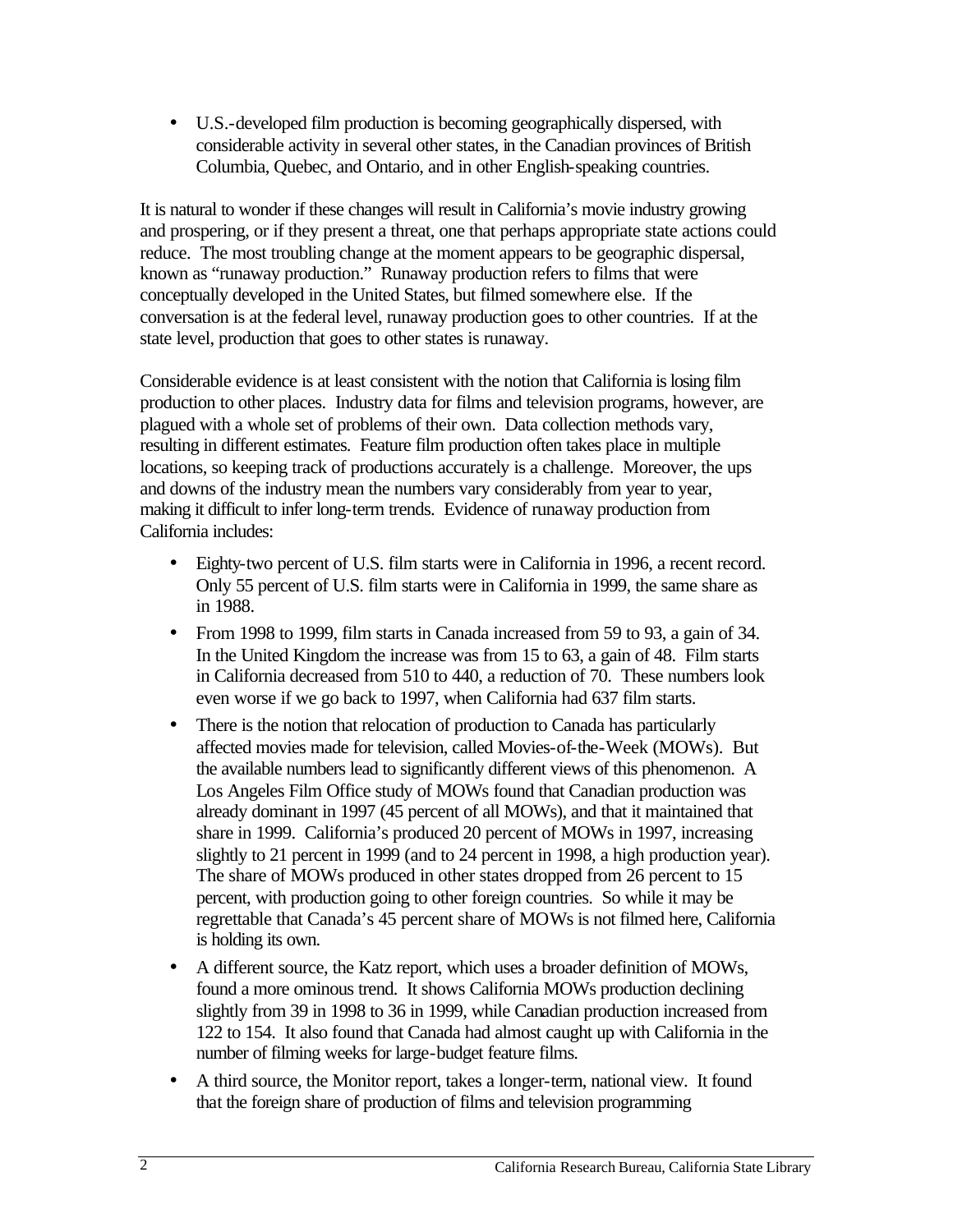• U.S.-developed film production is becoming geographically dispersed, with considerable activity in several other states, in the Canadian provinces of British Columbia, Quebec, and Ontario, and in other English-speaking countries.

It is natural to wonder if these changes will result in California's movie industry growing and prospering, or if they present a threat, one that perhaps appropriate state actions could reduce. The most troubling change at the moment appears to be geographic dispersal, known as "runaway production." Runaway production refers to films that were conceptually developed in the United States, but filmed somewhere else. If the conversation is at the federal level, runaway production goes to other countries. If at the state level, production that goes to other states is runaway.

Considerable evidence is at least consistent with the notion that California is losing film production to other places. Industry data for films and television programs, however, are plagued with a whole set of problems of their own. Data collection methods vary, resulting in different estimates. Feature film production often takes place in multiple locations, so keeping track of productions accurately is a challenge. Moreover, the ups and downs of the industry mean the numbers vary considerably from year to year, making it difficult to infer long-term trends. Evidence of runaway production from California includes:

- Eighty-two percent of U.S. film starts were in California in 1996, a recent record. Only 55 percent of U.S. film starts were in California in 1999, the same share as in 1988.
- From 1998 to 1999, film starts in Canada increased from 59 to 93, a gain of 34. In the United Kingdom the increase was from 15 to 63, a gain of 48. Film starts in California decreased from 510 to 440, a reduction of 70. These numbers look even worse if we go back to 1997, when California had 637 film starts.
- There is the notion that relocation of production to Canada has particularly affected movies made for television, called Movies-of-the-Week (MOWs). But the available numbers lead to significantly different views of this phenomenon. A Los Angeles Film Office study of MOWs found that Canadian production was already dominant in 1997 (45 percent of all MOWs), and that it maintained that share in 1999. California's produced 20 percent of MOWs in 1997, increasing slightly to 21 percent in 1999 (and to 24 percent in 1998, a high production year). The share of MOWs produced in other states dropped from 26 percent to 15 percent, with production going to other foreign countries. So while it may be regrettable that Canada's 45 percent share of MOWs is not filmed here, California is holding its own.
- A different source, the Katz report, which uses a broader definition of MOWs, found a more ominous trend. It shows California MOWs production declining slightly from 39 in 1998 to 36 in 1999, while Canadian production increased from 122 to 154. It also found that Canada had almost caught up with California in the number of filming weeks for large-budget feature films.
- A third source, the Monitor report, takes a longer-term, national view. It found that the foreign share of production of films and television programming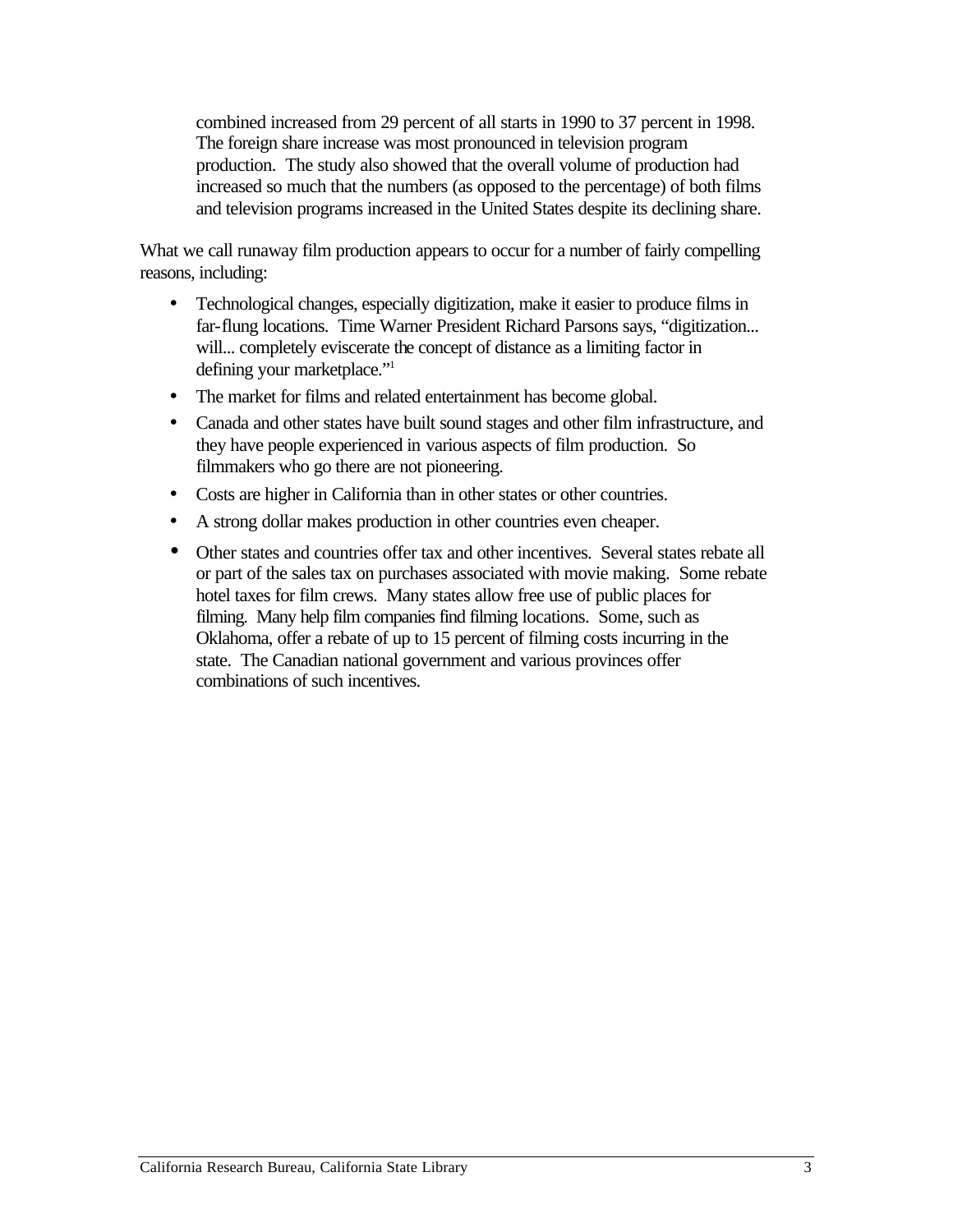combined increased from 29 percent of all starts in 1990 to 37 percent in 1998. The foreign share increase was most pronounced in television program production. The study also showed that the overall volume of production had increased so much that the numbers (as opposed to the percentage) of both films and television programs increased in the United States despite its declining share.

What we call runaway film production appears to occur for a number of fairly compelling reasons, including:

- Technological changes, especially digitization, make it easier to produce films in far-flung locations. Time Warner President Richard Parsons says, "digitization... will... completely eviscerate the concept of distance as a limiting factor in defining your marketplace."<sup>1</sup>
- The market for films and related entertainment has become global.
- Canada and other states have built sound stages and other film infrastructure, and they have people experienced in various aspects of film production. So filmmakers who go there are not pioneering.
- Costs are higher in California than in other states or other countries.
- A strong dollar makes production in other countries even cheaper.
- Other states and countries offer tax and other incentives. Several states rebate all or part of the sales tax on purchases associated with movie making. Some rebate hotel taxes for film crews. Many states allow free use of public places for filming. Many help film companies find filming locations. Some, such as Oklahoma, offer a rebate of up to 15 percent of filming costs incurring in the state. The Canadian national government and various provinces offer combinations of such incentives.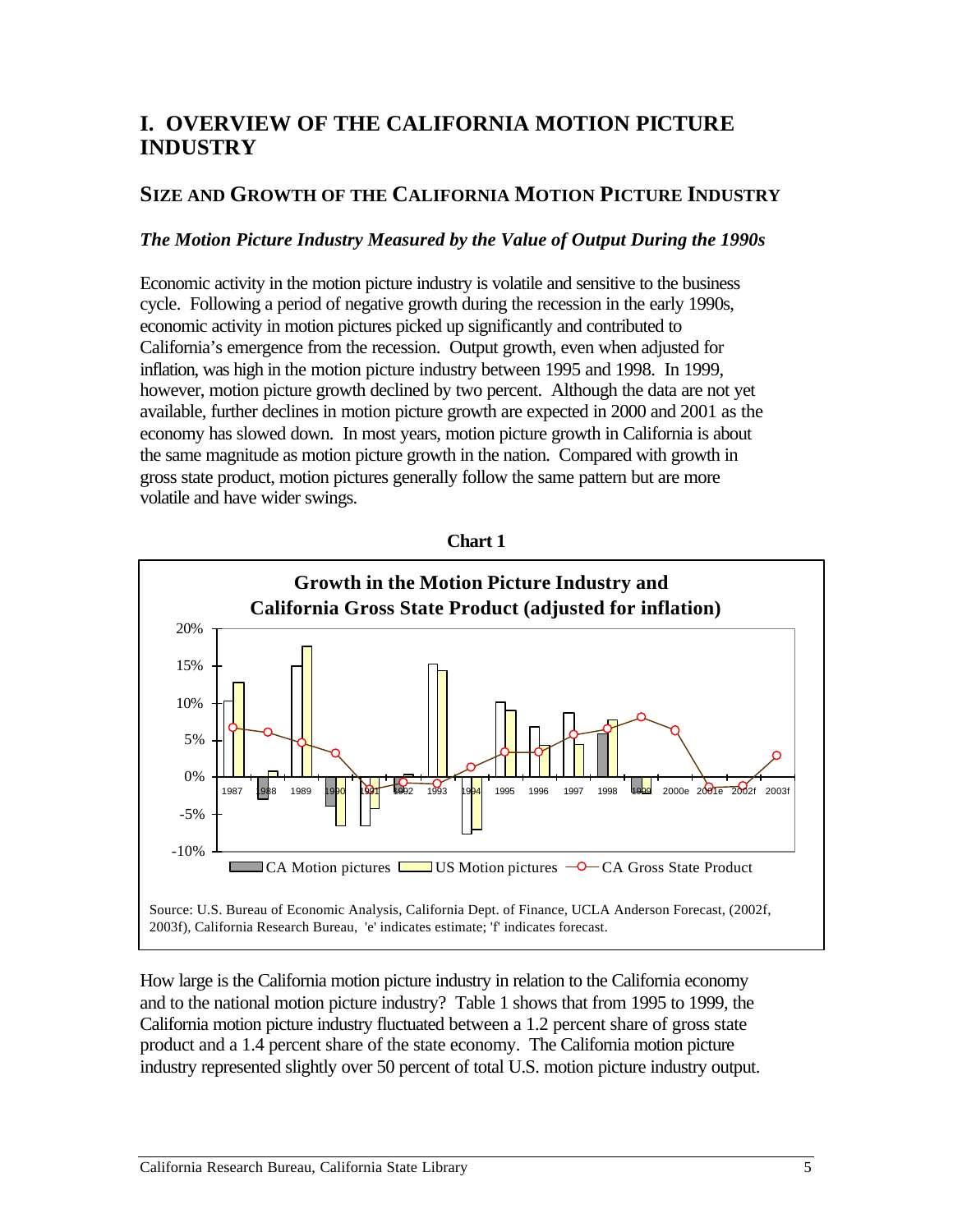### **I. OVERVIEW OF THE CALIFORNIA MOTION PICTURE INDUSTRY**

### **SIZE AND GROWTH OF THE CALIFORNIA MOTION PICTURE INDUSTRY**

#### *The Motion Picture Industry Measured by the Value of Output During the 1990s*

Economic activity in the motion picture industry is volatile and sensitive to the business cycle. Following a period of negative growth during the recession in the early 1990s, economic activity in motion pictures picked up significantly and contributed to California's emergence from the recession. Output growth, even when adjusted for inflation, was high in the motion picture industry between 1995 and 1998. In 1999, however, motion picture growth declined by two percent. Although the data are not yet available, further declines in motion picture growth are expected in 2000 and 2001 as the economy has slowed down. In most years, motion picture growth in California is about the same magnitude as motion picture growth in the nation. Compared with growth in gross state product, motion pictures generally follow the same pattern but are more volatile and have wider swings.



How large is the California motion picture industry in relation to the California economy and to the national motion picture industry? Table 1 shows that from 1995 to 1999, the California motion picture industry fluctuated between a 1.2 percent share of gross state product and a 1.4 percent share of the state economy. The California motion picture industry represented slightly over 50 percent of total U.S. motion picture industry output.

**Chart 1**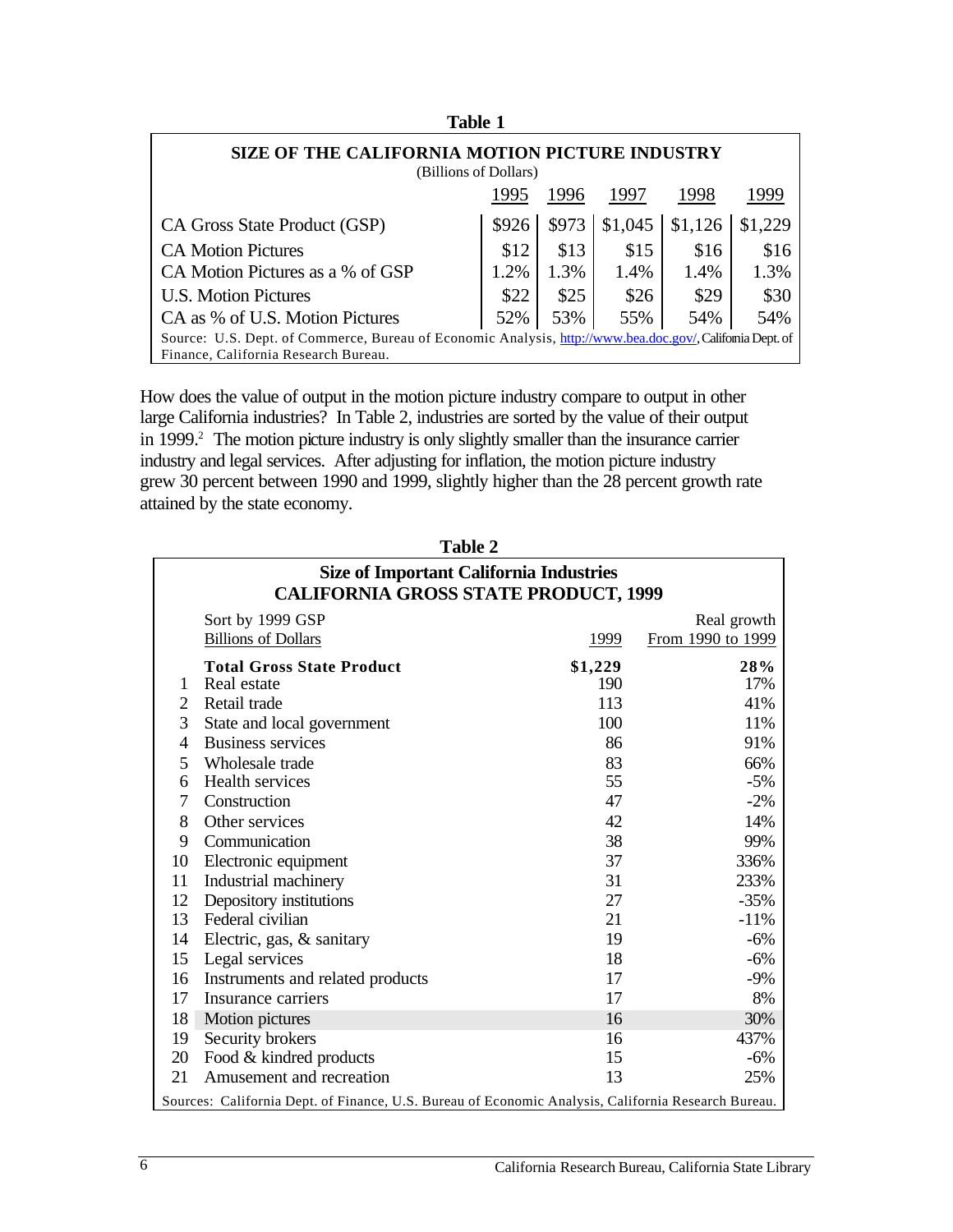| таню т                                                                  |                                                                                                          |       |         |         |         |  |
|-------------------------------------------------------------------------|----------------------------------------------------------------------------------------------------------|-------|---------|---------|---------|--|
| SIZE OF THE CALIFORNIA MOTION PICTURE INDUSTRY<br>(Billions of Dollars) |                                                                                                          |       |         |         |         |  |
| 1999<br>1995<br>1996<br>1998<br>1997                                    |                                                                                                          |       |         |         |         |  |
| CA Gross State Product (GSP)                                            | \$926                                                                                                    | \$973 | \$1,045 | \$1,126 | \$1,229 |  |
| <b>CA Motion Pictures</b>                                               | \$12                                                                                                     | \$13  | \$15    | \$16    | \$16    |  |
| CA Motion Pictures as a % of GSP                                        | 1.2%                                                                                                     | 1.3%  | 1.4%    | 1.4%    | 1.3%    |  |
| <b>U.S. Motion Pictures</b>                                             | \$22                                                                                                     | \$25  | \$26    | \$29    | \$30    |  |
| CA as % of U.S. Motion Pictures                                         | 52%                                                                                                      | 53%   | 55%     | 54%     | 54%     |  |
|                                                                         | Source: U.S. Dept. of Commerce, Bureau of Economic Analysis, http://www.bea.doc.gov/, Califomia Dept. of |       |         |         |         |  |
| Finance, California Research Bureau.                                    |                                                                                                          |       |         |         |         |  |

**Table 1** 

How does the value of output in the motion picture industry compare to output in other large California industries? In Table 2, industries are sorted by the value of their output in 1999.<sup>2</sup> The motion picture industry is only slightly smaller than the insurance carrier industry and legal services. After adjusting for inflation, the motion picture industry grew 30 percent between 1990 and 1999, slightly higher than the 28 percent growth rate attained by the state economy.

|                | <b>Size of Important California Industries</b><br><b>CALIFORNIA GROSS STATE PRODUCT, 1999</b>       |         |                                  |  |  |  |  |
|----------------|-----------------------------------------------------------------------------------------------------|---------|----------------------------------|--|--|--|--|
|                | Sort by 1999 GSP<br><b>Billions of Dollars</b>                                                      | 1999    | Real growth<br>From 1990 to 1999 |  |  |  |  |
|                | <b>Total Gross State Product</b>                                                                    | \$1,229 | 28%                              |  |  |  |  |
| 1              | Real estate                                                                                         | 190     | 17%                              |  |  |  |  |
| 2              | Retail trade                                                                                        | 113     | 41%                              |  |  |  |  |
| 3              | State and local government                                                                          | 100     | 11%                              |  |  |  |  |
| $\overline{4}$ | <b>Business services</b>                                                                            | 86      | 91%                              |  |  |  |  |
| 5              | Wholesale trade                                                                                     | 83      | 66%                              |  |  |  |  |
| 6              | Health services                                                                                     | 55      | $-5%$                            |  |  |  |  |
| 7              | Construction                                                                                        | 47      | $-2%$                            |  |  |  |  |
| 8              | Other services                                                                                      | 42      | 14%                              |  |  |  |  |
| 9              | Communication                                                                                       | 38      | 99%                              |  |  |  |  |
| 10             | Electronic equipment                                                                                | 37      | 336%                             |  |  |  |  |
| 11             | Industrial machinery                                                                                | 31      | 233%                             |  |  |  |  |
| 12             | Depository institutions                                                                             | 27      | $-35%$                           |  |  |  |  |
| 13             | Federal civilian                                                                                    | 21      | $-11%$                           |  |  |  |  |
| 14             | Electric, gas, & sanitary                                                                           | 19      | $-6%$                            |  |  |  |  |
| 15             | Legal services                                                                                      | 18      | $-6%$                            |  |  |  |  |
| 16             | Instruments and related products                                                                    | 17      | $-9%$                            |  |  |  |  |
| 17             | Insurance carriers                                                                                  | 17      | 8%                               |  |  |  |  |
| 18             | Motion pictures                                                                                     | 16      | 30%                              |  |  |  |  |
| 19             | Security brokers                                                                                    | 16      | 437%                             |  |  |  |  |
| 20             | Food & kindred products                                                                             | 15      | $-6%$                            |  |  |  |  |
| 21             | Amusement and recreation                                                                            | 13      | 25%                              |  |  |  |  |
|                | Sources: California Dept. of Finance, U.S. Bureau of Economic Analysis, California Research Bureau. |         |                                  |  |  |  |  |

**Table 2**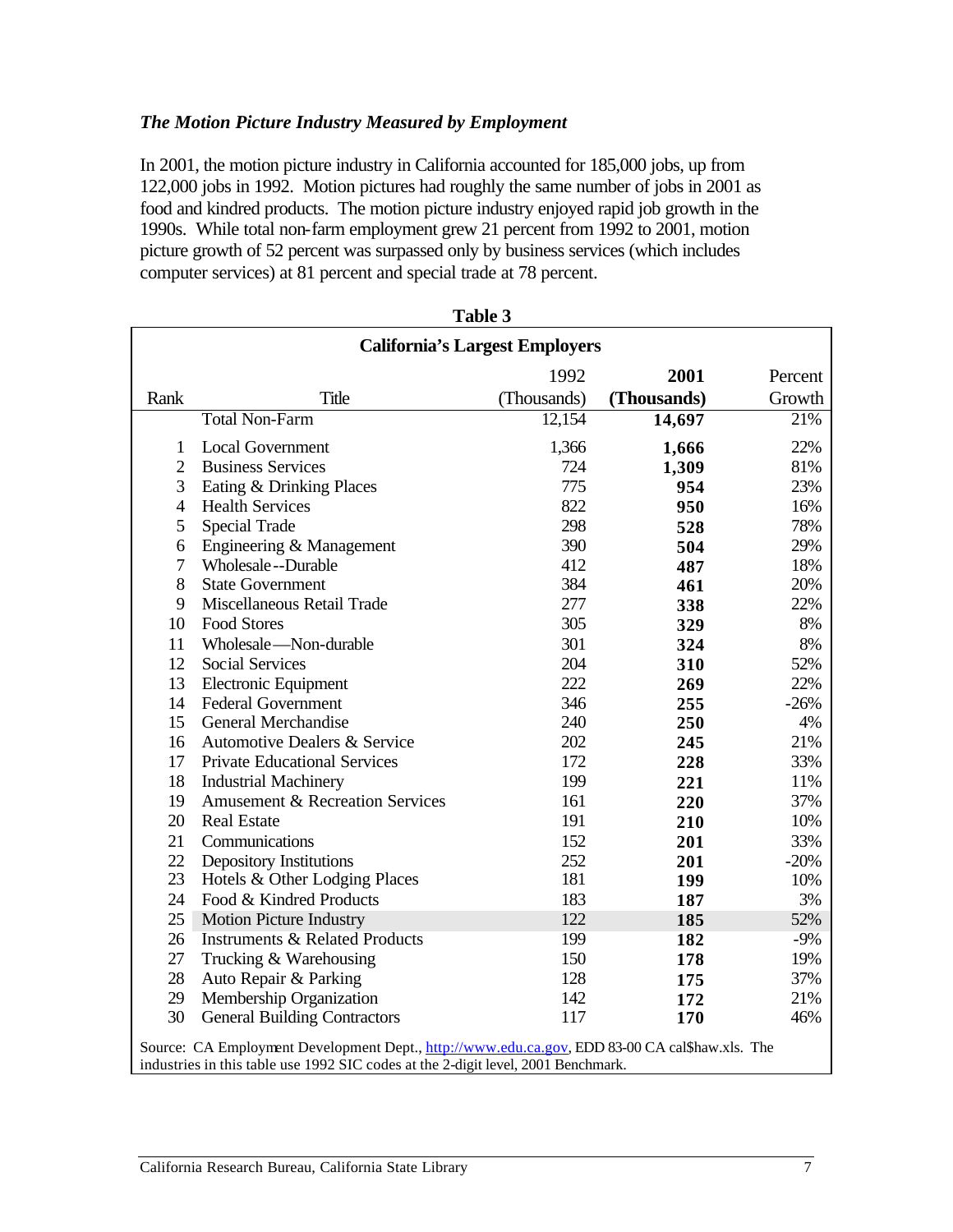#### *The Motion Picture Industry Measured by Employment*

In 2001, the motion picture industry in California accounted for 185,000 jobs, up from 122,000 jobs in 1992. Motion pictures had roughly the same number of jobs in 2001 as food and kindred products. The motion picture industry enjoyed rapid job growth in the 1990s. While total non-farm employment grew 21 percent from 1992 to 2001, motion picture growth of 52 percent was surpassed only by business services (which includes computer services) at 81 percent and special trade at 78 percent.

|                | <b>California's Largest Employers</b>                                                                                                                                               |             |             |         |  |
|----------------|-------------------------------------------------------------------------------------------------------------------------------------------------------------------------------------|-------------|-------------|---------|--|
|                |                                                                                                                                                                                     | 1992        | 2001        | Percent |  |
| Rank           | <b>Title</b>                                                                                                                                                                        | (Thousands) | (Thousands) | Growth  |  |
|                | <b>Total Non-Farm</b>                                                                                                                                                               | 12,154      | 14,697      | 21%     |  |
| 1              | <b>Local Government</b>                                                                                                                                                             | 1,366       | 1,666       | 22%     |  |
| $\overline{2}$ | <b>Business Services</b>                                                                                                                                                            | 724         | 1,309       | 81%     |  |
| 3              | Eating & Drinking Places                                                                                                                                                            | 775         | 954         | 23%     |  |
| $\overline{4}$ | <b>Health Services</b>                                                                                                                                                              | 822         | 950         | 16%     |  |
| 5              | Special Trade                                                                                                                                                                       | 298         | 528         | 78%     |  |
| 6              | Engineering & Management                                                                                                                                                            | 390         | 504         | 29%     |  |
| $\tau$         | Wholesale--Durable                                                                                                                                                                  | 412         | 487         | 18%     |  |
| 8              | <b>State Government</b>                                                                                                                                                             | 384         | 461         | 20%     |  |
| 9              | Miscellaneous Retail Trade                                                                                                                                                          | 277         | 338         | 22%     |  |
| 10             | Food Stores                                                                                                                                                                         | 305         | 329         | 8%      |  |
| 11             | Wholesale - Non-durable                                                                                                                                                             | 301         | 324         | 8%      |  |
| 12             | <b>Social Services</b>                                                                                                                                                              | 204         | 310         | 52%     |  |
| 13             | Electronic Equipment                                                                                                                                                                | 222         | 269         | 22%     |  |
| 14             | <b>Federal Government</b>                                                                                                                                                           | 346         | 255         | $-26%$  |  |
| 15             | General Merchandise                                                                                                                                                                 | 240         | 250         | 4%      |  |
| 16             | Automotive Dealers & Service                                                                                                                                                        | 202         | 245         | 21%     |  |
| 17             | <b>Private Educational Services</b>                                                                                                                                                 | 172         | 228         | 33%     |  |
| 18             | <b>Industrial Machinery</b>                                                                                                                                                         | 199         | 221         | 11%     |  |
| 19             | Amusement & Recreation Services                                                                                                                                                     | 161         | 220         | 37%     |  |
| 20             | <b>Real Estate</b>                                                                                                                                                                  | 191         | 210         | 10%     |  |
| 21             | Communications                                                                                                                                                                      | 152         | 201         | 33%     |  |
| 22             | Depository Institutions                                                                                                                                                             | 252         | 201         | $-20%$  |  |
| 23             | Hotels & Other Lodging Places                                                                                                                                                       | 181         | 199         | 10%     |  |
| 24             | Food & Kindred Products                                                                                                                                                             | 183         | 187         | 3%      |  |
| 25             | <b>Motion Picture Industry</b>                                                                                                                                                      | 122         | 185         | 52%     |  |
| 26             | <b>Instruments &amp; Related Products</b>                                                                                                                                           | 199         | 182         | $-9%$   |  |
| 27             | Trucking & Warehousing                                                                                                                                                              | 150         | 178         | 19%     |  |
| 28             | Auto Repair & Parking                                                                                                                                                               | 128         | 175         | 37%     |  |
| 29             | Membership Organization                                                                                                                                                             | 142         | 172         | 21%     |  |
| 30             | <b>General Building Contractors</b>                                                                                                                                                 | 117         | 170         | 46%     |  |
|                | Source: CA Employment Development Dept., http://www.edu.ca.gov, EDD 83-00 CA cal\$haw.xls. The<br>industries in this table use 1992 SIC codes at the 2-digit level, 2001 Benchmark. |             |             |         |  |

| abie |  |
|------|--|
|------|--|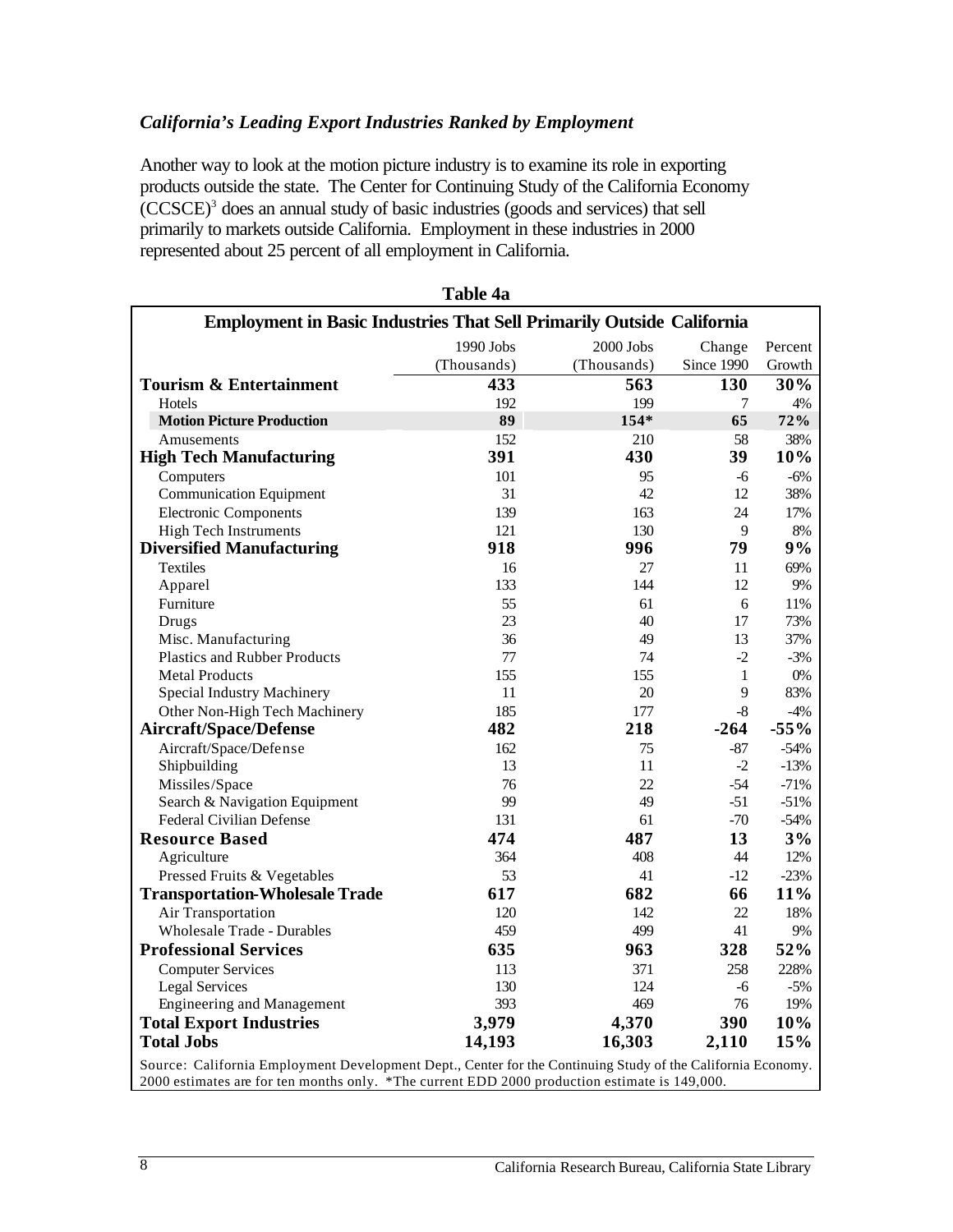#### *California's Leading Export Industries Ranked by Employment*

Another way to look at the motion picture industry is to examine its role in exporting products outside the state. The Center for Continuing Study of the California Economy (CCSCE)3 does an annual study of basic industries (goods and services) that sell primarily to markets outside California. Employment in these industries in 2000 represented about 25 percent of all employment in California.

| Employment in Basic Industries That Sell Primarily Outside California                                     |                                             |             |              |        |  |  |  |
|-----------------------------------------------------------------------------------------------------------|---------------------------------------------|-------------|--------------|--------|--|--|--|
|                                                                                                           | 1990 Jobs<br>2000 Jobs<br>Percent<br>Change |             |              |        |  |  |  |
|                                                                                                           | (Thousands)                                 | (Thousands) | Since 1990   | Growth |  |  |  |
| <b>Tourism &amp; Entertainment</b>                                                                        | 433                                         | 563         | 130          | 30%    |  |  |  |
| Hotels                                                                                                    | 192                                         | 199         | 7            | 4%     |  |  |  |
| <b>Motion Picture Production</b>                                                                          | 89                                          | 154*        | 65           | 72%    |  |  |  |
| Amusements                                                                                                | 152                                         | 210         | 58           | 38%    |  |  |  |
| <b>High Tech Manufacturing</b>                                                                            | 391                                         | 430         | 39           | 10%    |  |  |  |
| Computers                                                                                                 | 101                                         | 95          | -6           | $-6%$  |  |  |  |
| <b>Communication Equipment</b>                                                                            | 31                                          | 42          | 12           | 38%    |  |  |  |
| <b>Electronic Components</b>                                                                              | 139                                         | 163         | 24           | 17%    |  |  |  |
| <b>High Tech Instruments</b>                                                                              | 121                                         | 130         | 9            | 8%     |  |  |  |
| <b>Diversified Manufacturing</b>                                                                          | 918                                         | 996         | 79           | 9%     |  |  |  |
| <b>Textiles</b>                                                                                           | 16                                          | 27          | 11           | 69%    |  |  |  |
| Apparel                                                                                                   | 133                                         | 144         | 12           | 9%     |  |  |  |
| Furniture                                                                                                 | 55                                          | 61          | 6            | 11%    |  |  |  |
| <b>Drugs</b>                                                                                              | 23                                          | 40          | 17           | 73%    |  |  |  |
| Misc. Manufacturing                                                                                       | 36                                          | 49          | 13           | 37%    |  |  |  |
| <b>Plastics and Rubber Products</b>                                                                       | 77                                          | 74          | $-2$         | $-3%$  |  |  |  |
| <b>Metal Products</b>                                                                                     | 155                                         | 155         | $\mathbf{1}$ | $0\%$  |  |  |  |
| Special Industry Machinery                                                                                | 11                                          | 20          | 9            | 83%    |  |  |  |
| Other Non-High Tech Machinery                                                                             | 185                                         | 177         | $-8$         | $-4\%$ |  |  |  |
| <b>Aircraft/Space/Defense</b>                                                                             | 482                                         | 218         | $-264$       | $-55%$ |  |  |  |
| Aircraft/Space/Defense                                                                                    | 162                                         | 75          | $-87$        | $-54%$ |  |  |  |
| Shipbuilding                                                                                              | 13                                          | 11          | $-2$         | $-13%$ |  |  |  |
| Missiles/Space                                                                                            | 76                                          | 22          | $-54$        | $-71%$ |  |  |  |
| Search & Navigation Equipment                                                                             | 99                                          | 49          | $-51$        | $-51%$ |  |  |  |
| <b>Federal Civilian Defense</b>                                                                           | 131                                         | 61          | $-70$        | $-54%$ |  |  |  |
| <b>Resource Based</b>                                                                                     | 474                                         | 487         | 13           | 3%     |  |  |  |
| Agriculture                                                                                               | 364                                         | 408         | 44           | 12%    |  |  |  |
| Pressed Fruits & Vegetables                                                                               | 53                                          | 41          | $-12$        | $-23%$ |  |  |  |
| <b>Transportation-Wholesale Trade</b>                                                                     | 617                                         | 682         | 66           | 11%    |  |  |  |
| Air Transportation                                                                                        | 120                                         | 142         | 22           | 18%    |  |  |  |
| <b>Wholesale Trade - Durables</b>                                                                         | 459                                         | 499         | 41           | 9%     |  |  |  |
| <b>Professional Services</b>                                                                              | 635                                         | 963         | 328          | 52%    |  |  |  |
| <b>Computer Services</b>                                                                                  | 113                                         | 371         | 258          | 228%   |  |  |  |
| <b>Legal Services</b>                                                                                     | 130                                         | 124         | $-6$         | $-5%$  |  |  |  |
| <b>Engineering and Management</b>                                                                         | 393                                         | 469         | 76           | 19%    |  |  |  |
| <b>Total Export Industries</b>                                                                            | 3,979                                       | 4,370       | 390          | 10%    |  |  |  |
| <b>Total Jobs</b>                                                                                         | 14,193                                      | 16,303      | 2,110        | 15%    |  |  |  |
| Source: California Employment Development Dept. Center for the Continuing Study of the California Economy |                                             |             |              |        |  |  |  |

**Table 4a** 

Source: California Employment Development Dept., Center for the Continuing Study of the California Economy. 2000 estimates are for ten months only. \*The current EDD 2000 production estimate is 149,000.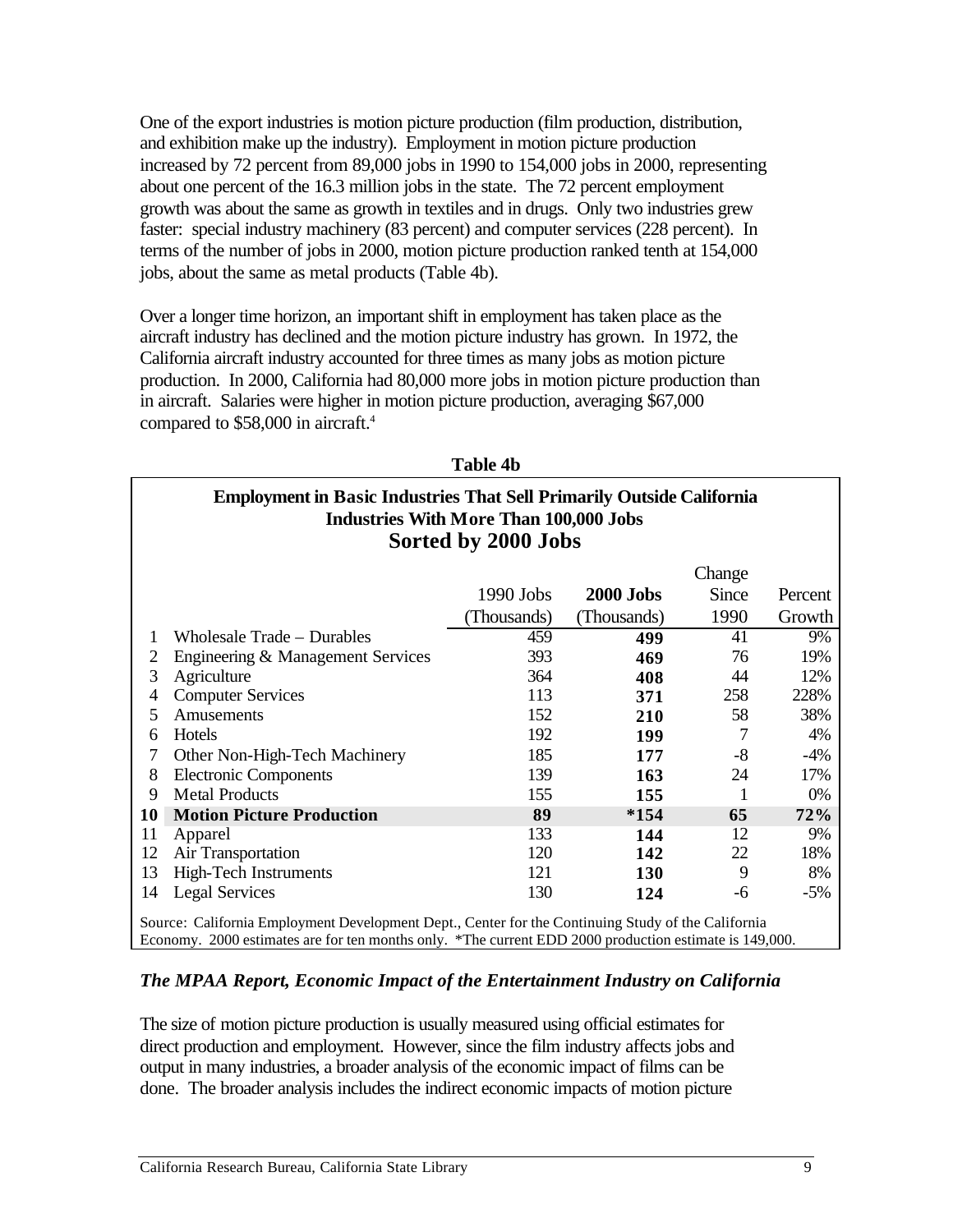One of the export industries is motion picture production (film production, distribution, and exhibition make up the industry). Employment in motion picture production increased by 72 percent from 89,000 jobs in 1990 to 154,000 jobs in 2000, representing about one percent of the 16.3 million jobs in the state. The 72 percent employment growth was about the same as growth in textiles and in drugs. Only two industries grew faster: special industry machinery (83 percent) and computer services (228 percent). In terms of the number of jobs in 2000, motion picture production ranked tenth at 154,000 jobs, about the same as metal products (Table 4b).

Over a longer time horizon, an important shift in employment has taken place as the aircraft industry has declined and the motion picture industry has grown. In 1972, the California aircraft industry accounted for three times as many jobs as motion picture production. In 2000, California had 80,000 more jobs in motion picture production than in aircraft. Salaries were higher in motion picture production, averaging \$67,000 compared to \$58,000 in aircraft.<sup>4</sup>

|    | <b>Employment in Basic Industries That Sell Primarily Outside California</b><br><b>Industries With More Than 100,000 Jobs</b><br>Sorted by 2000 Jobs |            |                  |       |         |  |  |
|----|------------------------------------------------------------------------------------------------------------------------------------------------------|------------|------------------|-------|---------|--|--|
|    | Change                                                                                                                                               |            |                  |       |         |  |  |
|    |                                                                                                                                                      | 1990 Jobs  | <b>2000 Jobs</b> | Since | Percent |  |  |
|    |                                                                                                                                                      | Thousands) | (Thousands)      | 1990  | Growth  |  |  |
|    | Wholesale Trade - Durables                                                                                                                           | 459        | 499              | 41    | 9%      |  |  |
| 2  | Engineering & Management Services                                                                                                                    | 393        | 469              | 76    | 19%     |  |  |
| 3  | Agriculture                                                                                                                                          | 364        | 408              | 44    | 12%     |  |  |
| 4  | <b>Computer Services</b>                                                                                                                             | 113        | 371              | 258   | 228%    |  |  |
| 5  | Amusements                                                                                                                                           | 152        | 210              | 58    | 38%     |  |  |
| 6  | Hotels                                                                                                                                               | 192        | 199              | 7     | 4%      |  |  |
| 7  | Other Non-High-Tech Machinery                                                                                                                        | 185        | 177              | -8    | $-4\%$  |  |  |
| 8  | <b>Electronic Components</b>                                                                                                                         | 139        | 163              | 24    | 17%     |  |  |
| 9  | <b>Metal Products</b>                                                                                                                                | 155        | 155              |       | 0%      |  |  |
| 10 | <b>Motion Picture Production</b>                                                                                                                     | 89         | $*154$           | 65    | 72%     |  |  |
| 11 | Apparel                                                                                                                                              | 133        | 144              | 12    | 9%      |  |  |
| 12 | Air Transportation                                                                                                                                   | 120        | 142              | 22    | 18%     |  |  |
| 13 | High-Tech Instruments                                                                                                                                | 121        | <b>130</b>       | 9     | 8%      |  |  |
| 14 | <b>Legal Services</b>                                                                                                                                | 130        | 124              | -6    | $-5%$   |  |  |
|    | Source: California Employment Development Dept., Center for the Continuing Study of the California                                                   |            |                  |       |         |  |  |

**Table 4b** 

#### *The MPAA Report, Economic Impact of the Entertainment Industry on California*

Economy. 2000 estimates are for ten months only. \*The current EDD 2000 production estimate is 149,000.

The size of motion picture production is usually measured using official estimates for direct production and employment. However, since the film industry affects jobs and output in many industries, a broader analysis of the economic impact of films can be done. The broader analysis includes the indirect economic impacts of motion picture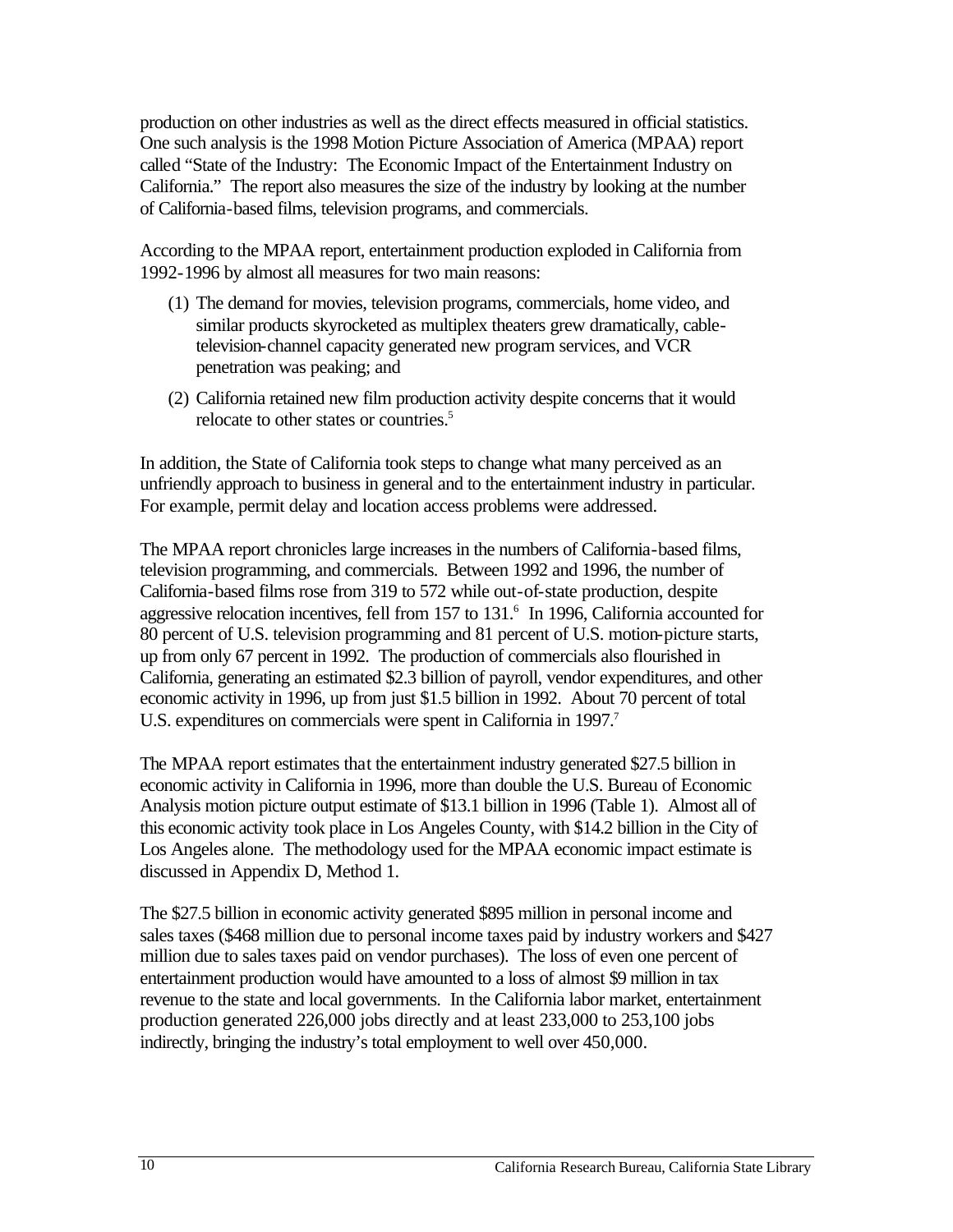production on other industries as well as the direct effects measured in official statistics. One such analysis is the 1998 Motion Picture Association of America (MPAA) report called "State of the Industry: The Economic Impact of the Entertainment Industry on California." The report also measures the size of the industry by looking at the number of California-based films, television programs, and commercials.

According to the MPAA report, entertainment production exploded in California from 1992-1996 by almost all measures for two main reasons:

- (1) The demand for movies, television programs, commercials, home video, and similar products skyrocketed as multiplex theaters grew dramatically, cabletelevision-channel capacity generated new program services, and VCR penetration was peaking; and
- (2) California retained new film production activity despite concerns that it would relocate to other states or countries.<sup>5</sup>

In addition, the State of California took steps to change what many perceived as an unfriendly approach to business in general and to the entertainment industry in particular. For example, permit delay and location access problems were addressed.

The MPAA report chronicles large increases in the numbers of California-based films, television programming, and commercials. Between 1992 and 1996, the number of California-based films rose from 319 to 572 while out-of-state production, despite aggressive relocation incentives, fell from  $157$  to  $131$ .<sup>6</sup> In 1996, California accounted for 80 percent of U.S. television programming and 81 percent of U.S. motion-picture starts, up from only 67 percent in 1992. The production of commercials also flourished in California, generating an estimated \$2.3 billion of payroll, vendor expenditures, and other economic activity in 1996, up from just \$1.5 billion in 1992. About 70 percent of total U.S. expenditures on commercials were spent in California in 1997.<sup>7</sup>

The MPAA report estimates that the entertainment industry generated \$27.5 billion in economic activity in California in 1996, more than double the U.S. Bureau of Economic Analysis motion picture output estimate of \$13.1 billion in 1996 (Table 1). Almost all of this economic activity took place in Los Angeles County, with \$14.2 billion in the City of Los Angeles alone. The methodology used for the MPAA economic impact estimate is discussed in Appendix D, Method 1.

The \$27.5 billion in economic activity generated \$895 million in personal income and sales taxes (\$468 million due to personal income taxes paid by industry workers and \$427 million due to sales taxes paid on vendor purchases). The loss of even one percent of entertainment production would have amounted to a loss of almost \$9 million in tax revenue to the state and local governments. In the California labor market, entertainment production generated 226,000 jobs directly and at least 233,000 to 253,100 jobs indirectly, bringing the industry's total employment to well over 450,000.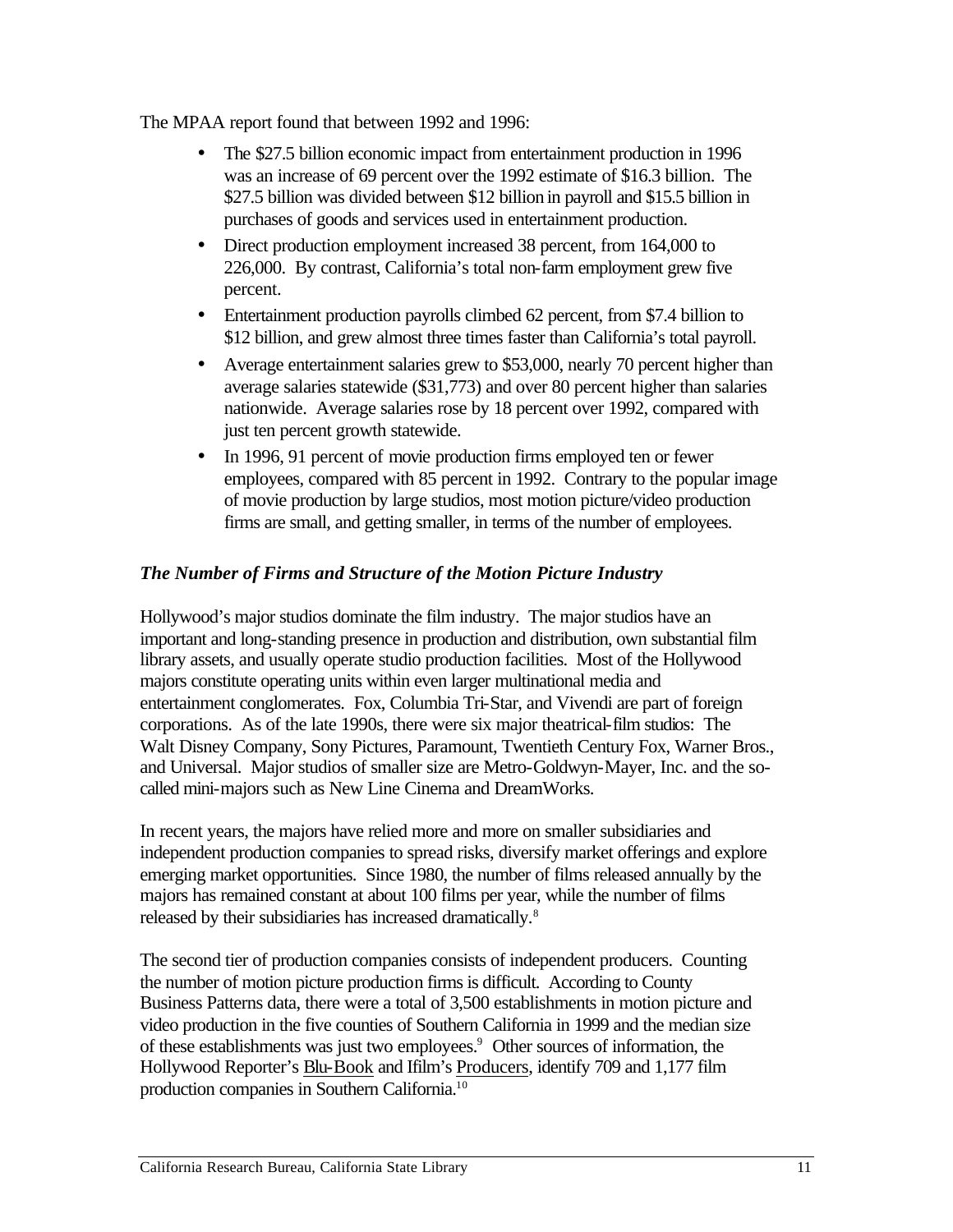The MPAA report found that between 1992 and 1996:

- The \$27.5 billion economic impact from entertainment production in 1996 was an increase of 69 percent over the 1992 estimate of \$16.3 billion. The \$27.5 billion was divided between \$12 billion in payroll and \$15.5 billion in purchases of goods and services used in entertainment production.
- Direct production employment increased 38 percent, from 164,000 to 226,000. By contrast, California's total non-farm employment grew five percent.
- Entertainment production payrolls climbed 62 percent, from \$7.4 billion to \$12 billion, and grew almost three times faster than California's total payroll.
- Average entertainment salaries grew to \$53,000, nearly 70 percent higher than average salaries statewide (\$31,773) and over 80 percent higher than salaries nationwide. Average salaries rose by 18 percent over 1992, compared with just ten percent growth statewide.
- In 1996, 91 percent of movie production firms employed ten or fewer employees, compared with 85 percent in 1992. Contrary to the popular image of movie production by large studios, most motion picture/video production firms are small, and getting smaller, in terms of the number of employees.

#### *The Number of Firms and Structure of the Motion Picture Industry*

Hollywood's major studios dominate the film industry. The major studios have an important and long-standing presence in production and distribution, own substantial film library assets, and usually operate studio production facilities. Most of the Hollywood majors constitute operating units within even larger multinational media and entertainment conglomerates. Fox, Columbia Tri-Star, and Vivendi are part of foreign corporations. As of the late 1990s, there were six major theatrical-film studios: The Walt Disney Company, Sony Pictures, Paramount, Twentieth Century Fox, Warner Bros., and Universal. Major studios of smaller size are Metro-Goldwyn-Mayer, Inc. and the socalled mini-majors such as New Line Cinema and DreamWorks.

In recent years, the majors have relied more and more on smaller subsidiaries and independent production companies to spread risks, diversify market offerings and explore emerging market opportunities. Since 1980, the number of films released annually by the majors has remained constant at about 100 films per year, while the number of films released by their subsidiaries has increased dramatically.<sup>8</sup>

The second tier of production companies consists of independent producers. Counting the number of motion picture production firms is difficult. According to County Business Patterns data, there were a total of 3,500 establishments in motion picture and video production in the five counties of Southern California in 1999 and the median size of these establishments was just two employees.<sup>9</sup> Other sources of information, the Hollywood Reporter's Blu-Book and Ifilm's Producers, identify 709 and 1,177 film production companies in Southern California.10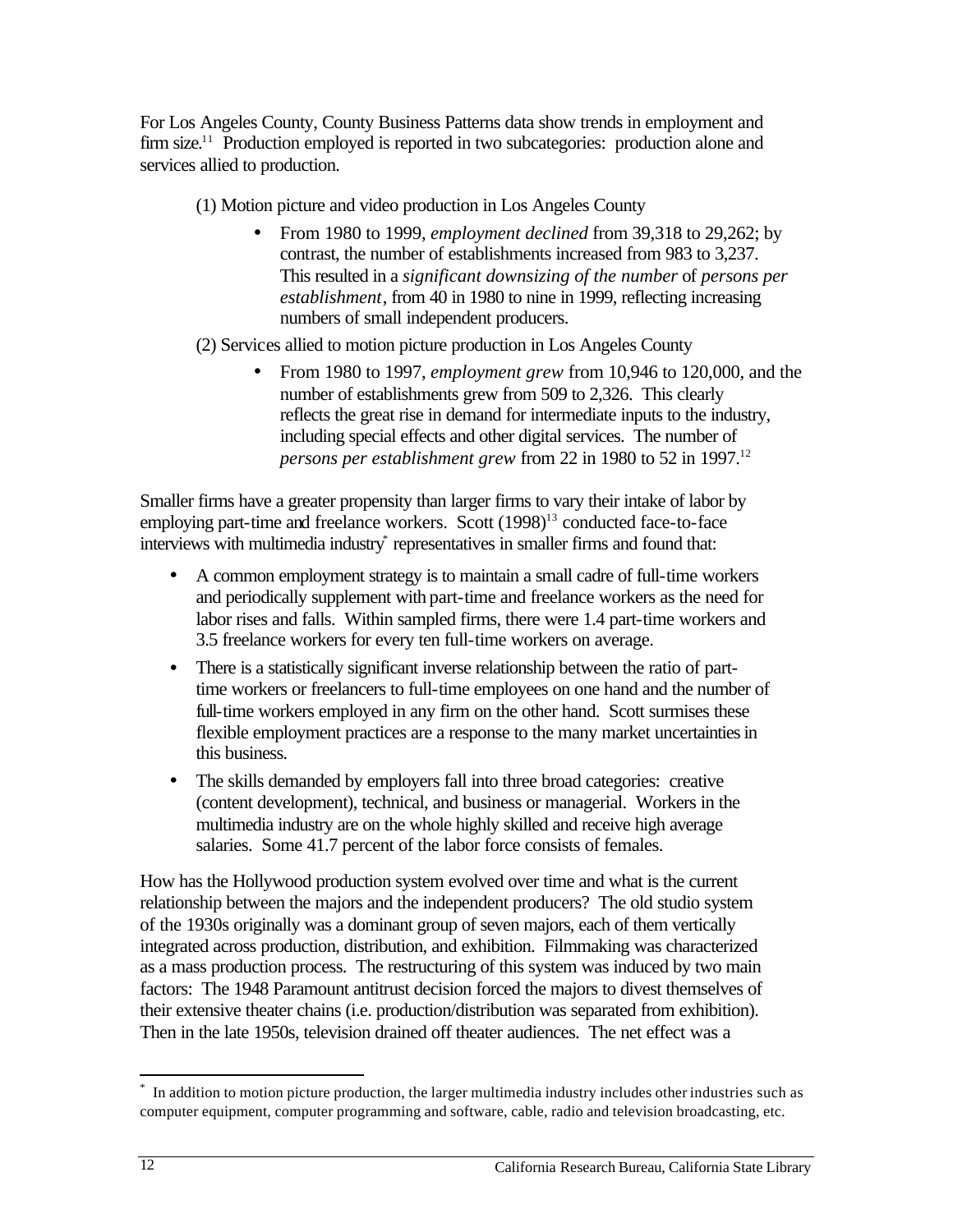For Los Angeles County, County Business Patterns data show trends in employment and firm size.<sup>11</sup> Production employed is reported in two subcategories: production alone and services allied to production.

(1) Motion picture and video production in Los Angeles County

From 1980 to 1999, *employment declined* from 39,318 to 29,262; by contrast, the number of establishments increased from 983 to 3,237. This resulted in a *significant downsizing of the number* of *persons per establishment*, from 40 in 1980 to nine in 1999, reflecting increasing numbers of small independent producers.

(2) Services allied to motion picture production in Los Angeles County

• From 1980 to 1997, *employment grew* from 10,946 to 120,000, and the number of establishments grew from 509 to 2,326. This clearly reflects the great rise in demand for intermediate inputs to the industry, including special effects and other digital services. The number of *persons per establishment grew* from 22 in 1980 to 52 in 1997.<sup>12</sup>

Smaller firms have a greater propensity than larger firms to vary their intake of labor by employing part-time and freelance workers. Scott  $(1998)^{13}$  conducted face-to-face interviews with multimedia industry<sup>\*</sup> representatives in smaller firms and found that:

- A common employment strategy is to maintain a small cadre of full-time workers and periodically supplement with part-time and freelance workers as the need for labor rises and falls. Within sampled firms, there were 1.4 part-time workers and 3.5 freelance workers for every ten full-time workers on average.
- There is a statistically significant inverse relationship between the ratio of parttime workers or freelancers to full-time employees on one hand and the number of full-time workers employed in any firm on the other hand. Scott surmises these flexible employment practices are a response to the many market uncertainties in this business.
- The skills demanded by employers fall into three broad categories: creative (content development), technical, and business or managerial. Workers in the multimedia industry are on the whole highly skilled and receive high average salaries. Some 41.7 percent of the labor force consists of females.

How has the Hollywood production system evolved over time and what is the current relationship between the majors and the independent producers? The old studio system of the 1930s originally was a dominant group of seven majors, each of them vertically integrated across production, distribution, and exhibition. Filmmaking was characterized as a mass production process. The restructuring of this system was induced by two main factors: The 1948 Paramount antitrust decision forced the majors to divest themselves of their extensive theater chains (i.e. production/distribution was separated from exhibition). Then in the late 1950s, television drained off theater audiences. The net effect was a

<sup>1</sup> \* In addition to motion picture production, the larger multimedia industry includes other industries such as computer equipment, computer programming and software, cable, radio and television broadcasting, etc.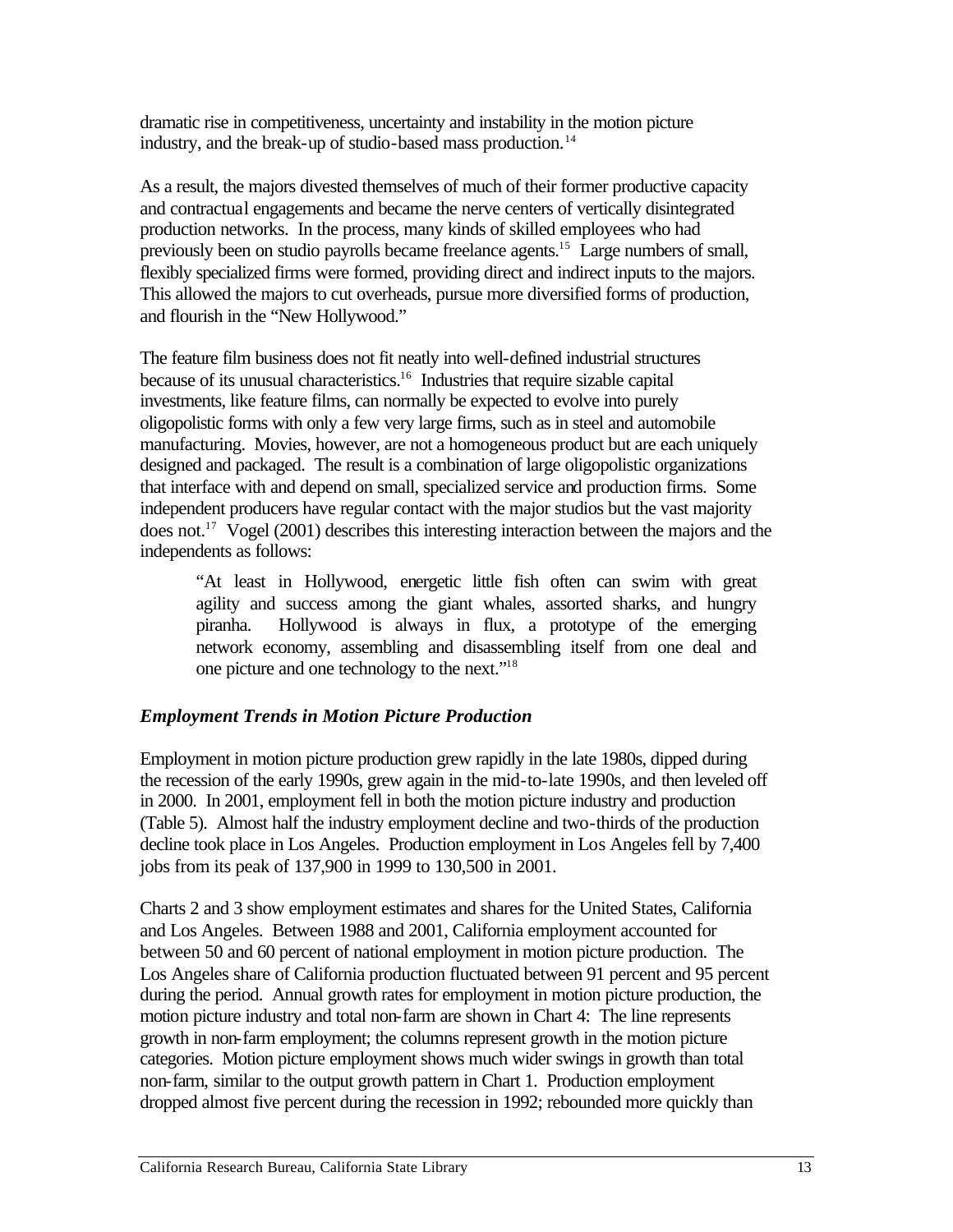dramatic rise in competitiveness, uncertainty and instability in the motion picture industry, and the break-up of studio-based mass production.<sup>14</sup>

As a result, the majors divested themselves of much of their former productive capacity and contractual engagements and became the nerve centers of vertically disintegrated production networks. In the process, many kinds of skilled employees who had previously been on studio payrolls became freelance agents.<sup>15</sup> Large numbers of small, flexibly specialized firms were formed, providing direct and indirect inputs to the majors. This allowed the majors to cut overheads, pursue more diversified forms of production, and flourish in the "New Hollywood."

The feature film business does not fit neatly into well-defined industrial structures because of its unusual characteristics.<sup>16</sup> Industries that require sizable capital investments, like feature films, can normally be expected to evolve into purely oligopolistic forms with only a few very large firms, such as in steel and automobile manufacturing. Movies, however, are not a homogeneous product but are each uniquely designed and packaged. The result is a combination of large oligopolistic organizations that interface with and depend on small, specialized service and production firms. Some independent producers have regular contact with the major studios but the vast majority does not.<sup>17</sup> Vogel (2001) describes this interesting interaction between the majors and the independents as follows:

"At least in Hollywood, energetic little fish often can swim with great agility and success among the giant whales, assorted sharks, and hungry piranha. Hollywood is always in flux, a prototype of the emerging network economy, assembling and disassembling itself from one deal and one picture and one technology to the next."18

#### *Employment Trends in Motion Picture Production*

Employment in motion picture production grew rapidly in the late 1980s, dipped during the recession of the early 1990s, grew again in the mid-to-late 1990s, and then leveled off in 2000. In 2001, employment fell in both the motion picture industry and production (Table 5). Almost half the industry employment decline and two-thirds of the production decline took place in Los Angeles. Production employment in Los Angeles fell by 7,400 jobs from its peak of 137,900 in 1999 to 130,500 in 2001.

Charts 2 and 3 show employment estimates and shares for the United States, California and Los Angeles. Between 1988 and 2001, California employment accounted for between 50 and 60 percent of national employment in motion picture production. The Los Angeles share of California production fluctuated between 91 percent and 95 percent during the period. Annual growth rates for employment in motion picture production, the motion picture industry and total non-farm are shown in Chart 4: The line represents growth in non-farm employment; the columns represent growth in the motion picture categories. Motion picture employment shows much wider swings in growth than total non-farm, similar to the output growth pattern in Chart 1. Production employment dropped almost five percent during the recession in 1992; rebounded more quickly than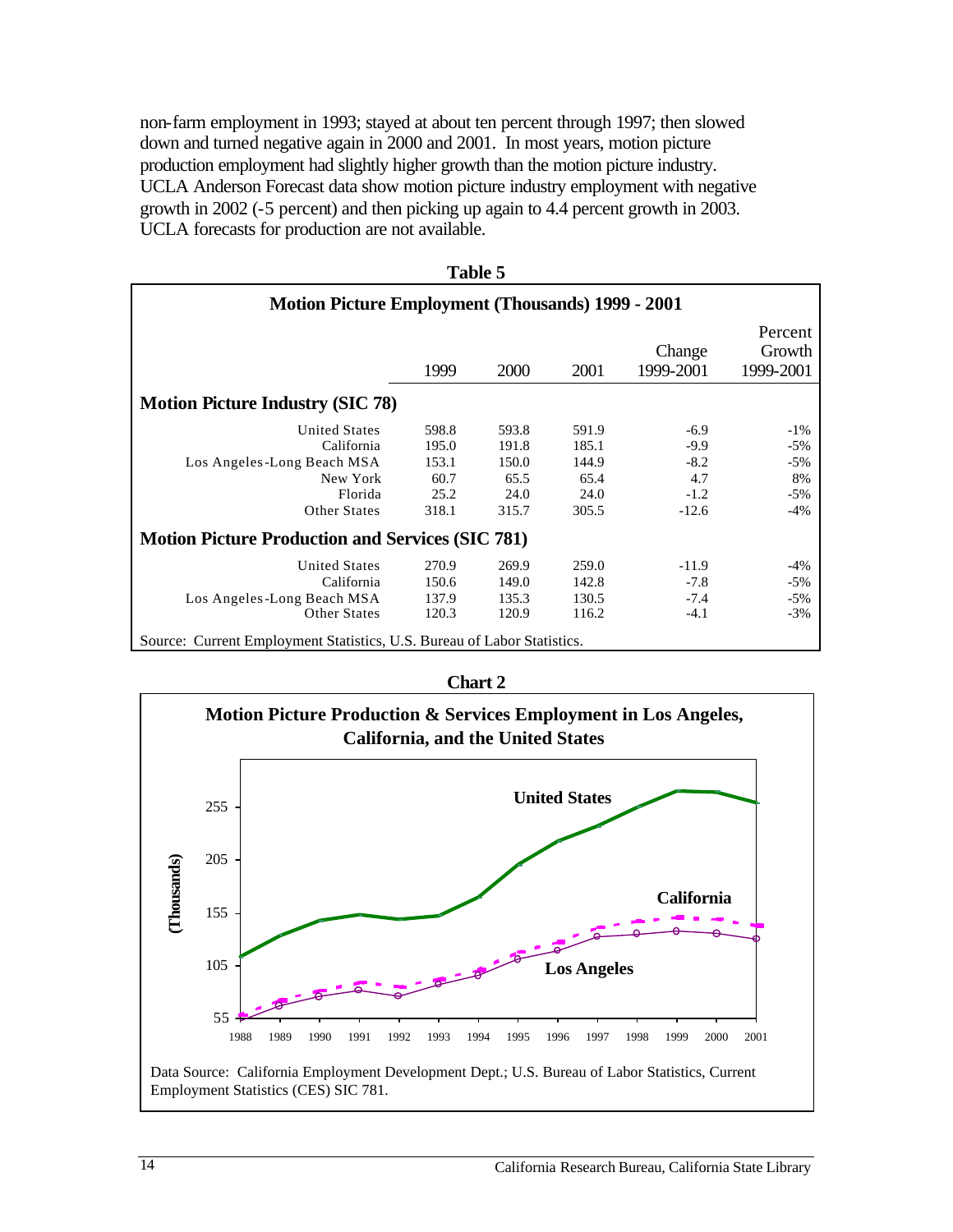non-farm employment in 1993; stayed at about ten percent through 1997; then slowed down and turned negative again in 2000 and 2001. In most years, motion picture production employment had slightly higher growth than the motion picture industry. UCLA Anderson Forecast data show motion picture industry employment with negative growth in 2002 (-5 percent) and then picking up again to 4.4 percent growth in 2003. UCLA forecasts for production are not available.

| <b>Motion Picture Employment (Thousands) 1999 - 2001</b>                |       |             |       |                     |                                |
|-------------------------------------------------------------------------|-------|-------------|-------|---------------------|--------------------------------|
|                                                                         | 1999  | <b>2000</b> | 2001  | Change<br>1999-2001 | Percent<br>Growth<br>1999-2001 |
| <b>Motion Picture Industry (SIC 78)</b>                                 |       |             |       |                     |                                |
| <b>United States</b>                                                    | 598.8 | 593.8       | 591.9 | $-6.9$              | $-1\%$                         |
| California                                                              | 195.0 | 191.8       | 185.1 | $-9.9$              | $-5%$                          |
| Los Angeles-Long Beach MSA                                              | 153.1 | 150.0       | 144.9 | $-8.2$              | $-5%$                          |
| New York                                                                | 60.7  | 65.5        | 65.4  | 4.7                 | 8%                             |
| Florida                                                                 | 25.2  | 24.0        | 24.0  | $-1.2$              | $-5%$                          |
| <b>Other States</b>                                                     | 318.1 | 315.7       | 305.5 | $-12.6$             | $-4%$                          |
| <b>Motion Picture Production and Services (SIC 781)</b>                 |       |             |       |                     |                                |
| <b>United States</b>                                                    | 270.9 | 269.9       | 259.0 | $-11.9$             | $-4%$                          |
| California                                                              | 150.6 | 149.0       | 142.8 | $-7.8$              | $-5%$                          |
| Los Angeles-Long Beach MSA                                              | 137.9 | 135.3       | 130.5 | $-7.4$              | $-5%$                          |
| <b>Other States</b>                                                     | 120.3 | 120.9       | 116.2 | $-4.1$              | $-3%$                          |
| Source: Current Employment Statistics, U.S. Bureau of Labor Statistics. |       |             |       |                     |                                |

**Table 5** 



**Chart 2**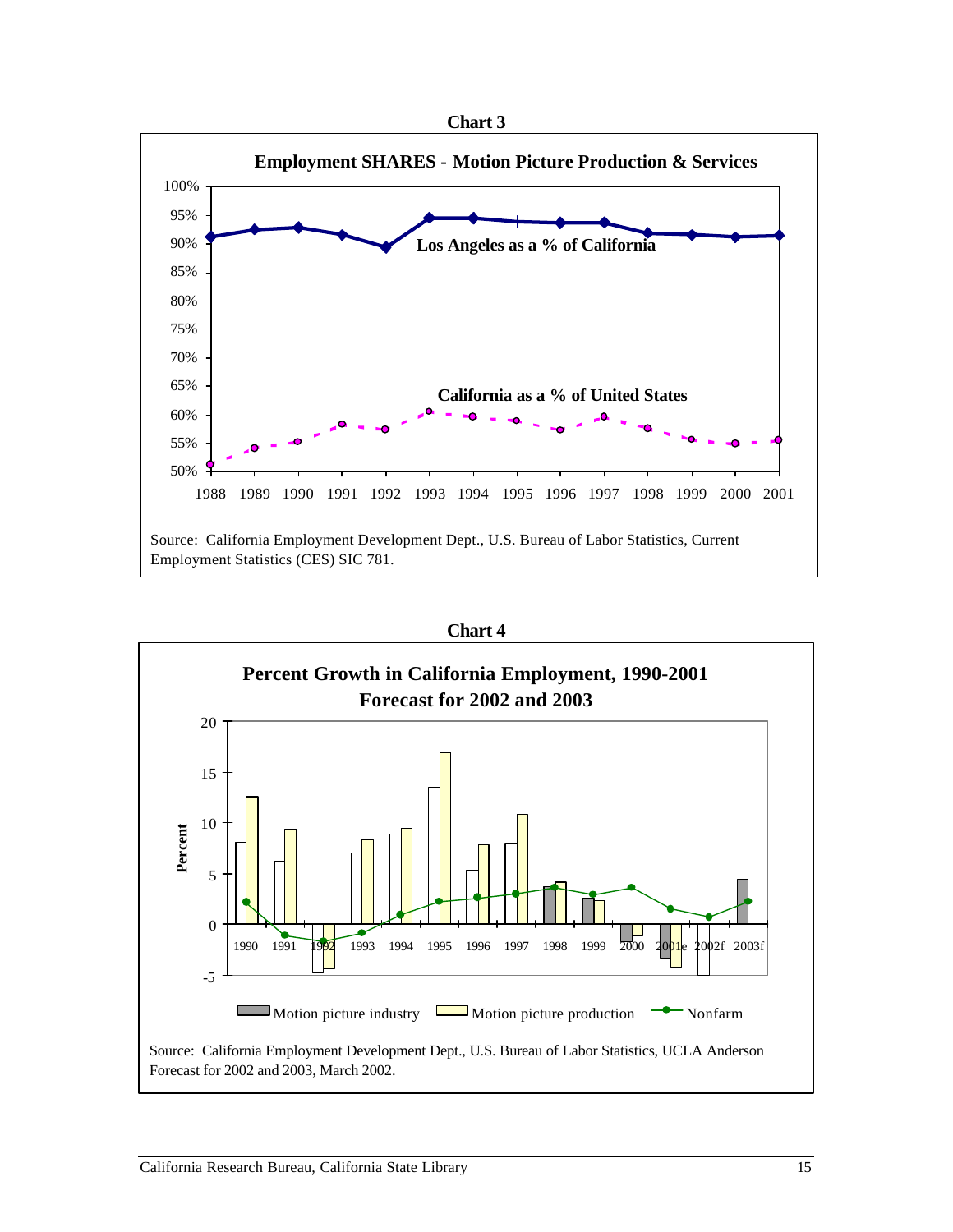



**Chart 4**

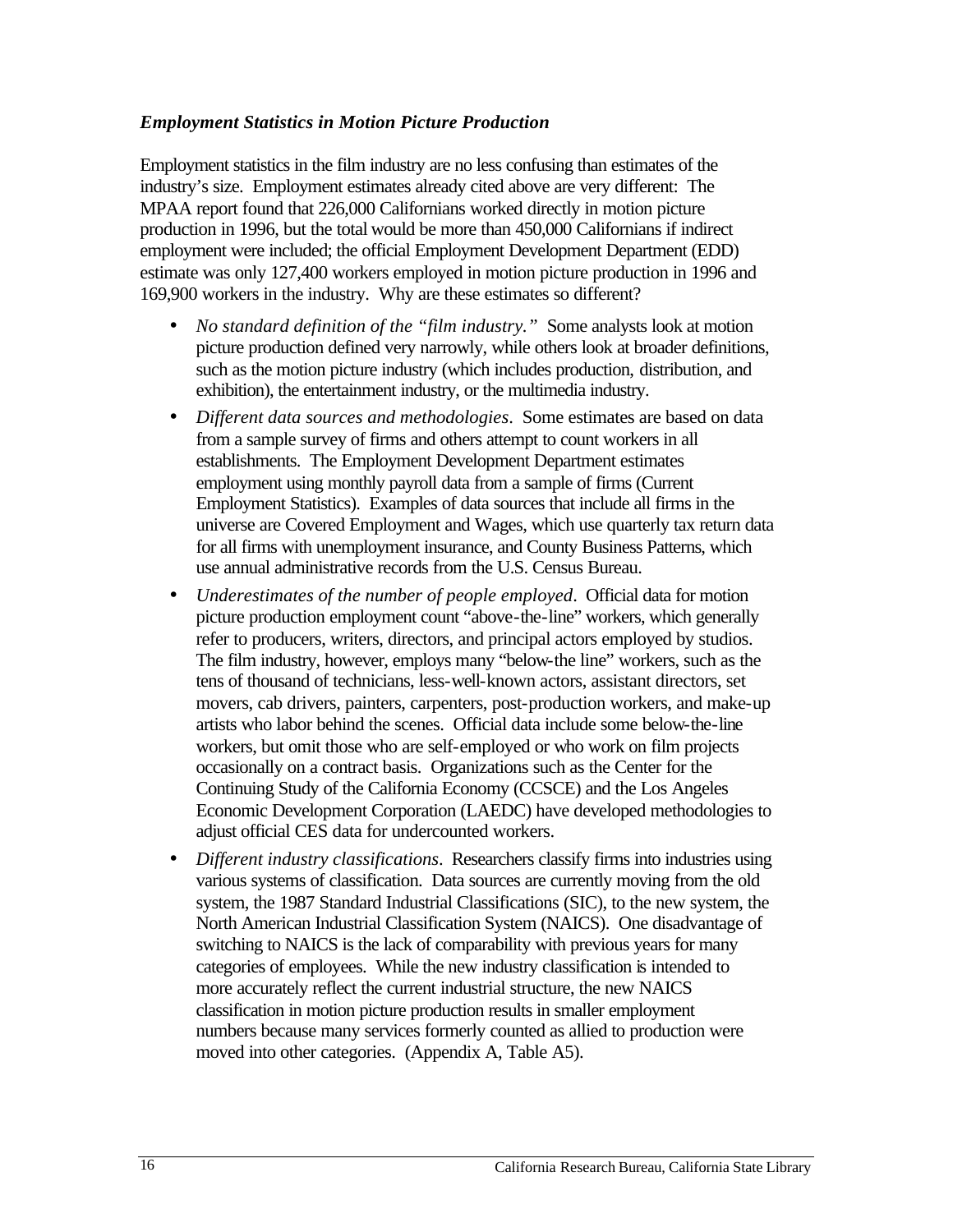#### *Employment Statistics in Motion Picture Production*

Employment statistics in the film industry are no less confusing than estimates of the industry's size. Employment estimates already cited above are very different: The MPAA report found that 226,000 Californians worked directly in motion picture production in 1996, but the total would be more than 450,000 Californians if indirect employment were included; the official Employment Development Department (EDD) estimate was only 127,400 workers employed in motion picture production in 1996 and 169,900 workers in the industry. Why are these estimates so different?

- *No standard definition of the "film industry."* Some analysts look at motion picture production defined very narrowly, while others look at broader definitions, such as the motion picture industry (which includes production, distribution, and exhibition), the entertainment industry, or the multimedia industry.
- • *Different data sources and methodologies*. Some estimates are based on data from a sample survey of firms and others attempt to count workers in all establishments. The Employment Development Department estimates employment using monthly payroll data from a sample of firms (Current Employment Statistics). Examples of data sources that include all firms in the universe are Covered Employment and Wages, which use quarterly tax return data for all firms with unemployment insurance, and County Business Patterns, which use annual administrative records from the U.S. Census Bureau.
- *Underestimates of the number of people employed.* Official data for motion picture production employment count "above-the-line" workers, which generally refer to producers, writers, directors, and principal actors employed by studios. The film industry, however, employs many "below-the line" workers, such as the tens of thousand of technicians, less-well-known actors, assistant directors, set movers, cab drivers, painters, carpenters, post-production workers, and make-up artists who labor behind the scenes. Official data include some below-the-line workers, but omit those who are self-employed or who work on film projects occasionally on a contract basis. Organizations such as the Center for the Continuing Study of the California Economy (CCSCE) and the Los Angeles Economic Development Corporation (LAEDC) have developed methodologies to adjust official CES data for undercounted workers.
- • *Different industry classifications*. Researchers classify firms into industries using various systems of classification. Data sources are currently moving from the old system, the 1987 Standard Industrial Classifications (SIC), to the new system, the North American Industrial Classification System (NAICS). One disadvantage of switching to NAICS is the lack of comparability with previous years for many categories of employees. While the new industry classification is intended to more accurately reflect the current industrial structure, the new NAICS classification in motion picture production results in smaller employment numbers because many services formerly counted as allied to production were moved into other categories. (Appendix A, Table A5).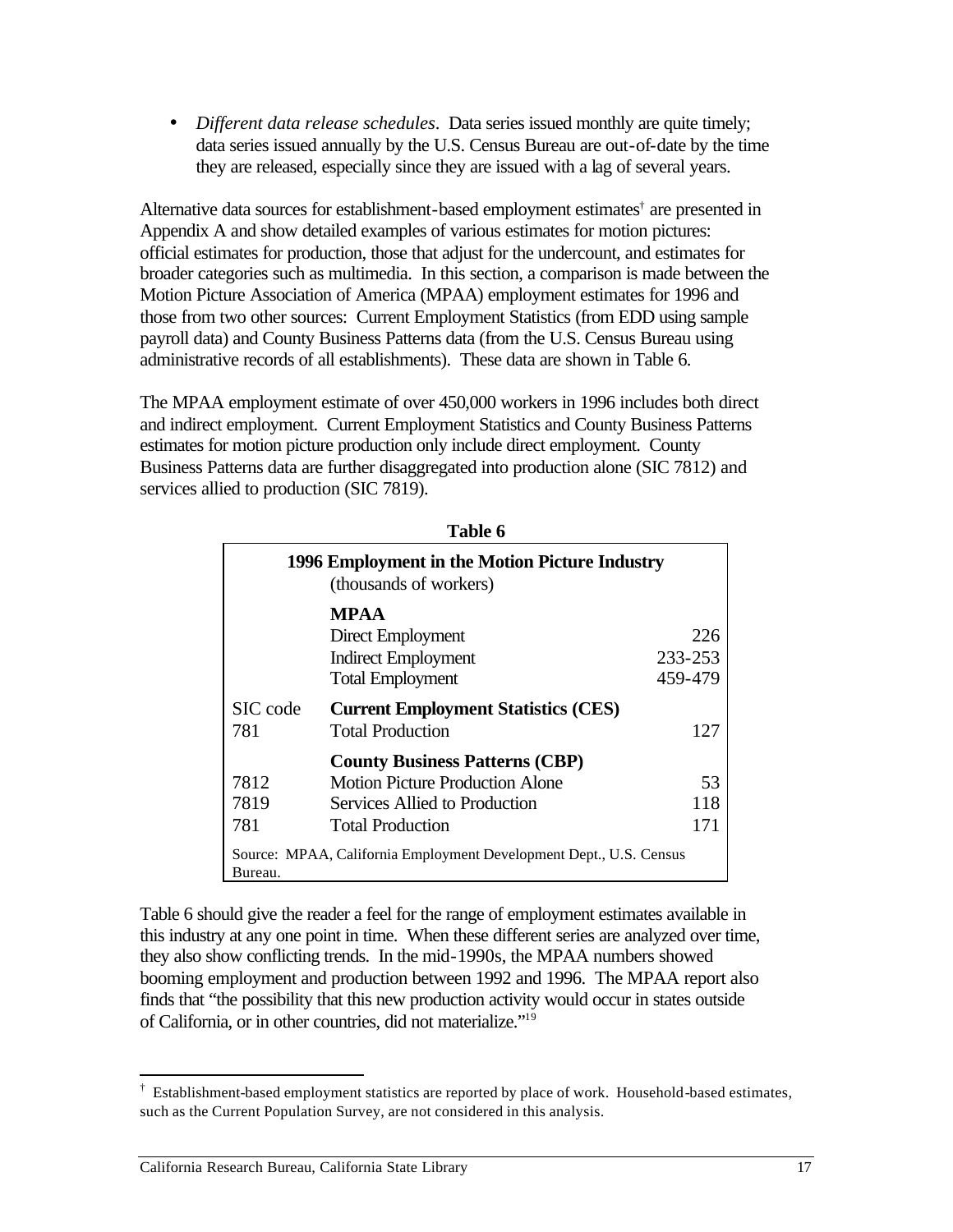• *Different data release schedules*. Data series issued monthly are quite timely; data series issued annually by the U.S. Census Bureau are out-of-date by the time they are released, especially since they are issued with a lag of several years.

Alternative data sources for establishment-based employment estimates† are presented in Appendix A and show detailed examples of various estimates for motion pictures: official estimates for production, those that adjust for the undercount, and estimates for broader categories such as multimedia. In this section, a comparison is made between the Motion Picture Association of America (MPAA) employment estimates for 1996 and those from two other sources: Current Employment Statistics (from EDD using sample payroll data) and County Business Patterns data (from the U.S. Census Bureau using administrative records of all establishments). These data are shown in Table 6.

The MPAA employment estimate of over 450,000 workers in 1996 includes both direct and indirect employment. Current Employment Statistics and County Business Patterns estimates for motion picture production only include direct employment. County Business Patterns data are further disaggregated into production alone (SIC 7812) and services allied to production (SIC 7819).

|                                                                               | 1996 Employment in the Motion Picture Industry<br>(thousands of workers)                                                                    |                           |  |  |  |
|-------------------------------------------------------------------------------|---------------------------------------------------------------------------------------------------------------------------------------------|---------------------------|--|--|--|
|                                                                               | <b>MPAA</b><br>Direct Employment<br><b>Indirect Employment</b><br><b>Total Employment</b>                                                   | 226<br>233-253<br>459-479 |  |  |  |
| SIC code<br>781                                                               | <b>Current Employment Statistics (CES)</b><br><b>Total Production</b>                                                                       | 127                       |  |  |  |
| 7812<br>7819<br>781                                                           | <b>County Business Patterns (CBP)</b><br><b>Motion Picture Production Alone</b><br>Services Allied to Production<br><b>Total Production</b> | 53<br>118<br>171          |  |  |  |
| Source: MPAA, California Employment Development Dept., U.S. Census<br>Bureau. |                                                                                                                                             |                           |  |  |  |

**Table 6** 

Table 6 should give the reader a feel for the range of employment estimates available in this industry at any one point in time. When these different series are analyzed over time, they also show conflicting trends. In the mid-1990s, the MPAA numbers showed booming employment and production between 1992 and 1996. The MPAA report also finds that "the possibility that this new production activity would occur in states outside of California, or in other countries, did not materialize."19

 $\overline{a}$ 

<sup>†</sup> Establishment-based employment statistics are reported by place of work. Household-based estimates, such as the Current Population Survey, are not considered in this analysis.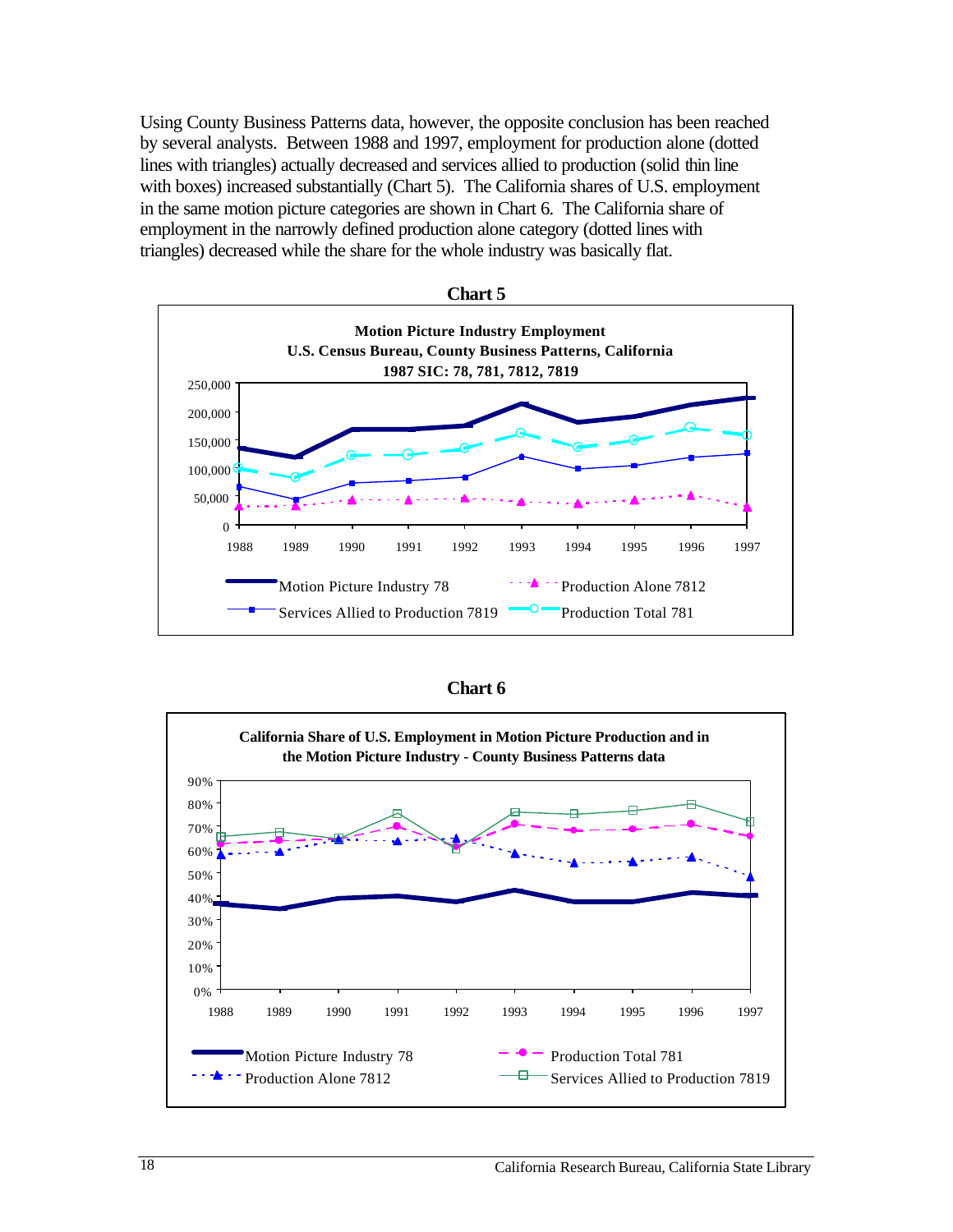Using County Business Patterns data, however, the opposite conclusion has been reached by several analysts. Between 1988 and 1997, employment for production alone (dotted lines with triangles) actually decreased and services allied to production (solid thin line with boxes) increased substantially (Chart 5). The California shares of U.S. employment in the same motion picture categories are shown in Chart 6. The California share of employment in the narrowly defined production alone category (dotted lines with triangles) decreased while the share for the whole industry was basically flat.





| и<br>П<br>ι. |  |
|--------------|--|
|--------------|--|

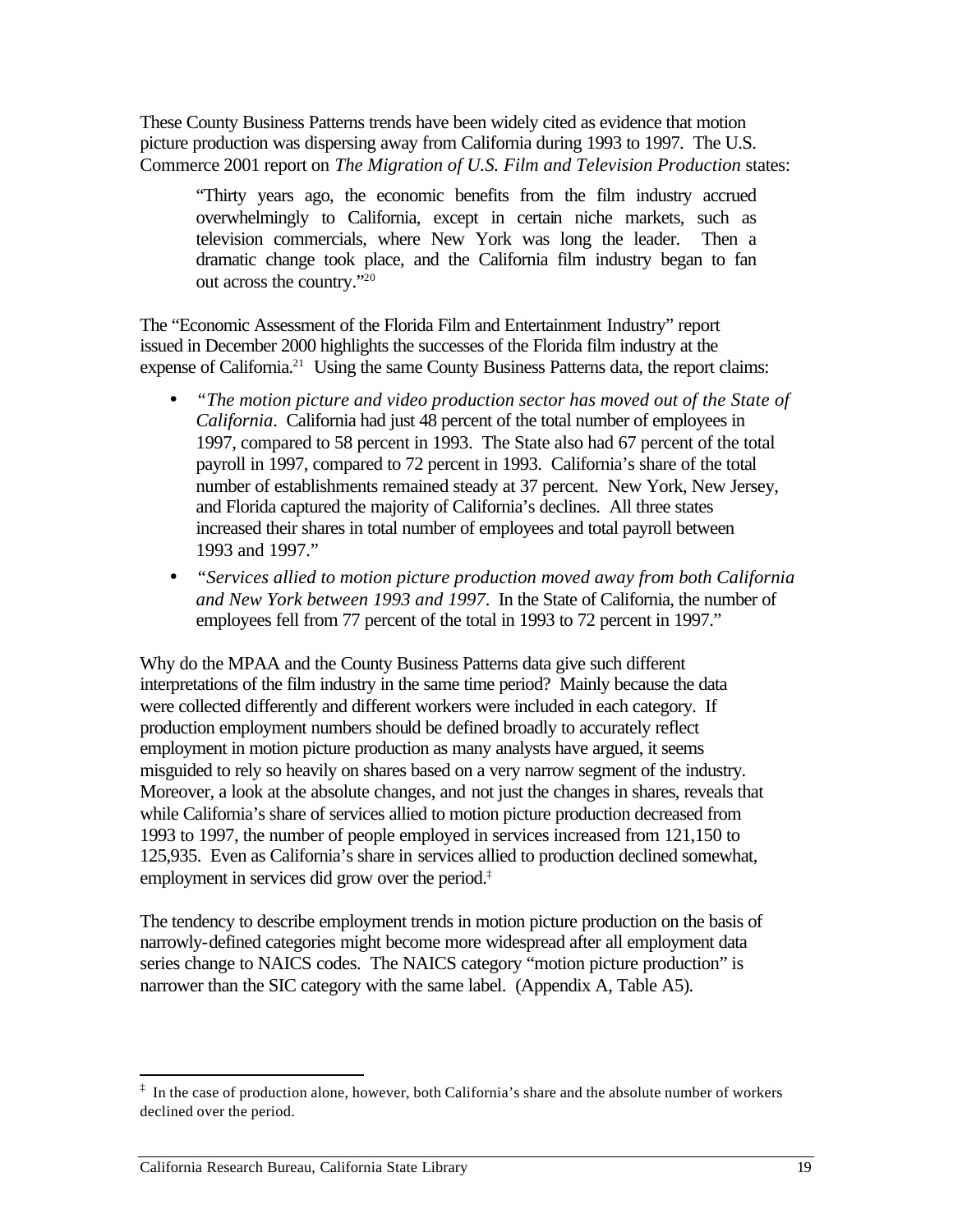These County Business Patterns trends have been widely cited as evidence that motion picture production was dispersing away from California during 1993 to 1997. The U.S. Commerce 2001 report on *The Migration of U.S. Film and Television Production* states:

"Thirty years ago, the economic benefits from the film industry accrued overwhelmingly to California, except in certain niche markets, such as television commercials, where New York was long the leader. Then a dramatic change took place, and the California film industry began to fan out across the country."20

The "Economic Assessment of the Florida Film and Entertainment Industry" report issued in December 2000 highlights the successes of the Florida film industry at the expense of California.<sup>21</sup> Using the same County Business Patterns data, the report claims:

- "The motion picture and video production sector has moved out of the State of *California*. California had just 48 percent of the total number of employees in 1997, compared to 58 percent in 1993. The State also had 67 percent of the total payroll in 1997, compared to 72 percent in 1993. California's share of the total number of establishments remained steady at 37 percent. New York, New Jersey, and Florida captured the majority of California's declines. All three states increased their shares in total number of employees and total payroll between 1993 and 1997."
- • *"Services allied to motion picture production moved away from both California and New York between 1993 and 1997*. In the State of California, the number of employees fell from 77 percent of the total in 1993 to 72 percent in 1997."

Why do the MPAA and the County Business Patterns data give such different interpretations of the film industry in the same time period? Mainly because the data were collected differently and different workers were included in each category. If production employment numbers should be defined broadly to accurately reflect employment in motion picture production as many analysts have argued, it seems misguided to rely so heavily on shares based on a very narrow segment of the industry. Moreover, a look at the absolute changes, and not just the changes in shares, reveals that while California's share of services allied to motion picture production decreased from 1993 to 1997, the number of people employed in services increased from 121,150 to 125,935. Even as California's share in services allied to production declined somewhat, employment in services did grow over the period.‡

The tendency to describe employment trends in motion picture production on the basis of narrowly-defined categories might become more widespread after all employment data series change to NAICS codes. The NAICS category "motion picture production" is narrower than the SIC category with the same label. (Appendix A, Table A5).

 $\overline{a}$  $\ddot{\text{ } }$  In the case of production alone, however, both California's share and the absolute number of workers declined over the period.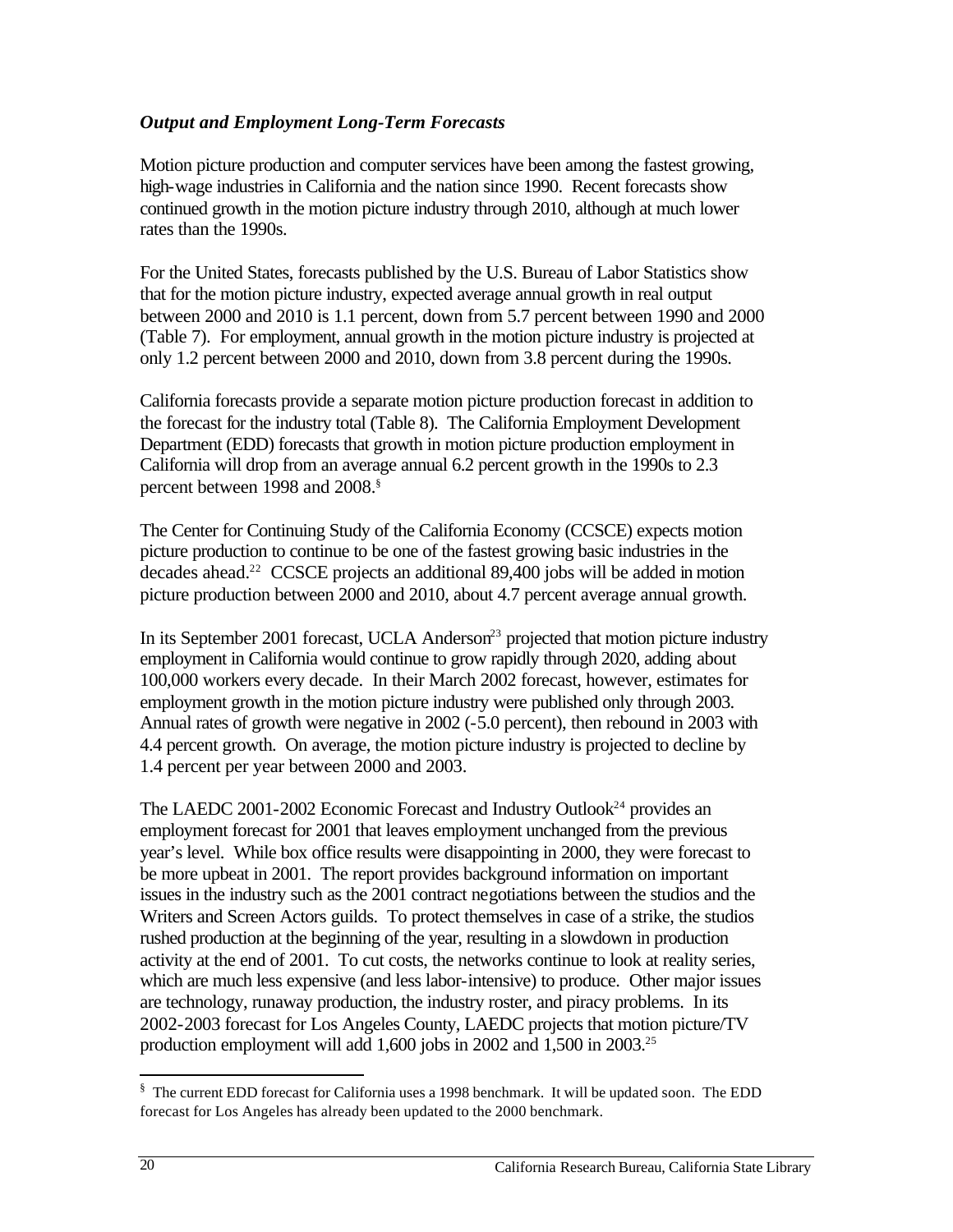#### *Output and Employment Long-Term Forecasts*

Motion picture production and computer services have been among the fastest growing, high-wage industries in California and the nation since 1990. Recent forecasts show continued growth in the motion picture industry through 2010, although at much lower rates than the 1990s.

For the United States, forecasts published by the U.S. Bureau of Labor Statistics show that for the motion picture industry, expected average annual growth in real output between 2000 and 2010 is 1.1 percent, down from 5.7 percent between 1990 and 2000 (Table 7). For employment, annual growth in the motion picture industry is projected at only 1.2 percent between 2000 and 2010, down from 3.8 percent during the 1990s.

California forecasts provide a separate motion picture production forecast in addition to the forecast for the industry total (Table 8). The California Employment Development Department (EDD) forecasts that growth in motion picture production employment in California will drop from an average annual 6.2 percent growth in the 1990s to 2.3 percent between 1998 and 2008.§

The Center for Continuing Study of the California Economy (CCSCE) expects motion picture production to continue to be one of the fastest growing basic industries in the decades ahead.<sup>22</sup> CCSCE projects an additional 89,400 jobs will be added in motion picture production between 2000 and 2010, about 4.7 percent average annual growth.

In its September 2001 forecast, UCLA Anderson<sup>23</sup> projected that motion picture industry employment in California would continue to grow rapidly through 2020, adding about 100,000 workers every decade. In their March 2002 forecast, however, estimates for employment growth in the motion picture industry were published only through 2003. Annual rates of growth were negative in 2002 (-5.0 percent), then rebound in 2003 with 4.4 percent growth. On average, the motion picture industry is projected to decline by 1.4 percent per year between 2000 and 2003.

The LAEDC 2001-2002 Economic Forecast and Industry Outlook<sup>24</sup> provides an employment forecast for 2001 that leaves employment unchanged from the previous year's level. While box office results were disappointing in 2000, they were forecast to be more upbeat in 2001. The report provides background information on important issues in the industry such as the 2001 contract negotiations between the studios and the Writers and Screen Actors guilds. To protect themselves in case of a strike, the studios rushed production at the beginning of the year, resulting in a slowdown in production activity at the end of 2001. To cut costs, the networks continue to look at reality series, which are much less expensive (and less labor-intensive) to produce. Other major issues are technology, runaway production, the industry roster, and piracy problems. In its 2002-2003 forecast for Los Angeles County, LAEDC projects that motion picture/TV production employment will add 1,600 jobs in 2002 and 1,500 in 2003.<sup>25</sup>

 $\overline{a}$ 

<sup>§</sup> The current EDD forecast for California uses a 1998 benchmark. It will be updated soon. The EDD forecast for Los Angeles has already been updated to the 2000 benchmark.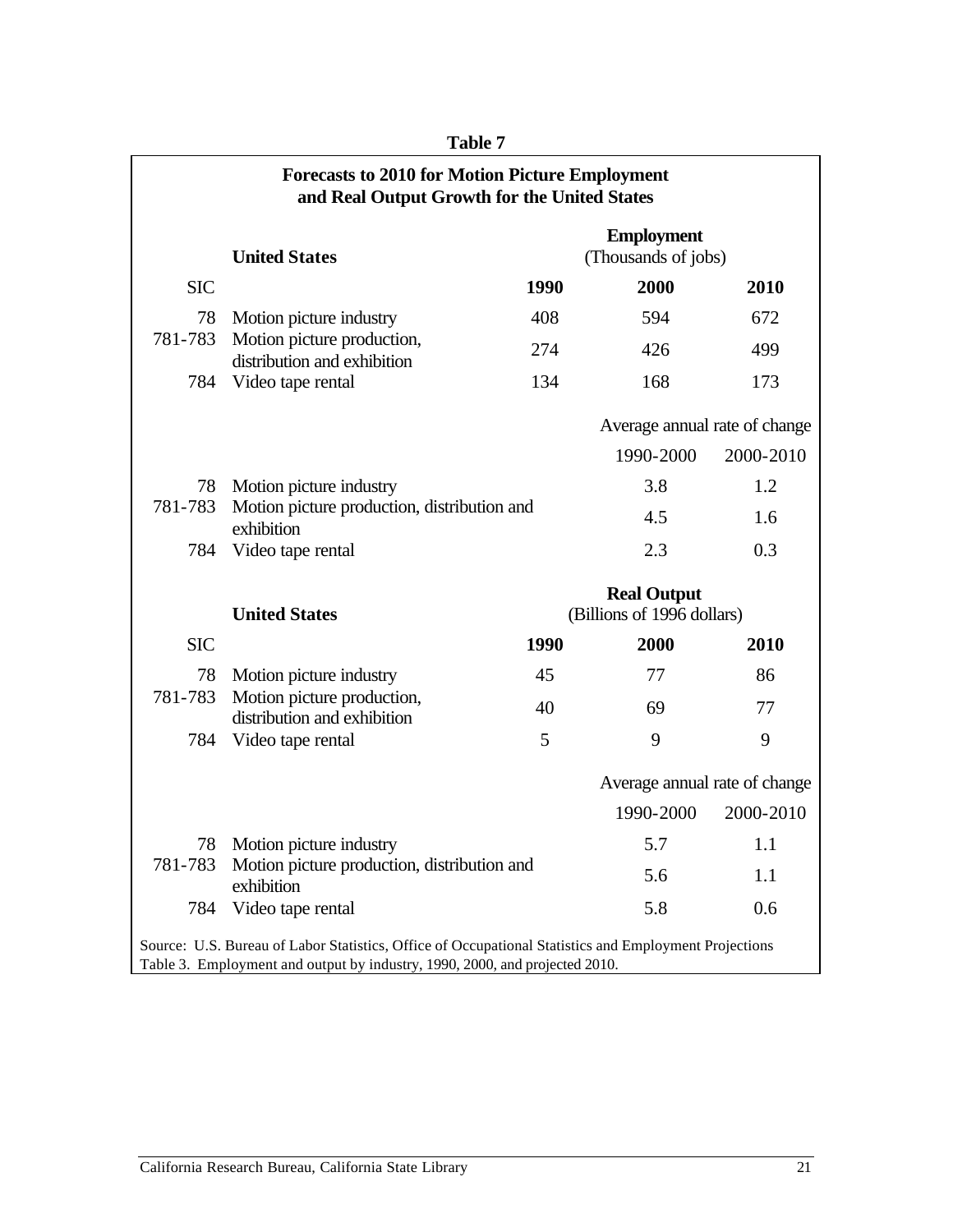|                                                                                                       | <b>Forecasts to 2010 for Motion Picture Employment</b><br>and Real Output Growth for the United States |             |                                                  |           |  |
|-------------------------------------------------------------------------------------------------------|--------------------------------------------------------------------------------------------------------|-------------|--------------------------------------------------|-----------|--|
|                                                                                                       | <b>United States</b>                                                                                   |             | <b>Employment</b><br>(Thousands of jobs)         |           |  |
| <b>SIC</b>                                                                                            |                                                                                                        | 1990        | 2000                                             | 2010      |  |
| 78                                                                                                    | Motion picture industry                                                                                | 408         | 594                                              | 672       |  |
| 781-783                                                                                               | Motion picture production,<br>distribution and exhibition                                              | 274         | 426                                              | 499       |  |
| 784                                                                                                   | Video tape rental                                                                                      | 134         | 168                                              | 173       |  |
|                                                                                                       |                                                                                                        |             | Average annual rate of change                    |           |  |
|                                                                                                       |                                                                                                        |             | 1990-2000                                        | 2000-2010 |  |
| 78 Motion picture industry                                                                            |                                                                                                        |             | 3.8                                              | 1.2       |  |
| 781-783                                                                                               | Motion picture production, distribution and<br>exhibition                                              |             |                                                  |           |  |
|                                                                                                       |                                                                                                        |             | 4.5                                              | 1.6       |  |
| 784                                                                                                   | Video tape rental                                                                                      |             | 2.3                                              | 0.3       |  |
|                                                                                                       | <b>United States</b>                                                                                   |             | <b>Real Output</b><br>(Billions of 1996 dollars) |           |  |
| <b>SIC</b>                                                                                            |                                                                                                        | <b>1990</b> | 2000                                             | 2010      |  |
| 78                                                                                                    | Motion picture industry                                                                                | 45          | 77                                               | 86        |  |
| 781-783                                                                                               | Motion picture production,<br>distribution and exhibition                                              | 40          | 69                                               | 77        |  |
| 784                                                                                                   | Video tape rental                                                                                      | 5           | 9                                                | 9         |  |
|                                                                                                       |                                                                                                        |             | Average annual rate of change                    |           |  |
|                                                                                                       |                                                                                                        |             | 1990-2000                                        | 2000-2010 |  |
| 78                                                                                                    | Motion picture industry                                                                                |             | 5.7                                              | 1.1       |  |
| 781-783                                                                                               | Motion picture production, distribution and                                                            |             | 5.6                                              | 1.1       |  |
| 784                                                                                                   | exhibition<br>Video tape rental                                                                        |             | 5.8                                              | 0.6       |  |
| Source: U.S. Bureau of Labor Statistics, Office of Occupational Statistics and Employment Projections |                                                                                                        |             |                                                  |           |  |

**Table 7**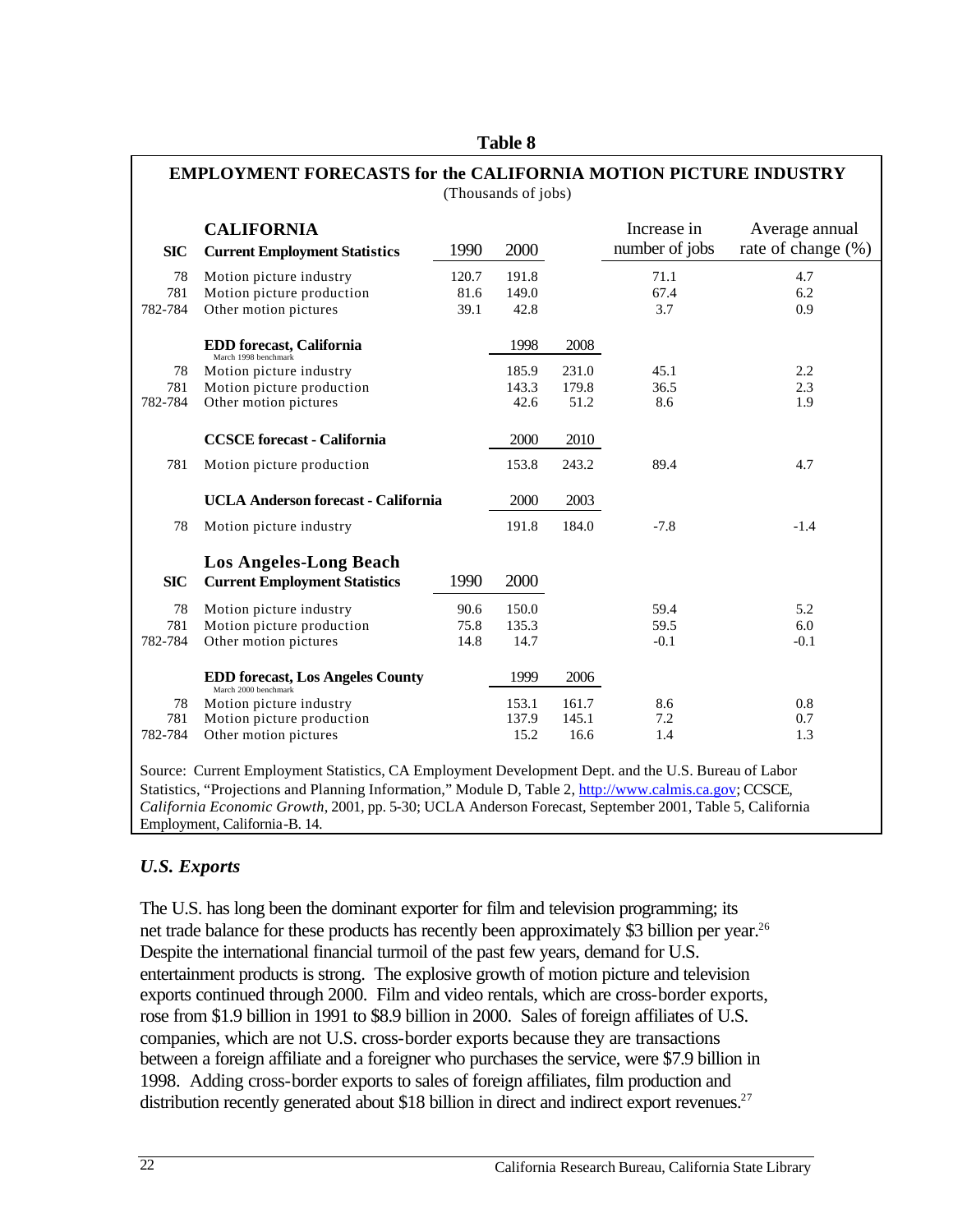| <b>SIC</b> | <b>CALIFORNIA</b><br><b>Current Employment Statistics</b>                                           | 1990  | 2000  |       | Increase in<br>number of jobs | Average annual<br>rate of change (%) |
|------------|-----------------------------------------------------------------------------------------------------|-------|-------|-------|-------------------------------|--------------------------------------|
| 78         | Motion picture industry                                                                             | 120.7 | 191.8 |       | 71.1                          | 4.7                                  |
| 781        | Motion picture production                                                                           | 81.6  | 149.0 |       | 67.4                          | 6.2                                  |
| 782-784    | Other motion pictures                                                                               | 39.1  | 42.8  |       | 3.7                           | 0.9                                  |
|            | EDD forecast, California                                                                            |       | 1998  | 2008  |                               |                                      |
| 78         | March 1998 benchmark<br>Motion picture industry                                                     |       | 185.9 | 231.0 | 45.1                          | 2.2                                  |
| 781        | Motion picture production                                                                           |       | 143.3 | 179.8 | 36.5                          | 2.3                                  |
| 782-784    | Other motion pictures                                                                               |       | 42.6  | 51.2  | 8.6                           | 1.9                                  |
|            | <b>CCSCE</b> forecast - California                                                                  |       | 2000  | 2010  |                               |                                      |
| 781        | Motion picture production                                                                           |       | 153.8 | 243.2 | 89.4                          | 4.7                                  |
|            | <b>UCLA Anderson forecast - California</b>                                                          |       | 2000  | 2003  |                               |                                      |
| 78         | Motion picture industry                                                                             |       | 191.8 | 184.0 | $-7.8$                        | $-1.4$                               |
|            | <b>Los Angeles-Long Beach</b>                                                                       |       |       |       |                               |                                      |
| <b>SIC</b> | <b>Current Employment Statistics</b>                                                                | 1990  | 2000  |       |                               |                                      |
| 78         | Motion picture industry                                                                             | 90.6  | 150.0 |       | 59.4                          | 5.2                                  |
| 781        | Motion picture production                                                                           | 75.8  | 135.3 |       | 59.5                          | 6.0                                  |
| 782-784    | Other motion pictures                                                                               | 14.8  | 14.7  |       | $-0.1$                        | $-0.1$                               |
|            | <b>EDD forecast, Los Angeles County</b><br>March 2000 benchmark                                     |       | 1999  | 2006  |                               |                                      |
| 78         | Motion picture industry                                                                             |       | 153.1 | 161.7 | 8.6                           | 0.8                                  |
| 781        | Motion picture production                                                                           |       | 137.9 | 145.1 | 7.2                           | 0.7                                  |
| 782-784    | Other motion pictures                                                                               |       | 15.2  | 16.6  | 1.4                           | 1.3                                  |
|            | Source: Current Employment Statistics, CA Employment Development Dept. and the U.S. Bureau of Labor |       |       |       |                               |                                      |

#### **Table 8**

#### *U.S. Exports*

The U.S. has long been the dominant exporter for film and television programming; its net trade balance for these products has recently been approximately \$3 billion per year.<sup>26</sup> Despite the international financial turmoil of the past few years, demand for U.S. entertainment products is strong. The explosive growth of motion picture and television exports continued through 2000. Film and video rentals, which are cross-border exports, rose from \$1.9 billion in 1991 to \$8.9 billion in 2000. Sales of foreign affiliates of U.S. companies, which are not U.S. cross-border exports because they are transactions between a foreign affiliate and a foreigner who purchases the service, were \$7.9 billion in 1998. Adding cross-border exports to sales of foreign affiliates, film production and distribution recently generated about \$18 billion in direct and indirect export revenues.<sup>27</sup>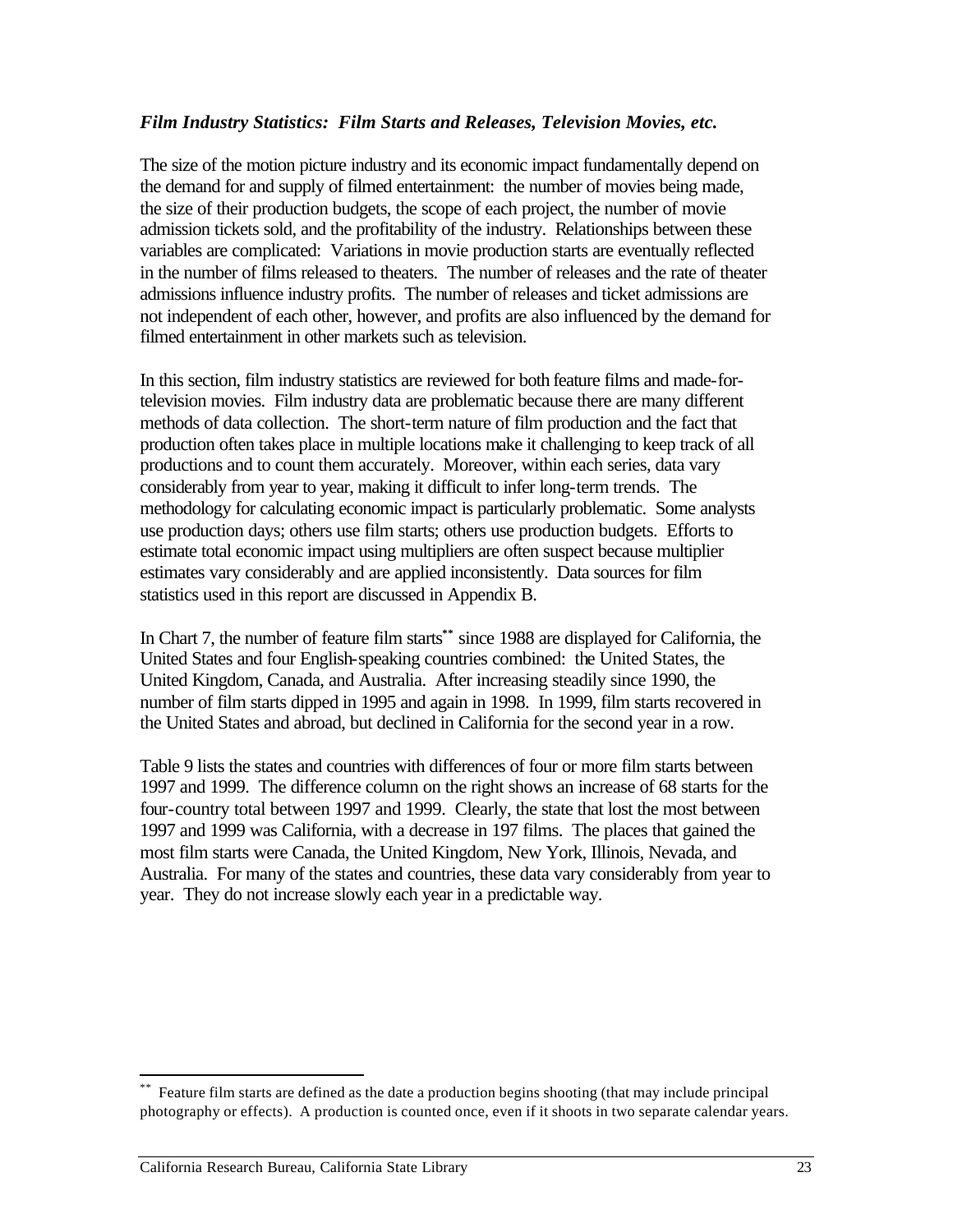#### *Film Industry Statistics: Film Starts and Releases, Television Movies, etc.*

The size of the motion picture industry and its economic impact fundamentally depend on the demand for and supply of filmed entertainment: the number of movies being made, the size of their production budgets, the scope of each project, the number of movie admission tickets sold, and the profitability of the industry. Relationships between these variables are complicated: Variations in movie production starts are eventually reflected in the number of films released to theaters. The number of releases and the rate of theater admissions influence industry profits. The number of releases and ticket admissions are not independent of each other, however, and profits are also influenced by the demand for filmed entertainment in other markets such as television.

In this section, film industry statistics are reviewed for both feature films and made-fortelevision movies. Film industry data are problematic because there are many different methods of data collection. The short-term nature of film production and the fact that production often takes place in multiple locations make it challenging to keep track of all productions and to count them accurately. Moreover, within each series, data vary considerably from year to year, making it difficult to infer long-term trends. The methodology for calculating economic impact is particularly problematic. Some analysts use production days; others use film starts; others use production budgets. Efforts to estimate total economic impact using multipliers are often suspect because multiplier estimates vary considerably and are applied inconsistently. Data sources for film statistics used in this report are discussed in Appendix B.

In Chart 7, the number of feature film starts**\*\*** since 1988 are displayed for California, the United States and four English-speaking countries combined: the United States, the United Kingdom, Canada, and Australia. After increasing steadily since 1990, the number of film starts dipped in 1995 and again in 1998. In 1999, film starts recovered in the United States and abroad, but declined in California for the second year in a row.

Table 9 lists the states and countries with differences of four or more film starts between 1997 and 1999. The difference column on the right shows an increase of 68 starts for the four-country total between 1997 and 1999. Clearly, the state that lost the most between 1997 and 1999 was California, with a decrease in 197 films. The places that gained the most film starts were Canada, the United Kingdom, New York, Illinois, Nevada, and Australia. For many of the states and countries, these data vary considerably from year to year. They do not increase slowly each year in a predictable way.

 $\overline{a}$ 

Feature film starts are defined as the date a production begins shooting (that may include principal photography or effects). A production is counted once, even if it shoots in two separate calendar years.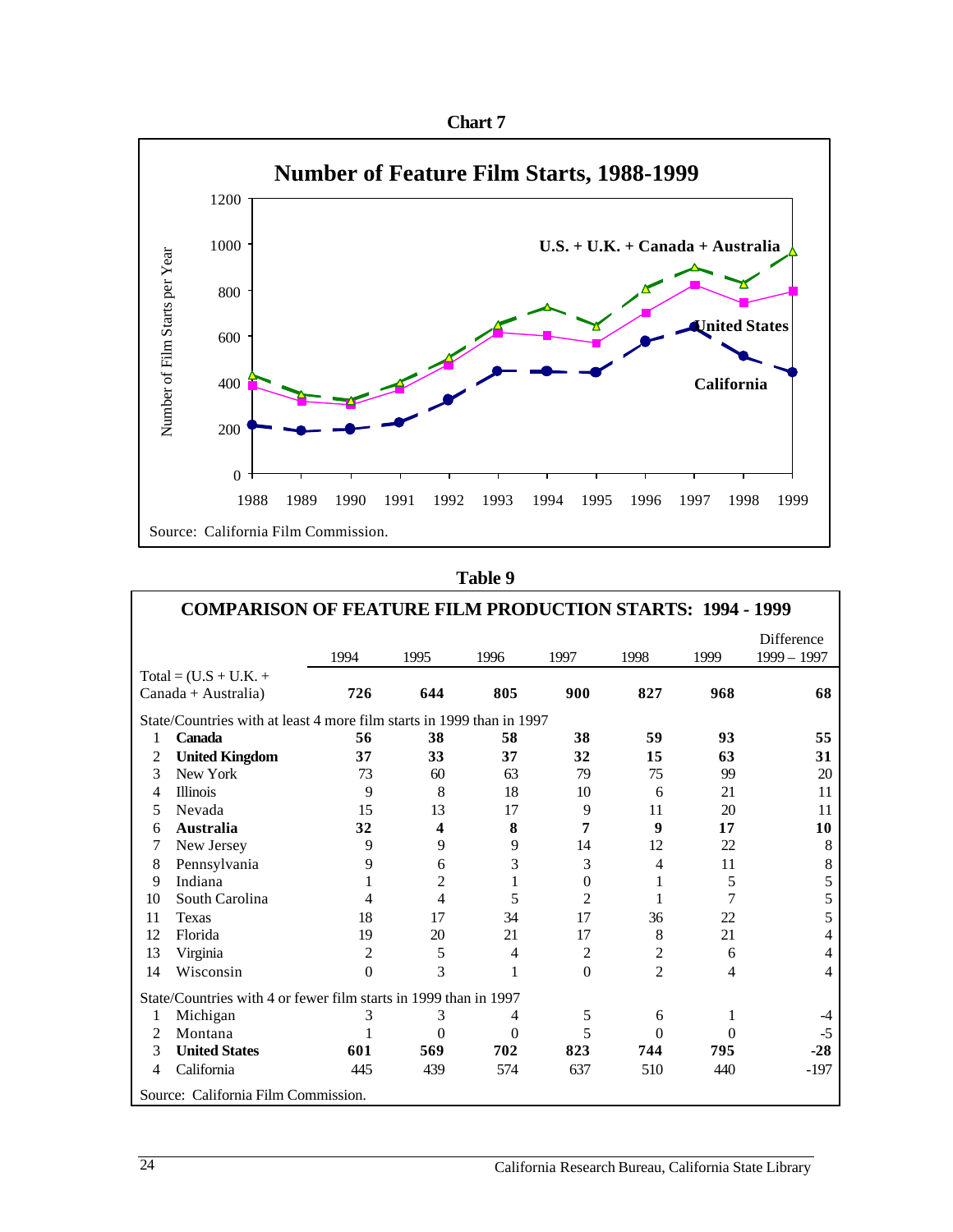



| וח<br>ı<br>۱<br>н.<br>и |  |
|-------------------------|--|
|-------------------------|--|

| <b>COMPARISON OF FEATURE FILM PRODUCTION STARTS: 1994 - 1999</b> |                                                                       |          |                |          |                |                |          |                             |
|------------------------------------------------------------------|-----------------------------------------------------------------------|----------|----------------|----------|----------------|----------------|----------|-----------------------------|
|                                                                  |                                                                       | 1994     | 1995           | 1996     | 1997           | 1998           | 1999     | Difference<br>$1999 - 1997$ |
|                                                                  | $Total = (U.S + U.K. +$                                               |          |                |          |                |                |          |                             |
|                                                                  | Canada + Australia)                                                   | 726      | 644            | 805      | 900            | 827            | 968      | 68                          |
|                                                                  | State/Countries with at least 4 more film starts in 1999 than in 1997 |          |                |          |                |                |          |                             |
| 1                                                                | <b>Canada</b>                                                         | 56       | 38             | 58       | 38             | 59             | 93       | 55                          |
| 2                                                                | <b>United Kingdom</b>                                                 | 37       | 33             | 37       | 32             | 15             | 63       | 31                          |
| 3                                                                | New York                                                              | 73       | 60             | 63       | 79             | 75             | 99       | 20                          |
| 4                                                                | <b>Illinois</b>                                                       | 9        | 8              | 18       | 10             | 6              | 21       | 11                          |
| 5                                                                | Nevada                                                                | 15       | 13             | 17       | 9              | 11             | 20       | 11                          |
| 6                                                                | <b>Australia</b>                                                      | 32       | 4              | 8        | 7              | 9              | 17       | 10                          |
| 7                                                                | New Jersey                                                            | 9        | 9              | 9        | 14             | 12             | 22       | 8                           |
| 8                                                                | Pennsylvania                                                          | 9        | 6              | 3        | 3              | 4              | 11       | 8                           |
| 9                                                                | Indiana                                                               | 1        | $\overline{2}$ | 1        | $\overline{0}$ | 1              | 5        | 5                           |
| 10                                                               | South Carolina                                                        | 4        | 4              | 5        | $\overline{c}$ | 1              | 7        | 5                           |
| 11                                                               | Texas                                                                 | 18       | 17             | 34       | 17             | 36             | 22       | 5                           |
| 12                                                               | Florida                                                               | 19       | 20             | 21       | 17             | 8              | 21       | 4                           |
| 13                                                               | Virginia                                                              | 2        | 5              | 4        | $\overline{c}$ | $\overline{c}$ | 6        | 4                           |
| 14                                                               | Wisconsin                                                             | $\Omega$ | 3              | 1        | $\Omega$       | $\overline{c}$ | 4        | $\overline{4}$              |
| State/Countries with 4 or fewer film starts in 1999 than in 1997 |                                                                       |          |                |          |                |                |          |                             |
| 1                                                                | Michigan                                                              | 3        | 3              | 4        | 5              | 6              | 1        | $-4$                        |
| 2                                                                | Montana                                                               |          | $\theta$       | $\theta$ | 5              | $\theta$       | $\Omega$ | $-5$                        |
| 3                                                                | <b>United States</b>                                                  | 601      | 569            | 702      | 823            | 744            | 795      | $-28$                       |
| 4                                                                | California                                                            | 445      | 439            | 574      | 637            | 510            | 440      | $-197$                      |
|                                                                  | Source: California Film Commission.                                   |          |                |          |                |                |          |                             |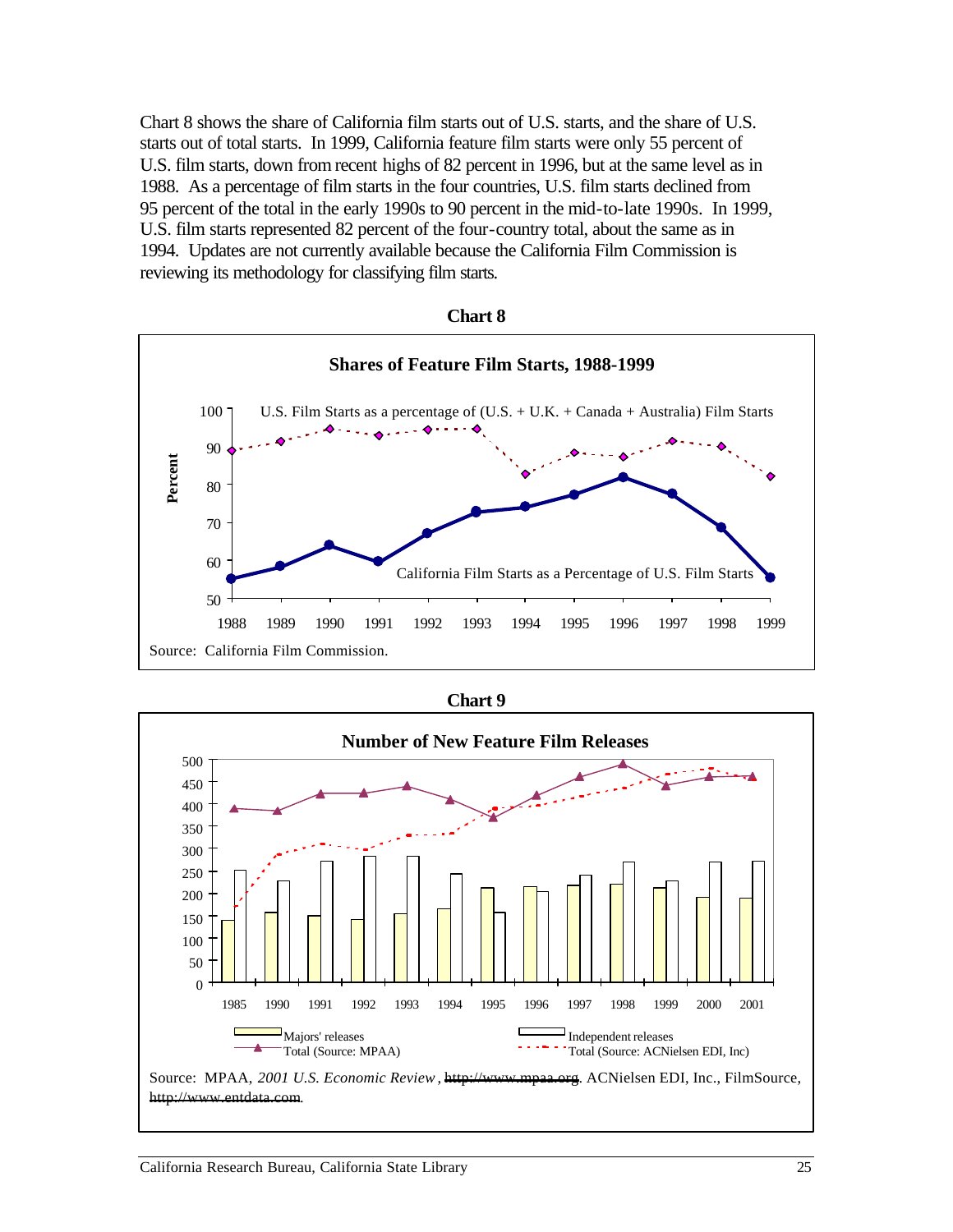Chart 8 shows the share of California film starts out of U.S. starts, and the share of U.S. starts out of total starts. In 1999, California feature film starts were only 55 percent of U.S. film starts, down from recent highs of 82 percent in 1996, but at the same level as in 1988. As a percentage of film starts in the four countries, U.S. film starts declined from 95 percent of the total in the early 1990s to 90 percent in the mid-to-late 1990s. In 1999, U.S. film starts represented 82 percent of the four-country total, about the same as in 1994. Updates are not currently available because the California Film Commission is reviewing its methodology for classifying film starts.

| กลา<br>г |  |
|----------|--|
|----------|--|



| ทวา |  |
|-----|--|
|-----|--|

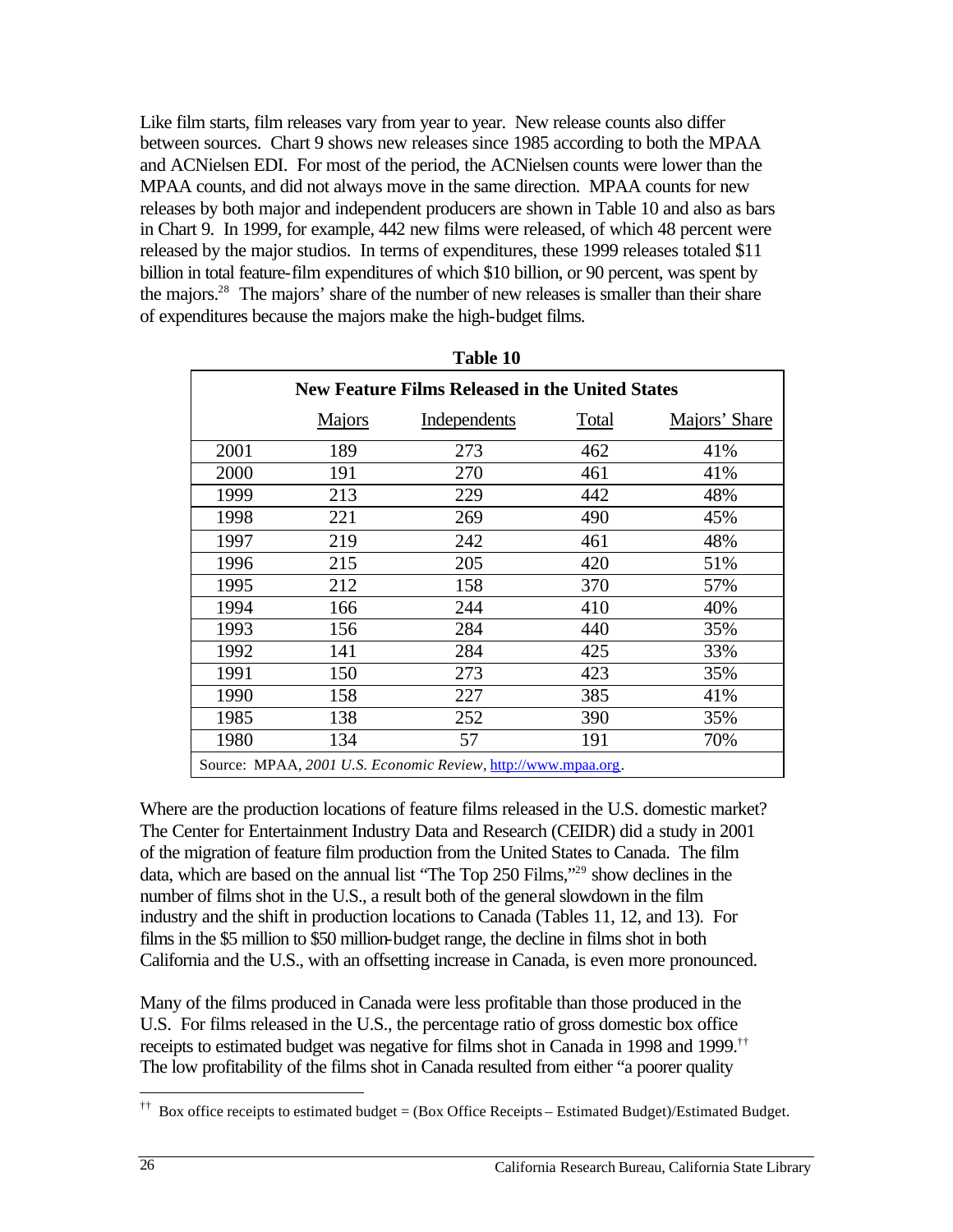Like film starts, film releases vary from year to year. New release counts also differ between sources. Chart 9 shows new releases since 1985 according to both the MPAA and ACNielsen EDI. For most of the period, the ACNielsen counts were lower than the MPAA counts, and did not always move in the same direction. MPAA counts for new releases by both major and independent producers are shown in Table 10 and also as bars in Chart 9. In 1999, for example, 442 new films were released, of which 48 percent were released by the major studios. In terms of expenditures, these 1999 releases totaled \$11 billion in total feature-film expenditures of which \$10 billion, or 90 percent, was spent by the majors.<sup>28</sup> The majors' share of the number of new releases is smaller than their share of expenditures because the majors make the high-budget films.

|      |        | <b>New Feature Films Released in the United States</b>        |       |               |
|------|--------|---------------------------------------------------------------|-------|---------------|
|      | Majors | Independents                                                  | Total | Majors' Share |
| 2001 | 189    | 273                                                           | 462   | 41%           |
| 2000 | 191    | 270                                                           | 461   | 41%           |
| 1999 | 213    | 229                                                           | 442   | 48%           |
| 1998 | 221    | 269                                                           | 490   | 45%           |
| 1997 | 219    | 242                                                           | 461   | 48%           |
| 1996 | 215    | 205                                                           | 420   | 51%           |
| 1995 | 212    | 158                                                           | 370   | 57%           |
| 1994 | 166    | 244                                                           | 410   | 40%           |
| 1993 | 156    | 284                                                           | 440   | 35%           |
| 1992 | 141    | 284                                                           | 425   | 33%           |
| 1991 | 150    | 273                                                           | 423   | 35%           |
| 1990 | 158    | 227                                                           | 385   | 41%           |
| 1985 | 138    | 252                                                           | 390   | 35%           |
| 1980 | 134    | 57                                                            | 191   | 70%           |
|      |        | Source: MPAA, 2001 U.S. Economic Review, http://www.mpaa.org. |       |               |

| `able 1 |  |
|---------|--|
|---------|--|

Where are the production locations of feature films released in the U.S. domestic market? The Center for Entertainment Industry Data and Research (CEIDR) did a study in 2001 of the migration of feature film production from the United States to Canada. The film data, which are based on the annual list "The Top 250 Films,"29 show declines in the number of films shot in the U.S., a result both of the general slowdown in the film industry and the shift in production locations to Canada (Tables 11, 12, and 13). For films in the \$5 million to \$50 million-budget range, the decline in films shot in both California and the U.S., with an offsetting increase in Canada, is even more pronounced.

Many of the films produced in Canada were less profitable than those produced in the U.S. For films released in the U.S., the percentage ratio of gross domestic box office receipts to estimated budget was negative for films shot in Canada in 1998 and 1999.†† The low profitability of the films shot in Canada resulted from either "a poorer quality

 $\overline{a}$ 

<sup>††</sup> Box office receipts to estimated budget = (Box Office Receipts – Estimated Budget)/Estimated Budget.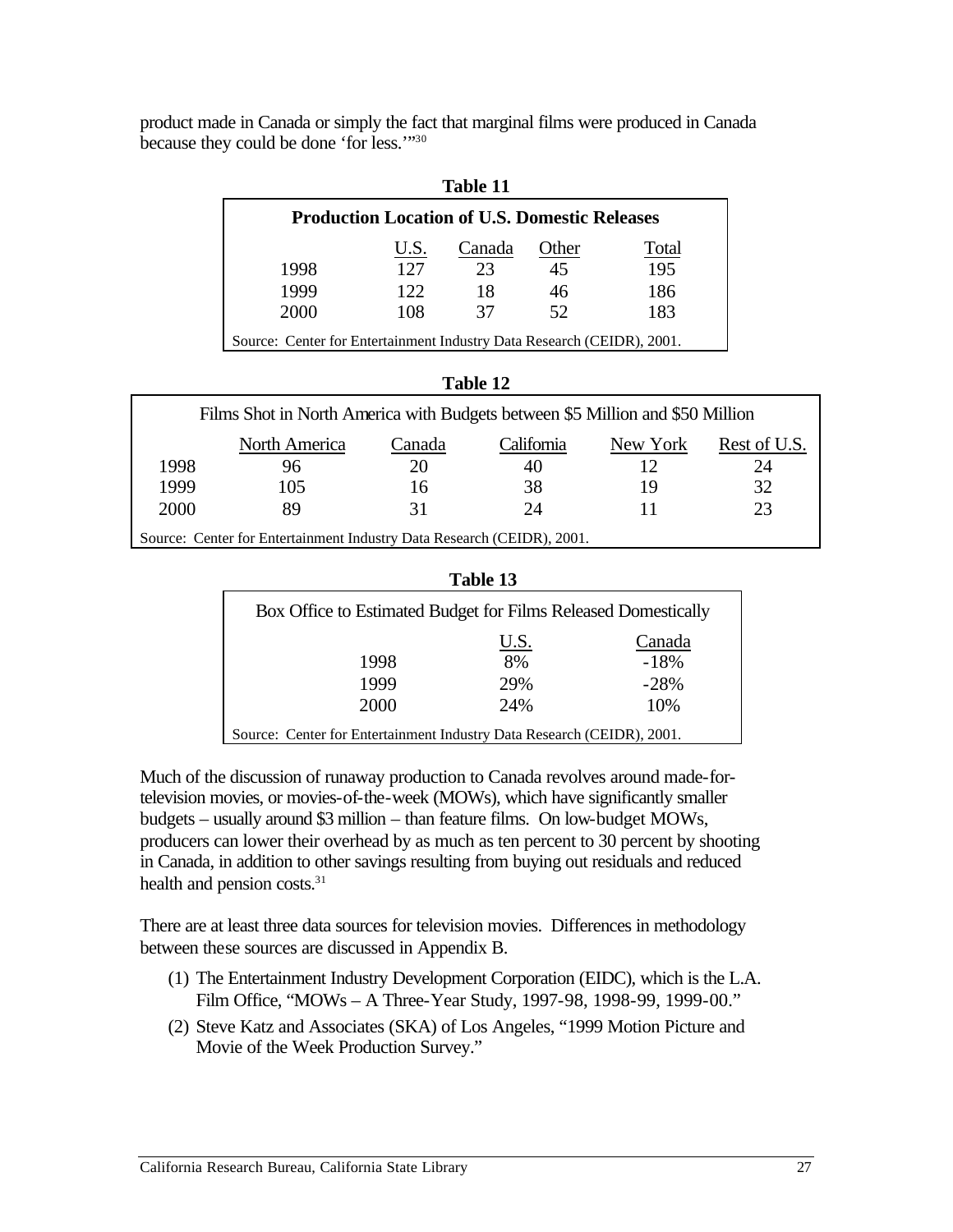product made in Canada or simply the fact that marginal films were produced in Canada because they could be done 'for less.'"30

| Table 11                                                               |      |        |       |       |  |  |
|------------------------------------------------------------------------|------|--------|-------|-------|--|--|
| <b>Production Location of U.S. Domestic Releases</b>                   |      |        |       |       |  |  |
|                                                                        | U.S. | Canada | Other | Total |  |  |
| 1998                                                                   | 127  | 23     | 45    | 195   |  |  |
| 1999                                                                   | 122  | 18     | 46    | 186   |  |  |
| 2000                                                                   | 108  | 37     | 52    | 183   |  |  |
| Source: Center for Entertainment Industry Data Research (CEIDR), 2001. |      |        |       |       |  |  |

**Table 11** 

| ank<br>ш<br>г. |
|----------------|
|----------------|

| Films Shot in North America with Budgets between \$5 Million and \$50 Million |                                                                        |        |            |          |              |  |  |
|-------------------------------------------------------------------------------|------------------------------------------------------------------------|--------|------------|----------|--------------|--|--|
|                                                                               | North America                                                          | Canada | California | New York | Rest of U.S. |  |  |
| 1998                                                                          | 96                                                                     | 20     | 40         |          | 24           |  |  |
| 1999                                                                          | 105                                                                    | 16     | 38         | 19       | 32           |  |  |
| 2000                                                                          | 89                                                                     | 31     | 24         | 11       | 23           |  |  |
|                                                                               | Source: Center for Entertainment Industry Data Research (CEIDR), 2001. |        |            |          |              |  |  |

| `able |  |
|-------|--|
|-------|--|

| Box Office to Estimated Budget for Films Released Domestically         |      |        |  |  |  |
|------------------------------------------------------------------------|------|--------|--|--|--|
|                                                                        | U.S. | Canada |  |  |  |
| 1998                                                                   | 8%   | $-18%$ |  |  |  |
| 1999                                                                   | 29%  | $-28%$ |  |  |  |
| 2000                                                                   | 24%  | 10%    |  |  |  |
| Source: Center for Entertainment Industry Data Research (CEIDR), 2001. |      |        |  |  |  |

Much of the discussion of runaway production to Canada revolves around made-fortelevision movies, or movies-of-the-week (MOWs), which have significantly smaller budgets – usually around \$3 million – than feature films. On low-budget MOWs, producers can lower their overhead by as much as ten percent to 30 percent by shooting in Canada, in addition to other savings resulting from buying out residuals and reduced health and pension costs.<sup>31</sup>

There are at least three data sources for television movies. Differences in methodology between these sources are discussed in Appendix B.

- (1) The Entertainment Industry Development Corporation (EIDC), which is the L.A. Film Office, "MOWs – A Three-Year Study, 1997-98, 1998-99, 1999-00."
- (2) Steve Katz and Associates (SKA) of Los Angeles, "1999 Motion Picture and Movie of the Week Production Survey."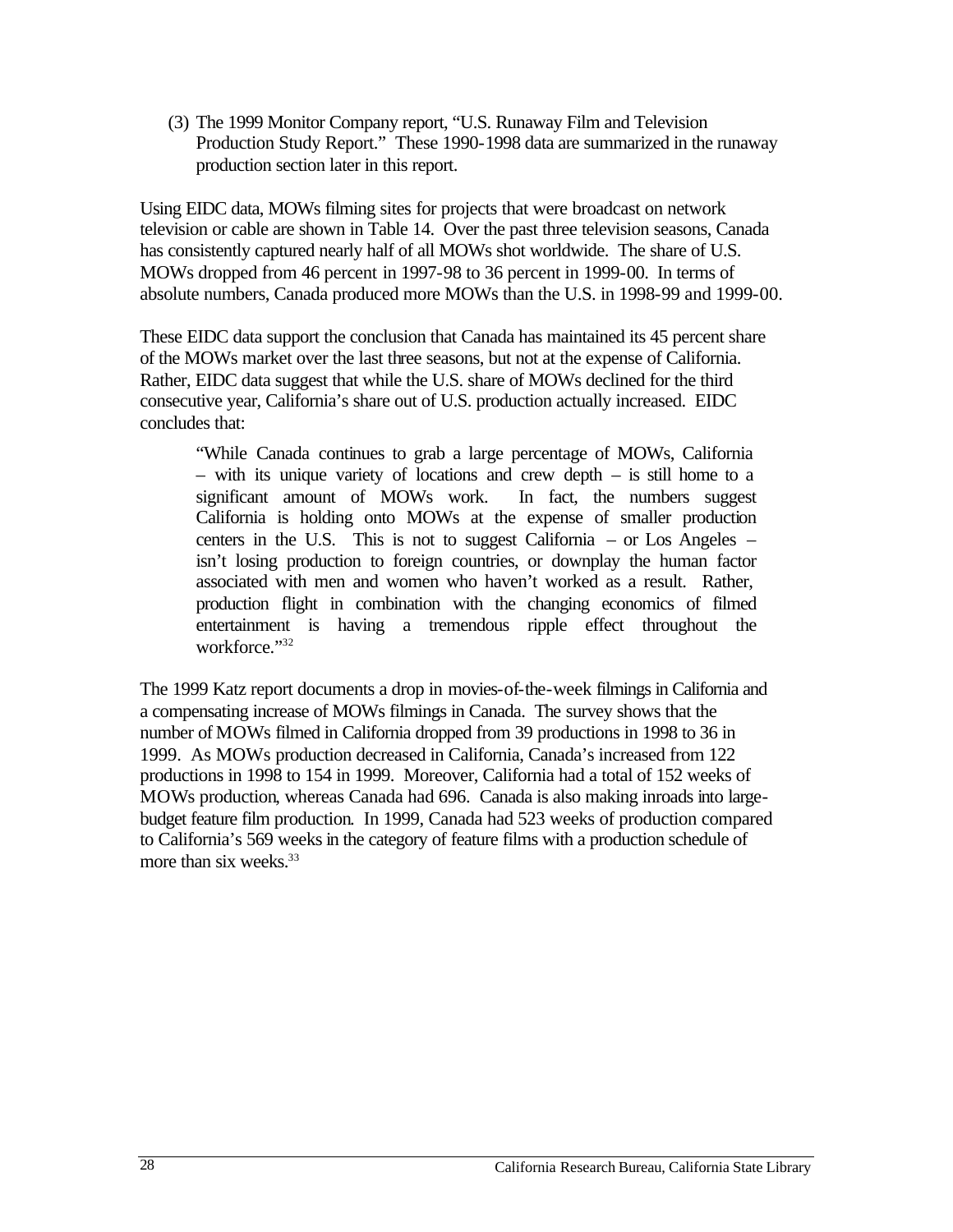(3) The 1999 Monitor Company report, "U.S. Runaway Film and Television Production Study Report." These 1990-1998 data are summarized in the runaway production section later in this report.

Using EIDC data, MOWs filming sites for projects that were broadcast on network television or cable are shown in Table 14. Over the past three television seasons, Canada has consistently captured nearly half of all MOWs shot worldwide. The share of U.S. MOWs dropped from 46 percent in 1997-98 to 36 percent in 1999-00. In terms of absolute numbers, Canada produced more MOWs than the U.S. in 1998-99 and 1999-00.

These EIDC data support the conclusion that Canada has maintained its 45 percent share of the MOWs market over the last three seasons, but not at the expense of California. Rather, EIDC data suggest that while the U.S. share of MOWs declined for the third consecutive year, California's share out of U.S. production actually increased. EIDC concludes that:

"While Canada continues to grab a large percentage of MOWs, California – with its unique variety of locations and crew depth – is still home to a significant amount of MOWs work. In fact, the numbers suggest California is holding onto MOWs at the expense of smaller production centers in the U.S. This is not to suggest California – or Los Angeles – isn't losing production to foreign countries, or downplay the human factor associated with men and women who haven't worked as a result. Rather, production flight in combination with the changing economics of filmed entertainment is having a tremendous ripple effect throughout the workforce."32

The 1999 Katz report documents a drop in movies-of-the-week filmings in California and a compensating increase of MOWs filmings in Canada. The survey shows that the number of MOWs filmed in California dropped from 39 productions in 1998 to 36 in 1999. As MOWs production decreased in California, Canada's increased from 122 productions in 1998 to 154 in 1999. Moreover, California had a total of 152 weeks of MOWs production, whereas Canada had 696. Canada is also making inroads into largebudget feature film production. In 1999, Canada had 523 weeks of production compared to California's 569 weeks in the category of feature films with a production schedule of more than six weeks.<sup>33</sup>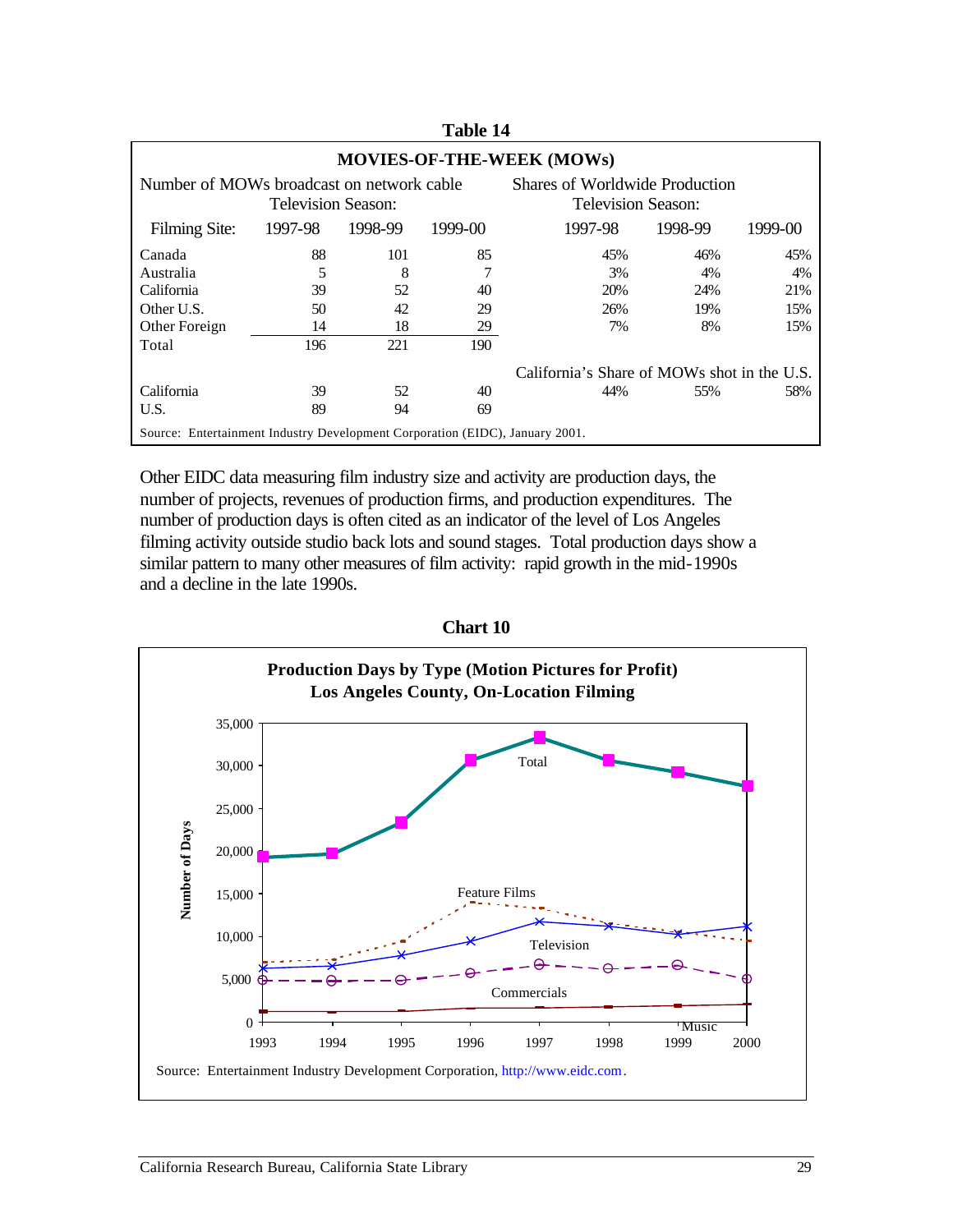| <b>MOVIES-OF-THE-WEEK (MOWs)</b>                                             |         |         |         |                                                      |         |         |  |  |  |
|------------------------------------------------------------------------------|---------|---------|---------|------------------------------------------------------|---------|---------|--|--|--|
| Number of MOWs broadcast on network cable<br>Television Season:              |         |         |         | Shares of Worldwide Production<br>Television Season: |         |         |  |  |  |
| Filming Site:                                                                | 1997-98 | 1998-99 | 1999-00 | 1997-98                                              | 1998-99 | 1999-00 |  |  |  |
| Canada                                                                       | 88      | 101     | 85      | 45%                                                  | 46%     | 45%     |  |  |  |
| Australia                                                                    | 5       | 8       |         | 3%                                                   | 4%      | 4%      |  |  |  |
| California                                                                   | 39      | 52      | 40      | 20%                                                  | 24%     | 21%     |  |  |  |
| Other U.S.                                                                   | 50      | 42      | 29      | 26%                                                  | 19%     | 15%     |  |  |  |
| Other Foreign                                                                | 14      | 18      | 29      | 7%                                                   | 8%      | 15%     |  |  |  |
| Total                                                                        | 196     | 221     | 190     |                                                      |         |         |  |  |  |
| California's Share of MOWs shot in the U.S.                                  |         |         |         |                                                      |         |         |  |  |  |
| California                                                                   | 39      | 52      | 40      | 44%                                                  | 55%     | 58%     |  |  |  |
| U.S.                                                                         | 89      | 94      | 69      |                                                      |         |         |  |  |  |
| Source: Entertainment Industry Development Corporation (EIDC), January 2001. |         |         |         |                                                      |         |         |  |  |  |

**Table 14** 

Other EIDC data measuring film industry size and activity are production days, the number of projects, revenues of production firms, and production expenditures. The number of production days is often cited as an indicator of the level of Los Angeles filming activity outside studio back lots and sound stages. Total production days show a similar pattern to many other measures of film activity: rapid growth in the mid-1990s and a decline in the late 1990s.



**Chart 10**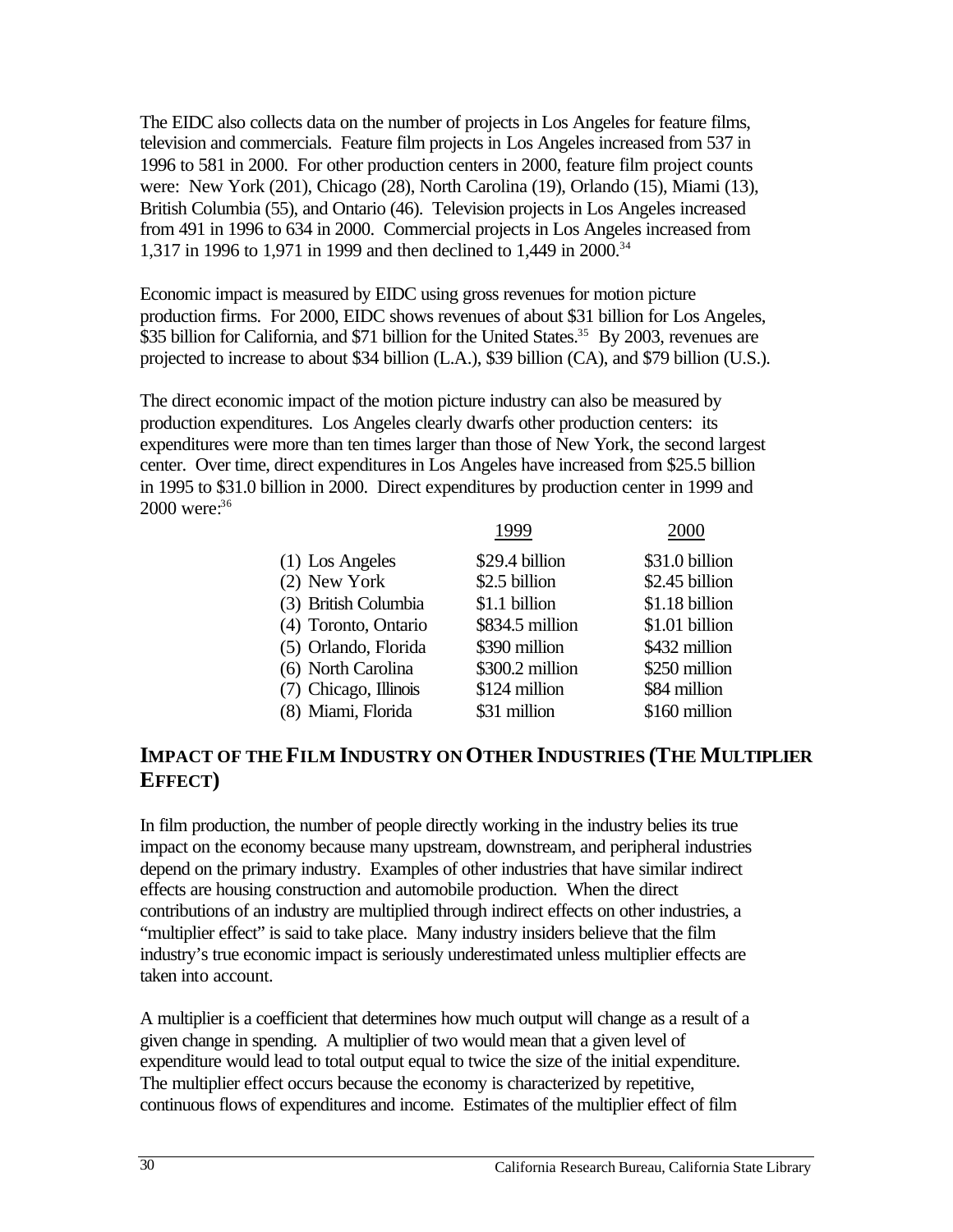The EIDC also collects data on the number of projects in Los Angeles for feature films, television and commercials. Feature film projects in Los Angeles increased from 537 in 1996 to 581 in 2000. For other production centers in 2000, feature film project counts were: New York (201), Chicago (28), North Carolina (19), Orlando (15), Miami (13), British Columbia (55), and Ontario (46). Television projects in Los Angeles increased from 491 in 1996 to 634 in 2000. Commercial projects in Los Angeles increased from 1,317 in 1996 to 1,971 in 1999 and then declined to 1,449 in 2000.34

Economic impact is measured by EIDC using gross revenues for motion picture production firms. For 2000, EIDC shows revenues of about \$31 billion for Los Angeles, \$35 billion for California, and \$71 billion for the United States.<sup>35</sup> By 2003, revenues are projected to increase to about \$34 billion (L.A.), \$39 billion (CA), and \$79 billion (U.S.).

The direct economic impact of the motion picture industry can also be measured by production expenditures. Los Angeles clearly dwarfs other production centers: its expenditures were more than ten times larger than those of New York, the second largest center. Over time, direct expenditures in Los Angeles have increased from \$25.5 billion in 1995 to \$31.0 billion in 2000. Direct expenditures by production center in 1999 and 2000 were: 36

| 1999                                    | 2000           |
|-----------------------------------------|----------------|
| \$29.4 billion<br>$(1)$ Los Angeles     | \$31.0 billion |
| \$2.5 billion                           | \$2.45 billion |
| (3) British Columbia<br>\$1.1 billion   | \$1.18 billion |
| (4) Toronto, Ontario<br>\$834.5 million | \$1.01 billion |
| (5) Orlando, Florida<br>\$390 million   | \$432 million  |
| \$300.2 million<br>(6) North Carolina   | \$250 million  |
| (7) Chicago, Illinois<br>\$124 million  | \$84 million   |
| (8) Miami, Florida<br>\$31 million      | \$160 million  |
|                                         |                |

# **IMPACT OF THE FILM INDUSTRY ON OTHER INDUSTRIES (THE MULTIPLIER EFFECT)**

In film production, the number of people directly working in the industry belies its true impact on the economy because many upstream, downstream, and peripheral industries depend on the primary industry. Examples of other industries that have similar indirect effects are housing construction and automobile production. When the direct contributions of an industry are multiplied through indirect effects on other industries, a "multiplier effect" is said to take place. Many industry insiders believe that the film industry's true economic impact is seriously underestimated unless multiplier effects are taken into account.

A multiplier is a coefficient that determines how much output will change as a result of a given change in spending. A multiplier of two would mean that a given level of expenditure would lead to total output equal to twice the size of the initial expenditure. The multiplier effect occurs because the economy is characterized by repetitive, continuous flows of expenditures and income. Estimates of the multiplier effect of film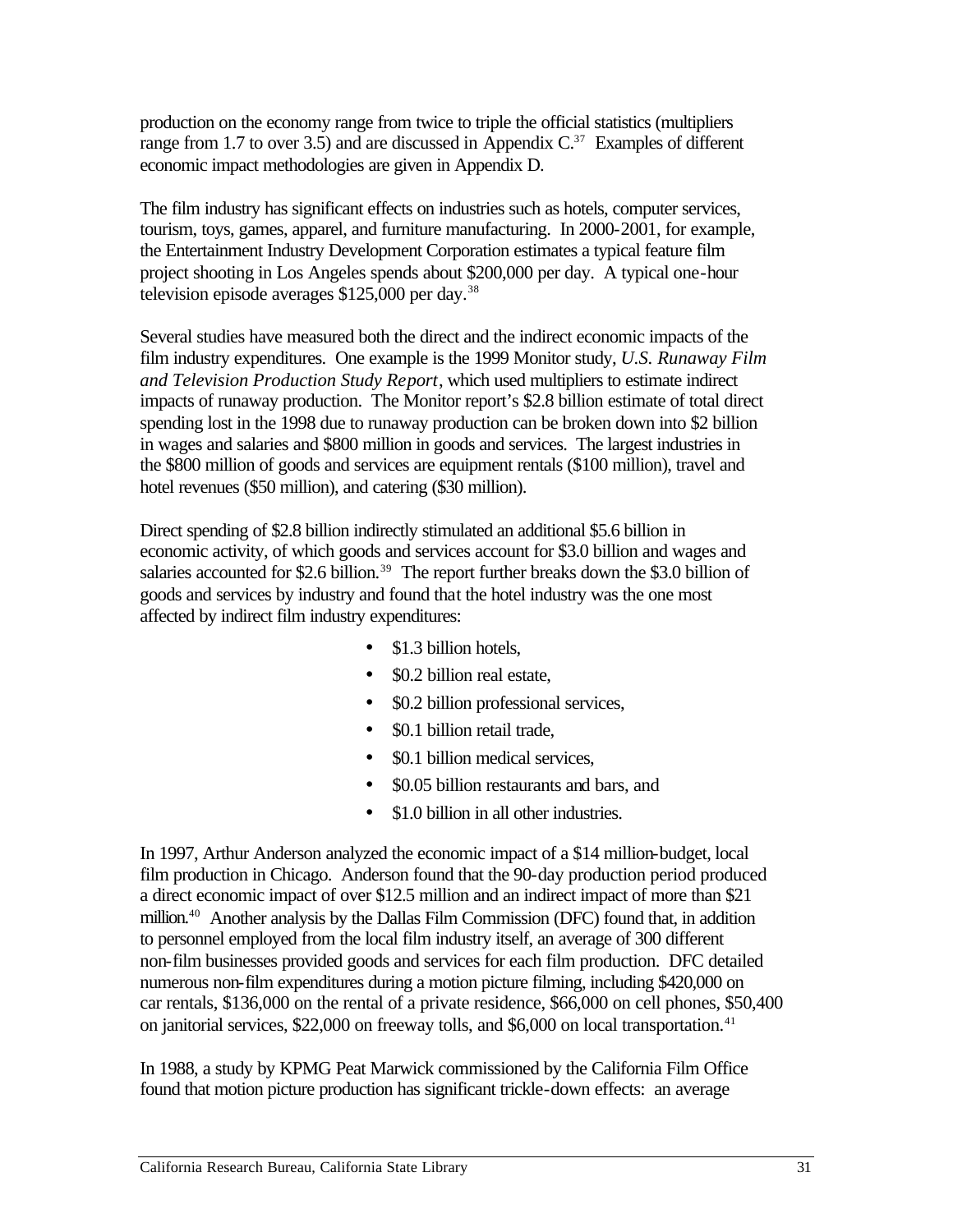production on the economy range from twice to triple the official statistics (multipliers range from 1.7 to over 3.5) and are discussed in Appendix  $C^{37}$  Examples of different economic impact methodologies are given in Appendix D.

The film industry has significant effects on industries such as hotels, computer services, tourism, toys, games, apparel, and furniture manufacturing. In 2000-2001, for example, the Entertainment Industry Development Corporation estimates a typical feature film project shooting in Los Angeles spends about \$200,000 per day. A typical one-hour television episode averages \$125,000 per day.<sup>38</sup>

Several studies have measured both the direct and the indirect economic impacts of the film industry expenditures. One example is the 1999 Monitor study, *U.S. Runaway Film and Television Production Study Report*, which used multipliers to estimate indirect impacts of runaway production. The Monitor report's \$2.8 billion estimate of total direct spending lost in the 1998 due to runaway production can be broken down into \$2 billion in wages and salaries and \$800 million in goods and services. The largest industries in the \$800 million of goods and services are equipment rentals (\$100 million), travel and hotel revenues (\$50 million), and catering (\$30 million).

Direct spending of \$2.8 billion indirectly stimulated an additional \$5.6 billion in economic activity, of which goods and services account for \$3.0 billion and wages and salaries accounted for \$2.6 billion.<sup>39</sup> The report further breaks down the \$3.0 billion of goods and services by industry and found that the hotel industry was the one most affected by indirect film industry expenditures:

- \$1.3 billion hotels.
- \$0.2 billion real estate,
- \$0.2 billion professional services,
- \$0.1 billion retail trade.
- \$0.1 billion medical services,
- \$0.05 billion restaurants and bars, and
- \$1.0 billion in all other industries.

In 1997, Arthur Anderson analyzed the economic impact of a \$14 million-budget, local film production in Chicago. Anderson found that the 90-day production period produced a direct economic impact of over \$12.5 million and an indirect impact of more than \$21 million.<sup>40</sup> Another analysis by the Dallas Film Commission (DFC) found that, in addition to personnel employed from the local film industry itself, an average of 300 different non-film businesses provided goods and services for each film production. DFC detailed numerous non-film expenditures during a motion picture filming, including \$420,000 on car rentals, \$136,000 on the rental of a private residence, \$66,000 on cell phones, \$50,400 on janitorial services, \$22,000 on freeway tolls, and \$6,000 on local transportation.<sup>41</sup>

In 1988, a study by KPMG Peat Marwick commissioned by the California Film Office found that motion picture production has significant trickle-down effects: an average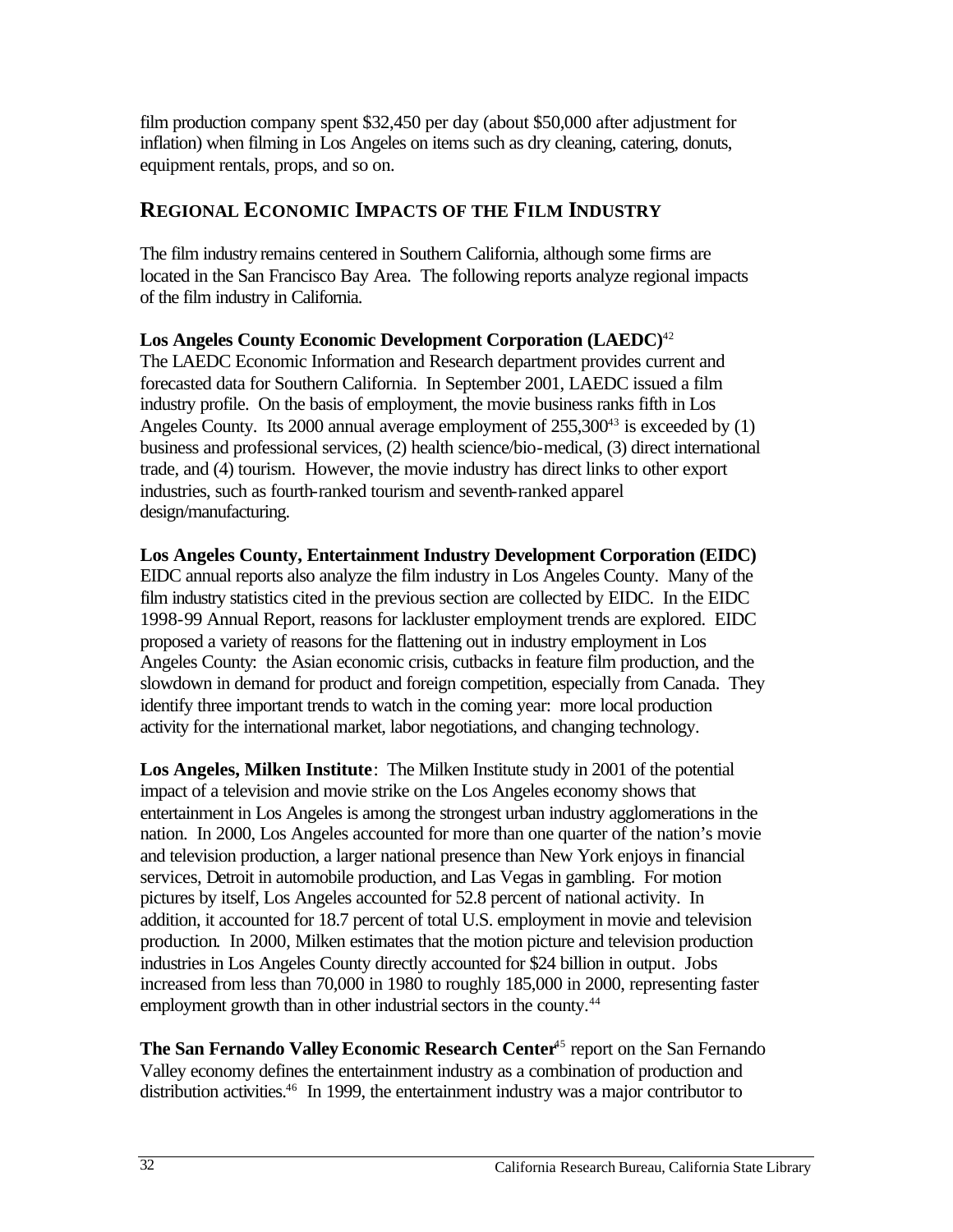film production company spent \$32,450 per day (about \$50,000 after adjustment for inflation) when filming in Los Angeles on items such as dry cleaning, catering, donuts, equipment rentals, props, and so on.

# **REGIONAL ECONOMIC IMPACTS OF THE FILM INDUSTRY**

The film industry remains centered in Southern California, although some firms are located in the San Francisco Bay Area. The following reports analyze regional impacts of the film industry in California.

**Los Angeles County Economic Development Corporation (LAEDC)**<sup>42</sup>

The LAEDC Economic Information and Research department provides current and forecasted data for Southern California. In September 2001, LAEDC issued a film industry profile. On the basis of employment, the movie business ranks fifth in Los Angeles County. Its 2000 annual average employment of  $255,300^{43}$  is exceeded by (1) business and professional services, (2) health science/bio-medical, (3) direct international trade, and (4) tourism. However, the movie industry has direct links to other export industries, such as fourth-ranked tourism and seventh-ranked apparel design/manufacturing.

## **Los Angeles County, Entertainment Industry Development Corporation (EIDC)**

EIDC annual reports also analyze the film industry in Los Angeles County. Many of the film industry statistics cited in the previous section are collected by EIDC. In the EIDC 1998-99 Annual Report, reasons for lackluster employment trends are explored. EIDC proposed a variety of reasons for the flattening out in industry employment in Los Angeles County: the Asian economic crisis, cutbacks in feature film production, and the slowdown in demand for product and foreign competition, especially from Canada. They identify three important trends to watch in the coming year: more local production activity for the international market, labor negotiations, and changing technology.

**Los Angeles, Milken Institute**: The Milken Institute study in 2001 of the potential impact of a television and movie strike on the Los Angeles economy shows that entertainment in Los Angeles is among the strongest urban industry agglomerations in the nation. In 2000, Los Angeles accounted for more than one quarter of the nation's movie and television production, a larger national presence than New York enjoys in financial services, Detroit in automobile production, and Las Vegas in gambling. For motion pictures by itself, Los Angeles accounted for 52.8 percent of national activity. In addition, it accounted for 18.7 percent of total U.S. employment in movie and television production. In 2000, Milken estimates that the motion picture and television production industries in Los Angeles County directly accounted for \$24 billion in output. Jobs increased from less than 70,000 in 1980 to roughly 185,000 in 2000, representing faster employment growth than in other industrial sectors in the county.<sup>44</sup>

**The San Fernando Valley Economic Research Center<sup>45</sup> report on the San Fernando** Valley economy defines the entertainment industry as a combination of production and distribution activities.<sup>46</sup> In 1999, the entertainment industry was a major contributor to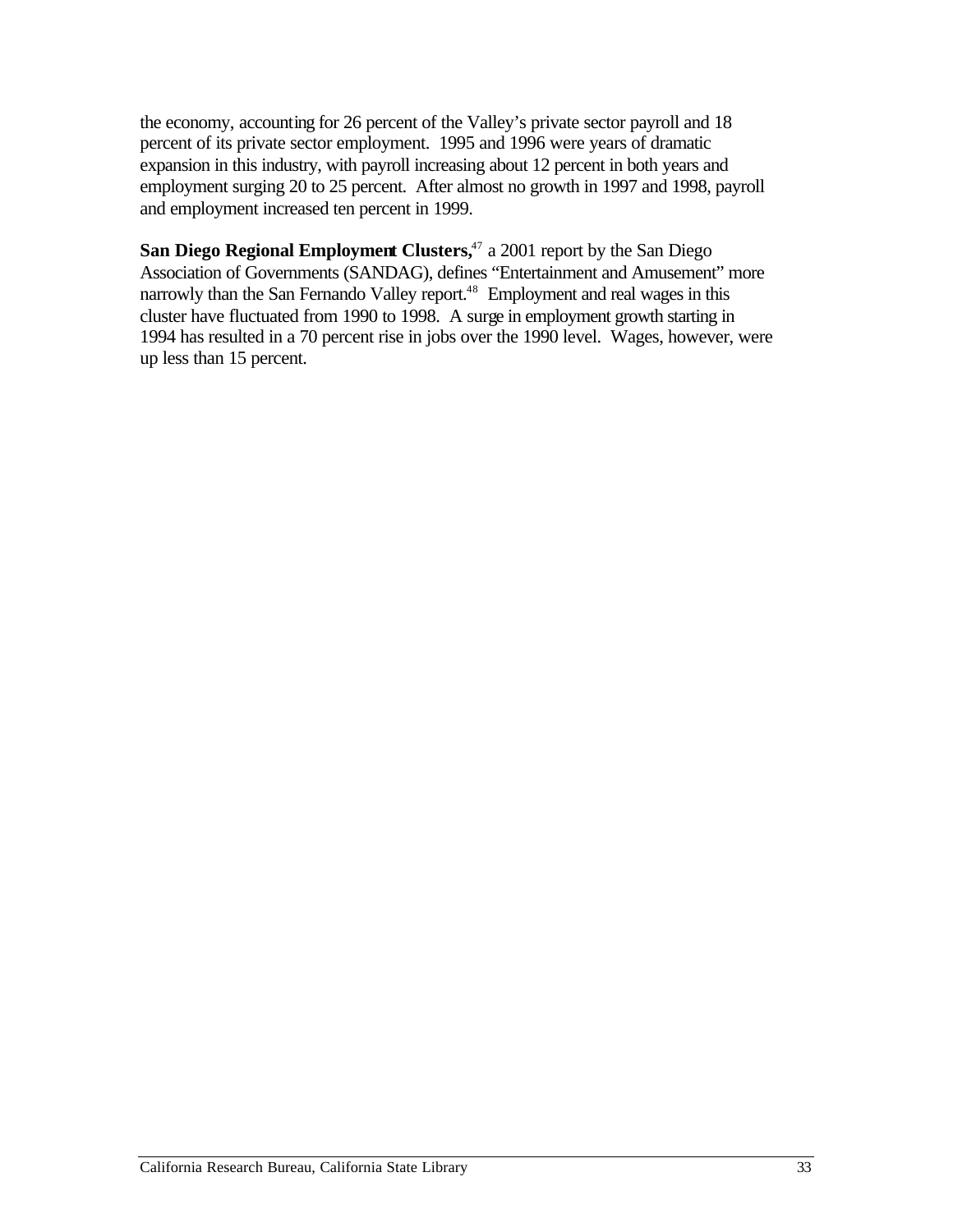the economy, accounting for 26 percent of the Valley's private sector payroll and 18 percent of its private sector employment. 1995 and 1996 were years of dramatic expansion in this industry, with payroll increasing about 12 percent in both years and employment surging 20 to 25 percent. After almost no growth in 1997 and 1998, payroll and employment increased ten percent in 1999.

**San Diego Regional Employment Clusters,**<sup>47</sup> a 2001 report by the San Diego Association of Governments (SANDAG), defines "Entertainment and Amusement" more narrowly than the San Fernando Valley report.<sup>48</sup> Employment and real wages in this cluster have fluctuated from 1990 to 1998. A surge in employment growth starting in 1994 has resulted in a 70 percent rise in jobs over the 1990 level. Wages, however, were up less than 15 percent.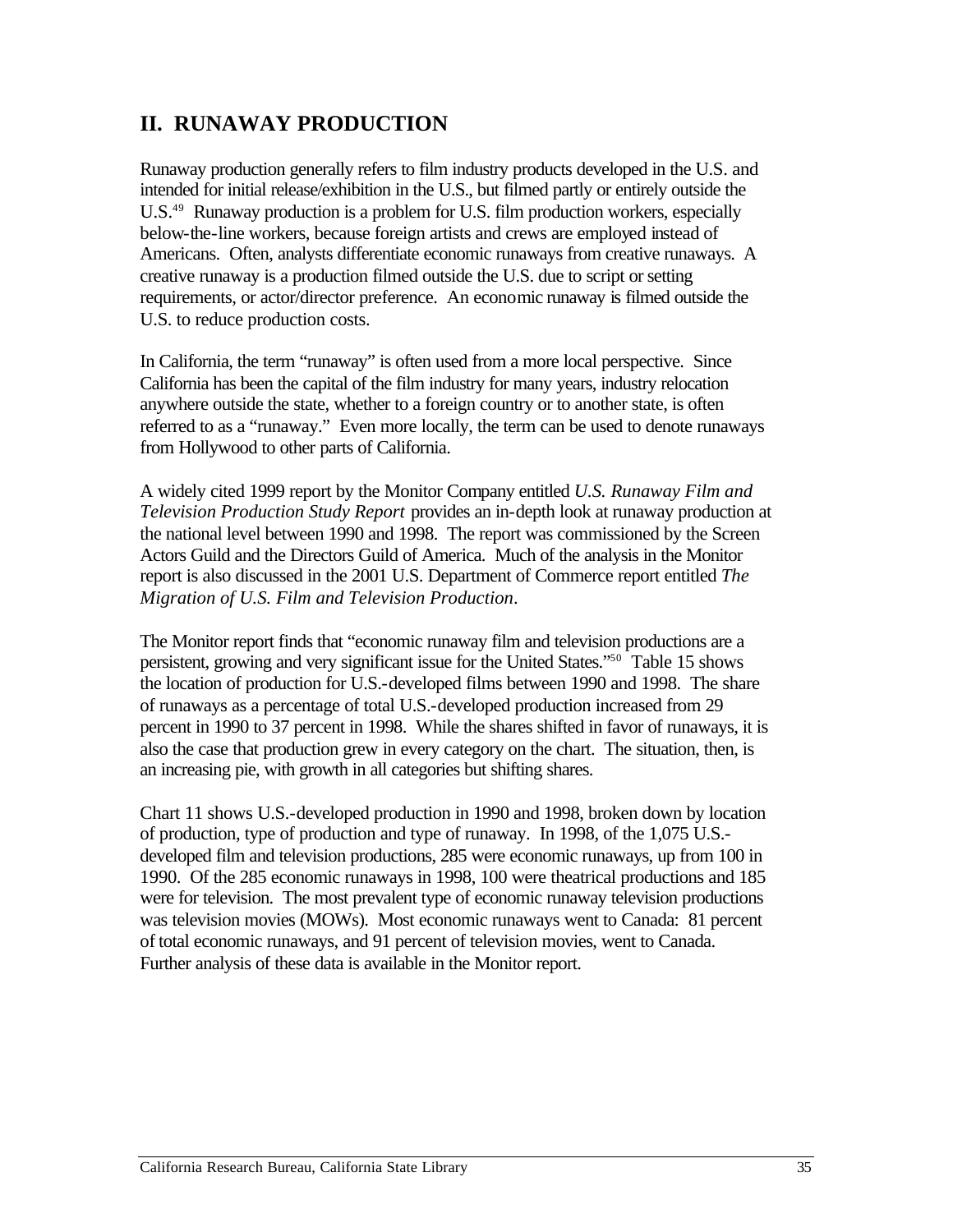# **II. RUNAWAY PRODUCTION**

Runaway production generally refers to film industry products developed in the U.S. and intended for initial release/exhibition in the U.S., but filmed partly or entirely outside the U.S.<sup>49</sup> Runaway production is a problem for U.S. film production workers, especially below-the-line workers, because foreign artists and crews are employed instead of Americans. Often, analysts differentiate economic runaways from creative runaways. A creative runaway is a production filmed outside the U.S. due to script or setting requirements, or actor/director preference. An economic runaway is filmed outside the U.S. to reduce production costs.

In California, the term "runaway" is often used from a more local perspective. Since California has been the capital of the film industry for many years, industry relocation anywhere outside the state, whether to a foreign country or to another state, is often referred to as a "runaway." Even more locally, the term can be used to denote runaways from Hollywood to other parts of California.

A widely cited 1999 report by the Monitor Company entitled *U.S. Runaway Film and Television Production Study Report* provides an in-depth look at runaway production at the national level between 1990 and 1998. The report was commissioned by the Screen Actors Guild and the Directors Guild of America. Much of the analysis in the Monitor report is also discussed in the 2001 U.S. Department of Commerce report entitled *The Migration of U.S. Film and Television Production*.

The Monitor report finds that "economic runaway film and television productions are a persistent, growing and very significant issue for the United States."50 Table 15 shows the location of production for U.S.-developed films between 1990 and 1998. The share of runaways as a percentage of total U.S.-developed production increased from 29 percent in 1990 to 37 percent in 1998. While the shares shifted in favor of runaways, it is also the case that production grew in every category on the chart. The situation, then, is an increasing pie, with growth in all categories but shifting shares.

Chart 11 shows U.S.-developed production in 1990 and 1998, broken down by location of production, type of production and type of runaway. In 1998, of the 1,075 U.S. developed film and television productions, 285 were economic runaways, up from 100 in 1990. Of the 285 economic runaways in 1998, 100 were theatrical productions and 185 were for television. The most prevalent type of economic runaway television productions was television movies (MOWs). Most economic runaways went to Canada: 81 percent of total economic runaways, and 91 percent of television movies, went to Canada. Further analysis of these data is available in the Monitor report.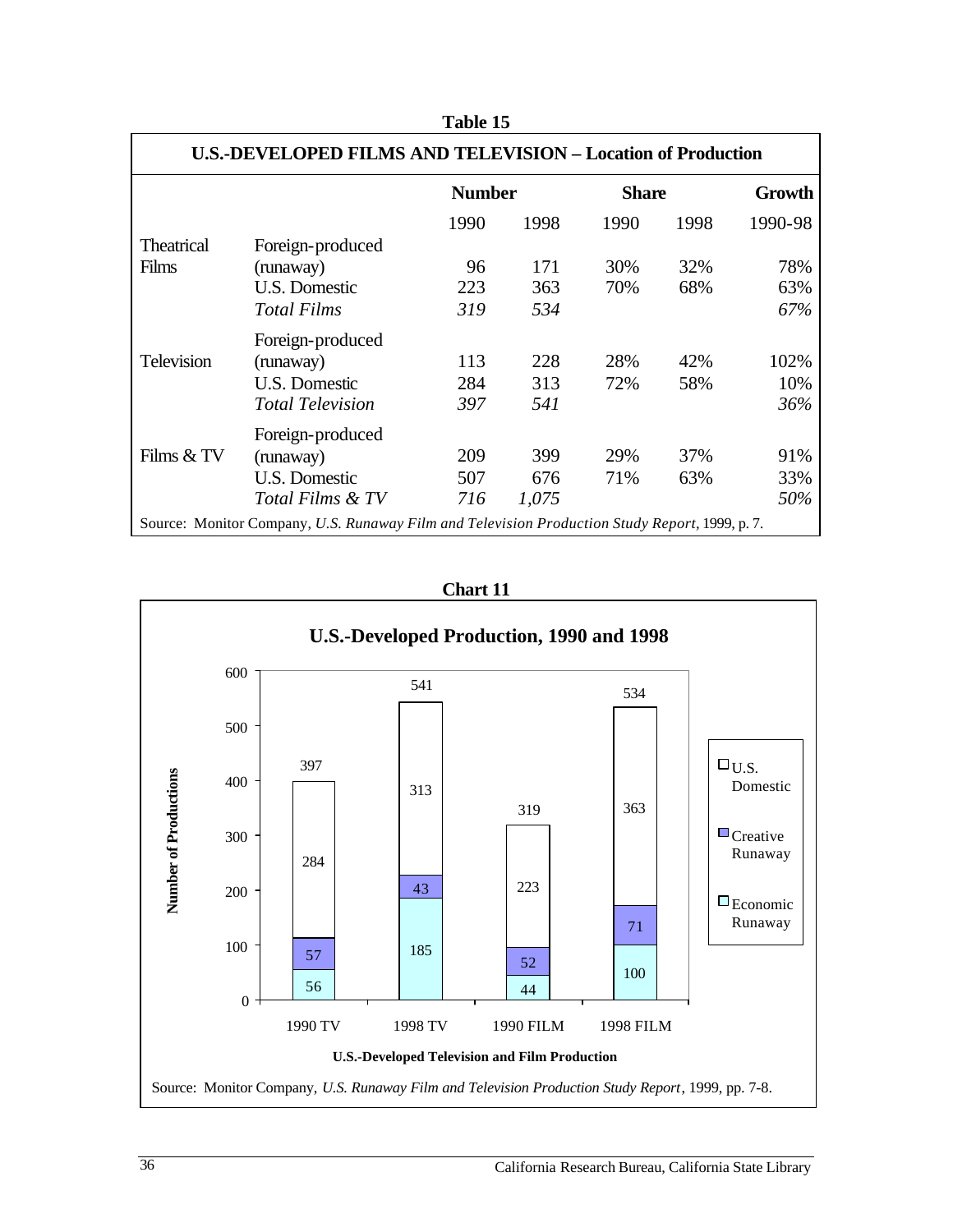|                                                                                                | <b>U.S.-DEVELOPED FILMS AND TELEVISION - Location of Production</b> |               |       |              |      |         |  |
|------------------------------------------------------------------------------------------------|---------------------------------------------------------------------|---------------|-------|--------------|------|---------|--|
|                                                                                                |                                                                     | <b>Number</b> |       | <b>Share</b> |      | Growth  |  |
|                                                                                                |                                                                     | 1990          | 1998  | 1990         | 1998 | 1990-98 |  |
| <b>Theatrical</b>                                                                              | Foreign-produced                                                    |               |       |              |      |         |  |
| Films                                                                                          | (runaway)                                                           | 96            | 171   | 30%          | 32%  | 78%     |  |
|                                                                                                | U.S. Domestic                                                       | 223           | 363   | 70%          | 68%  | 63%     |  |
|                                                                                                | Total Films                                                         | 319           | 534   |              |      | 67%     |  |
|                                                                                                | Foreign-produced                                                    |               |       |              |      |         |  |
| <b>Television</b>                                                                              | (runaway)                                                           | 113           | 228   | 28%          | 42%  | 102%    |  |
|                                                                                                | U.S. Domestic                                                       | 284           | 313   | 72%          | 58%  | 10%     |  |
|                                                                                                | <b>Total Television</b>                                             | 397           | 541   |              |      | 36%     |  |
|                                                                                                | Foreign-produced                                                    |               |       |              |      |         |  |
| Films & TV                                                                                     | (runaway)                                                           | 209           | 399   | 29%          | 37%  | 91%     |  |
|                                                                                                | U.S. Domestic                                                       | 507           | 676   | 71%          | 63%  | 33%     |  |
|                                                                                                | Total Films & TV                                                    | 716           | 1,075 |              |      | 50%     |  |
| Source: Monitor Company, U.S. Runaway Film and Television Production Study Report, 1999, p. 7. |                                                                     |               |       |              |      |         |  |

**Table 15** 

**Chart 11** 

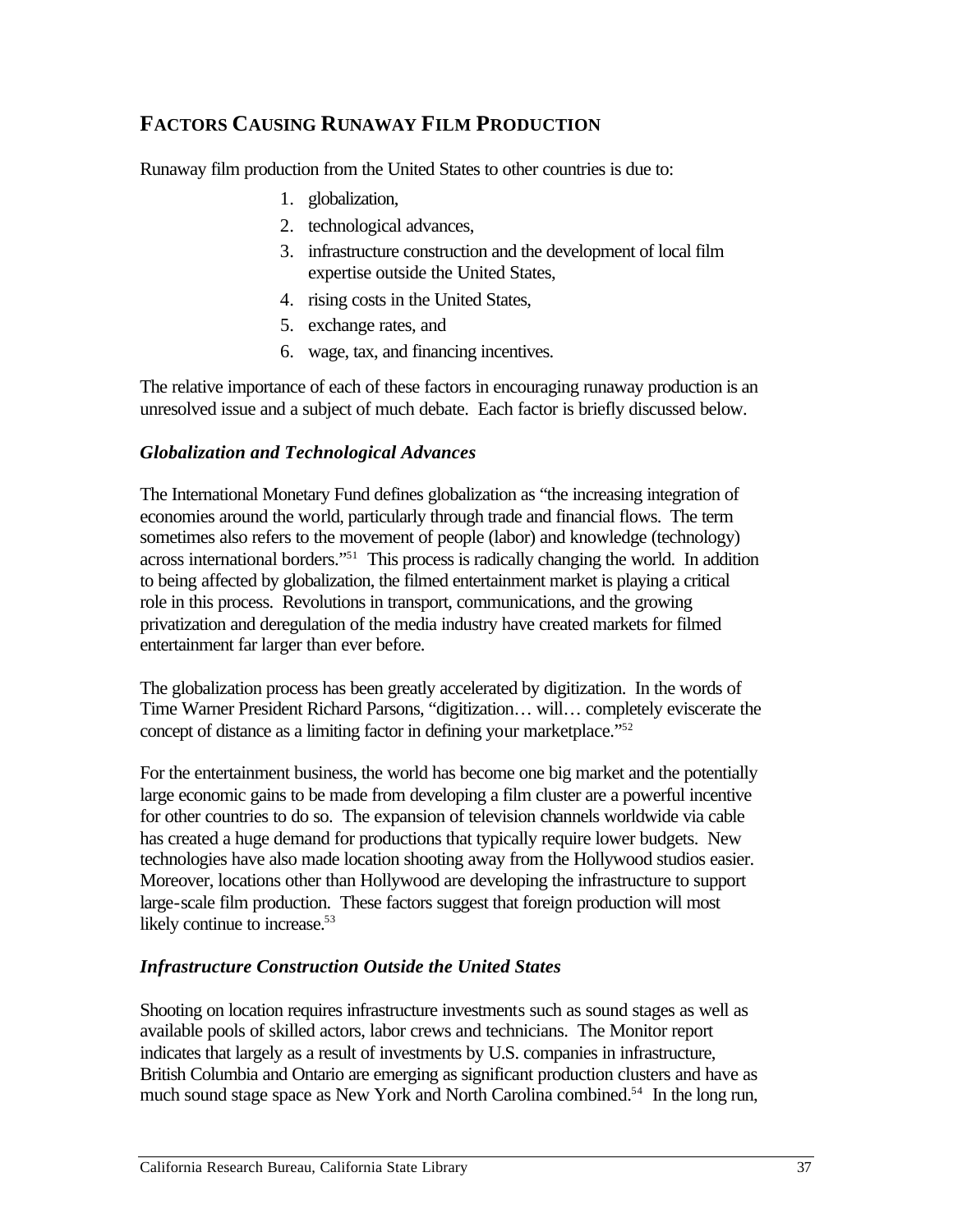# **FACTORS CAUSING RUNAWAY FILM PRODUCTION**

Runaway film production from the United States to other countries is due to:

- 1. globalization,
- 2. technological advances,
- 3. infrastructure construction and the development of local film expertise outside the United States,
- 4. rising costs in the United States,
- 5. exchange rates, and
- 6. wage, tax, and financing incentives.

The relative importance of each of these factors in encouraging runaway production is an unresolved issue and a subject of much debate. Each factor is briefly discussed below.

## *Globalization and Technological Advances*

The International Monetary Fund defines globalization as "the increasing integration of economies around the world, particularly through trade and financial flows. The term sometimes also refers to the movement of people (labor) and knowledge (technology) across international borders."51 This process is radically changing the world. In addition to being affected by globalization, the filmed entertainment market is playing a critical role in this process. Revolutions in transport, communications, and the growing privatization and deregulation of the media industry have created markets for filmed entertainment far larger than ever before.

The globalization process has been greatly accelerated by digitization. In the words of Time Warner President Richard Parsons, "digitization… will… completely eviscerate the concept of distance as a limiting factor in defining your marketplace."52

For the entertainment business, the world has become one big market and the potentially large economic gains to be made from developing a film cluster are a powerful incentive for other countries to do so. The expansion of television channels worldwide via cable has created a huge demand for productions that typically require lower budgets. New technologies have also made location shooting away from the Hollywood studios easier. Moreover, locations other than Hollywood are developing the infrastructure to support large-scale film production. These factors suggest that foreign production will most likely continue to increase.<sup>53</sup>

## *Infrastructure Construction Outside the United States*

Shooting on location requires infrastructure investments such as sound stages as well as available pools of skilled actors, labor crews and technicians. The Monitor report indicates that largely as a result of investments by U.S. companies in infrastructure, British Columbia and Ontario are emerging as significant production clusters and have as much sound stage space as New York and North Carolina combined.<sup>54</sup> In the long run,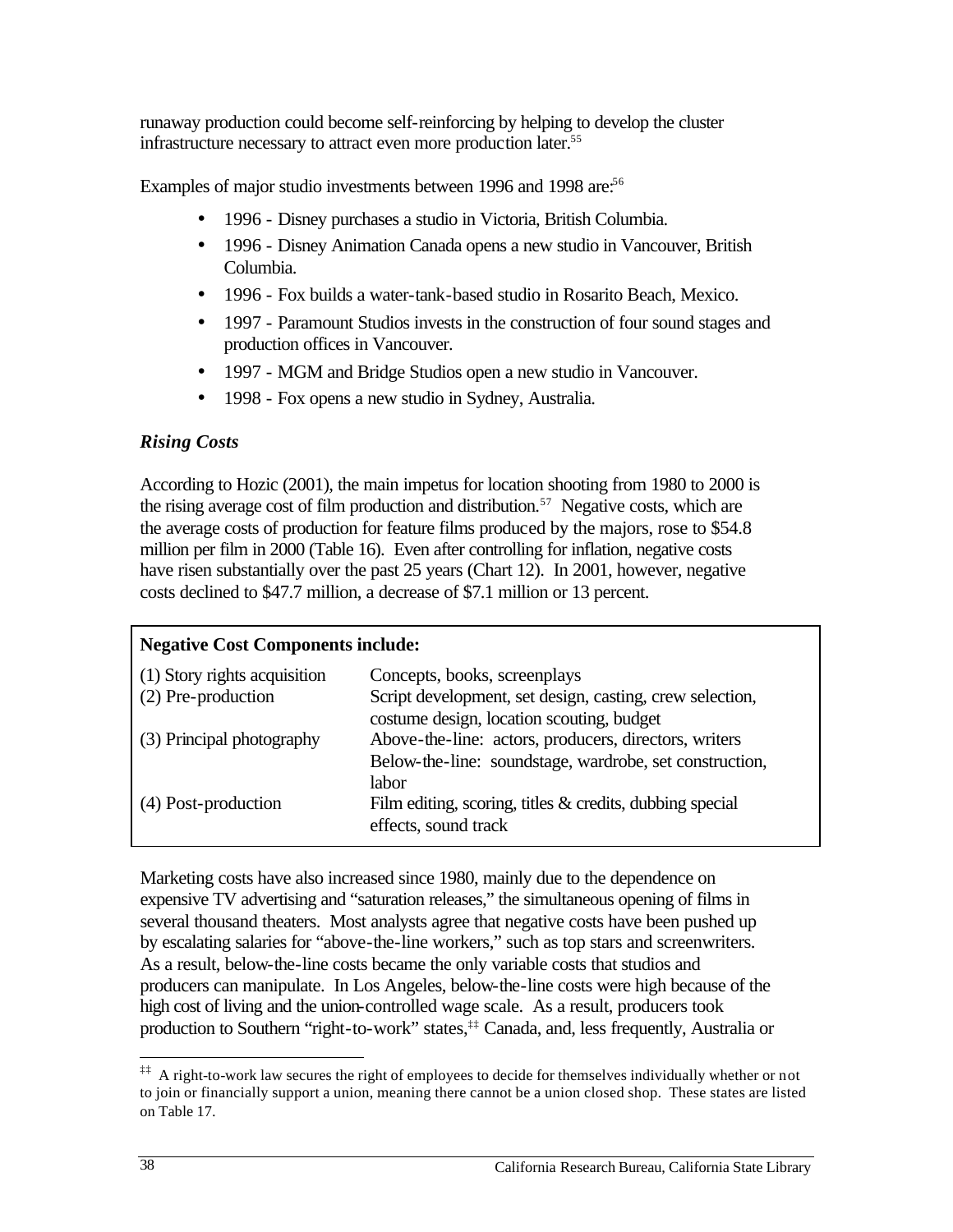runaway production could become self-reinforcing by helping to develop the cluster infrastructure necessary to attract even more production later.<sup>55</sup>

Examples of major studio investments between 1996 and 1998 are:<sup>56</sup>

- 1996 Disney purchases a studio in Victoria, British Columbia.
- 1996 Disney Animation Canada opens a new studio in Vancouver, British Columbia.
- 1996 Fox builds a water-tank-based studio in Rosarito Beach, Mexico.
- 1997 Paramount Studios invests in the construction of four sound stages and production offices in Vancouver.
- 1997 MGM and Bridge Studios open a new studio in Vancouver.
- 1998 Fox opens a new studio in Sydney, Australia.

## *Rising Costs*

According to Hozic (2001), the main impetus for location shooting from 1980 to 2000 is the rising average cost of film production and distribution.<sup>57</sup> Negative costs, which are the average costs of production for feature films produced by the majors, rose to \$54.8 million per film in 2000 (Table 16). Even after controlling for inflation, negative costs have risen substantially over the past 25 years (Chart 12). In 2001, however, negative costs declined to \$47.7 million, a decrease of \$7.1 million or 13 percent.

#### **Negative Cost Components include:**

| (1) Story rights acquisition<br>(2) Pre-production | Concepts, books, screenplays<br>Script development, set design, casting, crew selection,           |
|----------------------------------------------------|----------------------------------------------------------------------------------------------------|
| (3) Principal photography                          | costume design, location scouting, budget<br>Above-the-line: actors, producers, directors, writers |
|                                                    | Below-the-line: soundstage, wardrobe, set construction,<br>labor                                   |
| (4) Post-production                                | Film editing, scoring, titles $\&$ credits, dubbing special<br>effects, sound track                |

Marketing costs have also increased since 1980, mainly due to the dependence on expensive TV advertising and "saturation releases," the simultaneous opening of films in several thousand theaters. Most analysts agree that negative costs have been pushed up by escalating salaries for "above-the-line workers," such as top stars and screenwriters. As a result, below-the-line costs became the only variable costs that studios and producers can manipulate. In Los Angeles, below-the-line costs were high because of the high cost of living and the union-controlled wage scale. As a result, producers took production to Southern "right-to-work" states,<sup>‡‡</sup> Canada, and, less frequently, Australia or

 $\overline{a}$ 

<sup>&</sup>lt;sup>‡‡</sup> A right-to-work law secures the right of employees to decide for themselves individually whether or not to join or financially support a union, meaning there cannot be a union closed shop. These states are listed on Table 17.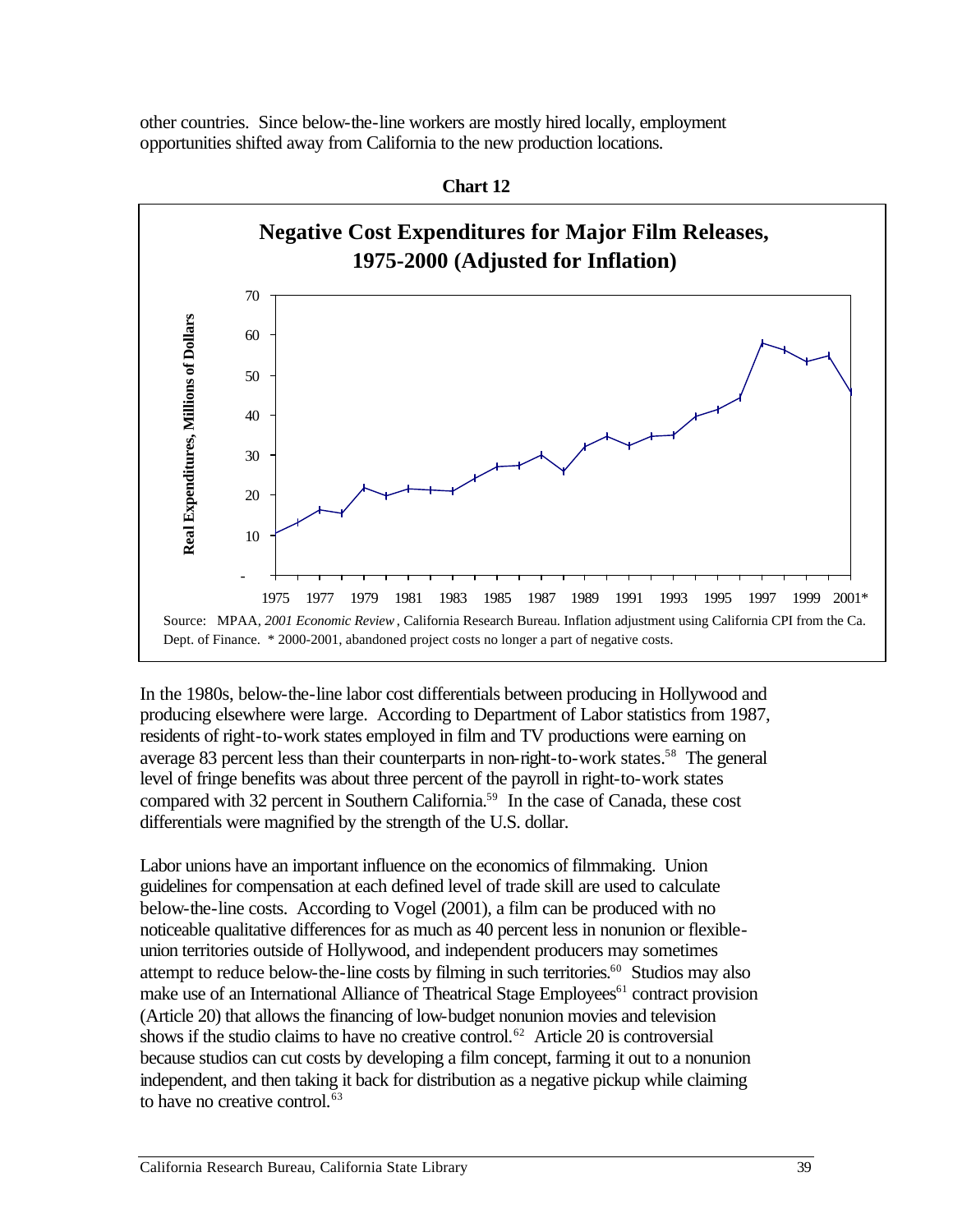other countries. Since below-the-line workers are mostly hired locally, employment opportunities shifted away from California to the new production locations.



**Chart 12** 

In the 1980s, below-the-line labor cost differentials between producing in Hollywood and producing elsewhere were large. According to Department of Labor statistics from 1987, residents of right-to-work states employed in film and TV productions were earning on average 83 percent less than their counterparts in non-right-to-work states.<sup>58</sup> The general level of fringe benefits was about three percent of the payroll in right-to-work states compared with 32 percent in Southern California.59 In the case of Canada, these cost differentials were magnified by the strength of the U.S. dollar.

Labor unions have an important influence on the economics of filmmaking. Union guidelines for compensation at each defined level of trade skill are used to calculate below-the-line costs. According to Vogel (2001), a film can be produced with no noticeable qualitative differences for as much as 40 percent less in nonunion or flexibleunion territories outside of Hollywood, and independent producers may sometimes attempt to reduce below-the-line costs by filming in such territories.<sup>60</sup> Studios may also make use of an International Alliance of Theatrical Stage Employees<sup>61</sup> contract provision (Article 20) that allows the financing of low-budget nonunion movies and television shows if the studio claims to have no creative control.<sup>62</sup> Article 20 is controversial because studios can cut costs by developing a film concept, farming it out to a nonunion independent, and then taking it back for distribution as a negative pickup while claiming to have no creative control.<sup>63</sup>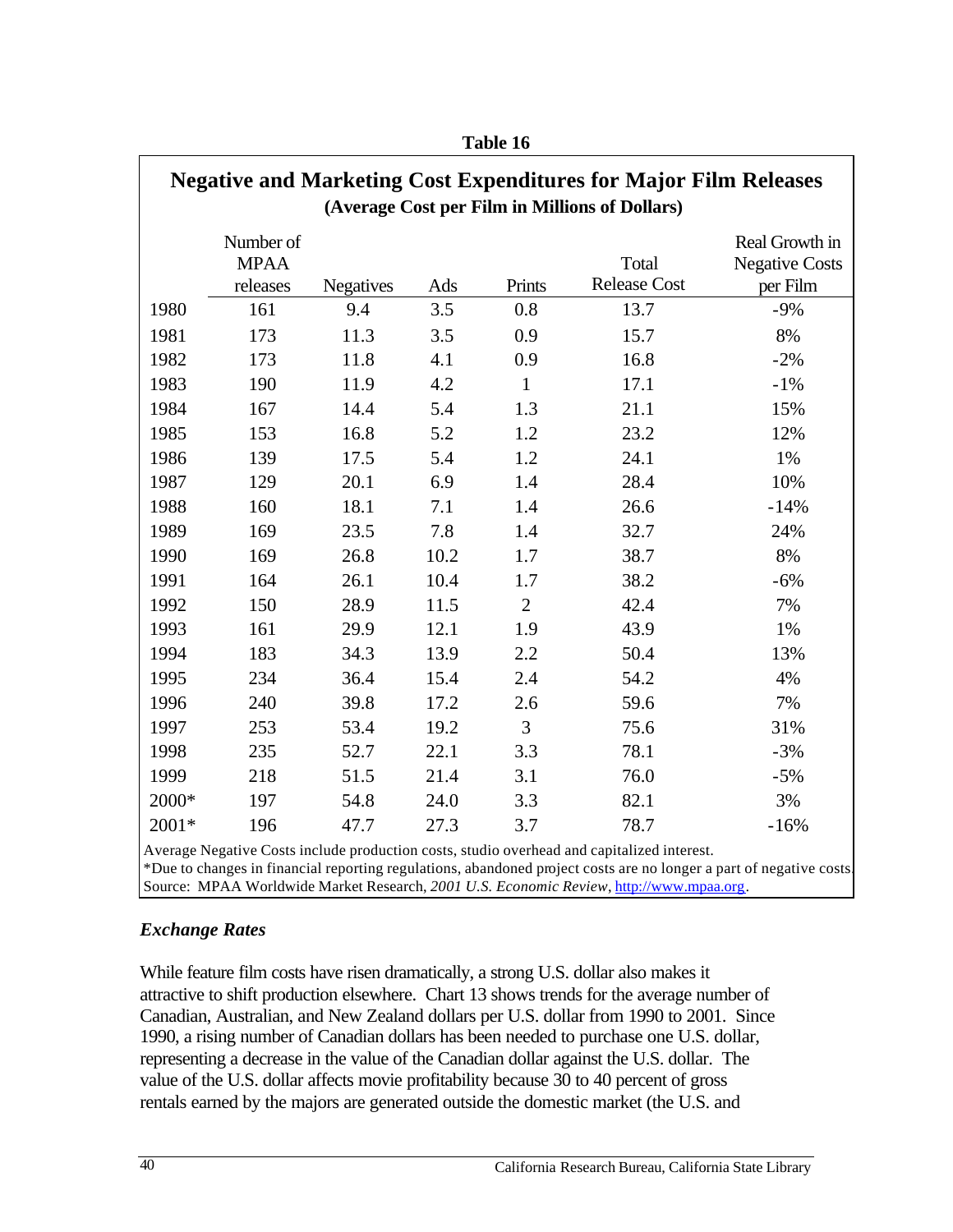| <b>Negative and Marketing Cost Expenditures for Major Film Releases</b><br>(Average Cost per Film in Millions of Dollars) |                                      |                  |      |                |                              |                                                     |  |  |
|---------------------------------------------------------------------------------------------------------------------------|--------------------------------------|------------------|------|----------------|------------------------------|-----------------------------------------------------|--|--|
|                                                                                                                           | Number of<br><b>MPAA</b><br>releases | <b>Negatives</b> | Ads  | Prints         | Total<br><b>Release Cost</b> | Real Growth in<br><b>Negative Costs</b><br>per Film |  |  |
| 1980                                                                                                                      | 161                                  | 9.4              | 3.5  | 0.8            | 13.7                         | $-9%$                                               |  |  |
| 1981                                                                                                                      | 173                                  | 11.3             | 3.5  | 0.9            | 15.7                         | 8%                                                  |  |  |
| 1982                                                                                                                      | 173                                  | 11.8             | 4.1  | 0.9            | 16.8                         | $-2%$                                               |  |  |
| 1983                                                                                                                      | 190                                  | 11.9             | 4.2  | $\mathbf{1}$   | 17.1                         | $-1\%$                                              |  |  |
| 1984                                                                                                                      | 167                                  | 14.4             | 5.4  | 1.3            | 21.1                         | 15%                                                 |  |  |
| 1985                                                                                                                      | 153                                  | 16.8             | 5.2  | 1.2            | 23.2                         | 12%                                                 |  |  |
| 1986                                                                                                                      | 139                                  | 17.5             | 5.4  | 1.2            | 24.1                         | 1%                                                  |  |  |
| 1987                                                                                                                      | 129                                  | 20.1             | 6.9  | 1.4            | 28.4                         | 10%                                                 |  |  |
| 1988                                                                                                                      | 160                                  | 18.1             | 7.1  | 1.4            | 26.6                         | $-14%$                                              |  |  |
| 1989                                                                                                                      | 169                                  | 23.5             | 7.8  | 1.4            | 32.7                         | 24%                                                 |  |  |
| 1990                                                                                                                      | 169                                  | 26.8             | 10.2 | 1.7            | 38.7                         | 8%                                                  |  |  |
| 1991                                                                                                                      | 164                                  | 26.1             | 10.4 | 1.7            | 38.2                         | $-6%$                                               |  |  |
| 1992                                                                                                                      | 150                                  | 28.9             | 11.5 | $\overline{2}$ | 42.4                         | 7%                                                  |  |  |
| 1993                                                                                                                      | 161                                  | 29.9             | 12.1 | 1.9            | 43.9                         | 1%                                                  |  |  |
| 1994                                                                                                                      | 183                                  | 34.3             | 13.9 | 2.2            | 50.4                         | 13%                                                 |  |  |
| 1995                                                                                                                      | 234                                  | 36.4             | 15.4 | 2.4            | 54.2                         | 4%                                                  |  |  |
| 1996                                                                                                                      | 240                                  | 39.8             | 17.2 | 2.6            | 59.6                         | 7%                                                  |  |  |
| 1997                                                                                                                      | 253                                  | 53.4             | 19.2 | 3              | 75.6                         | 31%                                                 |  |  |
| 1998                                                                                                                      | 235                                  | 52.7             | 22.1 | 3.3            | 78.1                         | $-3%$                                               |  |  |
| 1999                                                                                                                      | 218                                  | 51.5             | 21.4 | 3.1            | 76.0                         | $-5%$                                               |  |  |
| 2000*                                                                                                                     | 197                                  | 54.8             | 24.0 | 3.3            | 82.1                         | 3%                                                  |  |  |
| 2001*                                                                                                                     | 196                                  | 47.7             | 27.3 | 3.7            | 78.7                         | $-16%$                                              |  |  |

**Table 16** 

 Average Negative Costs include production costs, studio overhead and capitalized interest. \*Due to changes in financial reporting regulations, abandoned project costs are no longer a part of negative costs. Source: MPAA Worldwide Market Research, *2001 U.S. Economic Review*, http://www.mpaa.org.

#### *Exchange Rates*

While feature film costs have risen dramatically, a strong U.S. dollar also makes it attractive to shift production elsewhere. Chart 13 shows trends for the average number of Canadian, Australian, and New Zealand dollars per U.S. dollar from 1990 to 2001. Since 1990, a rising number of Canadian dollars has been needed to purchase one U.S. dollar, representing a decrease in the value of the Canadian dollar against the U.S. dollar. The value of the U.S. dollar affects movie profitability because 30 to 40 percent of gross rentals earned by the majors are generated outside the domestic market (the U.S. and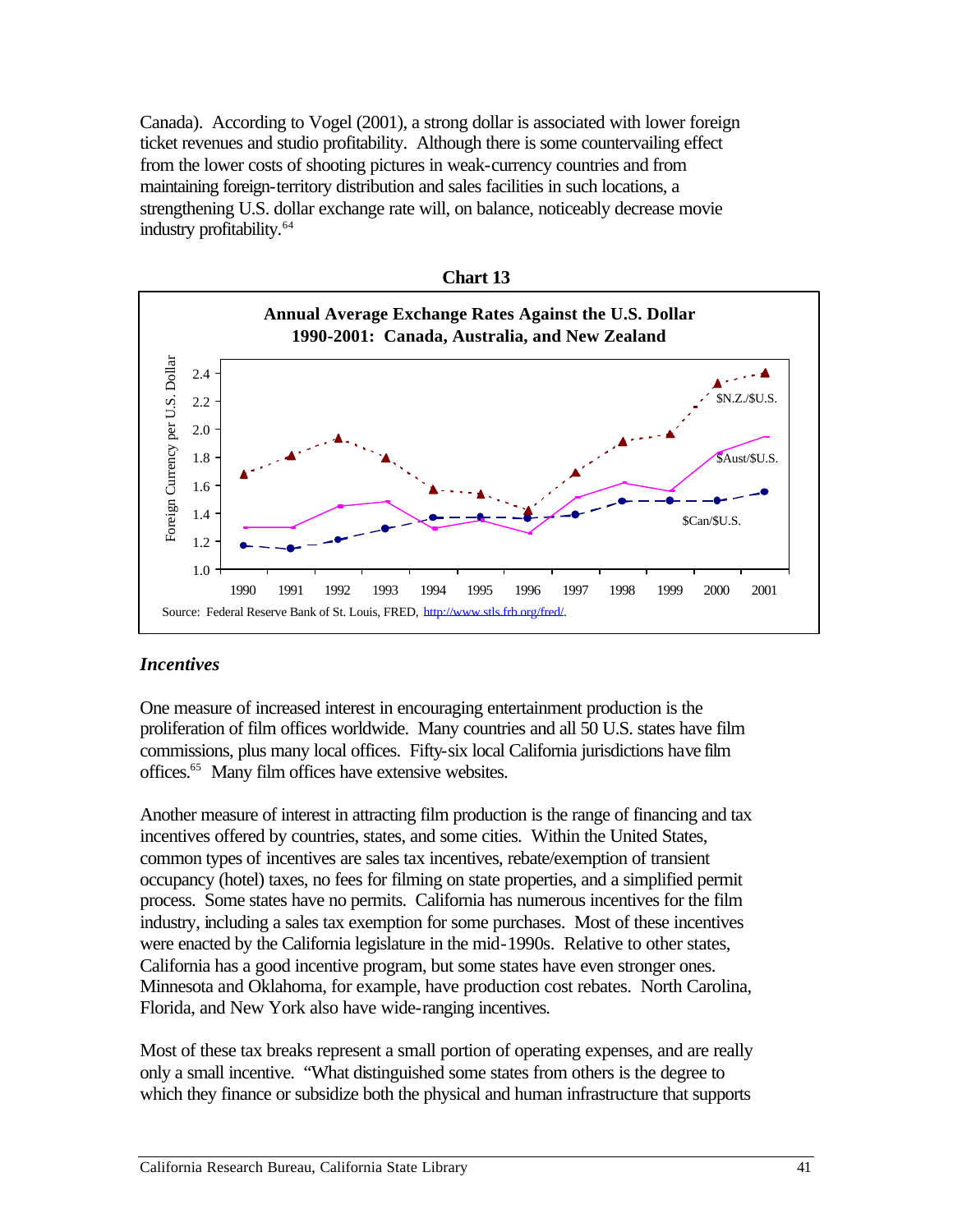Canada). According to Vogel (2001), a strong dollar is associated with lower foreign ticket revenues and studio profitability. Although there is some countervailing effect from the lower costs of shooting pictures in weak-currency countries and from maintaining foreign-territory distribution and sales facilities in such locations, a strengthening U.S. dollar exchange rate will, on balance, noticeably decrease movie industry profitability.64



#### *Incentives*

One measure of increased interest in encouraging entertainment production is the proliferation of film offices worldwide. Many countries and all 50 U.S. states have film commissions, plus many local offices. Fifty-six local California jurisdictions have film offices.65 Many film offices have extensive websites.

Another measure of interest in attracting film production is the range of financing and tax incentives offered by countries, states, and some cities. Within the United States, common types of incentives are sales tax incentives, rebate/exemption of transient occupancy (hotel) taxes, no fees for filming on state properties, and a simplified permit process. Some states have no permits. California has numerous incentives for the film industry, including a sales tax exemption for some purchases. Most of these incentives were enacted by the California legislature in the mid-1990s. Relative to other states, California has a good incentive program, but some states have even stronger ones. Minnesota and Oklahoma, for example, have production cost rebates. North Carolina, Florida, and New York also have wide-ranging incentives.

Most of these tax breaks represent a small portion of operating expenses, and are really only a small incentive. "What distinguished some states from others is the degree to which they finance or subsidize both the physical and human infrastructure that supports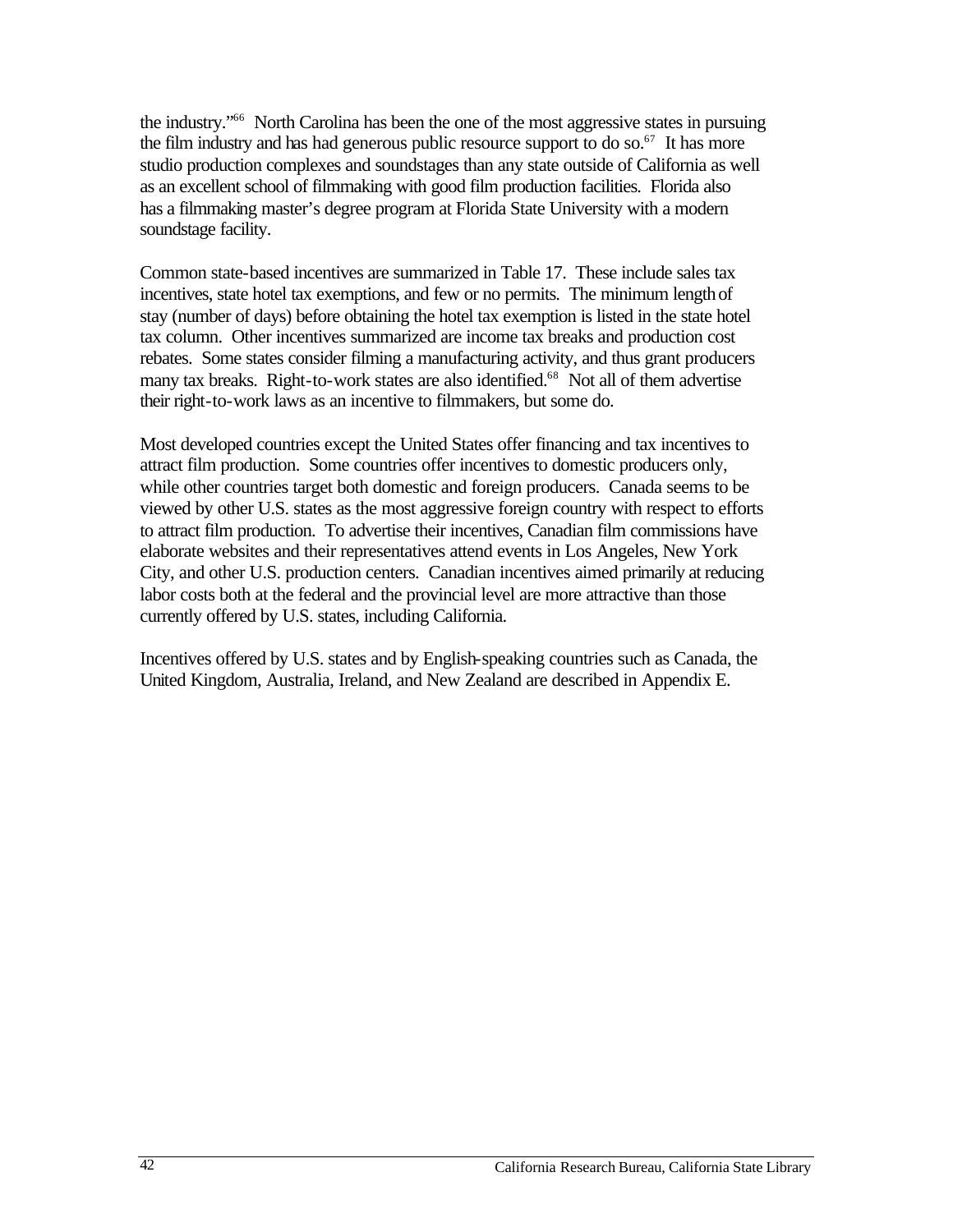the industry."66 North Carolina has been the one of the most aggressive states in pursuing the film industry and has had generous public resource support to do so.<sup>67</sup> It has more studio production complexes and soundstages than any state outside of California as well as an excellent school of filmmaking with good film production facilities. Florida also has a filmmaking master's degree program at Florida State University with a modern soundstage facility.

Common state-based incentives are summarized in Table 17. These include sales tax incentives, state hotel tax exemptions, and few or no permits. The minimum length of stay (number of days) before obtaining the hotel tax exemption is listed in the state hotel tax column. Other incentives summarized are income tax breaks and production cost rebates. Some states consider filming a manufacturing activity, and thus grant producers many tax breaks. Right-to-work states are also identified.<sup>68</sup> Not all of them advertise their right-to-work laws as an incentive to filmmakers, but some do.

Most developed countries except the United States offer financing and tax incentives to attract film production. Some countries offer incentives to domestic producers only, while other countries target both domestic and foreign producers. Canada seems to be viewed by other U.S. states as the most aggressive foreign country with respect to efforts to attract film production. To advertise their incentives, Canadian film commissions have elaborate websites and their representatives attend events in Los Angeles, New York City, and other U.S. production centers. Canadian incentives aimed primarily at reducing labor costs both at the federal and the provincial level are more attractive than those currently offered by U.S. states, including California.

Incentives offered by U.S. states and by English-speaking countries such as Canada, the United Kingdom, Australia, Ireland, and New Zealand are described in Appendix E.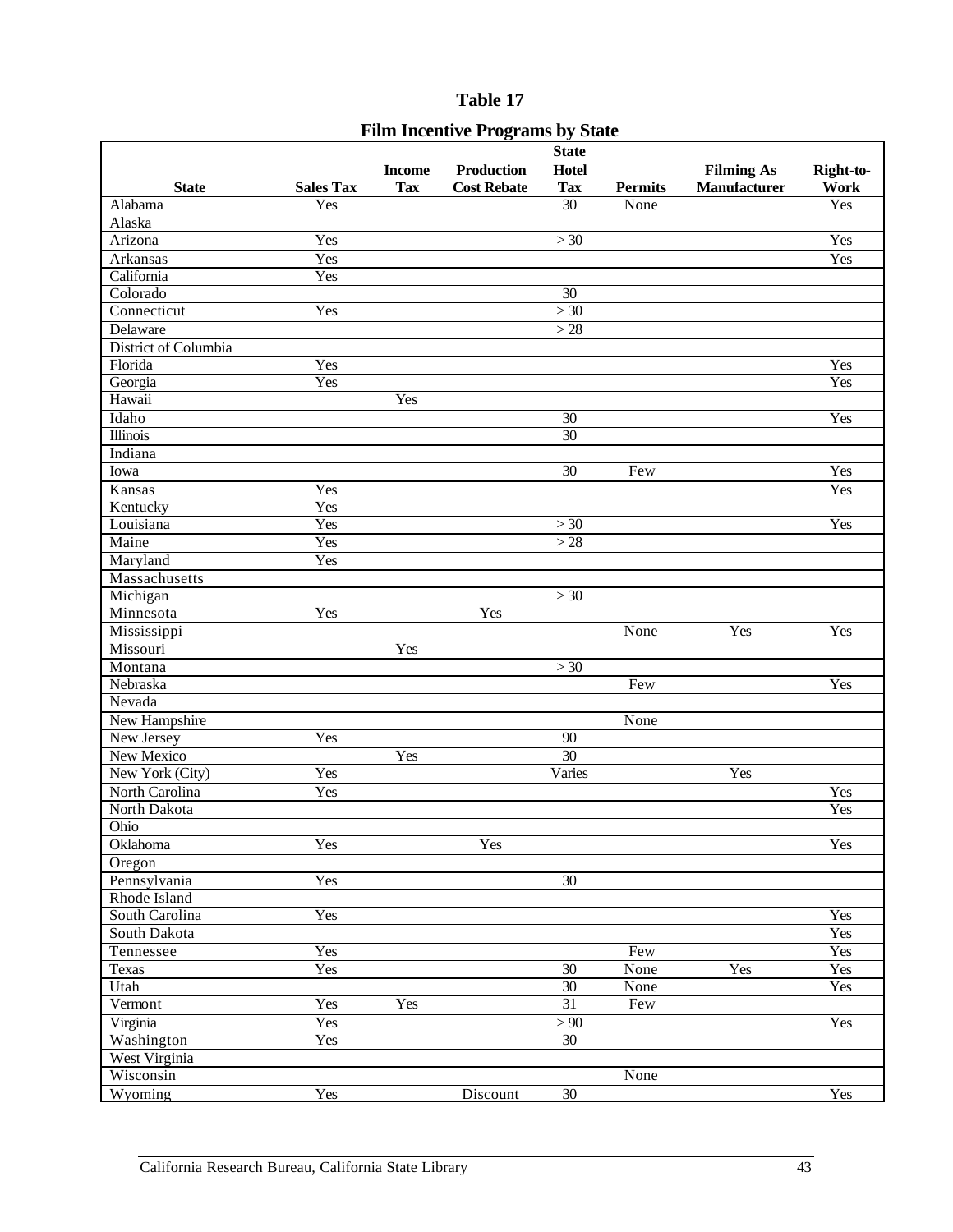## Table 17

|                                         |                  |               | Table 17           |                       |                |                     |           |  |
|-----------------------------------------|------------------|---------------|--------------------|-----------------------|----------------|---------------------|-----------|--|
| <b>Film Incentive Programs by State</b> |                  |               |                    |                       |                |                     |           |  |
|                                         |                  |               |                    | <b>State</b>          |                |                     |           |  |
|                                         |                  | <b>Income</b> | <b>Production</b>  | <b>Hotel</b>          |                | <b>Filming As</b>   | Right-to- |  |
| <b>State</b>                            | <b>Sales Tax</b> | <b>Tax</b>    | <b>Cost Rebate</b> | <b>Tax</b>            | <b>Permits</b> | <b>Manufacturer</b> | Work      |  |
| Alabama                                 | Yes              |               |                    | $\overline{30}$       | None           |                     | Yes       |  |
| Alaska                                  |                  |               |                    |                       |                |                     |           |  |
| Arizona                                 | Yes              |               |                    | >30                   |                |                     | Yes       |  |
| Arkansas                                | Yes              |               |                    |                       |                |                     | Yes       |  |
| California                              | Yes              |               |                    |                       |                |                     |           |  |
| Colorado                                |                  |               |                    | 30                    |                |                     |           |  |
| Connecticut                             | Yes              |               |                    | >30                   |                |                     |           |  |
| Delaware                                |                  |               |                    | >28                   |                |                     |           |  |
| District of Columbia                    |                  |               |                    |                       |                |                     |           |  |
| Florida                                 | Yes              |               |                    |                       |                |                     | Yes       |  |
| Georgia                                 | Yes              |               |                    |                       |                |                     | Yes       |  |
| Hawaii                                  |                  | <b>Yes</b>    |                    |                       |                |                     |           |  |
| Idaho                                   |                  |               |                    | $\overline{30}$       |                |                     | Yes       |  |
| <b>Illinois</b>                         |                  |               |                    | $\overline{30}$       |                |                     |           |  |
| Indiana                                 |                  |               |                    |                       |                |                     |           |  |
| Iowa                                    |                  |               |                    | $\overline{30}$       | Few            |                     | Yes       |  |
| Kansas                                  | Yes              |               |                    |                       |                |                     | Yes       |  |
| Kentucky                                | Yes              |               |                    |                       |                |                     |           |  |
| Louisiana                               | Yes              |               |                    | >30                   |                |                     | Yes       |  |
| Maine                                   | Yes              |               |                    | >28                   |                |                     |           |  |
| Maryland                                | Yes              |               |                    |                       |                |                     |           |  |
| Massachusetts                           |                  |               |                    |                       |                |                     |           |  |
| Michigan                                |                  |               |                    | > 30                  |                |                     |           |  |
| Minnesota                               | Yes              |               | Yes                |                       |                |                     |           |  |
| Mississippi                             |                  |               |                    |                       | None           | Yes                 | Yes       |  |
| Missouri                                |                  | Yes           |                    |                       |                |                     |           |  |
| $\overline{\mathrm{M}}$ ontana          |                  |               |                    | >30                   |                |                     |           |  |
| Nebraska                                |                  |               |                    |                       | Few            |                     | Yes       |  |
| Nevada                                  |                  |               |                    |                       |                |                     |           |  |
| New Hampshire                           |                  |               |                    |                       | None           |                     |           |  |
| New Jersey                              | Yes              |               |                    | $90\,$                |                |                     |           |  |
| <b>New Mexico</b>                       |                  | Yes           |                    | 30                    |                |                     |           |  |
| New York (City)                         | Yes              |               |                    | Varies                |                | Yes                 |           |  |
| North Carolina                          | Yes              |               |                    |                       |                |                     | Yes       |  |
| North Dakota                            |                  |               |                    |                       |                |                     | Yes       |  |
| Ohio                                    |                  |               |                    |                       |                |                     |           |  |
| Oklahoma                                | Yes              |               | Yes                |                       |                |                     | Yes       |  |
| Oregon                                  |                  |               |                    |                       |                |                     |           |  |
| Pennsylvania                            | Yes              |               |                    | 30                    |                |                     |           |  |
| Rhode Island                            |                  |               |                    |                       |                |                     |           |  |
| South Carolina                          | Yes              |               |                    |                       |                |                     | Yes       |  |
| South Dakota                            |                  |               |                    |                       |                |                     | Yes       |  |
| Tennessee                               | Yes              |               |                    |                       | Few            |                     | Yes       |  |
| Texas                                   | Yes              |               |                    | $\overline{30}$       | None           | Yes                 | Yes       |  |
| Utah                                    |                  |               |                    | 30<br>$\overline{31}$ | None           |                     | Yes       |  |
| Vermont                                 | Yes              | Yes           |                    |                       | Few            |                     |           |  |
| Virginia                                | Yes              |               |                    | > 90                  |                |                     | Yes       |  |
| Washington                              | Yes              |               |                    | $\overline{30}$       |                |                     |           |  |
| West Virginia<br>Wisconsin              |                  |               |                    |                       | None           |                     |           |  |
|                                         |                  |               |                    |                       |                |                     |           |  |
| Wyoming                                 | Yes              |               | Discount           | 30                    |                |                     | Yes       |  |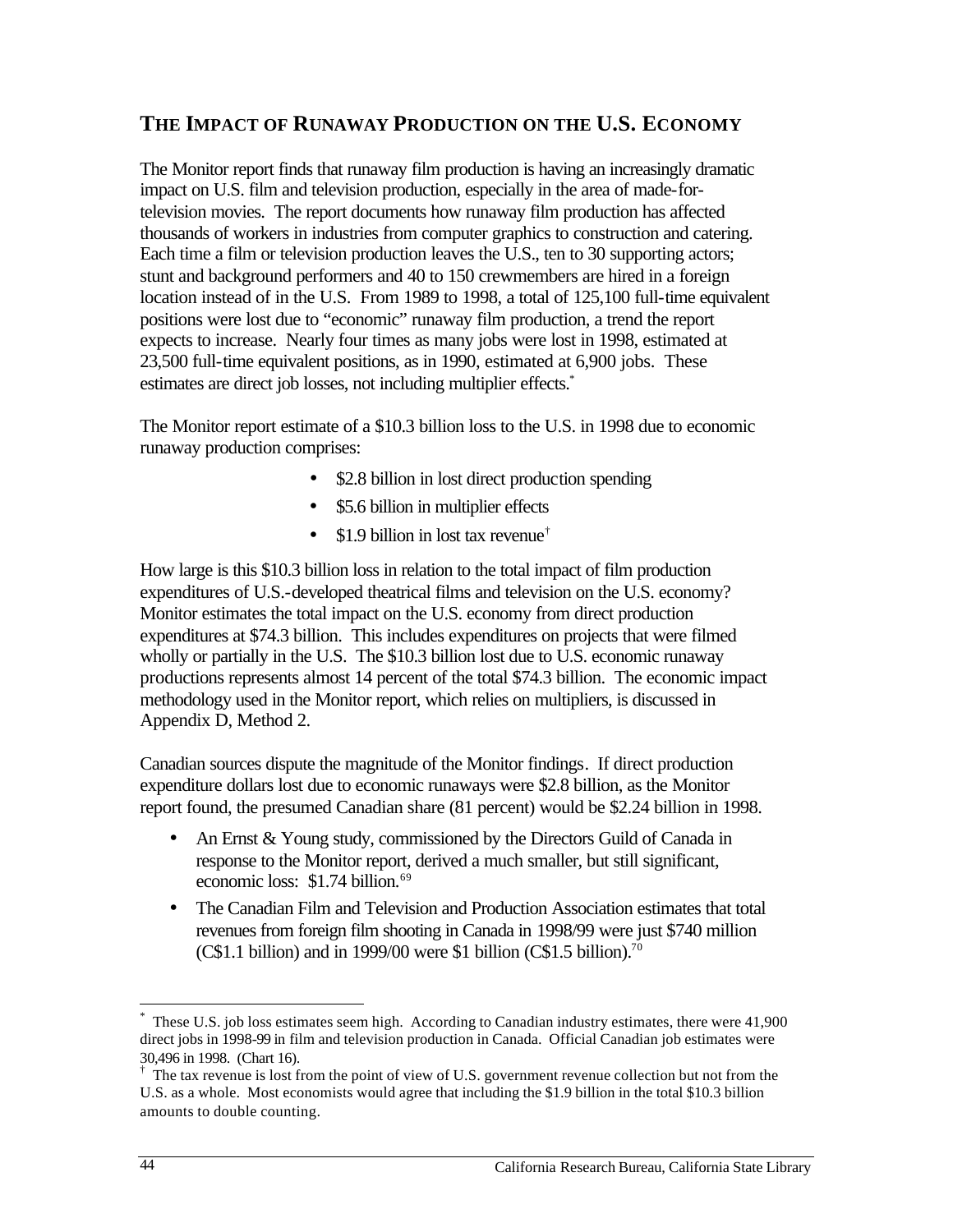# **THE IMPACT OF RUNAWAY PRODUCTION ON THE U.S. ECONOMY**

The Monitor report finds that runaway film production is having an increasingly dramatic impact on U.S. film and television production, especially in the area of made-fortelevision movies. The report documents how runaway film production has affected thousands of workers in industries from computer graphics to construction and catering. Each time a film or television production leaves the U.S., ten to 30 supporting actors; stunt and background performers and 40 to 150 crewmembers are hired in a foreign location instead of in the U.S. From 1989 to 1998, a total of 125,100 full-time equivalent positions were lost due to "economic" runaway film production, a trend the report expects to increase. Nearly four times as many jobs were lost in 1998, estimated at 23,500 full-time equivalent positions, as in 1990, estimated at 6,900 jobs. These estimates are direct job losses, not including multiplier effects.<sup>\*</sup>

The Monitor report estimate of a \$10.3 billion loss to the U.S. in 1998 due to economic runaway production comprises:

- \$2.8 billion in lost direct production spending
- \$5.6 billion in multiplier effects
- \$1.9 billion in lost tax revenue<sup>†</sup>

How large is this \$10.3 billion loss in relation to the total impact of film production expenditures of U.S.-developed theatrical films and television on the U.S. economy? Monitor estimates the total impact on the U.S. economy from direct production expenditures at \$74.3 billion. This includes expenditures on projects that were filmed wholly or partially in the U.S. The \$10.3 billion lost due to U.S. economic runaway productions represents almost 14 percent of the total \$74.3 billion. The economic impact methodology used in the Monitor report, which relies on multipliers, is discussed in Appendix D, Method 2.

Canadian sources dispute the magnitude of the Monitor findings. If direct production expenditure dollars lost due to economic runaways were \$2.8 billion, as the Monitor report found, the presumed Canadian share (81 percent) would be \$2.24 billion in 1998.

- An Ernst & Young study, commissioned by the Directors Guild of Canada in response to the Monitor report, derived a much smaller, but still significant, economic loss: \$1.74 billion.<sup>69</sup>
- The Canadian Film and Television and Production Association estimates that total revenues from foreign film shooting in Canada in 1998/99 were just \$740 million  $(C$1.1 billion)$  and in 1999/00 were \$1 billion  $(C$1.5 billion).<sup>70</sup>$

 $\overline{a}$ 

These U.S. job loss estimates seem high. According to Canadian industry estimates, there were 41,900 direct jobs in 1998-99 in film and television production in Canada. Official Canadian job estimates were 30,496 in 1998. (Chart 16).

 $\dagger$  The tax revenue is lost from the point of view of U.S. government revenue collection but not from the U.S. as a whole. Most economists would agree that including the \$1.9 billion in the total \$10.3 billion amounts to double counting.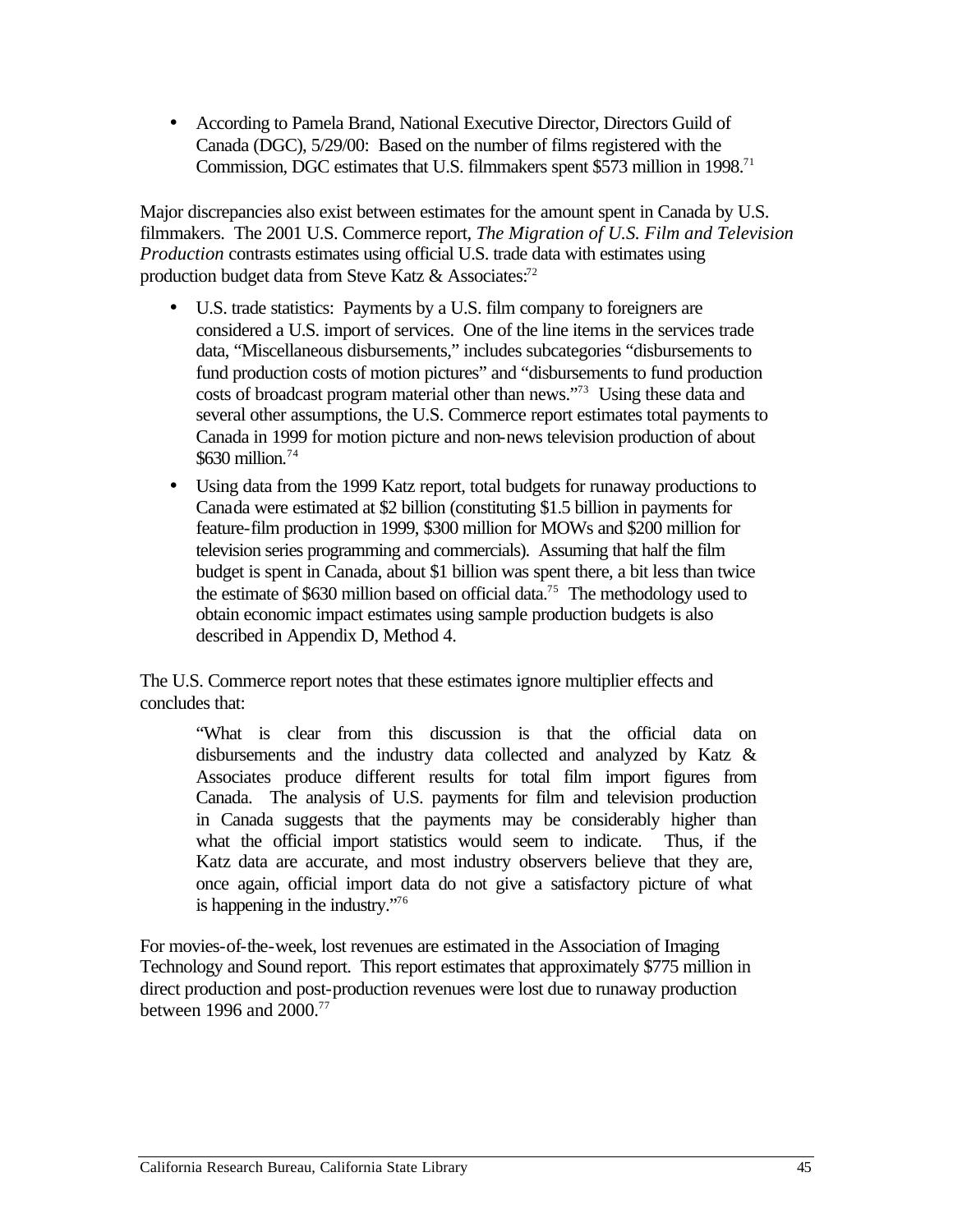• According to Pamela Brand, National Executive Director, Directors Guild of Canada (DGC), 5/29/00: Based on the number of films registered with the Commission, DGC estimates that U.S. filmmakers spent \$573 million in 1998.<sup>71</sup>

Major discrepancies also exist between estimates for the amount spent in Canada by U.S. filmmakers. The 2001 U.S. Commerce report, *The Migration of U.S. Film and Television Production* contrasts estimates using official U.S. trade data with estimates using production budget data from Steve Katz & Associates:<sup>72</sup>

- U.S. trade statistics: Payments by a U.S. film company to foreigners are considered a U.S. import of services. One of the line items in the services trade data, "Miscellaneous disbursements," includes subcategories "disbursements to fund production costs of motion pictures" and "disbursements to fund production costs of broadcast program material other than news."73 Using these data and several other assumptions, the U.S. Commerce report estimates total payments to Canada in 1999 for motion picture and non-news television production of about \$630 million.74
- Using data from the 1999 Katz report, total budgets for runaway productions to Canada were estimated at \$2 billion (constituting \$1.5 billion in payments for feature-film production in 1999, \$300 million for MOWs and \$200 million for television series programming and commercials). Assuming that half the film budget is spent in Canada, about \$1 billion was spent there, a bit less than twice the estimate of \$630 million based on official data.<sup>75</sup> The methodology used to obtain economic impact estimates using sample production budgets is also described in Appendix D, Method 4.

The U.S. Commerce report notes that these estimates ignore multiplier effects and concludes that:

"What is clear from this discussion is that the official data on disbursements and the industry data collected and analyzed by Katz & Associates produce different results for total film import figures from Canada. The analysis of U.S. payments for film and television production in Canada suggests that the payments may be considerably higher than what the official import statistics would seem to indicate. Thus, if the Katz data are accurate, and most industry observers believe that they are, once again, official import data do not give a satisfactory picture of what is happening in the industry."76

For movies-of-the-week, lost revenues are estimated in the Association of Imaging Technology and Sound report. This report estimates that approximately \$775 million in direct production and post-production revenues were lost due to runaway production between 1996 and 2000.77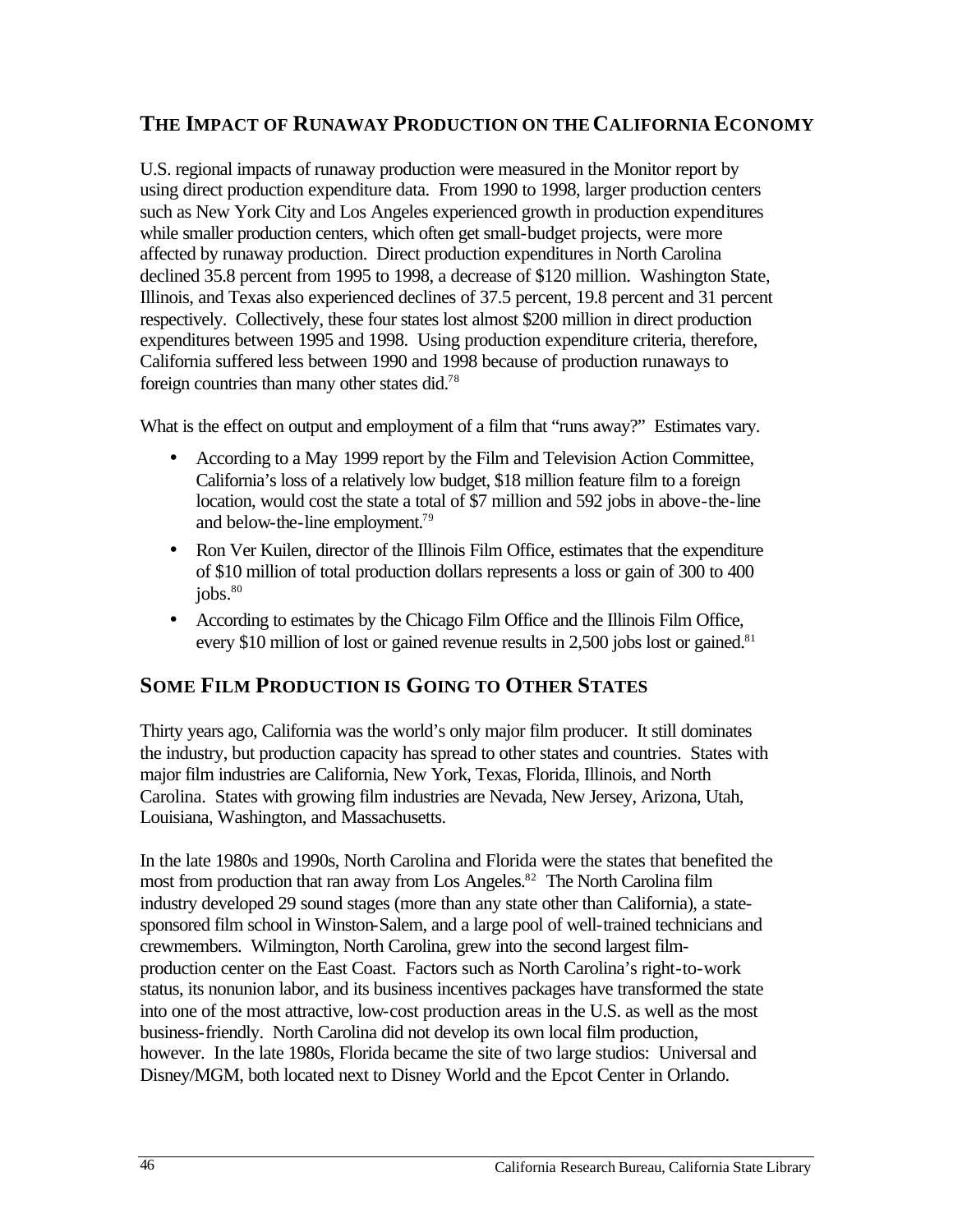# **THE IMPACT OF RUNAWAY PRODUCTION ON THE CALIFORNIA ECONOMY**

U.S. regional impacts of runaway production were measured in the Monitor report by using direct production expenditure data. From 1990 to 1998, larger production centers such as New York City and Los Angeles experienced growth in production expenditures while smaller production centers, which often get small-budget projects, were more affected by runaway production. Direct production expenditures in North Carolina declined 35.8 percent from 1995 to 1998, a decrease of \$120 million. Washington State, Illinois, and Texas also experienced declines of 37.5 percent, 19.8 percent and 31 percent respectively. Collectively, these four states lost almost \$200 million in direct production expenditures between 1995 and 1998. Using production expenditure criteria, therefore, California suffered less between 1990 and 1998 because of production runaways to foreign countries than many other states did.78

What is the effect on output and employment of a film that "runs away?" Estimates vary.

- According to a May 1999 report by the Film and Television Action Committee, California's loss of a relatively low budget, \$18 million feature film to a foreign location, would cost the state a total of \$7 million and 592 jobs in above-the-line and below-the-line employment.79
- Ron Ver Kuilen, director of the Illinois Film Office, estimates that the expenditure of \$10 million of total production dollars represents a loss or gain of 300 to 400 jobs.<sup>80</sup>
- According to estimates by the Chicago Film Office and the Illinois Film Office, every \$10 million of lost or gained revenue results in  $2,500$  jobs lost or gained.<sup>81</sup>

# **SOME FILM PRODUCTION IS GOING TO OTHER STATES**

Thirty years ago, California was the world's only major film producer. It still dominates the industry, but production capacity has spread to other states and countries. States with major film industries are California, New York, Texas, Florida, Illinois, and North Carolina. States with growing film industries are Nevada, New Jersey, Arizona, Utah, Louisiana, Washington, and Massachusetts.

most from production that ran away from Los Angeles.<sup>82</sup> The North Carolina film In the late 1980s and 1990s, North Carolina and Florida were the states that benefited the industry developed 29 sound stages (more than any state other than California), a statesponsored film school in Winston-Salem, and a large pool of well-trained technicians and crewmembers. Wilmington, North Carolina, grew into the second largest filmproduction center on the East Coast. Factors such as North Carolina's right-to-work status, its nonunion labor, and its business incentives packages have transformed the state into one of the most attractive, low-cost production areas in the U.S. as well as the most business-friendly. North Carolina did not develop its own local film production, however. In the late 1980s, Florida became the site of two large studios: Universal and Disney/MGM, both located next to Disney World and the Epcot Center in Orlando.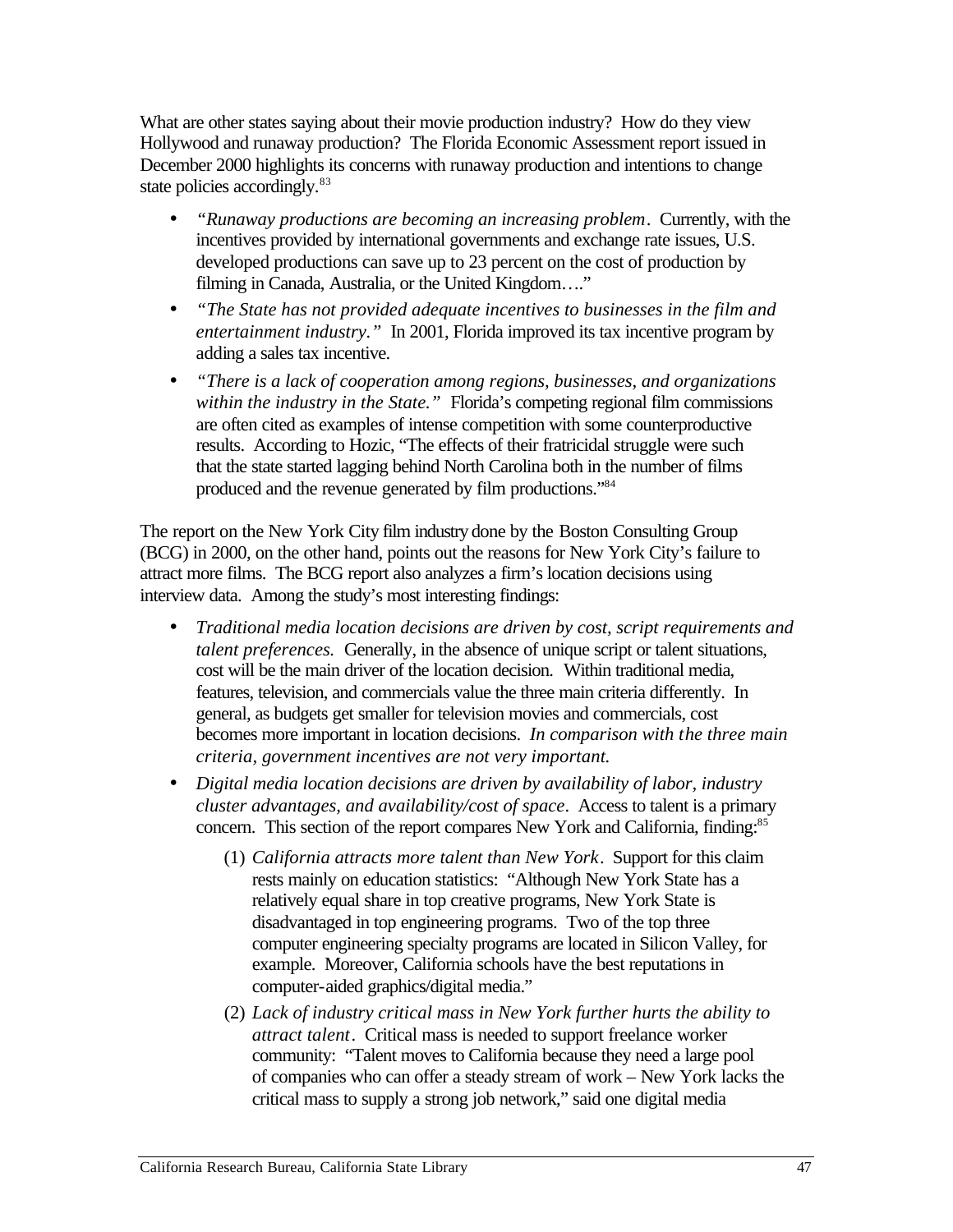What are other states saying about their movie production industry? How do they view Hollywood and runaway production? The Florida Economic Assessment report issued in December 2000 highlights its concerns with runaway production and intentions to change state policies accordingly.<sup>83</sup>

- • *"Runaway productions are becoming an increasing problem*. Currently, with the incentives provided by international governments and exchange rate issues, U.S. developed productions can save up to 23 percent on the cost of production by filming in Canada, Australia, or the United Kingdom…."
- • *"The State has not provided adequate incentives to businesses in the film and entertainment industry."* In 2001, Florida improved its tax incentive program by adding a sales tax incentive.
- • *"There is a lack of cooperation among regions, businesses, and organizations within the industry in the State."* Florida's competing regional film commissions are often cited as examples of intense competition with some counterproductive results. According to Hozic, "The effects of their fratricidal struggle were such that the state started lagging behind North Carolina both in the number of films produced and the revenue generated by film productions."84

The report on the New York City film industry done by the Boston Consulting Group (BCG) in 2000, on the other hand, points out the reasons for New York City's failure to attract more films. The BCG report also analyzes a firm's location decisions using interview data. Among the study's most interesting findings:

- • *Traditional media location decisions are driven by cost, script requirements and talent preferences.* Generally, in the absence of unique script or talent situations, cost will be the main driver of the location decision. Within traditional media, features, television, and commercials value the three main criteria differently. In general, as budgets get smaller for television movies and commercials, cost becomes more important in location decisions. *In comparison with the three main criteria, government incentives are not very important.*
- • *Digital media location decisions are driven by availability of labor, industry cluster advantages, and availability/cost of space*. Access to talent is a primary concern. This section of the report compares New York and California, finding:<sup>85</sup>
	- (1) *California attracts more talent than New York*. Support for this claim rests mainly on education statistics: "Although New York State has a relatively equal share in top creative programs, New York State is disadvantaged in top engineering programs. Two of the top three computer engineering specialty programs are located in Silicon Valley, for example. Moreover, California schools have the best reputations in computer-aided graphics/digital media."
	- (2) *Lack of industry critical mass in New York further hurts the ability to attract talent*. Critical mass is needed to support freelance worker community: "Talent moves to California because they need a large pool of companies who can offer a steady stream of work – New York lacks the critical mass to supply a strong job network," said one digital media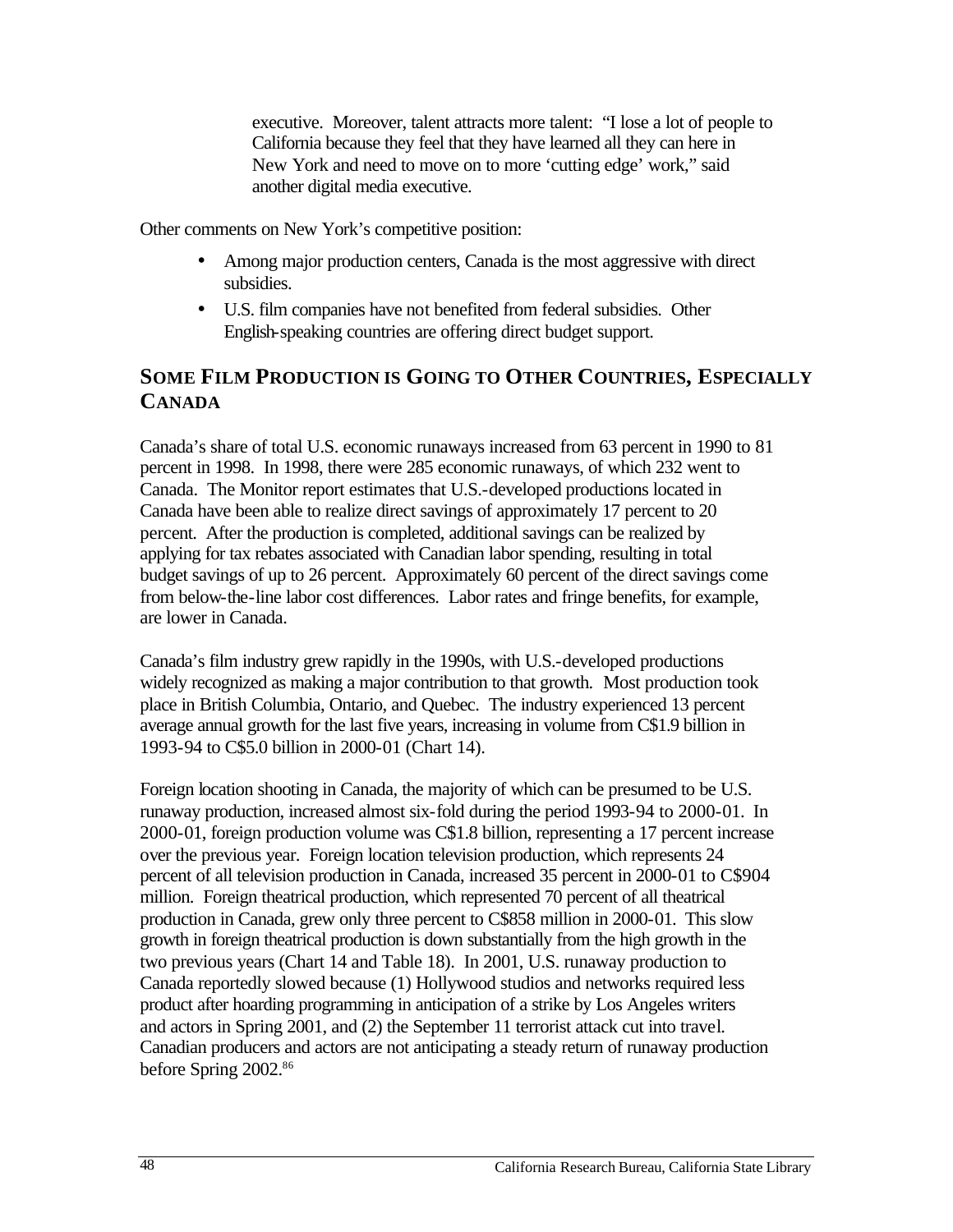executive. Moreover, talent attracts more talent: "I lose a lot of people to California because they feel that they have learned all they can here in New York and need to move on to more 'cutting edge' work," said another digital media executive.

Other comments on New York's competitive position:

- Among major production centers, Canada is the most aggressive with direct subsidies.
- U.S. film companies have not benefited from federal subsidies. Other English-speaking countries are offering direct budget support.

# **SOME FILM PRODUCTION IS GOING TO OTHER COUNTRIES, ESPECIALLY CANADA**

Canada's share of total U.S. economic runaways increased from 63 percent in 1990 to 81 percent in 1998. In 1998, there were 285 economic runaways, of which 232 went to Canada. The Monitor report estimates that U.S.-developed productions located in Canada have been able to realize direct savings of approximately 17 percent to 20 percent. After the production is completed, additional savings can be realized by applying for tax rebates associated with Canadian labor spending, resulting in total budget savings of up to 26 percent. Approximately 60 percent of the direct savings come from below-the-line labor cost differences. Labor rates and fringe benefits, for example, are lower in Canada.

Canada's film industry grew rapidly in the 1990s, with U.S.-developed productions widely recognized as making a major contribution to that growth. Most production took place in British Columbia, Ontario, and Quebec. The industry experienced 13 percent average annual growth for the last five years, increasing in volume from C\$1.9 billion in 1993-94 to C\$5.0 billion in 2000-01 (Chart 14).

Foreign location shooting in Canada, the majority of which can be presumed to be U.S. runaway production, increased almost six-fold during the period 1993-94 to 2000-01. In 2000-01, foreign production volume was C\$1.8 billion, representing a 17 percent increase over the previous year. Foreign location television production, which represents 24 percent of all television production in Canada, increased 35 percent in 2000-01 to C\$904 million. Foreign theatrical production, which represented 70 percent of all theatrical production in Canada, grew only three percent to C\$858 million in 2000-01. This slow growth in foreign theatrical production is down substantially from the high growth in the two previous years (Chart 14 and Table 18). In 2001, U.S. runaway production to Canada reportedly slowed because (1) Hollywood studios and networks required less product after hoarding programming in anticipation of a strike by Los Angeles writers and actors in Spring 2001, and (2) the September 11 terrorist attack cut into travel. Canadian producers and actors are not anticipating a steady return of runaway production before Spring 2002.<sup>86</sup>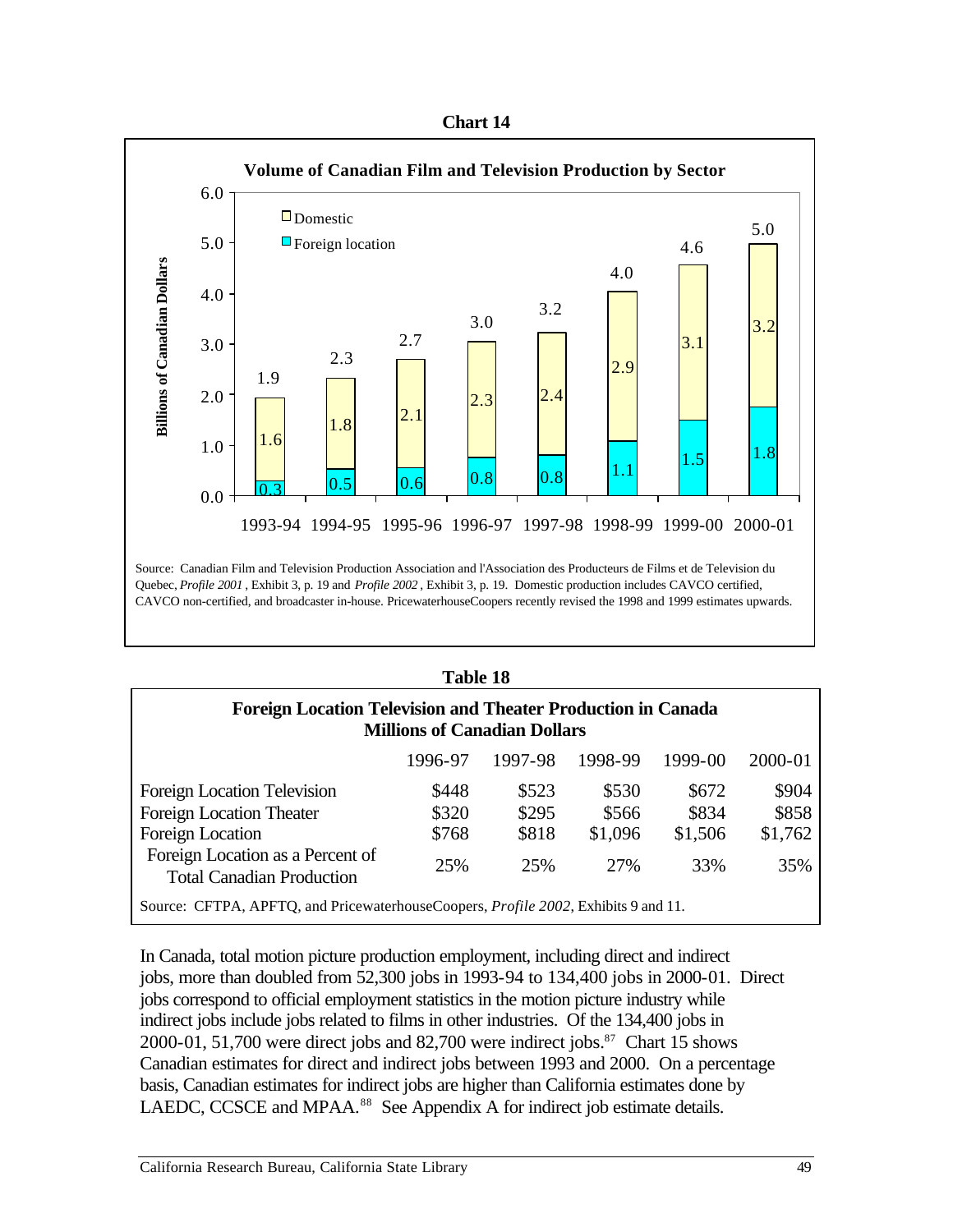| nar |  |
|-----|--|
|-----|--|



#### **Table 18**

| <b>Foreign Location Television and Theater Production in Canada</b><br><b>Millions of Canadian Dollars</b> |       |       |       |       |         |  |  |  |
|------------------------------------------------------------------------------------------------------------|-------|-------|-------|-------|---------|--|--|--|
| 1997-98<br>1998-99<br>2000-01<br>1996-97<br>1999-00                                                        |       |       |       |       |         |  |  |  |
| Foreign Location Television                                                                                | \$448 | \$523 | \$530 | \$672 | \$904   |  |  |  |
| Foreign Location Theater                                                                                   | \$320 | \$295 | \$566 | \$834 | \$858   |  |  |  |
| Foreign Location<br>\$768<br>\$818<br>\$1,096<br>\$1,506                                                   |       |       |       |       | \$1,762 |  |  |  |
| Foreign Location as a Percent of<br><b>Total Canadian Production</b>                                       | 25%   | 25%   | 27%   | 33%   | 35%     |  |  |  |
| Source: CFTPA, APFTO, and PricewaterhouseCoopers, <i>Profile 2002</i> , Exhibits 9 and 11.                 |       |       |       |       |         |  |  |  |

In Canada, total motion picture production employment, including direct and indirect jobs, more than doubled from 52,300 jobs in 1993-94 to 134,400 jobs in 2000-01. Direct jobs correspond to official employment statistics in the motion picture industry while indirect jobs include jobs related to films in other industries. Of the 134,400 jobs in 2000-01, 51,700 were direct jobs and 82,700 were indirect jobs. $87$  Chart 15 shows Canadian estimates for direct and indirect jobs between 1993 and 2000. On a percentage basis, Canadian estimates for indirect jobs are higher than California estimates done by LAEDC, CCSCE and MPAA.<sup>88</sup> See Appendix A for indirect job estimate details.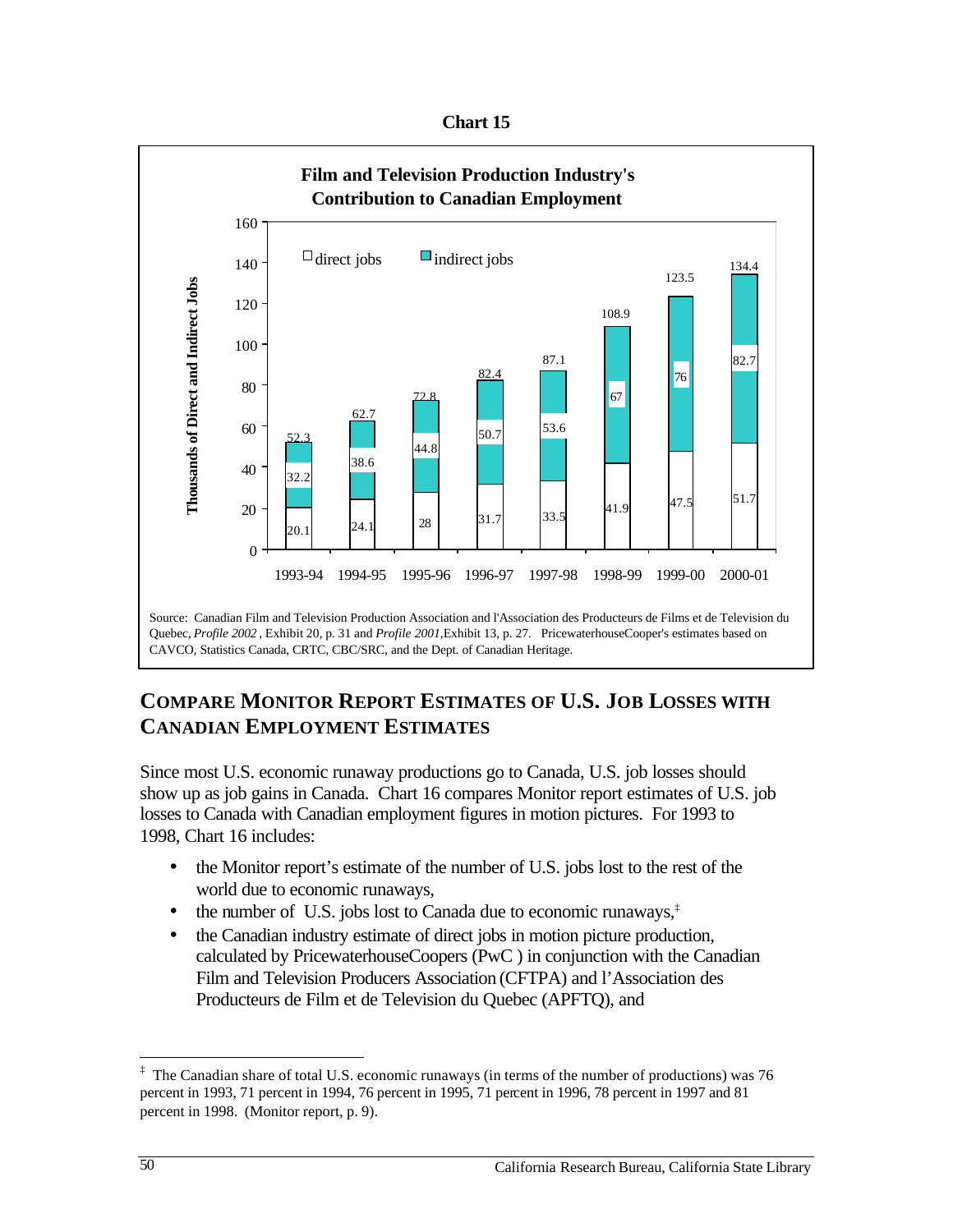**Chart 15** 



# **COMPARE MONITOR REPORT ESTIMATES OF U.S. JOB LOSSES WITH CANADIAN EMPLOYMENT ESTIMATES**

Since most U.S. economic runaway productions go to Canada, U.S. job losses should show up as job gains in Canada. Chart 16 compares Monitor report estimates of U.S. job losses to Canada with Canadian employment figures in motion pictures. For 1993 to 1998, Chart 16 includes:

- the Monitor report's estimate of the number of U.S. jobs lost to the rest of the world due to economic runaways,
- the number of U.S. jobs lost to Canada due to economic runaways, $\ddot{\phi}$
- the Canadian industry estimate of direct jobs in motion picture production. calculated by PricewaterhouseCoopers (PwC ) in conjunction with the Canadian Film and Television Producers Association (CFTPA) and l'Association des Producteurs de Film et de Television du Quebec (APFTQ), and

1

 $\ddagger$  The Canadian share of total U.S. economic runaways (in terms of the number of productions) was 76 percent in 1993, 71 percent in 1994, 76 percent in 1995, 71 percent in 1996, 78 percent in 1997 and 81 percent in 1998. (Monitor report, p. 9).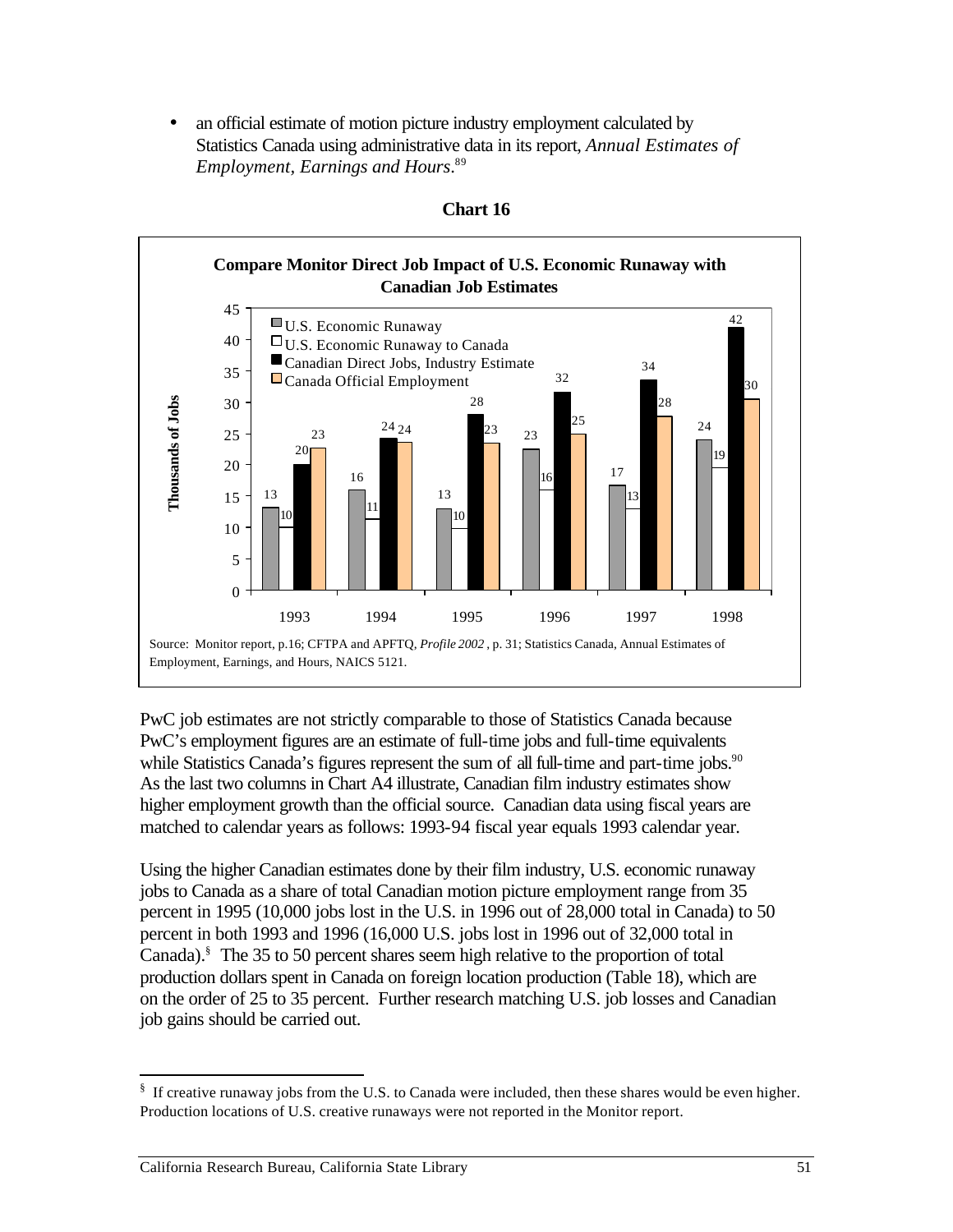• an official estimate of motion picture industry employment calculated by Statistics Canada using administrative data in its report, *Annual Estimates of Employment, Earnings and Hours*. 89





PwC job estimates are not strictly comparable to those of Statistics Canada because PwC's employment figures are an estimate of full-time jobs and full-time equivalents while Statistics Canada's figures represent the sum of all full-time and part-time jobs.<sup>90</sup> As the last two columns in Chart A4 illustrate, Canadian film industry estimates show higher employment growth than the official source. Canadian data using fiscal years are matched to calendar years as follows: 1993-94 fiscal year equals 1993 calendar year.

Using the higher Canadian estimates done by their film industry, U.S. economic runaway jobs to Canada as a share of total Canadian motion picture employment range from 35 percent in 1995 (10,000 jobs lost in the U.S. in 1996 out of 28,000 total in Canada) to 50 percent in both 1993 and 1996 (16,000 U.S. jobs lost in 1996 out of 32,000 total in Canada).§ The 35 to 50 percent shares seem high relative to the proportion of total production dollars spent in Canada on foreign location production (Table 18), which are on the order of 25 to 35 percent. Further research matching U.S. job losses and Canadian job gains should be carried out.

 $\overline{a}$ § If creative runaway jobs from the U.S. to Canada were included, then these shares would be even higher. Production locations of U.S. creative runaways were not reported in the Monitor report.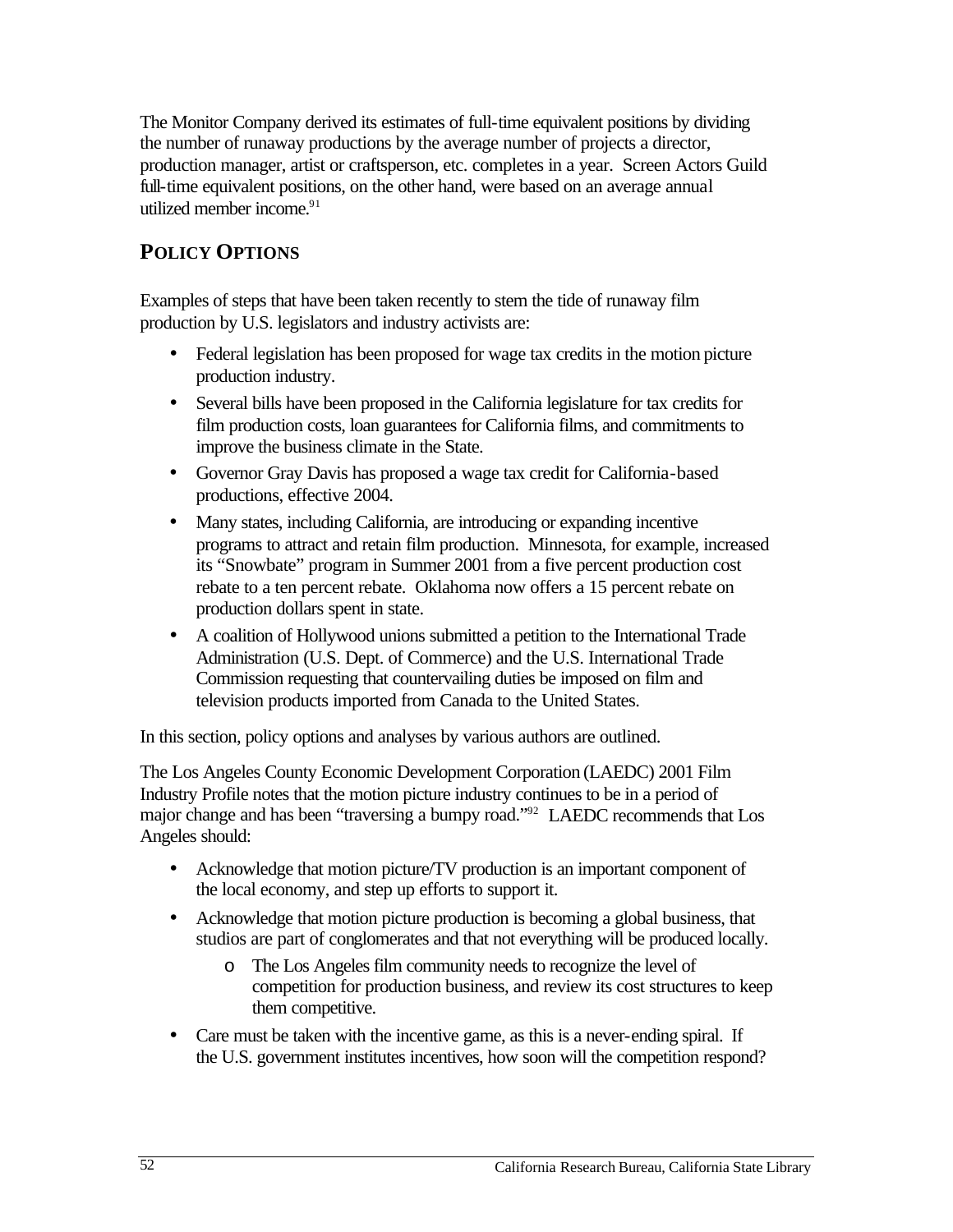The Monitor Company derived its estimates of full-time equivalent positions by dividing the number of runaway productions by the average number of projects a director, production manager, artist or craftsperson, etc. completes in a year. Screen Actors Guild full-time equivalent positions, on the other hand, were based on an average annual utilized member income.<sup>91</sup>

# **POLICY OPTIONS**

Examples of steps that have been taken recently to stem the tide of runaway film production by U.S. legislators and industry activists are:

- Federal legislation has been proposed for wage tax credits in the motion picture production industry.
- Several bills have been proposed in the California legislature for tax credits for film production costs, loan guarantees for California films, and commitments to improve the business climate in the State.
- Governor Gray Davis has proposed a wage tax credit for California-based productions, effective 2004.
- Many states, including California, are introducing or expanding incentive programs to attract and retain film production. Minnesota, for example, increased its "Snowbate" program in Summer 2001 from a five percent production cost rebate to a ten percent rebate. Oklahoma now offers a 15 percent rebate on production dollars spent in state.
- A coalition of Hollywood unions submitted a petition to the International Trade Administration (U.S. Dept. of Commerce) and the U.S. International Trade Commission requesting that countervailing duties be imposed on film and television products imported from Canada to the United States.

In this section, policy options and analyses by various authors are outlined.

The Los Angeles County Economic Development Corporation (LAEDC) 2001 Film Industry Profile notes that the motion picture industry continues to be in a period of major change and has been "traversing a bumpy road."92 LAEDC recommends that Los Angeles should:

- Acknowledge that motion picture/TV production is an important component of the local economy, and step up efforts to support it.
- Acknowledge that motion picture production is becoming a global business, that studios are part of conglomerates and that not everything will be produced locally.
	- o The Los Angeles film community needs to recognize the level of competition for production business, and review its cost structures to keep them competitive.
- Care must be taken with the incentive game, as this is a never-ending spiral. If the U.S. government institutes incentives, how soon will the competition respond?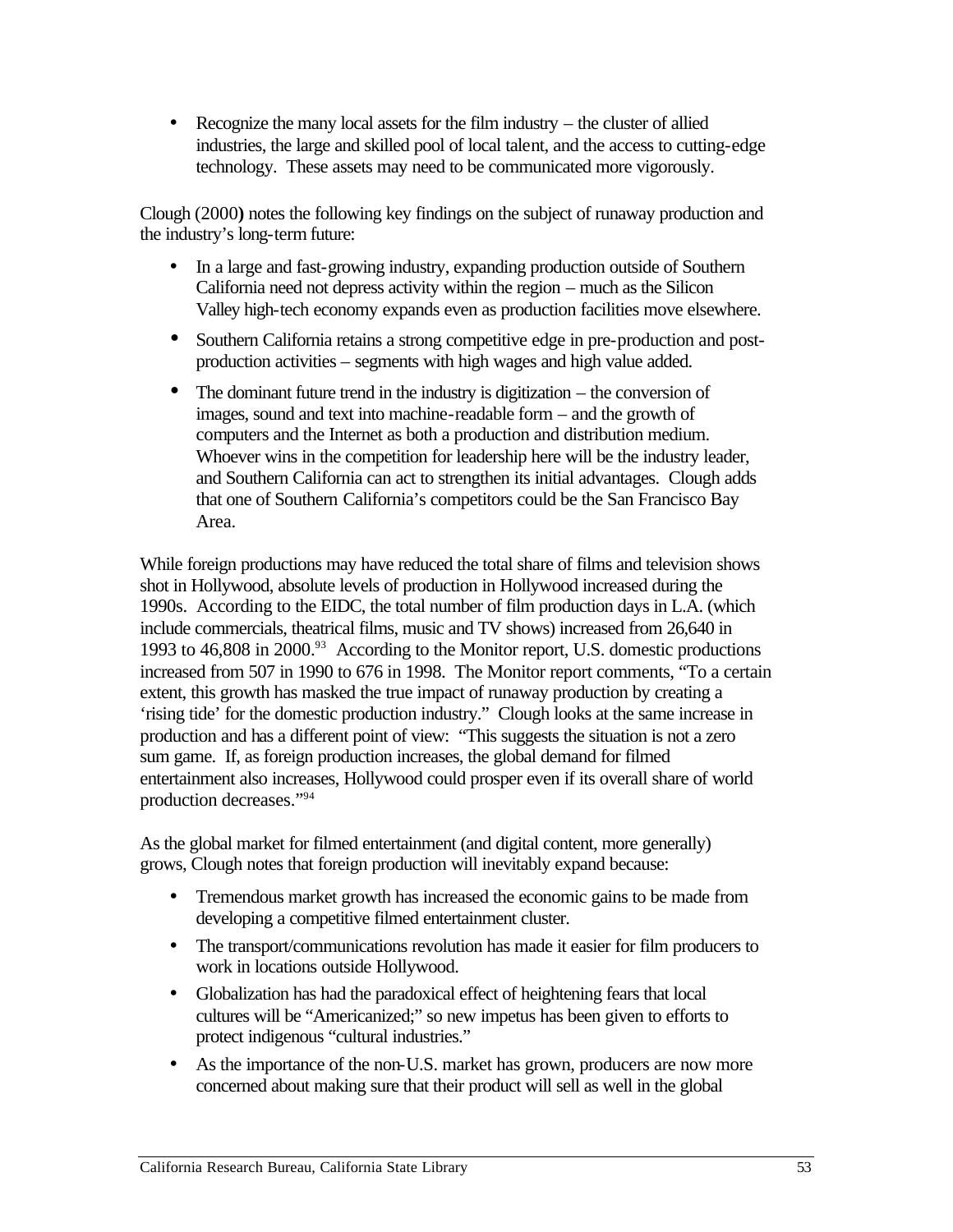• Recognize the many local assets for the film industry  $-$  the cluster of allied industries, the large and skilled pool of local talent, and the access to cutting-edge technology. These assets may need to be communicated more vigorously.

Clough (2000**)** notes the following key findings on the subject of runaway production and the industry's long-term future:

- In a large and fast-growing industry, expanding production outside of Southern California need not depress activity within the region – much as the Silicon Valley high-tech economy expands even as production facilities move elsewhere.
- Southern California retains a strong competitive edge in pre-production and postproduction activities – segments with high wages and high value added.
- The dominant future trend in the industry is digitization  $-$  the conversion of images, sound and text into machine-readable form – and the growth of computers and the Internet as both a production and distribution medium. Whoever wins in the competition for leadership here will be the industry leader, and Southern California can act to strengthen its initial advantages. Clough adds that one of Southern California's competitors could be the San Francisco Bay Area.

While foreign productions may have reduced the total share of films and television shows shot in Hollywood, absolute levels of production in Hollywood increased during the 1990s. According to the EIDC, the total number of film production days in L.A. (which include commercials, theatrical films, music and TV shows) increased from 26,640 in 1993 to 46,808 in 2000.<sup>93</sup> According to the Monitor report, U.S. domestic productions increased from 507 in 1990 to 676 in 1998. The Monitor report comments, "To a certain extent, this growth has masked the true impact of runaway production by creating a 'rising tide' for the domestic production industry." Clough looks at the same increase in production and has a different point of view: "This suggests the situation is not a zero sum game. If, as foreign production increases, the global demand for filmed entertainment also increases, Hollywood could prosper even if its overall share of world production decreases."94

As the global market for filmed entertainment (and digital content, more generally) grows, Clough notes that foreign production will inevitably expand because:

- Tremendous market growth has increased the economic gains to be made from developing a competitive filmed entertainment cluster.
- The transport/communications revolution has made it easier for film producers to work in locations outside Hollywood.
- Globalization has had the paradoxical effect of heightening fears that local cultures will be "Americanized;" so new impetus has been given to efforts to protect indigenous "cultural industries."
- As the importance of the non-U.S. market has grown, producers are now more concerned about making sure that their product will sell as well in the global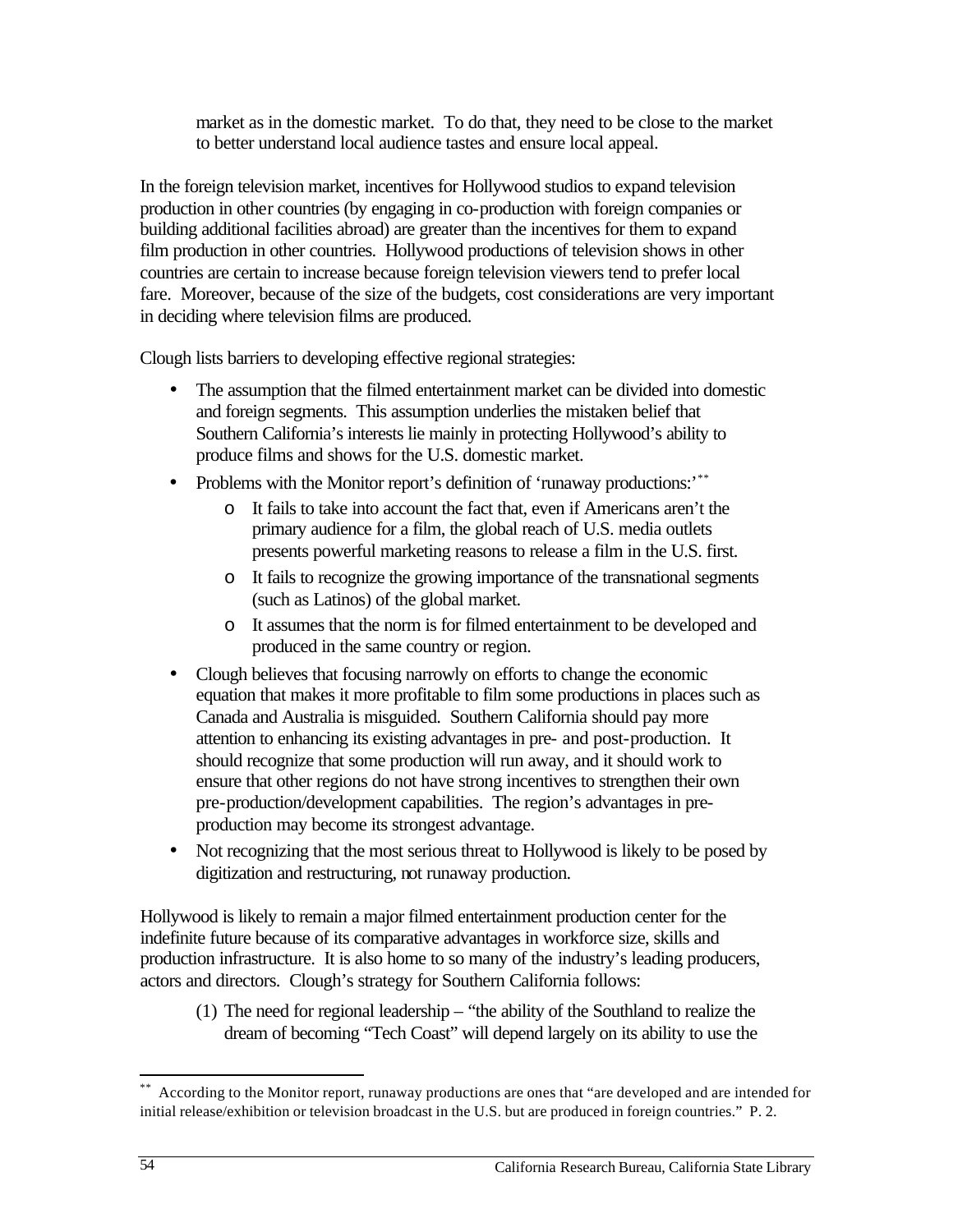market as in the domestic market. To do that, they need to be close to the market to better understand local audience tastes and ensure local appeal.

In the foreign television market, incentives for Hollywood studios to expand television production in other countries (by engaging in co-production with foreign companies or building additional facilities abroad) are greater than the incentives for them to expand film production in other countries. Hollywood productions of television shows in other countries are certain to increase because foreign television viewers tend to prefer local fare. Moreover, because of the size of the budgets, cost considerations are very important in deciding where television films are produced.

Clough lists barriers to developing effective regional strategies:

- The assumption that the filmed entertainment market can be divided into domestic and foreign segments. This assumption underlies the mistaken belief that Southern California's interests lie mainly in protecting Hollywood's ability to produce films and shows for the U.S. domestic market.
- Problems with the Monitor report's definition of 'runaway productions:'\*\*
	- o It fails to take into account the fact that, even if Americans aren't the primary audience for a film, the global reach of U.S. media outlets presents powerful marketing reasons to release a film in the U.S. first.
	- o It fails to recognize the growing importance of the transnational segments (such as Latinos) of the global market.
	- o It assumes that the norm is for filmed entertainment to be developed and produced in the same country or region.
- Clough believes that focusing narrowly on efforts to change the economic equation that makes it more profitable to film some productions in places such as Canada and Australia is misguided. Southern California should pay more attention to enhancing its existing advantages in pre- and post-production. It should recognize that some production will run away, and it should work to ensure that other regions do not have strong incentives to strengthen their own pre-production/development capabilities. The region's advantages in preproduction may become its strongest advantage.
- Not recognizing that the most serious threat to Hollywood is likely to be posed by digitization and restructuring, not runaway production.

Hollywood is likely to remain a major filmed entertainment production center for the indefinite future because of its comparative advantages in workforce size, skills and production infrastructure. It is also home to so many of the industry's leading producers, actors and directors. Clough's strategy for Southern California follows:

(1) The need for regional leadership – "the ability of the Southland to realize the dream of becoming "Tech Coast" will depend largely on its ability to use the

 $\overline{a}$ 

According to the Monitor report, runaway productions are ones that "are developed and are intended for initial release/exhibition or television broadcast in the U.S. but are produced in foreign countries." P. 2.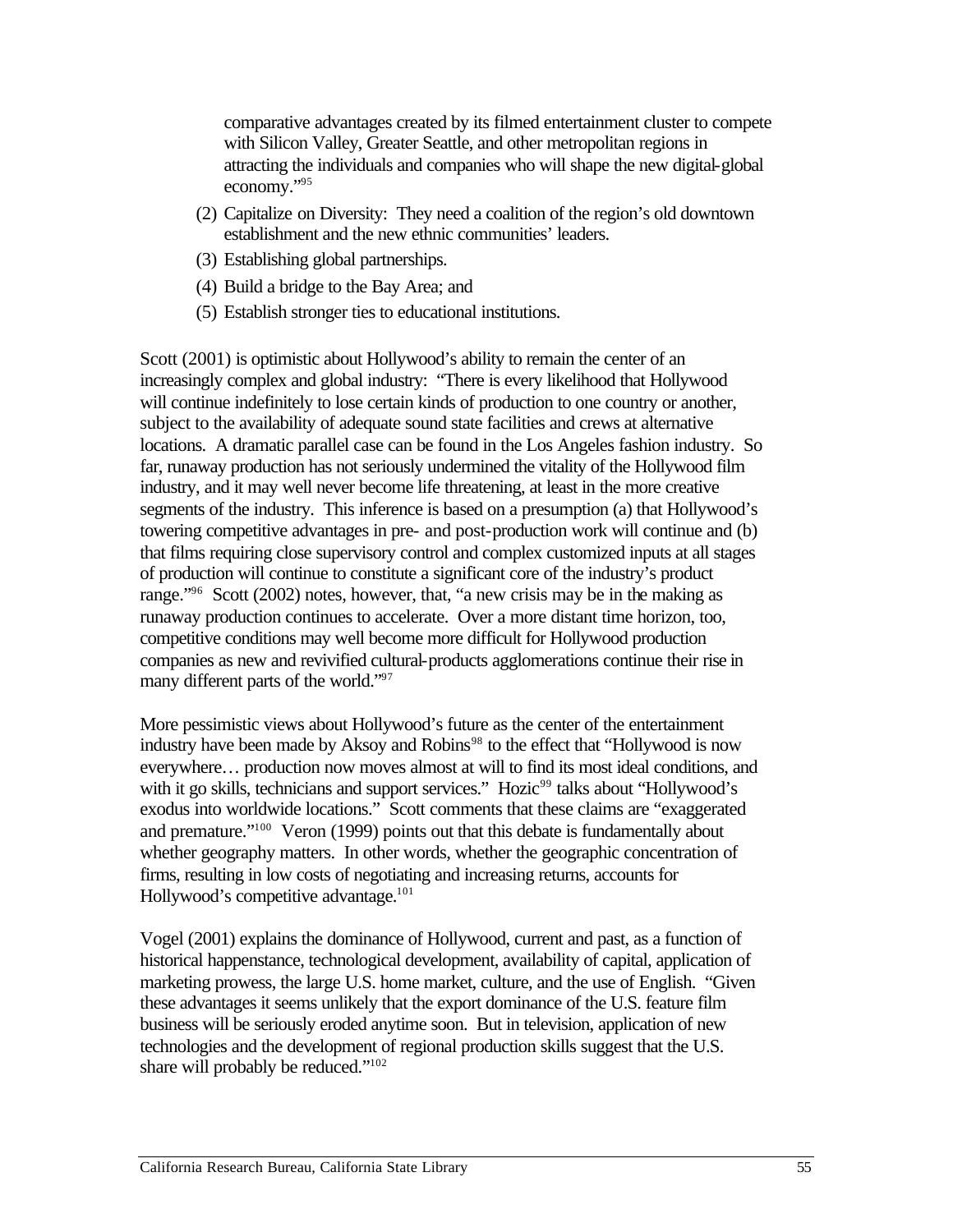comparative advantages created by its filmed entertainment cluster to compete with Silicon Valley, Greater Seattle, and other metropolitan regions in attracting the individuals and companies who will shape the new digital-global economy."95

- (2) Capitalize on Diversity: They need a coalition of the region's old downtown establishment and the new ethnic communities' leaders.
- (3) Establishing global partnerships.
- (4) Build a bridge to the Bay Area; and
- (5) Establish stronger ties to educational institutions.

Scott (2001) is optimistic about Hollywood's ability to remain the center of an increasingly complex and global industry: "There is every likelihood that Hollywood will continue indefinitely to lose certain kinds of production to one country or another, subject to the availability of adequate sound state facilities and crews at alternative locations. A dramatic parallel case can be found in the Los Angeles fashion industry. So far, runaway production has not seriously undermined the vitality of the Hollywood film industry, and it may well never become life threatening, at least in the more creative segments of the industry. This inference is based on a presumption (a) that Hollywood's towering competitive advantages in pre- and post-production work will continue and (b) that films requiring close supervisory control and complex customized inputs at all stages of production will continue to constitute a significant core of the industry's product range."96 Scott (2002) notes, however, that, "a new crisis may be in the making as runaway production continues to accelerate. Over a more distant time horizon, too, competitive conditions may well become more difficult for Hollywood production companies as new and revivified cultural-products agglomerations continue their rise in many different parts of the world."<sup>97</sup>

More pessimistic views about Hollywood's future as the center of the entertainment industry have been made by Aksoy and Robins<sup>98</sup> to the effect that "Hollywood is now everywhere… production now moves almost at will to find its most ideal conditions, and with it go skills, technicians and support services." Hozic<sup>99</sup> talks about "Hollywood's exodus into worldwide locations." Scott comments that these claims are "exaggerated and premature."100 Veron (1999) points out that this debate is fundamentally about whether geography matters. In other words, whether the geographic concentration of firms, resulting in low costs of negotiating and increasing returns, accounts for Hollywood's competitive advantage.<sup>101</sup>

Vogel (2001) explains the dominance of Hollywood, current and past, as a function of historical happenstance, technological development, availability of capital, application of marketing prowess, the large U.S. home market, culture, and the use of English. "Given these advantages it seems unlikely that the export dominance of the U.S. feature film business will be seriously eroded anytime soon. But in television, application of new technologies and the development of regional production skills suggest that the U.S. share will probably be reduced."<sup>102</sup>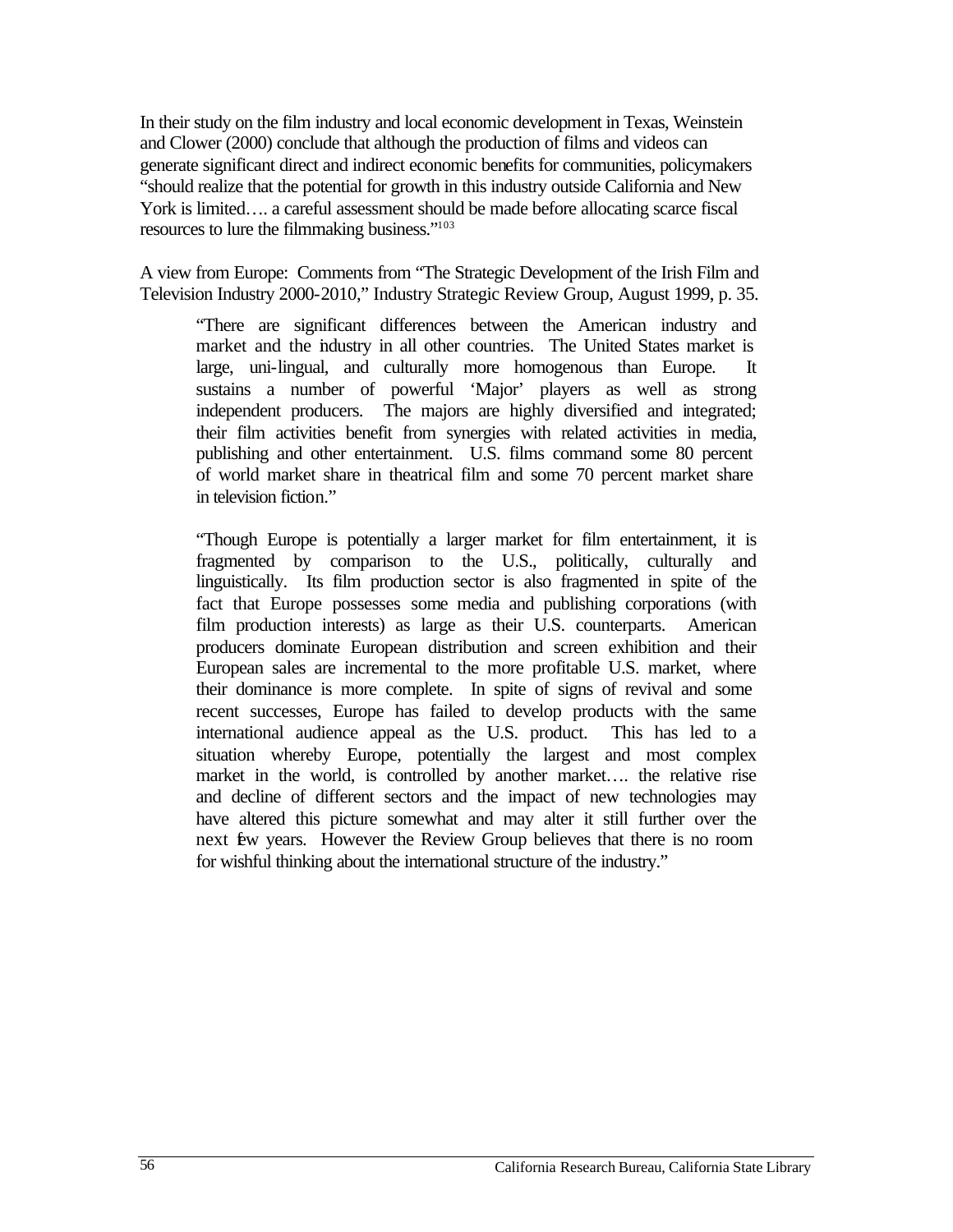In their study on the film industry and local economic development in Texas, Weinstein and Clower (2000) conclude that although the production of films and videos can generate significant direct and indirect economic benefits for communities, policymakers "should realize that the potential for growth in this industry outside California and New York is limited…. a careful assessment should be made before allocating scarce fiscal resources to lure the filmmaking business."103

A view from Europe: Comments from "The Strategic Development of the Irish Film and Television Industry 2000-2010," Industry Strategic Review Group, August 1999, p. 35.

"There are significant differences between the American industry and market and the industry in all other countries. The United States market is large, uni-lingual, and culturally more homogenous than Europe. It sustains a number of powerful 'Major' players as well as strong independent producers. The majors are highly diversified and integrated; their film activities benefit from synergies with related activities in media, publishing and other entertainment. U.S. films command some 80 percent of world market share in theatrical film and some 70 percent market share in television fiction."

"Though Europe is potentially a larger market for film entertainment, it is fragmented by comparison to the U.S., politically, culturally and linguistically. Its film production sector is also fragmented in spite of the fact that Europe possesses some media and publishing corporations (with film production interests) as large as their U.S. counterparts. American producers dominate European distribution and screen exhibition and their European sales are incremental to the more profitable U.S. market, where their dominance is more complete. In spite of signs of revival and some recent successes, Europe has failed to develop products with the same international audience appeal as the U.S. product. This has led to a situation whereby Europe, potentially the largest and most complex market in the world, is controlled by another market…. the relative rise and decline of different sectors and the impact of new technologies may have altered this picture somewhat and may alter it still further over the next few years. However the Review Group believes that there is no room for wishful thinking about the international structure of the industry."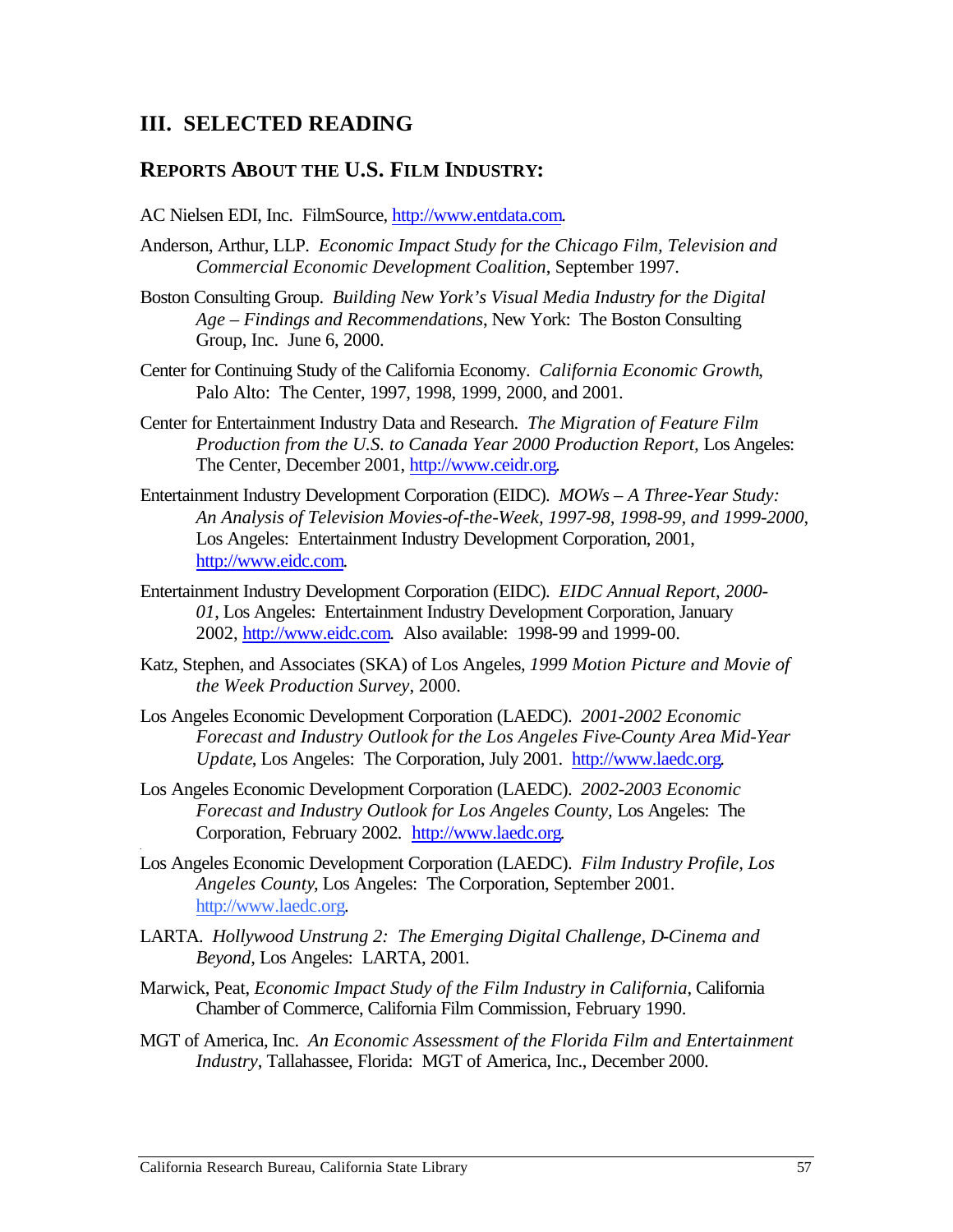# **III. SELECTED READING**

#### **REPORTS ABOUT THE U.S. FILM INDUSTRY:**

AC Nielsen EDI, Inc. FilmSource, http://www.entdata.com.

- Anderson, Arthur, LLP. *Economic Impact Study for the Chicago Film, Television and Commercial Economic Development Coalition*, September 1997.
- Boston Consulting Group. *Building New York's Visual Media Industry for the Digital Age – Findings and Recommendations*, New York: The Boston Consulting Group, Inc. June 6, 2000.
- Center for Continuing Study of the California Economy. *California Economic Growth*, Palo Alto: The Center, 1997, 1998, 1999, 2000, and 2001.
- Center for Entertainment Industry Data and Research. *The Migration of Feature Film Production from the U.S. to Canada Year 2000 Production Report, Los Angeles:* The Center, December 2001, http://www.ceidr.org.
- Entertainment Industry Development Corporation (EIDC). *MOWs A Three-Year Study: An Analysis of Television Movies-of-the-Week, 1997-98, 1998-99, and 1999-2000*, Los Angeles: Entertainment Industry Development Corporation, 2001, http://www.eidc.com.
- Entertainment Industry Development Corporation (EIDC). *EIDC Annual Report, 2000 01*, Los Angeles: Entertainment Industry Development Corporation, January 2002, http://www.eidc.com. Also available: 1998-99 and 1999-00.
- Katz, Stephen, and Associates (SKA) of Los Angeles, *1999 Motion Picture and Movie of the Week Production Survey*, 2000.
- Los Angeles Economic Development Corporation (LAEDC). *2001-2002 Economic Forecast and Industry Outlook for the Los Angeles Five-County Area Mid-Year Update*, Los Angeles: The Corporation, July 2001. http://www.laedc.org.
- Corporation, February 2002*.* http://www.laedc.org. Los Angeles Economic Development Corporation (LAEDC). *2002-2003 Economic Forecast and Industry Outlook for Los Angeles County,* Los Angeles: The
- Los Angeles Economic Development Corporation (LAEDC). *Film Industry Profile, Los Angeles County*, Los Angeles: The Corporation, September 2001. http://www.laedc.org.
- LARTA. *Hollywood Unstrung 2: The Emerging Digital Challenge, D-Cinema and Beyond*, Los Angeles: LARTA, 2001*.*
- Marwick, Peat, *Economic Impact Study of the Film Industry in California*, California Chamber of Commerce, California Film Commission, February 1990.
- MGT of America, Inc. *An Economic Assessment of the Florida Film and Entertainment Industry*, Tallahassee, Florida: MGT of America, Inc., December 2000.

*.*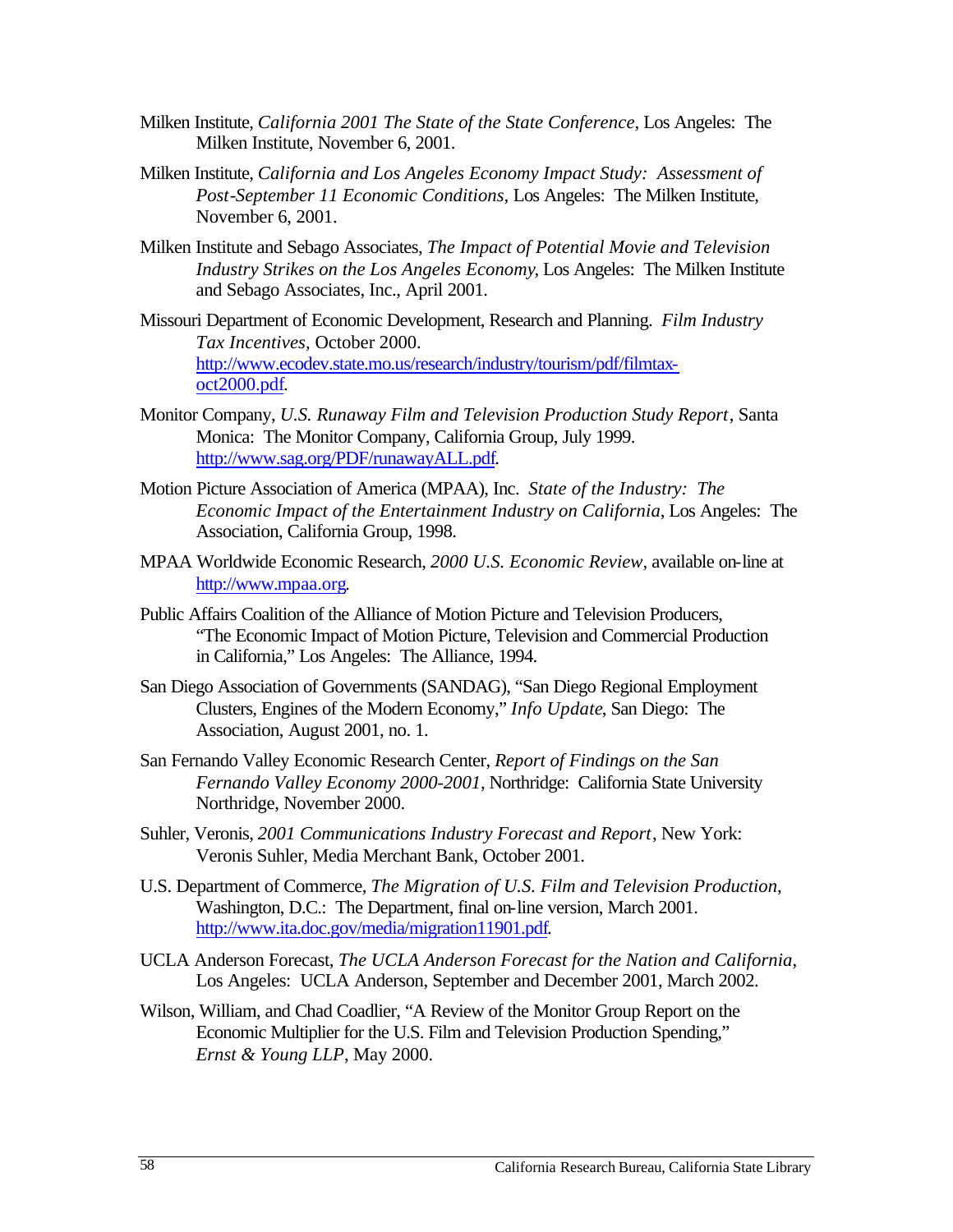- Milken Institute, *California 2001 The State of the State Conference*, Los Angeles: The Milken Institute, November 6, 2001.
- Milken Institute, *California and Los Angeles Economy Impact Study: Assessment of Post-September 11 Economic Conditions,* Los Angeles: The Milken Institute, November 6, 2001.
- Milken Institute and Sebago Associates, *The Impact of Potential Movie and Television Industry Strikes on the Los Angeles Economy*, Los Angeles: The Milken Institute and Sebago Associates, Inc., April 2001.
- Missouri Department of Economic Development, Research and Planning. *Film Industry Tax Incentives,* October 2000. http://www.ecodev.state.mo.us/research/industry/tourism/pdf/filmtaxoct2000.pdf.
- Monitor Company, *U.S. Runaway Film and Television Production Study Report*, Santa Monica: The Monitor Company, California Group, July 1999. http://www.sag.org/PDF/runawayALL.pdf.
- Motion Picture Association of America (MPAA), Inc. *State of the Industry: The Economic Impact of the Entertainment Industry on California*, Los Angeles: The Association, California Group, 1998.
- MPAA Worldwide Economic Research, *2000 U.S. Economic Review*, available on-line at http://www.mpaa.org.
- Public Affairs Coalition of the Alliance of Motion Picture and Television Producers, "The Economic Impact of Motion Picture, Television and Commercial Production in California," Los Angeles: The Alliance, 1994.
- San Diego Association of Governments (SANDAG), "San Diego Regional Employment Clusters, Engines of the Modern Economy," *Info Update*, San Diego: The Association, August 2001, no. 1.
- San Fernando Valley Economic Research Center, *Report of Findings on the San Fernando Valley Economy 2000-2001*, Northridge: California State University Northridge, November 2000.
- Suhler, Veronis, *2001 Communications Industry Forecast and Report*, New York: Veronis Suhler, Media Merchant Bank, October 2001.
- U.S. Department of Commerce, *The Migration of U.S. Film and Television Production*, Washington, D.C.: The Department, final on-line version, March 2001. http://www.ita.doc.gov/media/migration11901.pdf.
- UCLA Anderson Forecast, *The UCLA Anderson Forecast for the Nation and California*, Los Angeles: UCLA Anderson, September and December 2001, March 2002.
- Wilson, William, and Chad Coadlier, "A Review of the Monitor Group Report on the Economic Multiplier for the U.S. Film and Television Production Spending," *Ernst & Young LLP*, May 2000.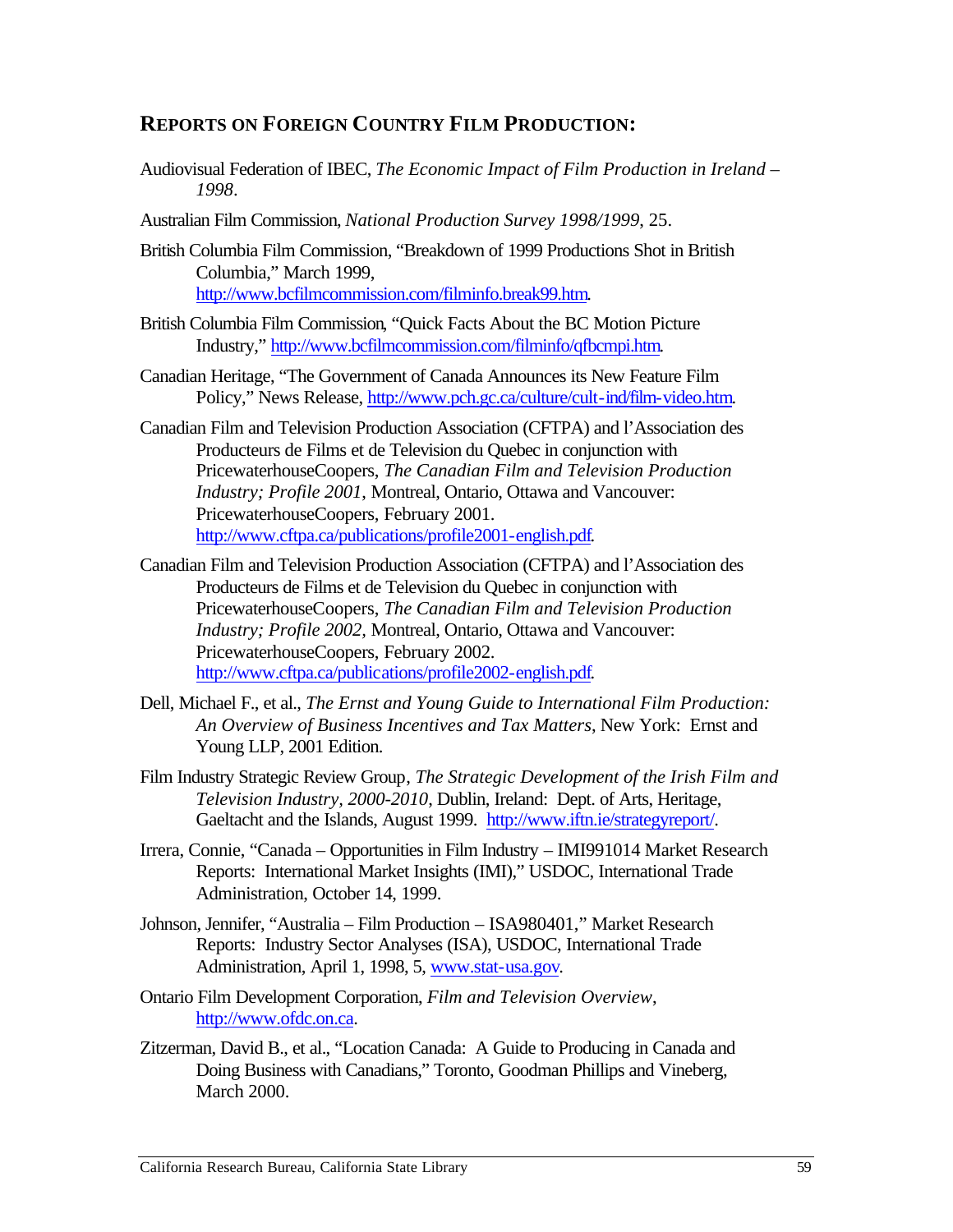## **REPORTS ON FOREIGN COUNTRY FILM PRODUCTION:**

- Audiovisual Federation of IBEC, *The Economic Impact of Film Production in Ireland 1998*.
- Australian Film Commission, *National Production Survey 1998/1999*, 25.
- British Columbia Film Commission, "Breakdown of 1999 Productions Shot in British Columbia," March 1999, http://www.bcfilmcommission.com/filminfo.break99.htm.
- British Columbia Film Commission, "Quick Facts About the BC Motion Picture Industry," http://www.bcfilmcommission.com/filminfo/qfbcmpi.htm.
- Canadian Heritage, "The Government of Canada Announces its New Feature Film Policy," News Release, http://www.pch.gc.ca/culture/cult-ind/film-video.htm.
- Canadian Film and Television Production Association (CFTPA) and l'Association des Producteurs de Films et de Television du Quebec in conjunction with PricewaterhouseCoopers, *The Canadian Film and Television Production Industry; Profile 2001*, Montreal, Ontario, Ottawa and Vancouver: PricewaterhouseCoopers, February 2001. http://www.cftpa.ca/publications/profile2001-english.pdf.
- Canadian Film and Television Production Association (CFTPA) and l'Association des Producteurs de Films et de Television du Quebec in conjunction with PricewaterhouseCoopers, *The Canadian Film and Television Production Industry; Profile 2002,* Montreal, Ontario, Ottawa and Vancouver: PricewaterhouseCoopers, February 2002. http://www.cftpa.ca/publications/profile2002-english.pdf.
- Dell, Michael F., et al., *The Ernst and Young Guide to International Film Production: An Overview of Business Incentives and Tax Matters*, New York: Ernst and Young LLP, 2001 Edition.
- Film Industry Strategic Review Group, *The Strategic Development of the Irish Film and Television Industry, 2000-2010*, Dublin, Ireland: Dept. of Arts, Heritage, Gaeltacht and the Islands, August 1999. http://www.iftn.ie/strategyreport/.
- Irrera, Connie, "Canada Opportunities in Film Industry IMI991014 Market Research Reports: International Market Insights (IMI)," USDOC, International Trade Administration, October 14, 1999.
- Johnson, Jennifer, "Australia Film Production ISA980401," Market Research Reports: Industry Sector Analyses (ISA), USDOC, International Trade Administration, April 1, 1998, 5, www.stat-usa.gov.
- Ontario Film Development Corporation, *Film and Television Overview*, http://www.ofdc.on.ca.
- Zitzerman, David B., et al., "Location Canada: A Guide to Producing in Canada and Doing Business with Canadians," Toronto, Goodman Phillips and Vineberg, March 2000.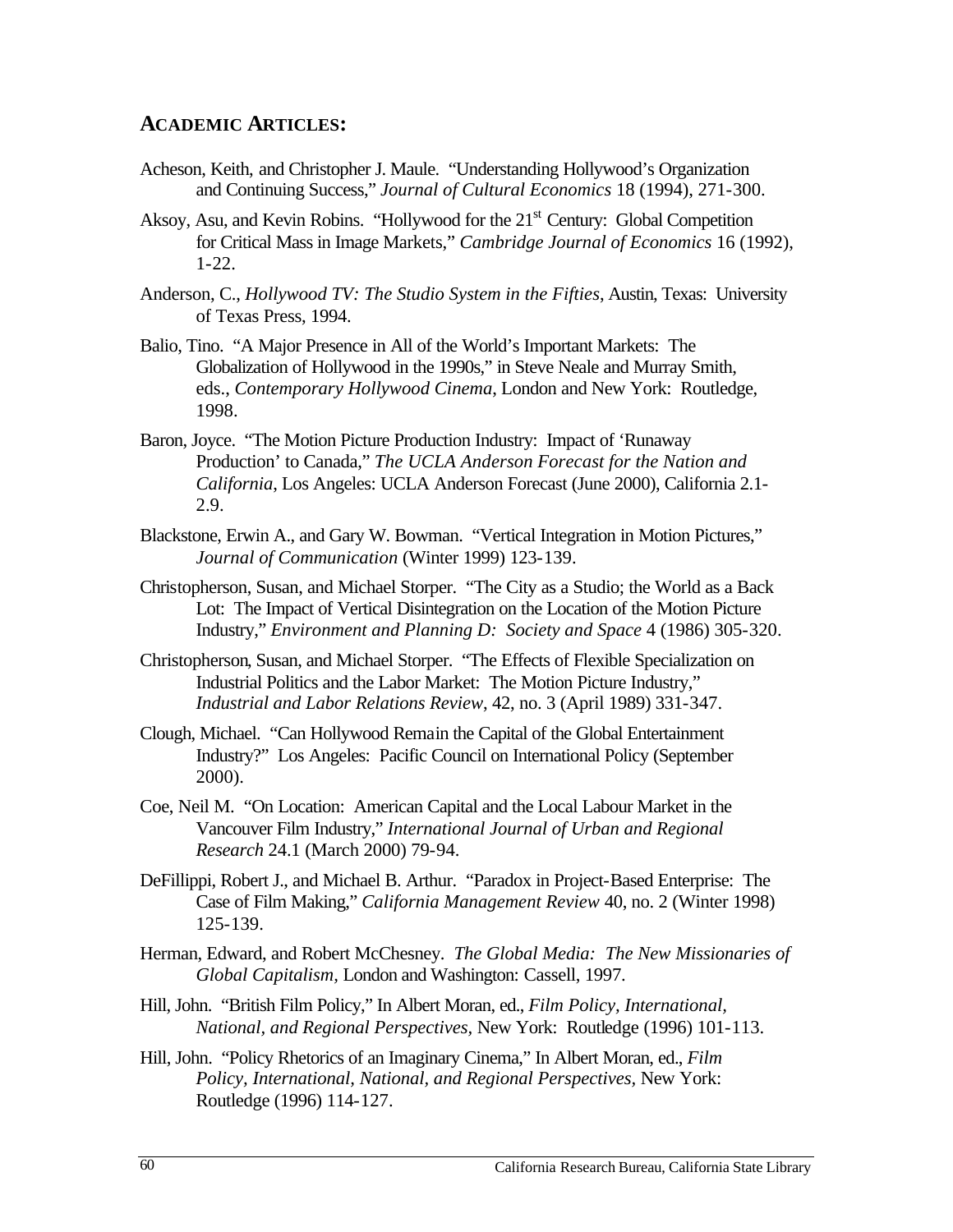#### **ACADEMIC ARTICLES:**

- Acheson, Keith, and Christopher J. Maule. "Understanding Hollywood's Organization and Continuing Success," *Journal of Cultural Economics* 18 (1994), 271-300.
- Aksoy, Asu, and Kevin Robins. "Hollywood for the 21<sup>st</sup> Century: Global Competition for Critical Mass in Image Markets," *Cambridge Journal of Economics* 16 (1992), 1-22.
- Anderson, C., *Hollywood TV: The Studio System in the Fifties*, Austin, Texas: University of Texas Press, 1994.
- Balio, Tino. "A Major Presence in All of the World's Important Markets: The Globalization of Hollywood in the 1990s," in Steve Neale and Murray Smith, eds., *Contemporary Hollywood Cinema*, London and New York: Routledge, 1998.
- Baron, Joyce. "The Motion Picture Production Industry: Impact of 'Runaway Production' to Canada," *The UCLA Anderson Forecast for the Nation and California*, Los Angeles: UCLA Anderson Forecast (June 2000), California 2.1 2.9.
- Blackstone, Erwin A., and Gary W. Bowman. "Vertical Integration in Motion Pictures," *Journal of Communication* (Winter 1999) 123-139.
- Christopherson, Susan, and Michael Storper. "The City as a Studio; the World as a Back Lot: The Impact of Vertical Disintegration on the Location of the Motion Picture Industry," *Environment and Planning D: Society and Space* 4 (1986) 305-320.
- Christopherson, Susan, and Michael Storper. "The Effects of Flexible Specialization on Industrial Politics and the Labor Market: The Motion Picture Industry," *Industrial and Labor Relations Review*, 42, no. 3 (April 1989) 331-347.
- Clough, Michael. "Can Hollywood Remain the Capital of the Global Entertainment Industry?" Los Angeles: Pacific Council on International Policy (September 2000).
- Coe, Neil M. "On Location: American Capital and the Local Labour Market in the Vancouver Film Industry," *International Journal of Urban and Regional Research* 24.1 (March 2000) 79-94.
- DeFillippi, Robert J., and Michael B. Arthur. "Paradox in Project-Based Enterprise: The Case of Film Making," *California Management Review* 40, no. 2 (Winter 1998) 125-139.
- Herman, Edward, and Robert McChesney. *The Global Media: The New Missionaries of Global Capitalism,* London and Washington: Cassell, 1997.
- Hill, John. "British Film Policy," In Albert Moran, ed., *Film Policy, International, National, and Regional Perspectives,* New York: Routledge (1996) 101-113.
- Hill, John. "Policy Rhetorics of an Imaginary Cinema," In Albert Moran, ed., *Film Policy, International, National, and Regional Perspectives,* New York: Routledge (1996) 114-127.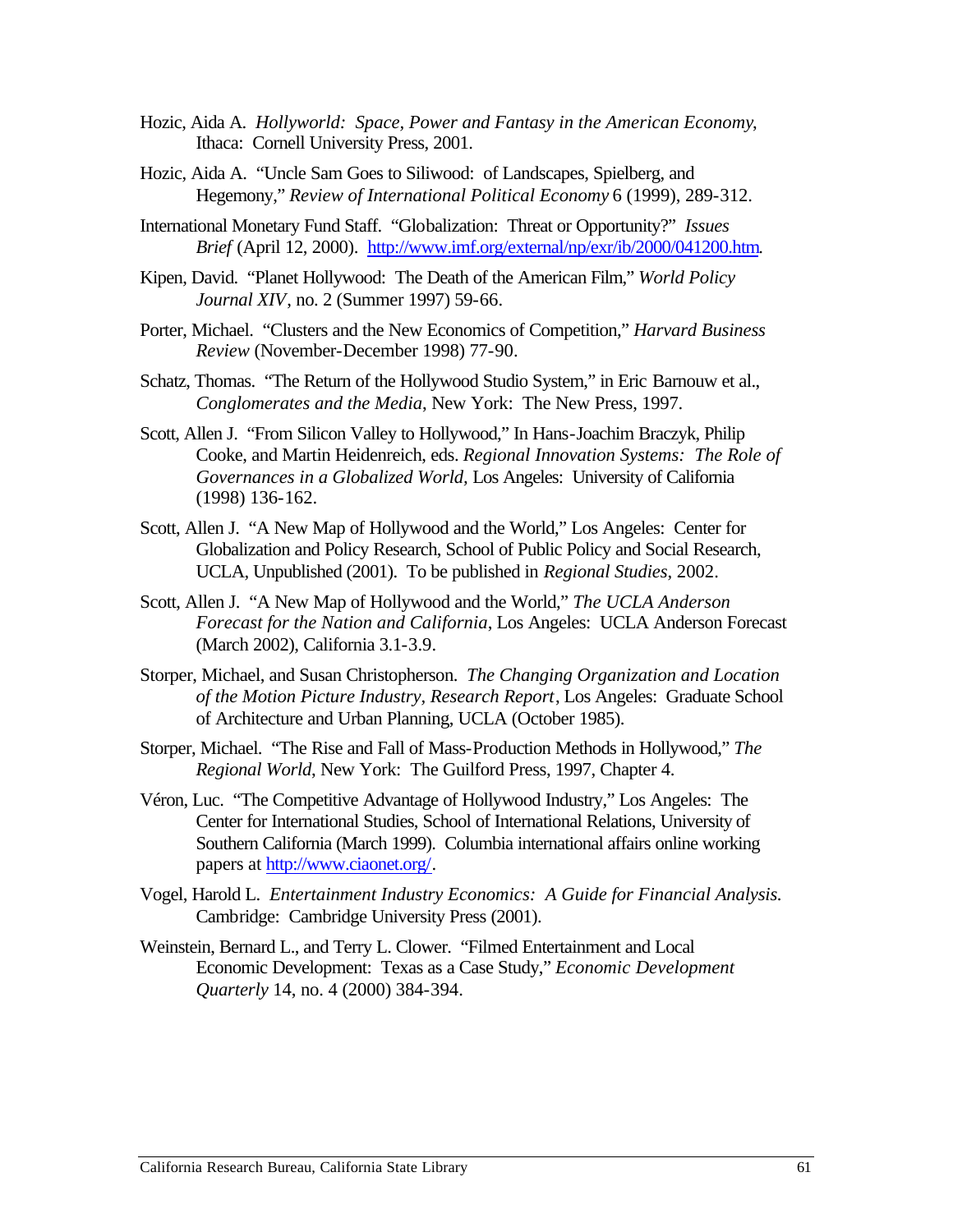- Hozic, Aida A. *Hollyworld: Space, Power and Fantasy in the American Economy*, Ithaca: Cornell University Press, 2001.
- Hozic, Aida A. "Uncle Sam Goes to Siliwood: of Landscapes, Spielberg, and Hegemony," *Review of International Political Economy* 6 (1999), 289-312.
- International Monetary Fund Staff. "Globalization: Threat or Opportunity?" *Issues Brief* (April 12, 2000). http://www.imf.org/external/np/exr/ib/2000/041200.htm.
- Kipen, David. "Planet Hollywood: The Death of the American Film," *World Policy Journal XIV*, no. 2 (Summer 1997) 59-66.
- Porter, Michael. "Clusters and the New Economics of Competition," *Harvard Business Review* (November-December 1998) 77-90.
- Schatz, Thomas. "The Return of the Hollywood Studio System," in Eric Barnouw et al., *Conglomerates and the Media*, New York: The New Press, 1997.
- Scott, Allen J. "From Silicon Valley to Hollywood," In Hans-Joachim Braczyk, Philip Cooke, and Martin Heidenreich, eds. *Regional Innovation Systems: The Role of Governances in a Globalized World,* Los Angeles: University of California (1998) 136-162.
- Scott, Allen J. "A New Map of Hollywood and the World," Los Angeles: Center for Globalization and Policy Research, School of Public Policy and Social Research, UCLA, Unpublished (2001). To be published in *Regional Studies*, 2002.
- Scott, Allen J. "A New Map of Hollywood and the World," *The UCLA Anderson Forecast for the Nation and California*, Los Angeles: UCLA Anderson Forecast (March 2002), California 3.1-3.9.
- Storper, Michael, and Susan Christopherson. *The Changing Organization and Location of the Motion Picture Industry, Research Report*, Los Angeles: Graduate School of Architecture and Urban Planning, UCLA (October 1985).
- Storper, Michael. "The Rise and Fall of Mass-Production Methods in Hollywood," *The Regional World*, New York: The Guilford Press, 1997, Chapter 4.
- Véron, Luc. "The Competitive Advantage of Hollywood Industry," Los Angeles: The Center for International Studies, School of International Relations, University of Southern California (March 1999). Columbia international affairs online working papers at http://www.ciaonet.org/.
- Vogel, Harold L. *Entertainment Industry Economics: A Guide for Financial Analysis.*  Cambridge: Cambridge University Press (2001).
- Weinstein, Bernard L., and Terry L. Clower. "Filmed Entertainment and Local Economic Development: Texas as a Case Study," *Economic Development Quarterly* 14, no. 4 (2000) 384-394.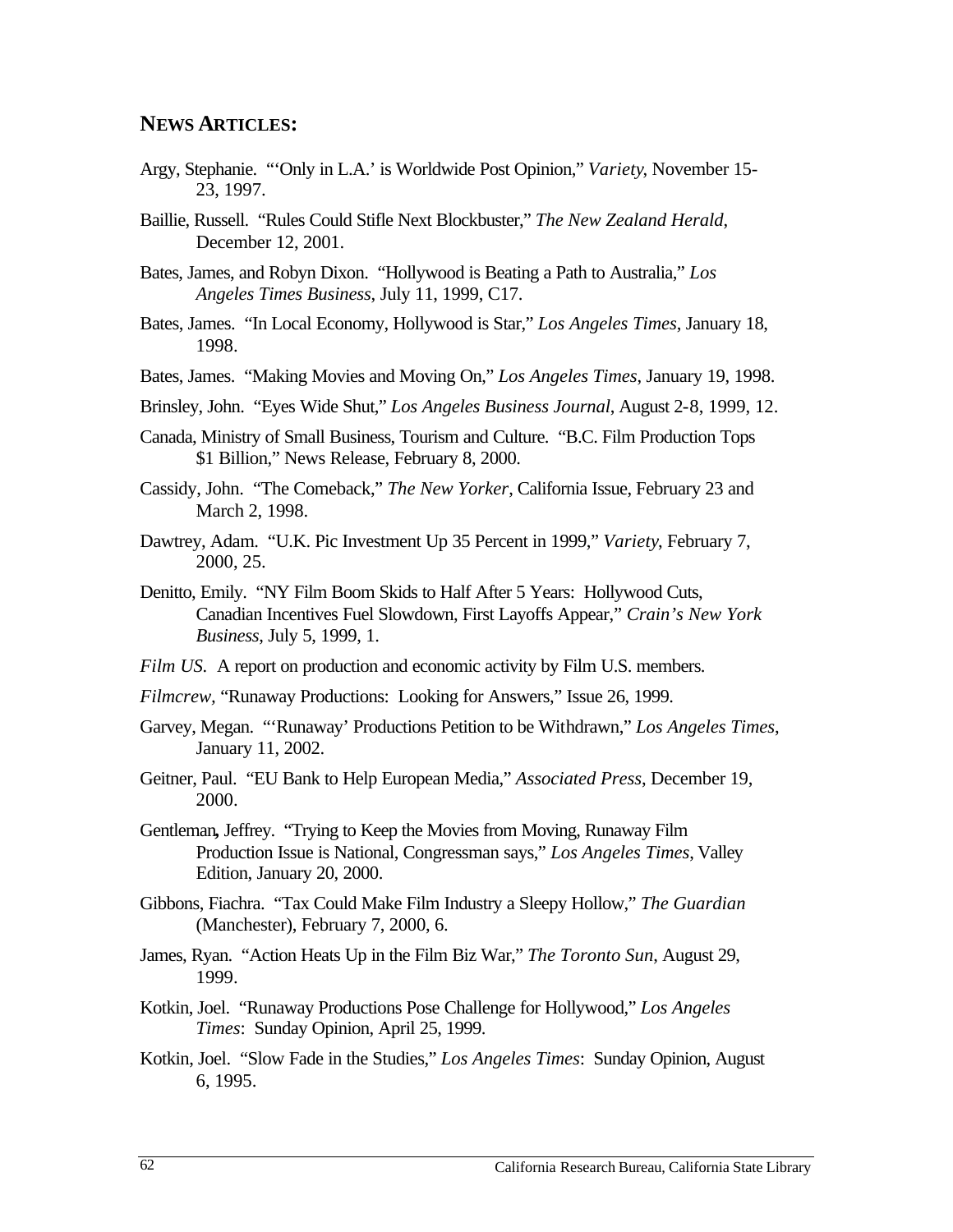#### **NEWS ARTICLES:**

- Argy, Stephanie. "'Only in L.A.' is Worldwide Post Opinion," *Variety*, November 15 23, 1997.
- Baillie, Russell. "Rules Could Stifle Next Blockbuster," *The New Zealand Herald*, December 12, 2001.
- Bates, James, and Robyn Dixon. "Hollywood is Beating a Path to Australia," *Los Angeles Times Business*, July 11, 1999, C17.
- Bates, James. "In Local Economy, Hollywood is Star," *Los Angeles Times*, January 18, 1998.
- Bates, James. "Making Movies and Moving On," *Los Angeles Times*, January 19, 1998.
- Brinsley, John. "Eyes Wide Shut," *Los Angeles Business Journal*, August 2-8, 1999, 12.
- Canada, Ministry of Small Business, Tourism and Culture. "B.C. Film Production Tops \$1 Billion," News Release, February 8, 2000.
- Cassidy, John. "The Comeback," *The New Yorker*, California Issue, February 23 and March 2, 1998.
- Dawtrey, Adam. "U.K. Pic Investment Up 35 Percent in 1999," *Variety*, February 7, 2000, 25.
- Denitto, Emily. "NY Film Boom Skids to Half After 5 Years: Hollywood Cuts, Canadian Incentives Fuel Slowdown, First Layoffs Appear," *Crain's New York Business*, July 5, 1999, 1.
- *Film US.* A report on production and economic activity by Film U.S. members.
- *Filmcrew,* "Runaway Productions: Looking for Answers," Issue 26, 1999.
- Garvey, Megan. "'Runaway' Productions Petition to be Withdrawn," *Los Angeles Times*, January 11, 2002.
- Geitner, Paul. "EU Bank to Help European Media," *Associated Press*, December 19, 2000.
- Gentleman**,** Jeffrey. "Trying to Keep the Movies from Moving, Runaway Film Production Issue is National, Congressman says," *Los Angeles Times*, Valley Edition, January 20, 2000.
- Gibbons, Fiachra. "Tax Could Make Film Industry a Sleepy Hollow," *The Guardian*  (Manchester), February 7, 2000, 6.
- James, Ryan. "Action Heats Up in the Film Biz War," *The Toronto Sun*, August 29, 1999.
- Kotkin, Joel. "Runaway Productions Pose Challenge for Hollywood," *Los Angeles Times*: Sunday Opinion, April 25, 1999.
- Kotkin, Joel. "Slow Fade in the Studies," *Los Angeles Times*: Sunday Opinion, August 6, 1995.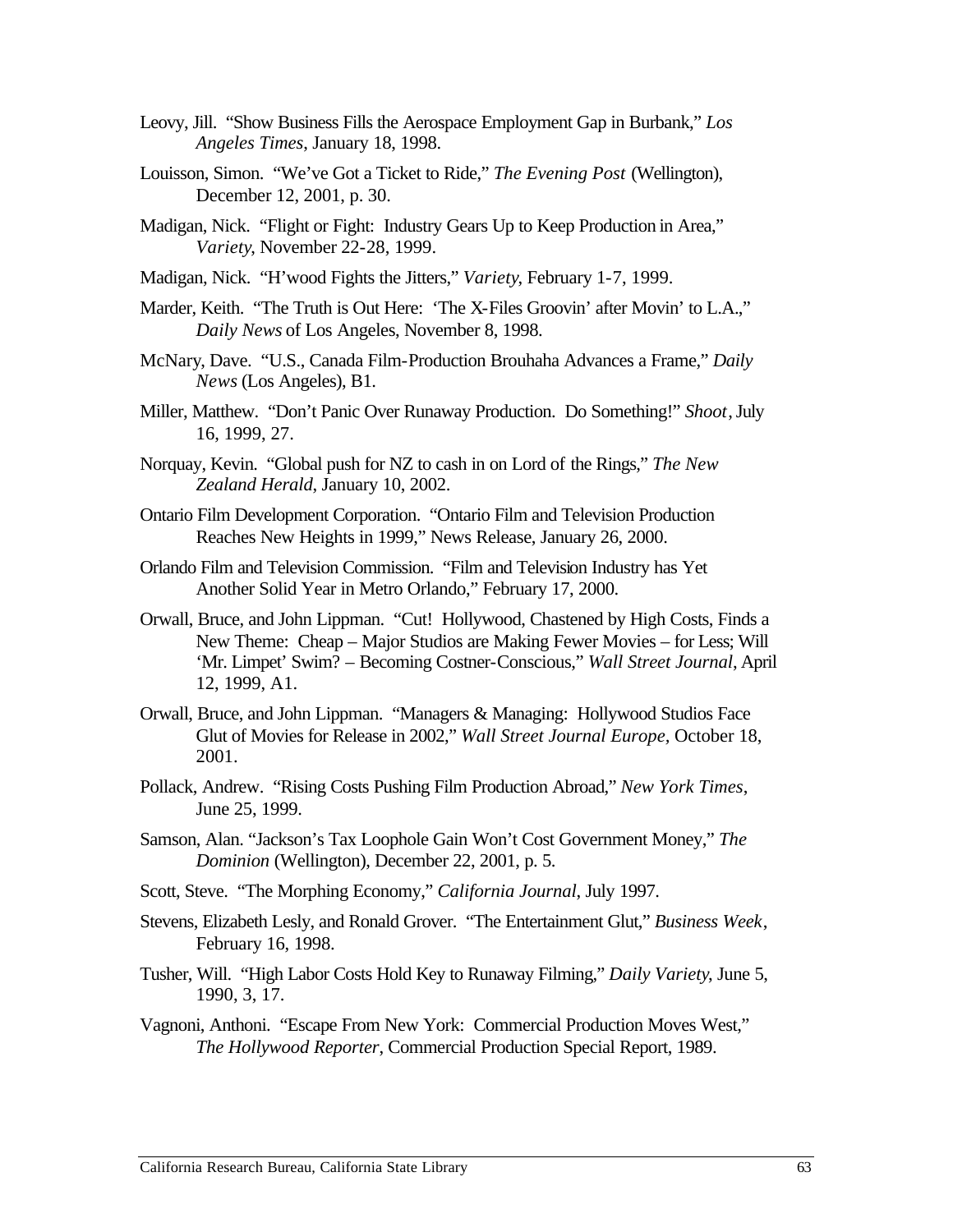- Leovy, Jill. "Show Business Fills the Aerospace Employment Gap in Burbank," *Los Angeles Times*, January 18, 1998.
- Louisson, Simon. "We've Got a Ticket to Ride," *The Evening Post* (Wellington), December 12, 2001, p. 30.
- Madigan, Nick. "Flight or Fight: Industry Gears Up to Keep Production in Area," *Variety*, November 22-28, 1999.
- Madigan, Nick. "H'wood Fights the Jitters," *Variety*, February 1-7, 1999.
- Marder, Keith. "The Truth is Out Here: 'The X-Files Groovin' after Movin' to L.A.," *Daily News* of Los Angeles, November 8, 1998.
- McNary, Dave. "U.S., Canada Film-Production Brouhaha Advances a Frame," *Daily News* (Los Angeles), B1.
- Miller, Matthew. "Don't Panic Over Runaway Production. Do Something!" *Shoot*, July 16, 1999, 27.
- Norquay, Kevin. "Global push for NZ to cash in on Lord of the Rings," *The New Zealand Herald*, January 10, 2002.
- Ontario Film Development Corporation. "Ontario Film and Television Production Reaches New Heights in 1999," News Release, January 26, 2000.
- Orlando Film and Television Commission. "Film and Television Industry has Yet Another Solid Year in Metro Orlando," February 17, 2000.
- Orwall, Bruce, and John Lippman. "Cut! Hollywood, Chastened by High Costs, Finds a New Theme: Cheap – Major Studios are Making Fewer Movies – for Less; Will 'Mr. Limpet' Swim? – Becoming Costner-Conscious," *Wall Street Journal*, April 12, 1999, A1.
- Orwall, Bruce, and John Lippman. "Managers & Managing: Hollywood Studios Face Glut of Movies for Release in 2002," *Wall Street Journal Europe,* October 18, 2001.
- Pollack, Andrew. "Rising Costs Pushing Film Production Abroad," *New York Times*, June 25, 1999.
- Samson, Alan. "Jackson's Tax Loophole Gain Won't Cost Government Money," *The Dominion* (Wellington), December 22, 2001, p. 5.
- Scott, Steve. "The Morphing Economy," *California Journal*, July 1997.
- Stevens, Elizabeth Lesly, and Ronald Grover. "The Entertainment Glut," *Business Week*, February 16, 1998.
- Tusher, Will. "High Labor Costs Hold Key to Runaway Filming," *Daily Variety*, June 5, 1990, 3, 17.
- Vagnoni, Anthoni. "Escape From New York: Commercial Production Moves West," *The Hollywood Reporter*, Commercial Production Special Report, 1989.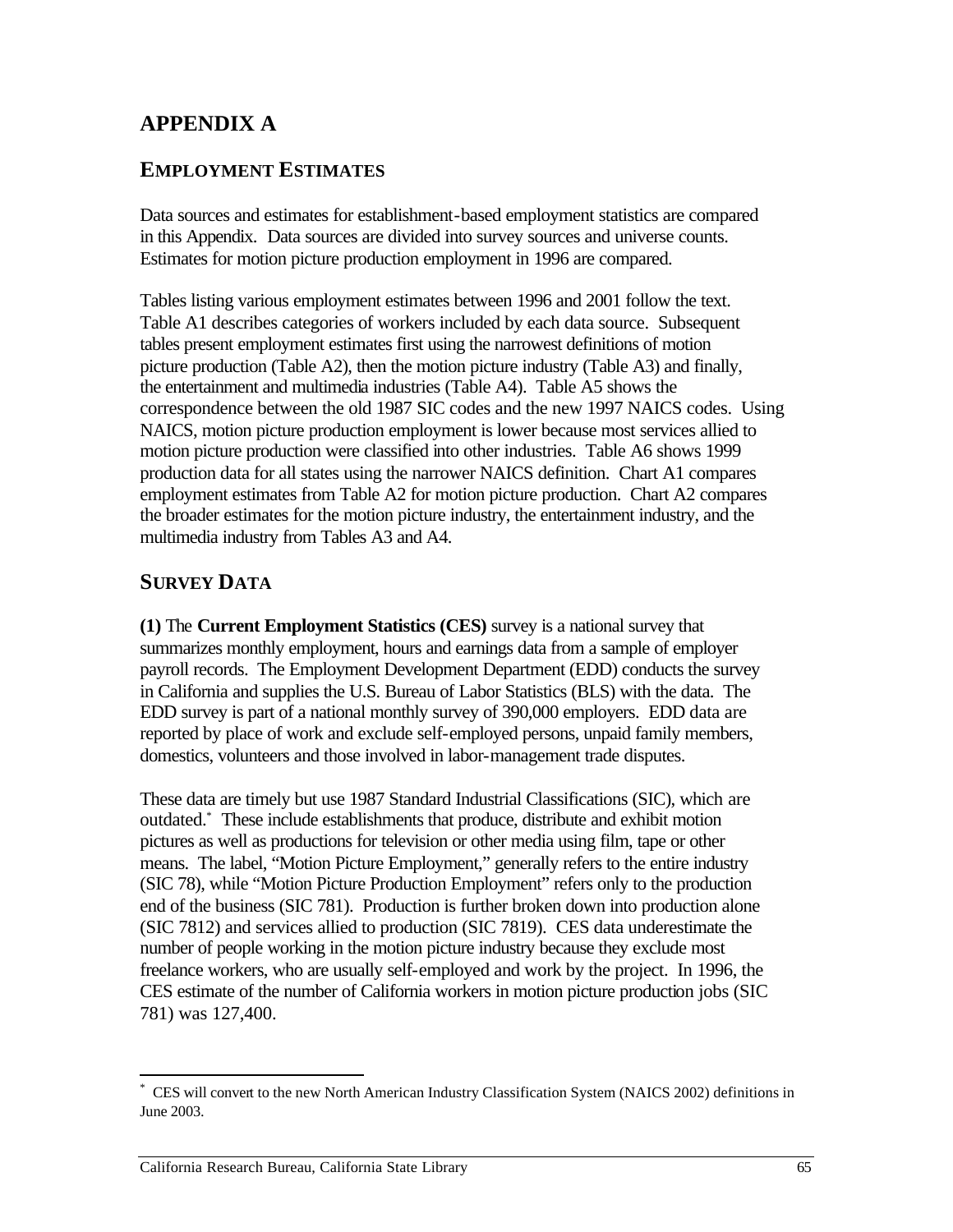# **APPENDIX A**

## **EMPLOYMENT ESTIMATES**

Data sources and estimates for establishment-based employment statistics are compared in this Appendix. Data sources are divided into survey sources and universe counts. Estimates for motion picture production employment in 1996 are compared.

Tables listing various employment estimates between 1996 and 2001 follow the text. Table A1 describes categories of workers included by each data source. Subsequent tables present employment estimates first using the narrowest definitions of motion picture production (Table A2), then the motion picture industry (Table A3) and finally, the entertainment and multimedia industries (Table A4). Table A5 shows the correspondence between the old 1987 SIC codes and the new 1997 NAICS codes. Using NAICS, motion picture production employment is lower because most services allied to motion picture production were classified into other industries. Table A6 shows 1999 production data for all states using the narrower NAICS definition. Chart A1 compares employment estimates from Table A2 for motion picture production. Chart A2 compares the broader estimates for the motion picture industry, the entertainment industry, and the multimedia industry from Tables A3 and A4.

## **SURVEY DATA**

**(1)** The **Current Employment Statistics (CES)** survey is a national survey that summarizes monthly employment, hours and earnings data from a sample of employer payroll records. The Employment Development Department (EDD) conducts the survey in California and supplies the U.S. Bureau of Labor Statistics (BLS) with the data. The EDD survey is part of a national monthly survey of 390,000 employers. EDD data are reported by place of work and exclude self-employed persons, unpaid family members, domestics, volunteers and those involved in labor-management trade disputes.

These data are timely but use 1987 Standard Industrial Classifications (SIC), which are outdated.\* These include establishments that produce, distribute and exhibit motion pictures as well as productions for television or other media using film, tape or other means. The label, "Motion Picture Employment," generally refers to the entire industry (SIC 78), while "Motion Picture Production Employment" refers only to the production end of the business (SIC 781). Production is further broken down into production alone (SIC 7812) and services allied to production (SIC 7819). CES data underestimate the number of people working in the motion picture industry because they exclude most freelance workers, who are usually self-employed and work by the project. In 1996, the CES estimate of the number of California workers in motion picture production jobs (SIC 781) was 127,400.

 $\overline{a}$ \* CES will convert to the new North American Industry Classification System (NAICS 2002) definitions in June 2003.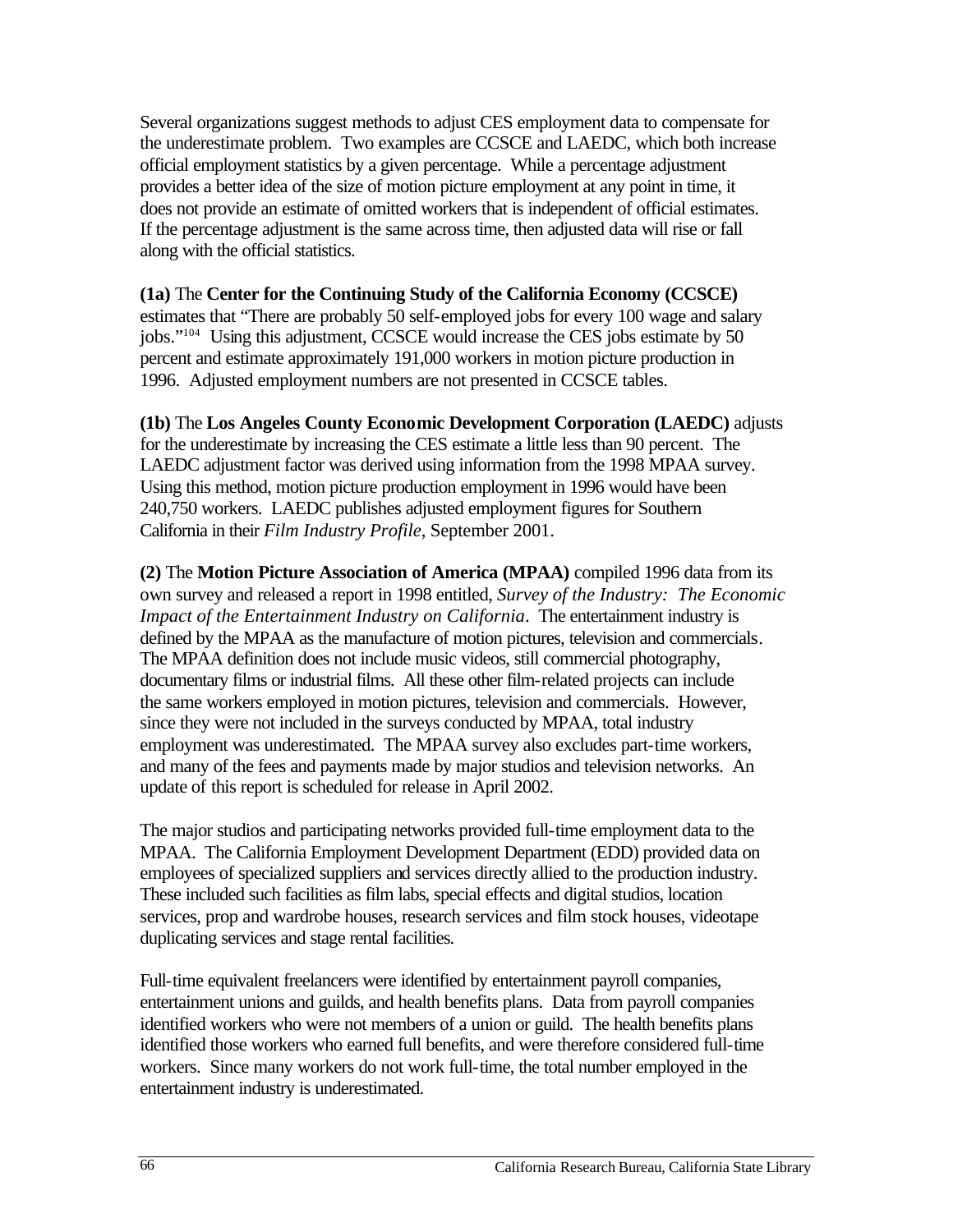Several organizations suggest methods to adjust CES employment data to compensate for the underestimate problem. Two examples are CCSCE and LAEDC, which both increase official employment statistics by a given percentage. While a percentage adjustment provides a better idea of the size of motion picture employment at any point in time, it does not provide an estimate of omitted workers that is independent of official estimates. If the percentage adjustment is the same across time, then adjusted data will rise or fall along with the official statistics.

**(1a)** The **Center for the Continuing Study of the California Economy (CCSCE)**  estimates that "There are probably 50 self-employed jobs for every 100 wage and salary jobs."104 Using this adjustment, CCSCE would increase the CES jobs estimate by 50 percent and estimate approximately 191,000 workers in motion picture production in 1996. Adjusted employment numbers are not presented in CCSCE tables.

**(1b)** The **Los Angeles County Economic Development Corporation (LAEDC)** adjusts for the underestimate by increasing the CES estimate a little less than 90 percent. The LAEDC adjustment factor was derived using information from the 1998 MPAA survey. Using this method, motion picture production employment in 1996 would have been 240,750 workers. LAEDC publishes adjusted employment figures for Southern California in their *Film Industry Profile*, September 2001.

**(2)** The **Motion Picture Association of America (MPAA)** compiled 1996 data from its own survey and released a report in 1998 entitled, *Survey of the Industry: The Economic Impact of the Entertainment Industry on California*. The entertainment industry is defined by the MPAA as the manufacture of motion pictures, television and commercials. The MPAA definition does not include music videos, still commercial photography, documentary films or industrial films. All these other film-related projects can include the same workers employed in motion pictures, television and commercials. However, since they were not included in the surveys conducted by MPAA, total industry employment was underestimated. The MPAA survey also excludes part-time workers, and many of the fees and payments made by major studios and television networks. An update of this report is scheduled for release in April 2002.

The major studios and participating networks provided full-time employment data to the MPAA. The California Employment Development Department (EDD) provided data on employees of specialized suppliers and services directly allied to the production industry. These included such facilities as film labs, special effects and digital studios, location services, prop and wardrobe houses, research services and film stock houses, videotape duplicating services and stage rental facilities.

Full-time equivalent freelancers were identified by entertainment payroll companies, entertainment unions and guilds, and health benefits plans. Data from payroll companies identified workers who were not members of a union or guild. The health benefits plans identified those workers who earned full benefits, and were therefore considered full-time workers. Since many workers do not work full-time, the total number employed in the entertainment industry is underestimated.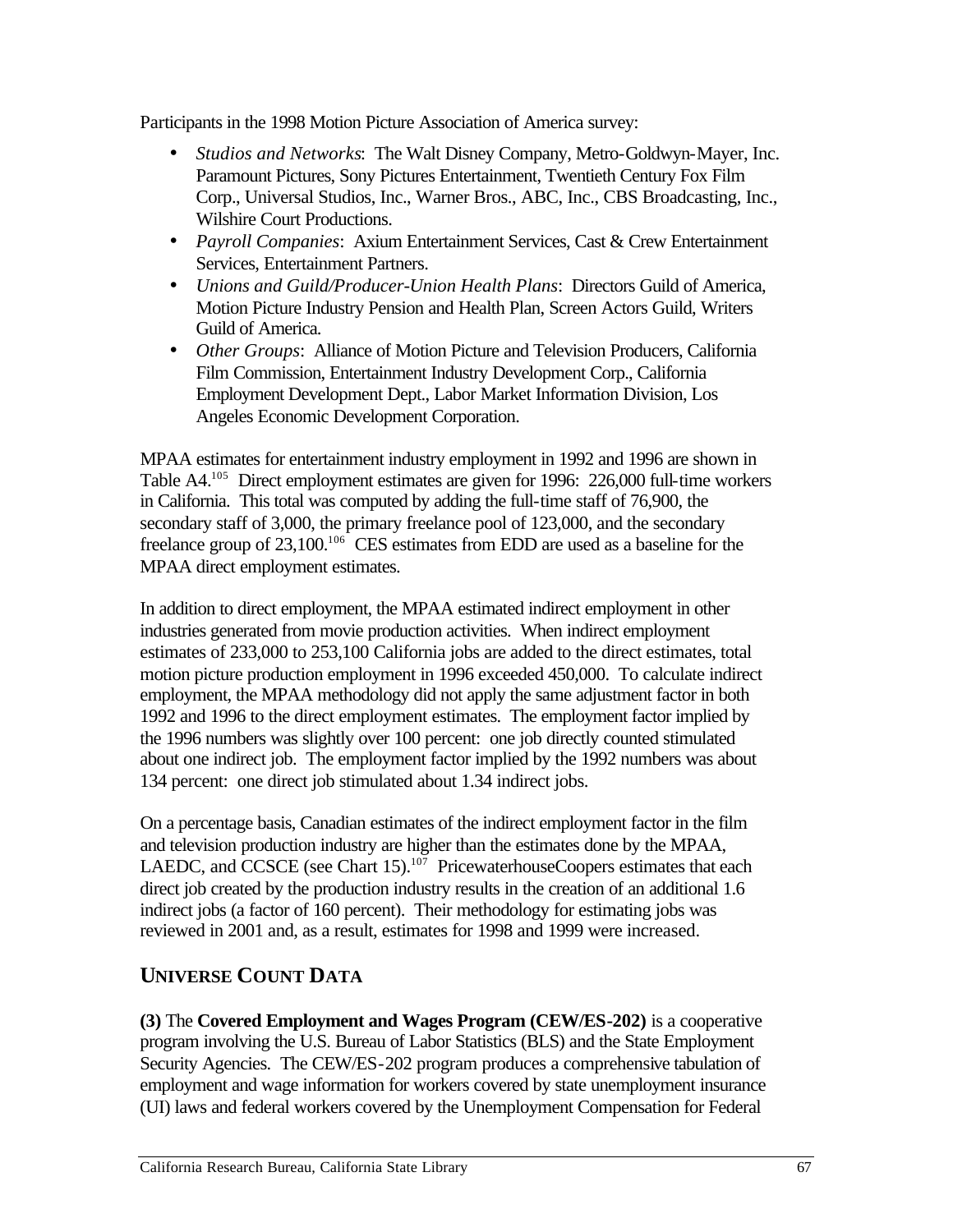Participants in the 1998 Motion Picture Association of America survey:

- • *Studios and Networks*: The Walt Disney Company, Metro-Goldwyn-Mayer, Inc. Paramount Pictures, Sony Pictures Entertainment, Twentieth Century Fox Film Corp., Universal Studios, Inc., Warner Bros., ABC, Inc., CBS Broadcasting, Inc., Wilshire Court Productions.
- • *Payroll Companies*: Axium Entertainment Services, Cast & Crew Entertainment Services, Entertainment Partners.
- • *Unions and Guild/Producer-Union Health Plans*: Directors Guild of America, Motion Picture Industry Pension and Health Plan, Screen Actors Guild, Writers Guild of America.
- *Other Groups*: Alliance of Motion Picture and Television Producers, California Film Commission, Entertainment Industry Development Corp., California Employment Development Dept., Labor Market Information Division, Los Angeles Economic Development Corporation.

MPAA estimates for entertainment industry employment in 1992 and 1996 are shown in Table A4.105 Direct employment estimates are given for 1996: 226,000 full-time workers in California. This total was computed by adding the full-time staff of 76,900, the secondary staff of 3,000, the primary freelance pool of 123,000, and the secondary freelance group of 23,100.106 CES estimates from EDD are used as a baseline for the MPAA direct employment estimates.

In addition to direct employment, the MPAA estimated indirect employment in other industries generated from movie production activities. When indirect employment estimates of 233,000 to 253,100 California jobs are added to the direct estimates, total motion picture production employment in 1996 exceeded 450,000. To calculate indirect employment, the MPAA methodology did not apply the same adjustment factor in both 1992 and 1996 to the direct employment estimates. The employment factor implied by the 1996 numbers was slightly over 100 percent: one job directly counted stimulated about one indirect job. The employment factor implied by the 1992 numbers was about 134 percent: one direct job stimulated about 1.34 indirect jobs.

On a percentage basis, Canadian estimates of the indirect employment factor in the film and television production industry are higher than the estimates done by the MPAA, LAEDC, and CCSCE (see Chart 15). $107$  PricewaterhouseCoopers estimates that each direct job created by the production industry results in the creation of an additional 1.6 indirect jobs (a factor of 160 percent). Their methodology for estimating jobs was reviewed in 2001 and, as a result, estimates for 1998 and 1999 were increased.

# **UNIVERSE COUNT DATA**

**(3)** The **Covered Employment and Wages Program (CEW/ES-202)** is a cooperative program involving the U.S. Bureau of Labor Statistics (BLS) and the State Employment Security Agencies. The CEW/ES-202 program produces a comprehensive tabulation of employment and wage information for workers covered by state unemployment insurance (UI) laws and federal workers covered by the Unemployment Compensation for Federal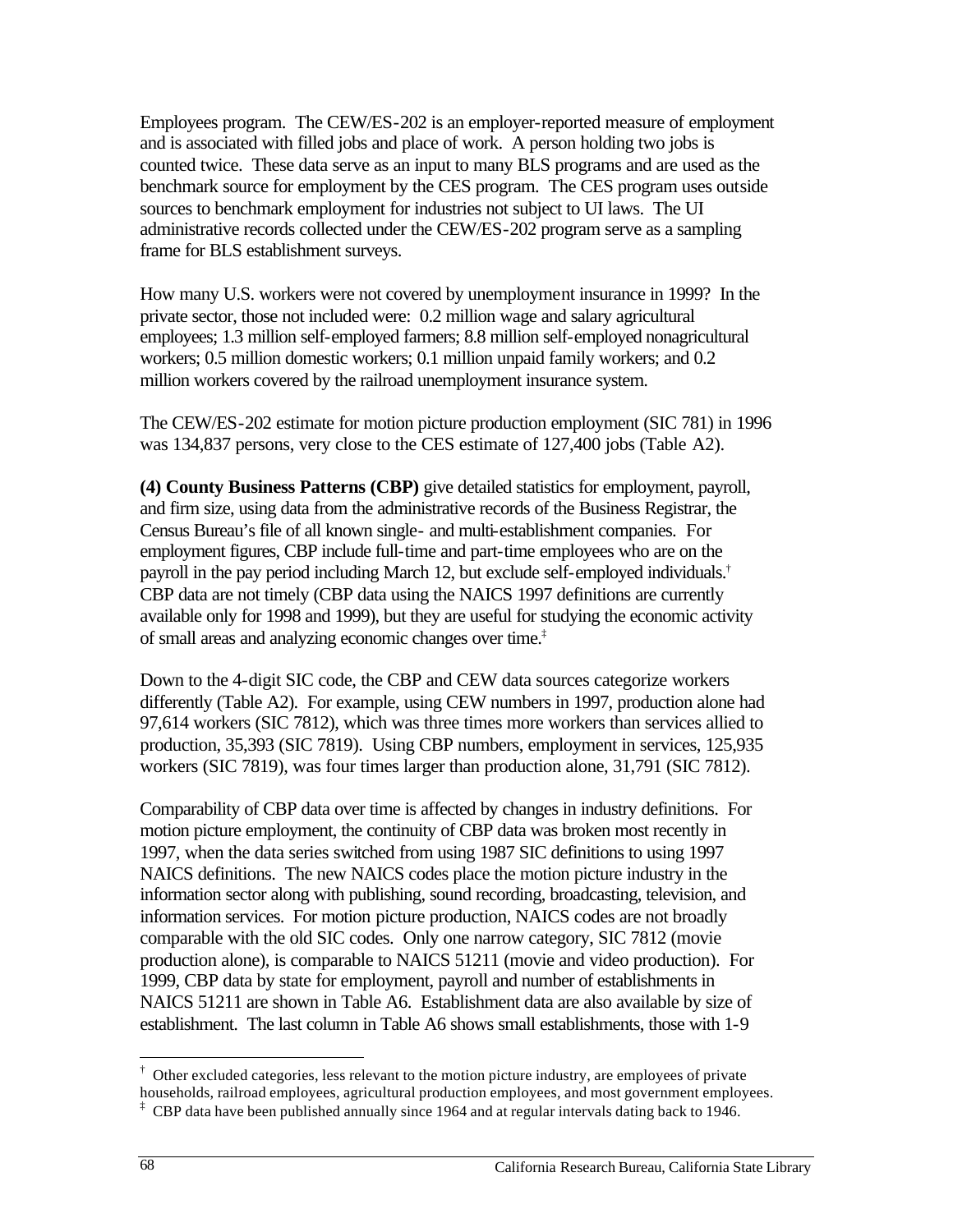Employees program. The CEW/ES-202 is an employer-reported measure of employment and is associated with filled jobs and place of work. A person holding two jobs is counted twice. These data serve as an input to many BLS programs and are used as the benchmark source for employment by the CES program. The CES program uses outside sources to benchmark employment for industries not subject to UI laws. The UI administrative records collected under the CEW/ES-202 program serve as a sampling frame for BLS establishment surveys.

How many U.S. workers were not covered by unemployment insurance in 1999? In the private sector, those not included were: 0.2 million wage and salary agricultural employees; 1.3 million self-employed farmers; 8.8 million self-employed nonagricultural workers; 0.5 million domestic workers; 0.1 million unpaid family workers; and 0.2 million workers covered by the railroad unemployment insurance system.

The CEW/ES-202 estimate for motion picture production employment (SIC 781) in 1996 was 134,837 persons, very close to the CES estimate of 127,400 jobs (Table A2).

 payroll in the pay period including March 12, but exclude self-employed individuals.† **(4) County Business Patterns (CBP)** give detailed statistics for employment, payroll, and firm size, using data from the administrative records of the Business Registrar, the Census Bureau's file of all known single- and multi-establishment companies. For employment figures, CBP include full-time and part-time employees who are on the CBP data are not timely (CBP data using the NAICS 1997 definitions are currently available only for 1998 and 1999), but they are useful for studying the economic activity of small areas and analyzing economic changes over time.‡

Down to the 4-digit SIC code, the CBP and CEW data sources categorize workers differently (Table A2). For example, using CEW numbers in 1997, production alone had 97,614 workers (SIC 7812), which was three times more workers than services allied to production, 35,393 (SIC 7819). Using CBP numbers, employment in services, 125,935 workers (SIC 7819), was four times larger than production alone, 31,791 (SIC 7812).

Comparability of CBP data over time is affected by changes in industry definitions. For motion picture employment, the continuity of CBP data was broken most recently in 1997, when the data series switched from using 1987 SIC definitions to using 1997 NAICS definitions. The new NAICS codes place the motion picture industry in the information sector along with publishing, sound recording, broadcasting, television, and information services. For motion picture production, NAICS codes are not broadly comparable with the old SIC codes. Only one narrow category, SIC 7812 (movie production alone), is comparable to NAICS 51211 (movie and video production). For 1999, CBP data by state for employment, payroll and number of establishments in NAICS 51211 are shown in Table A6. Establishment data are also available by size of establishment. The last column in Table A6 shows small establishments, those with 1-9

 $\overline{a}$ 

 $\dagger$  Other excluded categories, less relevant to the motion picture industry, are employees of private households, railroad employees, agricultural production employees, and most government employees.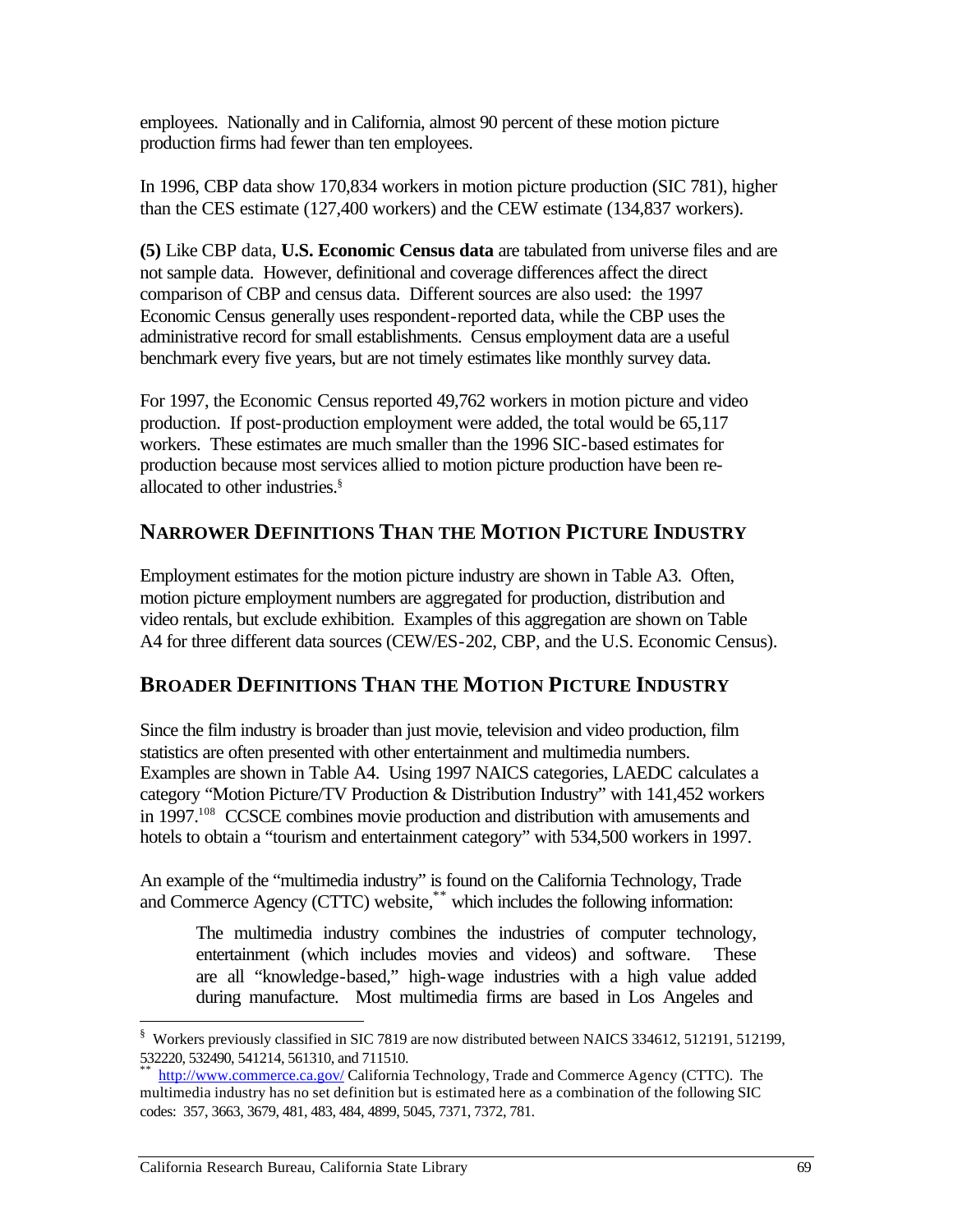employees. Nationally and in California, almost 90 percent of these motion picture production firms had fewer than ten employees.

In 1996, CBP data show 170,834 workers in motion picture production (SIC 781), higher than the CES estimate (127,400 workers) and the CEW estimate (134,837 workers).

**(5)** Like CBP data, **U.S. Economic Census data** are tabulated from universe files and are not sample data. However, definitional and coverage differences affect the direct comparison of CBP and census data. Different sources are also used: the 1997 Economic Census generally uses respondent-reported data, while the CBP uses the administrative record for small establishments. Census employment data are a useful benchmark every five years, but are not timely estimates like monthly survey data.

For 1997, the Economic Census reported 49,762 workers in motion picture and video production. If post-production employment were added, the total would be 65,117 workers. These estimates are much smaller than the 1996 SIC-based estimates for production because most services allied to motion picture production have been reallocated to other industries.§

# **NARROWER DEFINITIONS THAN THE MOTION PICTURE INDUSTRY**

Employment estimates for the motion picture industry are shown in Table A3. Often, motion picture employment numbers are aggregated for production, distribution and video rentals, but exclude exhibition. Examples of this aggregation are shown on Table A4 for three different data sources (CEW/ES-202, CBP, and the U.S. Economic Census).

## **BROADER DEFINITIONS THAN THE MOTION PICTURE INDUSTRY**

Since the film industry is broader than just movie, television and video production, film statistics are often presented with other entertainment and multimedia numbers. Examples are shown in Table A4. Using 1997 NAICS categories, LAEDC calculates a category "Motion Picture/TV Production & Distribution Industry" with 141,452 workers in 1997.<sup>108</sup> CCSCE combines movie production and distribution with amusements and hotels to obtain a "tourism and entertainment category" with 534,500 workers in 1997.

An example of the "multimedia industry" is found on the California Technology, Trade and Commerce Agency (CTTC) website,\*\* which includes the following information:

The multimedia industry combines the industries of computer technology, entertainment (which includes movies and videos) and software. These are all "knowledge-based," high-wage industries with a high value added during manufacture. Most multimedia firms are based in Los Angeles and

1

<sup>§</sup> Workers previously classified in SIC 7819 are now distributed between NAICS 334612, 512191, 512199, 532220, 532490, 541214, 561310, and 711510.

http://www.commerce.ca.gov/ California Technology, Trade and Commerce Agency (CTTC). The multimedia industry has no set definition but is estimated here as a combination of the following SIC codes: 357, 3663, 3679, 481, 483, 484, 4899, 5045, 7371, 7372, 781.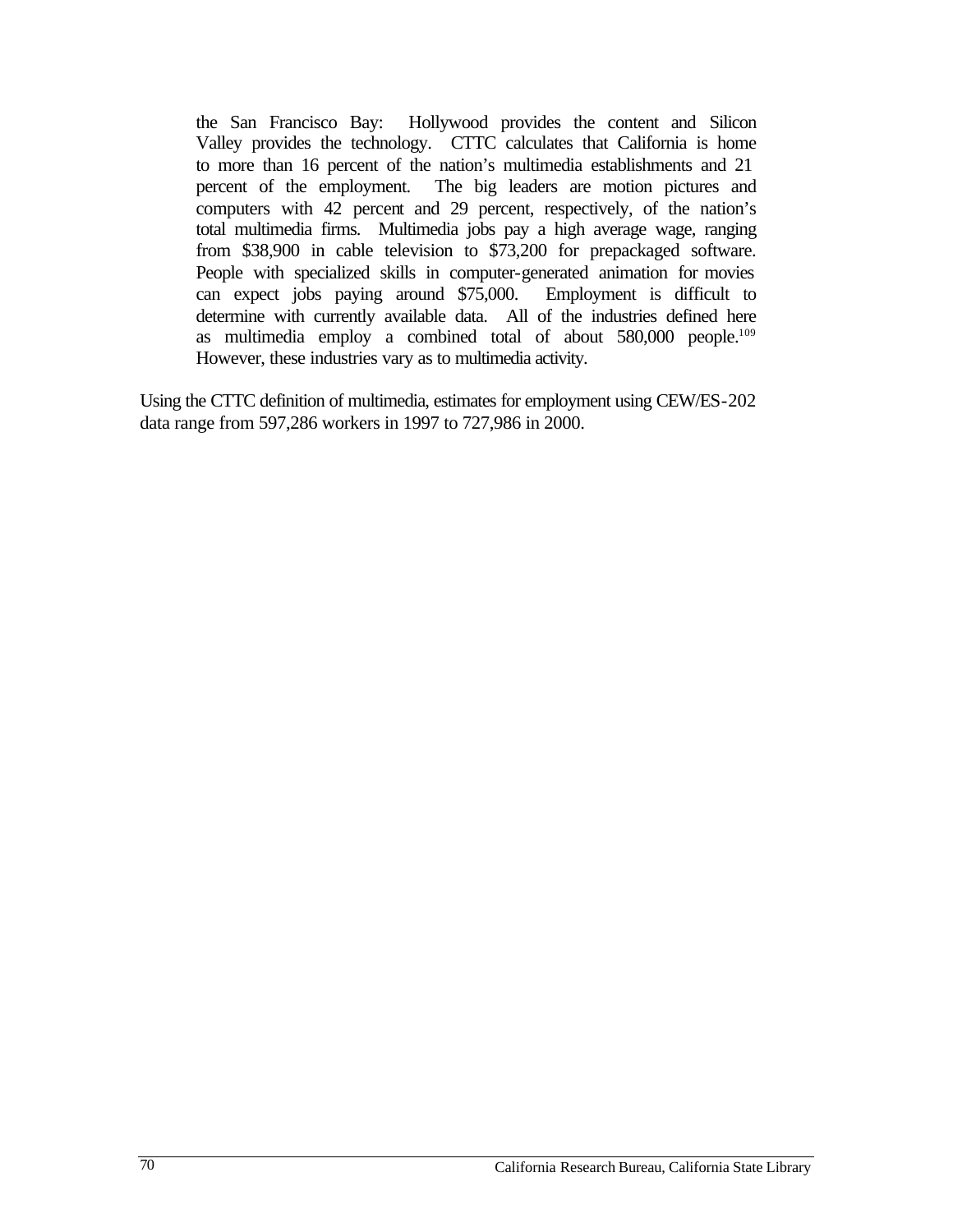from \$38,900 in cable television to \$73,200 for prepackaged software. as multimedia employ a combined total of about 580,000 people.<sup>109</sup> the San Francisco Bay: Hollywood provides the content and Silicon Valley provides the technology. CTTC calculates that California is home to more than 16 percent of the nation's multimedia establishments and 21 percent of the employment. The big leaders are motion pictures and computers with 42 percent and 29 percent, respectively, of the nation's total multimedia firms. Multimedia jobs pay a high average wage, ranging From From telectrical telephone is the specialized skills in computer-generated animation for movies can expect jobs paying around \$75,000. Employment is difficult to determine with currently available data. All of the industries defined here However, these industries vary as to multimedia activity.

Using the CTTC definition of multimedia, estimates for employment using CEW/ES-202 data range from 597,286 workers in 1997 to 727,986 in 2000.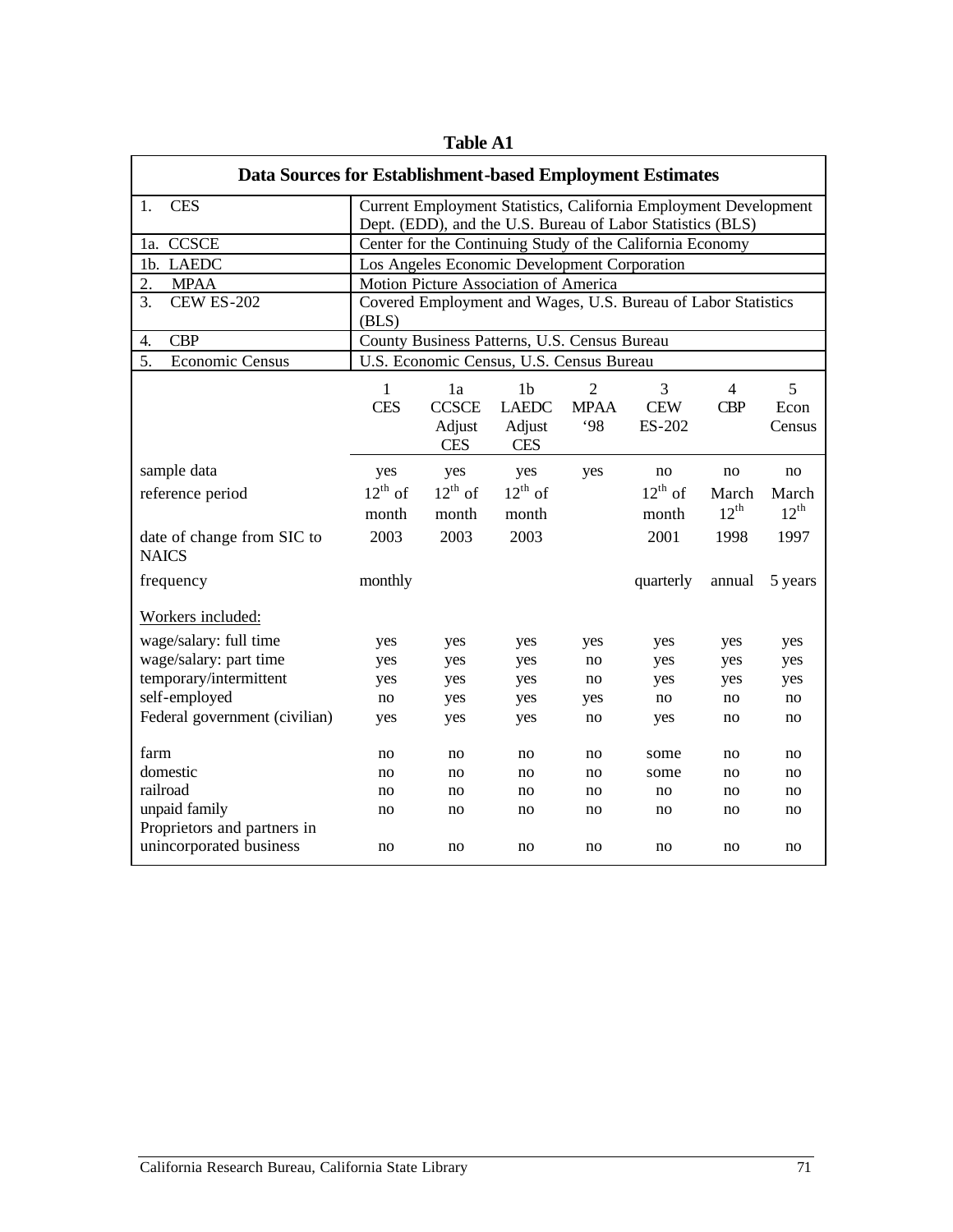| Data Sources for Establishment-based Employment Estimates |                                                           |                                            |                                                        |                                     |                                                                  |                              |                     |  |
|-----------------------------------------------------------|-----------------------------------------------------------|--------------------------------------------|--------------------------------------------------------|-------------------------------------|------------------------------------------------------------------|------------------------------|---------------------|--|
| <b>CES</b><br>1.                                          |                                                           |                                            |                                                        |                                     | Current Employment Statistics, California Employment Development |                              |                     |  |
|                                                           |                                                           |                                            |                                                        |                                     | Dept. (EDD), and the U.S. Bureau of Labor Statistics (BLS)       |                              |                     |  |
| 1a. CCSCE                                                 | Center for the Continuing Study of the California Economy |                                            |                                                        |                                     |                                                                  |                              |                     |  |
| 1b. LAEDC                                                 |                                                           |                                            | Los Angeles Economic Development Corporation           |                                     |                                                                  |                              |                     |  |
| <b>MPAA</b><br>2.                                         |                                                           |                                            | Motion Picture Association of America                  |                                     |                                                                  |                              |                     |  |
| $\overline{3}$ .<br><b>CEW ES-202</b>                     | (BLS)                                                     |                                            |                                                        |                                     | Covered Employment and Wages, U.S. Bureau of Labor Statistics    |                              |                     |  |
| <b>CBP</b><br>4.                                          |                                                           |                                            | County Business Patterns, U.S. Census Bureau           |                                     |                                                                  |                              |                     |  |
| 5.<br>Economic Census                                     |                                                           |                                            | U.S. Economic Census, U.S. Census Bureau               |                                     |                                                                  |                              |                     |  |
|                                                           | $\mathbf{1}$<br><b>CES</b>                                | 1a<br><b>CCSCE</b><br>Adjust<br><b>CES</b> | 1 <sub>b</sub><br><b>LAEDC</b><br>Adjust<br><b>CES</b> | $\overline{2}$<br><b>MPAA</b><br>98 | 3<br><b>CEW</b><br>ES-202                                        | $\overline{4}$<br><b>CBP</b> | 5<br>Econ<br>Census |  |
| sample data                                               | yes                                                       | yes                                        | yes                                                    | yes                                 | no                                                               | no                           | no                  |  |
| reference period                                          | $12^{th}$ of                                              | $12^{th}$ of                               | $12^{th}$ of                                           |                                     | $12^{th}$ of                                                     | March                        | March               |  |
|                                                           | month                                                     | month                                      | month                                                  |                                     | month                                                            | $12^{\text{th}}$             | $12^{\text{th}}$    |  |
| date of change from SIC to<br><b>NAICS</b>                | 2003                                                      | 2003                                       | 2003                                                   |                                     | 2001                                                             | 1998                         | 1997                |  |
| frequency                                                 | monthly                                                   |                                            |                                                        |                                     | quarterly                                                        | annual                       | 5 years             |  |
| Workers included:                                         |                                                           |                                            |                                                        |                                     |                                                                  |                              |                     |  |
| wage/salary: full time                                    | yes                                                       | yes                                        | yes                                                    | yes                                 | yes                                                              | yes                          | yes                 |  |
| wage/salary: part time                                    | yes                                                       | yes                                        | yes                                                    | no                                  | yes                                                              | yes                          | yes                 |  |
| temporary/intermittent                                    | yes                                                       | yes                                        | yes                                                    | no                                  | yes                                                              | yes                          | yes                 |  |
| self-employed                                             | no                                                        | yes                                        | yes                                                    | yes                                 | no                                                               | no                           | no                  |  |
| Federal government (civilian)                             | yes                                                       | yes                                        | yes                                                    | no                                  | yes                                                              | no                           | no                  |  |
| farm                                                      | no                                                        | no                                         | no                                                     | no                                  | some                                                             | no                           | no                  |  |
| domestic                                                  | no                                                        | no                                         | no                                                     | no                                  | some                                                             | no                           | no                  |  |
| railroad                                                  | no                                                        | no                                         | no                                                     | no                                  | no                                                               | no                           | no                  |  |
| unpaid family                                             | no                                                        | no                                         | no                                                     | no                                  | no                                                               | no                           | no                  |  |
| Proprietors and partners in<br>unincorporated business    | no                                                        | no                                         | no                                                     | no                                  | no                                                               | no                           | no                  |  |

**Table A1**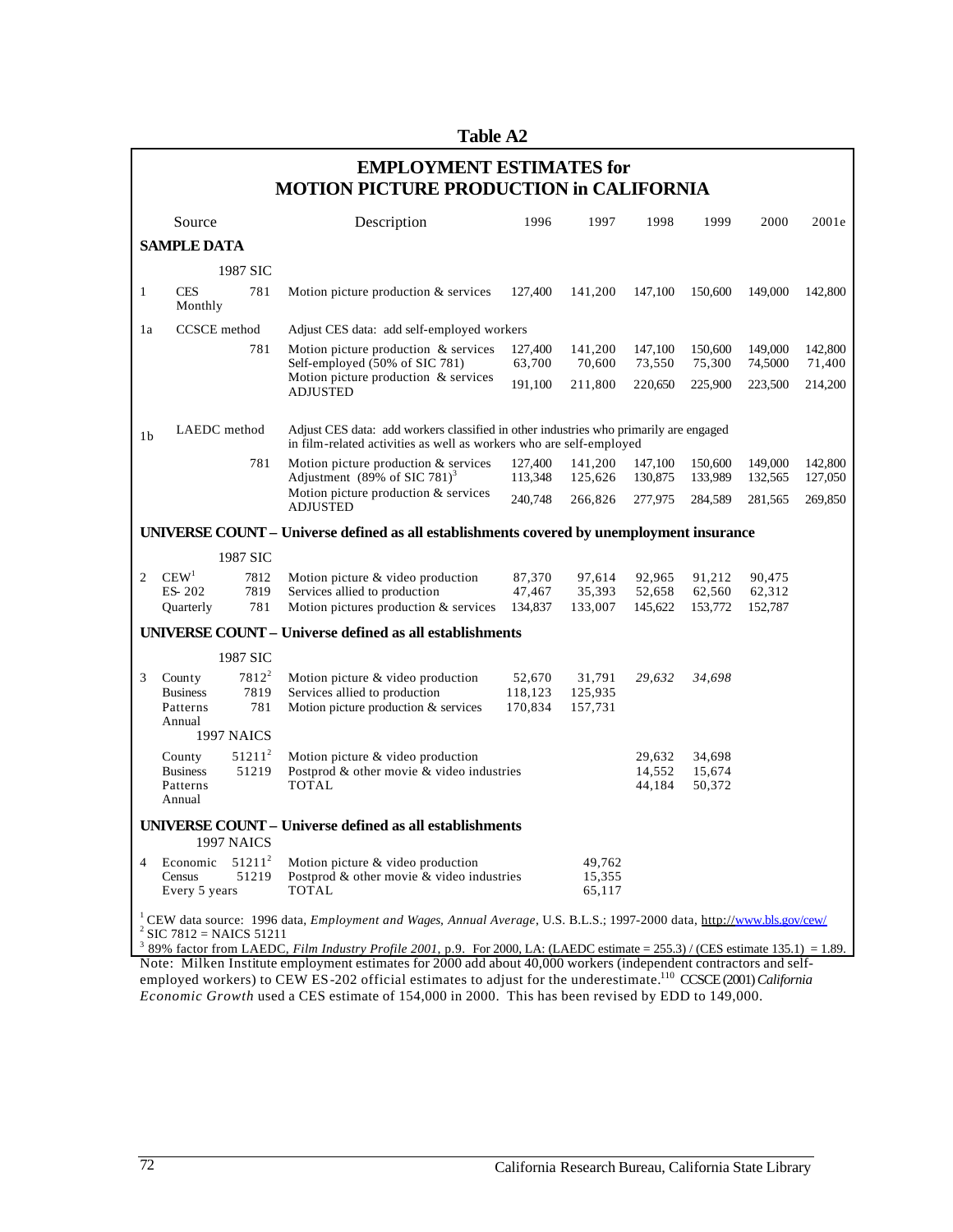**Table A2** 

| <b>EMPLOYMENT ESTIMATES for</b><br><b>MOTION PICTURE PRODUCTION in CALIFORNIA</b> |                                                                                                                                                                                                                                                |                    |                                                                                                                                                              |                    |                            |                    |                    |                    |                    |
|-----------------------------------------------------------------------------------|------------------------------------------------------------------------------------------------------------------------------------------------------------------------------------------------------------------------------------------------|--------------------|--------------------------------------------------------------------------------------------------------------------------------------------------------------|--------------------|----------------------------|--------------------|--------------------|--------------------|--------------------|
|                                                                                   | Source                                                                                                                                                                                                                                         |                    | Description                                                                                                                                                  | 1996               | 1997                       | 1998               | 1999               | 2000               | 2001e              |
|                                                                                   | <b>SAMPLE DATA</b>                                                                                                                                                                                                                             |                    |                                                                                                                                                              |                    |                            |                    |                    |                    |                    |
|                                                                                   |                                                                                                                                                                                                                                                | 1987 SIC           |                                                                                                                                                              |                    |                            |                    |                    |                    |                    |
| 1                                                                                 | <b>CES</b><br>Monthly                                                                                                                                                                                                                          | 781                | Motion picture production & services                                                                                                                         | 127,400            | 141,200                    | 147,100            | 150,600            | 149,000            | 142,800            |
| 1a                                                                                | CCSCE method                                                                                                                                                                                                                                   |                    | Adjust CES data: add self-employed workers                                                                                                                   |                    |                            |                    |                    |                    |                    |
|                                                                                   |                                                                                                                                                                                                                                                | 781                | Motion picture production & services<br>Self-employed (50% of SIC 781)                                                                                       | 127,400<br>63,700  | 141,200<br>70,600          | 147,100<br>73,550  | 150,600<br>75,300  | 149,000<br>74,5000 | 142,800<br>71,400  |
|                                                                                   |                                                                                                                                                                                                                                                |                    | Motion picture production & services<br><b>ADJUSTED</b>                                                                                                      | 191,100            | 211,800                    | 220,650            | 225,900            | 223,500            | 214,200            |
| 1 <sub>b</sub>                                                                    | LAEDC method                                                                                                                                                                                                                                   |                    | Adjust CES data: add workers classified in other industries who primarily are engaged<br>in film-related activities as well as workers who are self-employed |                    |                            |                    |                    |                    |                    |
|                                                                                   |                                                                                                                                                                                                                                                | 781                | Motion picture production & services<br>Adjustment $(89\% \text{ of } SIC 781)^3$                                                                            | 127,400<br>113,348 | 141,200<br>125,626         | 147,100<br>130,875 | 150,600<br>133,989 | 149,000<br>132,565 | 142,800<br>127,050 |
|                                                                                   |                                                                                                                                                                                                                                                |                    | Motion picture production & services<br><b>ADJUSTED</b>                                                                                                      | 240,748            | 266,826                    | 277,975            | 284,589            | 281,565            | 269,850            |
|                                                                                   |                                                                                                                                                                                                                                                |                    | UNIVERSE COUNT - Universe defined as all establishments covered by unemployment insurance                                                                    |                    |                            |                    |                    |                    |                    |
|                                                                                   |                                                                                                                                                                                                                                                | 1987 SIC           |                                                                                                                                                              |                    |                            |                    |                    |                    |                    |
| 2                                                                                 | CEW <sup>1</sup>                                                                                                                                                                                                                               | 7812               | Motion picture & video production                                                                                                                            | 87,370             | 97,614                     | 92.965             | 91,212             | 90,475             |                    |
|                                                                                   | ES-202<br>Quarterly                                                                                                                                                                                                                            | 7819<br>781        | Services allied to production<br>Motion pictures production & services                                                                                       | 47,467<br>134,837  | 35,393<br>133,007          | 52,658<br>145,622  | 62,560<br>153,772  | 62,312<br>152,787  |                    |
|                                                                                   |                                                                                                                                                                                                                                                |                    | UNIVERSE COUNT – Universe defined as all establishments                                                                                                      |                    |                            |                    |                    |                    |                    |
|                                                                                   |                                                                                                                                                                                                                                                | 1987 SIC           |                                                                                                                                                              |                    |                            |                    |                    |                    |                    |
|                                                                                   |                                                                                                                                                                                                                                                | $7812^2$           |                                                                                                                                                              |                    |                            |                    |                    |                    |                    |
| 3                                                                                 | County<br><b>Business</b>                                                                                                                                                                                                                      | 7819               | Motion picture & video production<br>Services allied to production                                                                                           | 52,670<br>118,123  | 31,791<br>125,935          | 29,632             | 34,698             |                    |                    |
|                                                                                   | Patterns                                                                                                                                                                                                                                       | 781                | Motion picture production & services                                                                                                                         | 170,834            | 157,731                    |                    |                    |                    |                    |
|                                                                                   | Annual                                                                                                                                                                                                                                         | 1997 NAICS         |                                                                                                                                                              |                    |                            |                    |                    |                    |                    |
|                                                                                   | County                                                                                                                                                                                                                                         | $51211^2$          | Motion picture & video production                                                                                                                            |                    |                            | 29,632             | 34,698             |                    |                    |
|                                                                                   | <b>Business</b>                                                                                                                                                                                                                                | 51219              | Postprod & other movie & video industries                                                                                                                    |                    |                            | 14,552             | 15,674             |                    |                    |
|                                                                                   | Patterns<br>Annual                                                                                                                                                                                                                             |                    | <b>TOTAL</b>                                                                                                                                                 |                    |                            | 44,184             | 50,372             |                    |                    |
|                                                                                   |                                                                                                                                                                                                                                                | 1997 NAICS         | <b>UNIVERSE COUNT - Universe defined as all establishments</b>                                                                                               |                    |                            |                    |                    |                    |                    |
| 4                                                                                 | Economic<br>Census<br>Every 5 years                                                                                                                                                                                                            | $51211^2$<br>51219 | Motion picture & video production<br>Postprod & other movie & video industries<br><b>TOTAL</b>                                                               |                    | 49.762<br>15,355<br>65,117 |                    |                    |                    |                    |
|                                                                                   | $2$ SIC 7812 = NAICS 51211                                                                                                                                                                                                                     |                    | <sup>1</sup> CEW data source: 1996 data, <i>Employment and Wages, Annual Average</i> , U.S. B.L.S.; 1997-2000 data, http://www.bls.gov/cew/                  |                    |                            |                    |                    |                    |                    |
|                                                                                   |                                                                                                                                                                                                                                                |                    | <sup>3</sup> 89% factor from LAEDC, Film Industry Profile 2001, p.9. For 2000, LA: (LAEDC estimate = 255.3) / (CES estimate 135.1) = 1.89.                   |                    |                            |                    |                    |                    |                    |
|                                                                                   | Note: Milken Institute employment estimates for 2000 add about 40,000 workers (independent contractors and self-<br>employed workers) to CEW ES-202 official estimates to adjust for the underestimate. <sup>110</sup> CCSCE (2001) California |                    |                                                                                                                                                              |                    |                            |                    |                    |                    |                    |

*Economic Growth* used a CES estimate of 154,000 in 2000. This has been revised by EDD to 149,000.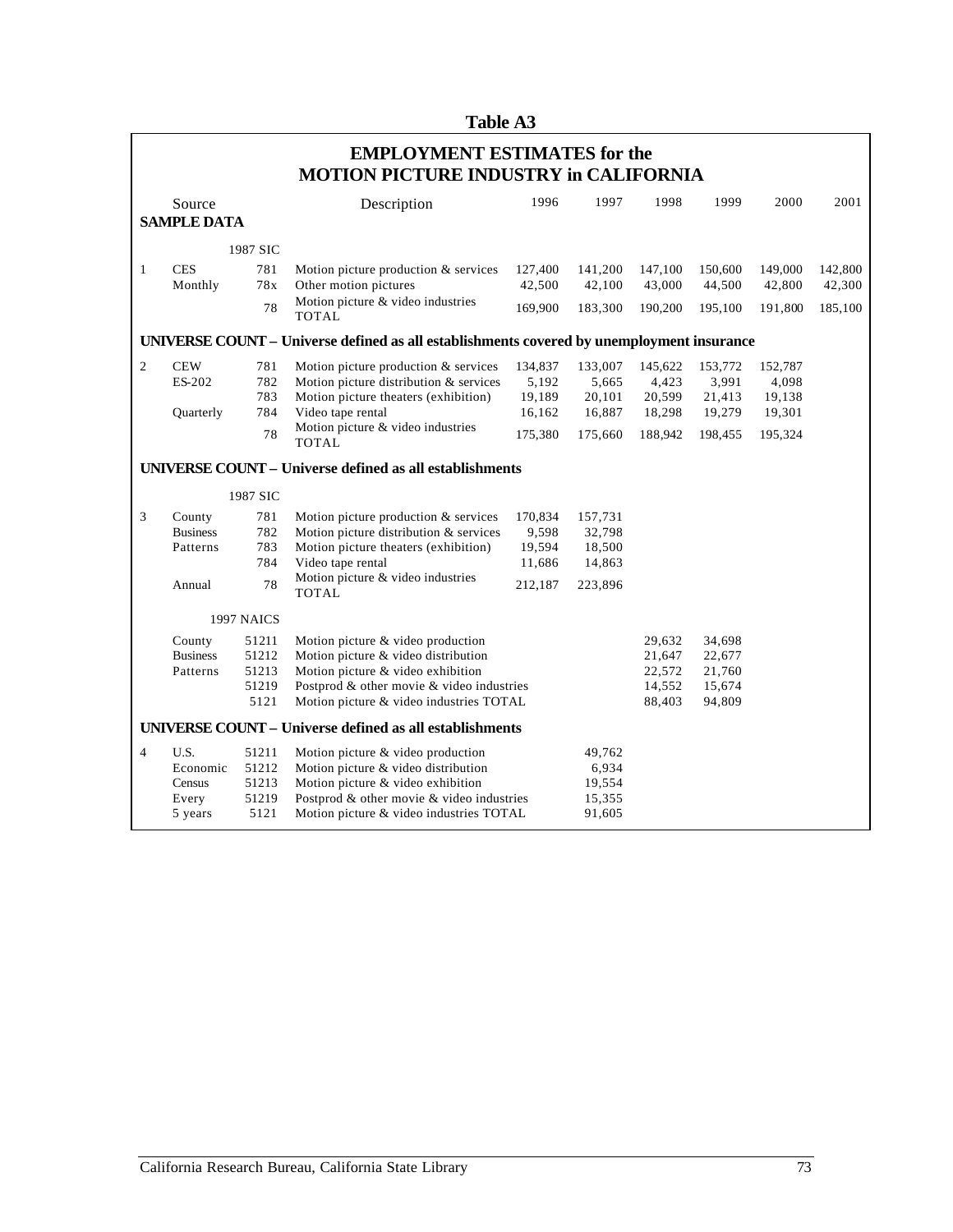|                | <b>Table A3</b>                                                                     |                                          |                                                                                                                                                                                                       |                                                 |                                                  |                                                 |                                                 |                                                 |                   |  |
|----------------|-------------------------------------------------------------------------------------|------------------------------------------|-------------------------------------------------------------------------------------------------------------------------------------------------------------------------------------------------------|-------------------------------------------------|--------------------------------------------------|-------------------------------------------------|-------------------------------------------------|-------------------------------------------------|-------------------|--|
|                | <b>EMPLOYMENT ESTIMATES for the</b><br><b>MOTION PICTURE INDUSTRY in CALIFORNIA</b> |                                          |                                                                                                                                                                                                       |                                                 |                                                  |                                                 |                                                 |                                                 |                   |  |
|                | Source                                                                              |                                          | Description                                                                                                                                                                                           | 1996                                            | 1997                                             | 1998                                            | 1999                                            | 2000                                            | 2001              |  |
|                | <b>SAMPLE DATA</b>                                                                  |                                          |                                                                                                                                                                                                       |                                                 |                                                  |                                                 |                                                 |                                                 |                   |  |
|                |                                                                                     | 1987 SIC                                 |                                                                                                                                                                                                       |                                                 |                                                  |                                                 |                                                 |                                                 |                   |  |
| $\mathbf{1}$   | <b>CES</b><br>Monthly                                                               | 781<br>78x                               | Motion picture production & services<br>Other motion pictures                                                                                                                                         | 127,400<br>42,500                               | 141,200<br>42,100                                | 147,100<br>43,000                               | 150,600<br>44,500                               | 149,000<br>42,800                               | 142,800<br>42,300 |  |
|                |                                                                                     | 78                                       | Motion picture & video industries<br><b>TOTAL</b>                                                                                                                                                     | 169,900                                         | 183,300                                          | 190,200                                         | 195,100                                         | 191,800                                         | 185,100           |  |
|                |                                                                                     |                                          | UNIVERSE COUNT - Universe defined as all establishments covered by unemployment insurance                                                                                                             |                                                 |                                                  |                                                 |                                                 |                                                 |                   |  |
| $\overline{c}$ | <b>CEW</b><br>ES-202<br>Quarterly                                                   | 781<br>782<br>783<br>784<br>78           | Motion picture production & services<br>Motion picture distribution & services<br>Motion picture theaters (exhibition)<br>Video tape rental<br>Motion picture & video industries                      | 134,837<br>5,192<br>19,189<br>16,162<br>175,380 | 133,007<br>5,665<br>20,101<br>16,887<br>175,660  | 145,622<br>4,423<br>20,599<br>18,298<br>188,942 | 153,772<br>3,991<br>21,413<br>19,279<br>198,455 | 152,787<br>4,098<br>19,138<br>19,301<br>195,324 |                   |  |
|                |                                                                                     |                                          | <b>TOTAL</b>                                                                                                                                                                                          |                                                 |                                                  |                                                 |                                                 |                                                 |                   |  |
|                |                                                                                     |                                          | <b>UNIVERSE COUNT - Universe defined as all establishments</b>                                                                                                                                        |                                                 |                                                  |                                                 |                                                 |                                                 |                   |  |
|                |                                                                                     | 1987 SIC                                 |                                                                                                                                                                                                       |                                                 |                                                  |                                                 |                                                 |                                                 |                   |  |
| 3              | County<br><b>Business</b><br>Patterns<br>Annual                                     | 781<br>782<br>783<br>784<br>78           | Motion picture production & services<br>Motion picture distribution & services<br>Motion picture theaters (exhibition)<br>Video tape rental<br>Motion picture & video industries<br><b>TOTAL</b>      | 170,834<br>9,598<br>19,594<br>11,686<br>212,187 | 157,731<br>32,798<br>18,500<br>14,863<br>223,896 |                                                 |                                                 |                                                 |                   |  |
|                |                                                                                     | 1997 NAICS                               |                                                                                                                                                                                                       |                                                 |                                                  |                                                 |                                                 |                                                 |                   |  |
|                | County<br><b>Business</b><br>Patterns                                               | 51211<br>51212<br>51213<br>51219<br>5121 | Motion picture & video production<br>Motion picture & video distribution<br>Motion picture & video exhibition<br>Postprod & other movie & video industries<br>Motion picture & video industries TOTAL |                                                 |                                                  | 29,632<br>21,647<br>22,572<br>14,552<br>88,403  | 34,698<br>22,677<br>21,760<br>15,674<br>94,809  |                                                 |                   |  |
|                |                                                                                     |                                          | <b>UNIVERSE COUNT - Universe defined as all establishments</b>                                                                                                                                        |                                                 |                                                  |                                                 |                                                 |                                                 |                   |  |
| 4              | U.S.<br>Economic<br>Census<br>Every<br>5 years                                      | 51211<br>51212<br>51213<br>51219<br>5121 | Motion picture & video production<br>Motion picture & video distribution<br>Motion picture & video exhibition<br>Postprod & other movie & video industries<br>Motion picture & video industries TOTAL |                                                 | 49,762<br>6,934<br>19,554<br>15,355<br>91,605    |                                                 |                                                 |                                                 |                   |  |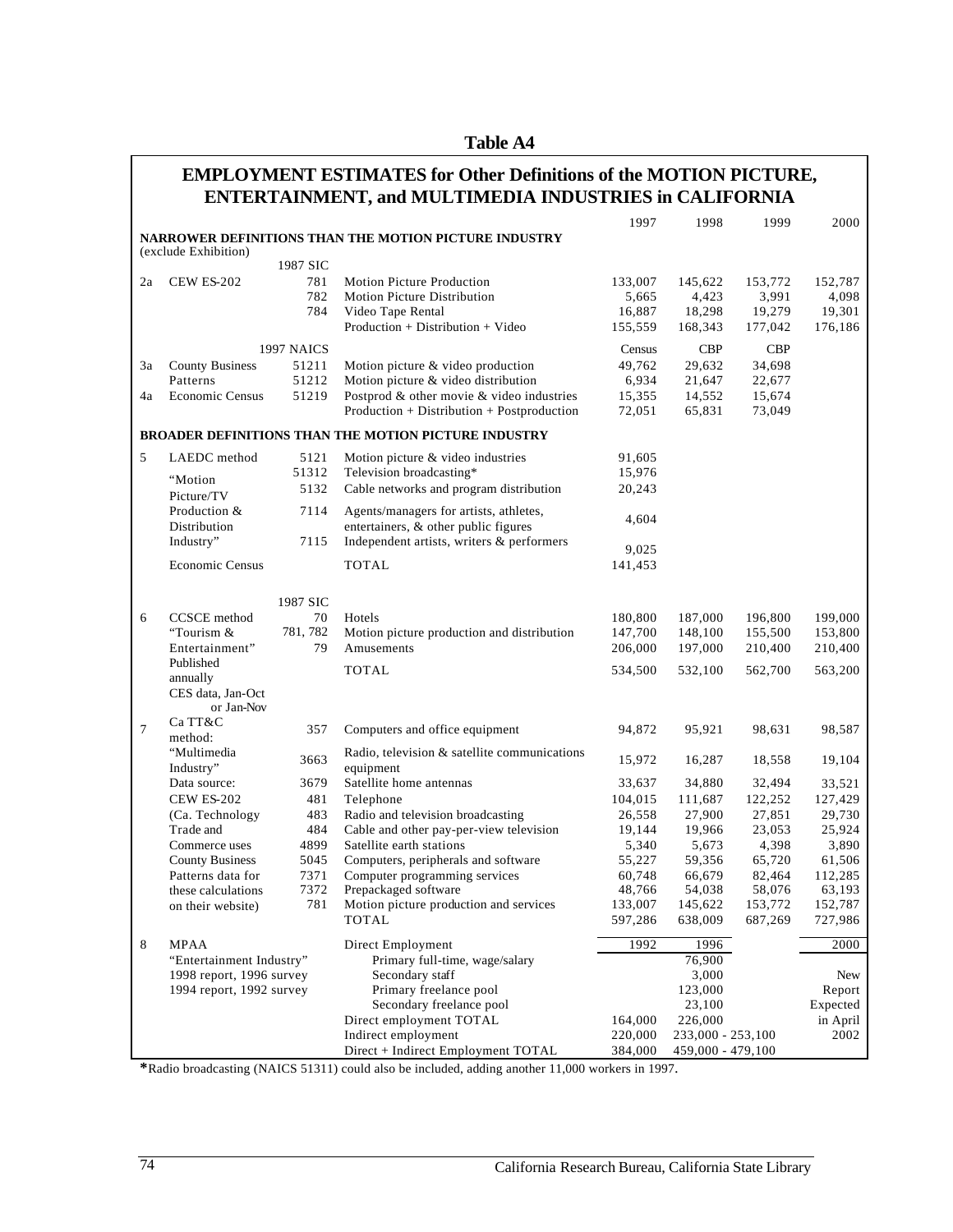| anıe |  |
|------|--|
|------|--|

## **ENTERTAINMENT, and MULTIMEDIA INDUSTRIES in CALIFORNIA EMPLOYMENT ESTIMATES for Other Definitions of the MOTION PICTURE,**

|        |                                       |            |                                                                     | 1997              | 1998              | 1999              | 2000              |
|--------|---------------------------------------|------------|---------------------------------------------------------------------|-------------------|-------------------|-------------------|-------------------|
|        |                                       |            | NARROWER DEFINITIONS THAN THE MOTION PICTURE INDUSTRY               |                   |                   |                   |                   |
|        | (exclude Exhibition)                  |            |                                                                     |                   |                   |                   |                   |
|        |                                       | 1987 SIC   |                                                                     |                   |                   |                   |                   |
| 2a     | <b>CEW ES-202</b>                     | 781        | Motion Picture Production                                           | 133,007           | 145,622           | 153,772           | 152,787           |
|        |                                       | 782        | Motion Picture Distribution                                         | 5,665             | 4,423             | 3,991             | 4,098             |
|        |                                       | 784        | Video Tape Rental                                                   | 16,887            | 18,298            | 19,279            | 19,301            |
|        |                                       |            | $Production + Distribution + Video$                                 | 155,559           | 168,343           | 177,042           | 176,186           |
|        |                                       | 1997 NAICS |                                                                     | Census            | <b>CBP</b>        | <b>CBP</b>        |                   |
| 3a     | <b>County Business</b>                | 51211      | Motion picture & video production                                   | 49,762            | 29,632            | 34,698            |                   |
|        | Patterns                              | 51212      | Motion picture & video distribution                                 | 6,934             | 21,647            | 22,677            |                   |
| 4a     | <b>Economic Census</b>                | 51219      | Postprod & other movie & video industries                           | 15,355            | 14,552            | 15,674            |                   |
|        |                                       |            | Production + Distribution + Postproduction                          | 72,051            | 65,831            | 73,049            |                   |
|        |                                       |            | <b>BROADER DEFINITIONS THAN THE MOTION PICTURE INDUSTRY</b>         |                   |                   |                   |                   |
|        |                                       |            |                                                                     |                   |                   |                   |                   |
| 5      | LAEDC method                          | 5121       | Motion picture & video industries                                   | 91,605            |                   |                   |                   |
|        | "Motion                               | 51312      | Television broadcasting*                                            | 15,976            |                   |                   |                   |
|        | Picture/TV                            | 5132       | Cable networks and program distribution                             | 20,243            |                   |                   |                   |
|        | Production &                          | 7114       | Agents/managers for artists, athletes,                              |                   |                   |                   |                   |
|        | Distribution                          |            | entertainers, & other public figures                                | 4,604             |                   |                   |                   |
|        | Industry"                             | 7115       | Independent artists, writers & performers                           |                   |                   |                   |                   |
|        |                                       |            |                                                                     | 9,025             |                   |                   |                   |
|        | <b>Economic Census</b>                |            | <b>TOTAL</b>                                                        | 141,453           |                   |                   |                   |
|        |                                       |            |                                                                     |                   |                   |                   |                   |
|        |                                       | 1987 SIC   |                                                                     |                   |                   |                   |                   |
| 6      | CCSCE method                          | 70         | Hotels                                                              | 180,800           | 187,000           | 196,800           | 199,000           |
|        | "Tourism &                            | 781, 782   | Motion picture production and distribution                          | 147,700           | 148,100           | 155,500           | 153,800           |
|        | Entertainment"                        | 79         | Amusements                                                          | 206,000           | 197,000           | 210,400           | 210,400           |
|        | Published                             |            | <b>TOTAL</b>                                                        | 534,500           | 532,100           | 562,700           | 563,200           |
|        | annually                              |            |                                                                     |                   |                   |                   |                   |
|        | CES data, Jan-Oct                     |            |                                                                     |                   |                   |                   |                   |
|        | or Jan-Nov                            |            |                                                                     |                   |                   |                   |                   |
| $\tau$ | Ca TT&C                               | 357        | Computers and office equipment                                      | 94,872            | 95,921            | 98,631            | 98,587            |
|        | method:                               |            |                                                                     |                   |                   |                   |                   |
|        | "Multimedia                           | 3663       | Radio, television & satellite communications<br>equipment           | 15,972            | 16,287            | 18,558            | 19,104            |
|        | Industry"<br>Data source:             | 3679       | Satellite home antennas                                             | 33,637            | 34,880            | 32,494            | 33,521            |
|        |                                       |            |                                                                     |                   |                   |                   |                   |
|        | <b>CEW ES-202</b><br>(Ca. Technology) | 481<br>483 | Telephone<br>Radio and television broadcasting                      | 104,015<br>26,558 | 111,687<br>27,900 | 122,252<br>27,851 | 127,429<br>29,730 |
|        | Trade and                             | 484        |                                                                     |                   |                   |                   | 25,924            |
|        | Commerce uses                         | 4899       | Cable and other pay-per-view television<br>Satellite earth stations | 19,144<br>5,340   | 19,966<br>5,673   | 23,053<br>4,398   | 3,890             |
|        | <b>County Business</b>                | 5045       | Computers, peripherals and software                                 | 55,227            | 59,356            | 65,720            | 61,506            |
|        | Patterns data for                     | 7371       | Computer programming services                                       | 60,748            | 66,679            | 82,464            | 112,285           |
|        | these calculations                    | 7372       | Prepackaged software                                                | 48,766            | 54,038            | 58,076            | 63,193            |
|        |                                       | 781        | Motion picture production and services                              | 133,007           | 145,622           | 153,772           | 152,787           |
|        | on their website)                     |            | <b>TOTAL</b>                                                        | 597,286           | 638,009           | 687,269           | 727,986           |
|        |                                       |            |                                                                     |                   |                   |                   |                   |
| 8      | <b>MPAA</b>                           |            | Direct Employment                                                   | 1992              | 1996              |                   | 2000              |
|        | "Entertainment Industry"              |            | Primary full-time, wage/salary                                      |                   | 76,900            |                   |                   |
|        | 1998 report, 1996 survey              |            | Secondary staff                                                     |                   | 3,000             |                   | New               |
|        | 1994 report, 1992 survey              |            | Primary freelance pool                                              |                   | 123,000           |                   | Report            |
|        |                                       |            | Secondary freelance pool                                            |                   | 23,100            |                   | Expected          |
|        |                                       |            | Direct employment TOTAL                                             | 164,000           | 226,000           |                   | in April          |
|        |                                       |            | Indirect employment                                                 | 220,000           | 233,000 - 253,100 |                   | 2002              |
|        |                                       |            | Direct + Indirect Employment TOTAL                                  | 384,000           | 459,000 - 479,100 |                   |                   |

**\***Radio broadcasting (NAICS 51311) could also be included, adding another 11,000 workers in 1997.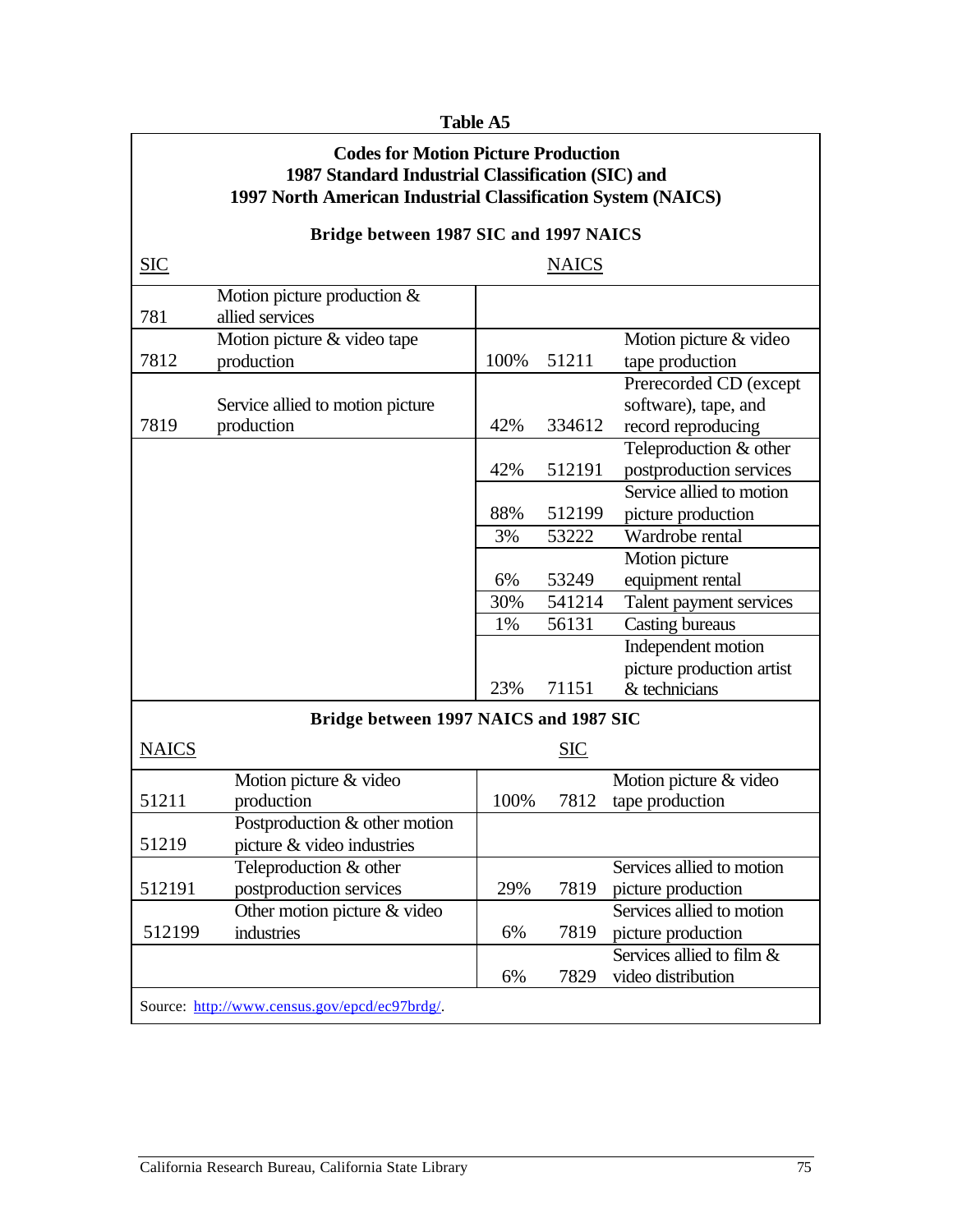#### **Table A5**

#### **Codes for Motion Picture Production 1987 Standard Industrial Classification (SIC) and 1997 North American Industrial Classification System (NAICS)**

## **Bridge between 1987 SIC and 1997 NAICS**

| <b>SIC</b>   |                                        |      | <b>NAICS</b> |                           |
|--------------|----------------------------------------|------|--------------|---------------------------|
|              | Motion picture production $&$          |      |              |                           |
| 781          | allied services                        |      |              |                           |
|              | Motion picture & video tape            |      |              | Motion picture & video    |
| 7812         | production                             | 100% | 51211        | tape production           |
|              |                                        |      |              | Prerecorded CD (except    |
|              | Service allied to motion picture       |      |              | software), tape, and      |
| 7819         | production                             | 42%  | 334612       | record reproducing        |
|              |                                        |      |              | Teleproduction & other    |
|              |                                        | 42%  | 512191       | postproduction services   |
|              |                                        |      |              | Service allied to motion  |
|              |                                        | 88%  | 512199       | picture production        |
|              |                                        | 3%   | 53222        | Wardrobe rental           |
|              |                                        |      |              | Motion picture            |
|              |                                        | 6%   | 53249        | equipment rental          |
|              |                                        | 30%  | 541214       | Talent payment services   |
|              |                                        | 1%   | 56131        | <b>Casting bureaus</b>    |
|              |                                        |      |              | Independent motion        |
|              |                                        |      |              | picture production artist |
|              |                                        | 23%  | 71151        | $&$ technicians           |
|              | Bridge between 1997 NAICS and 1987 SIC |      |              |                           |
| <b>NAICS</b> |                                        |      | <b>SIC</b>   |                           |
|              | Motion picture & video                 |      |              | Motion picture & video    |
| 51211        | production                             | 100% | 7812         | tape production           |
|              | Postproduction & other motion          |      |              |                           |
| 51219        | picture & video industries             |      |              |                           |
|              | Teleproduction & other                 |      |              | Services allied to motion |
| 512191       | postproduction services                | 29%  | 7819         | picture production        |
|              | Other motion picture & video           |      |              | Services allied to motion |
| 512199       | industries                             | 6%   | 7819         | picture production        |
|              |                                        |      |              | Services allied to film & |
|              |                                        | 6%   | 7829         | video distribution        |
|              |                                        |      |              |                           |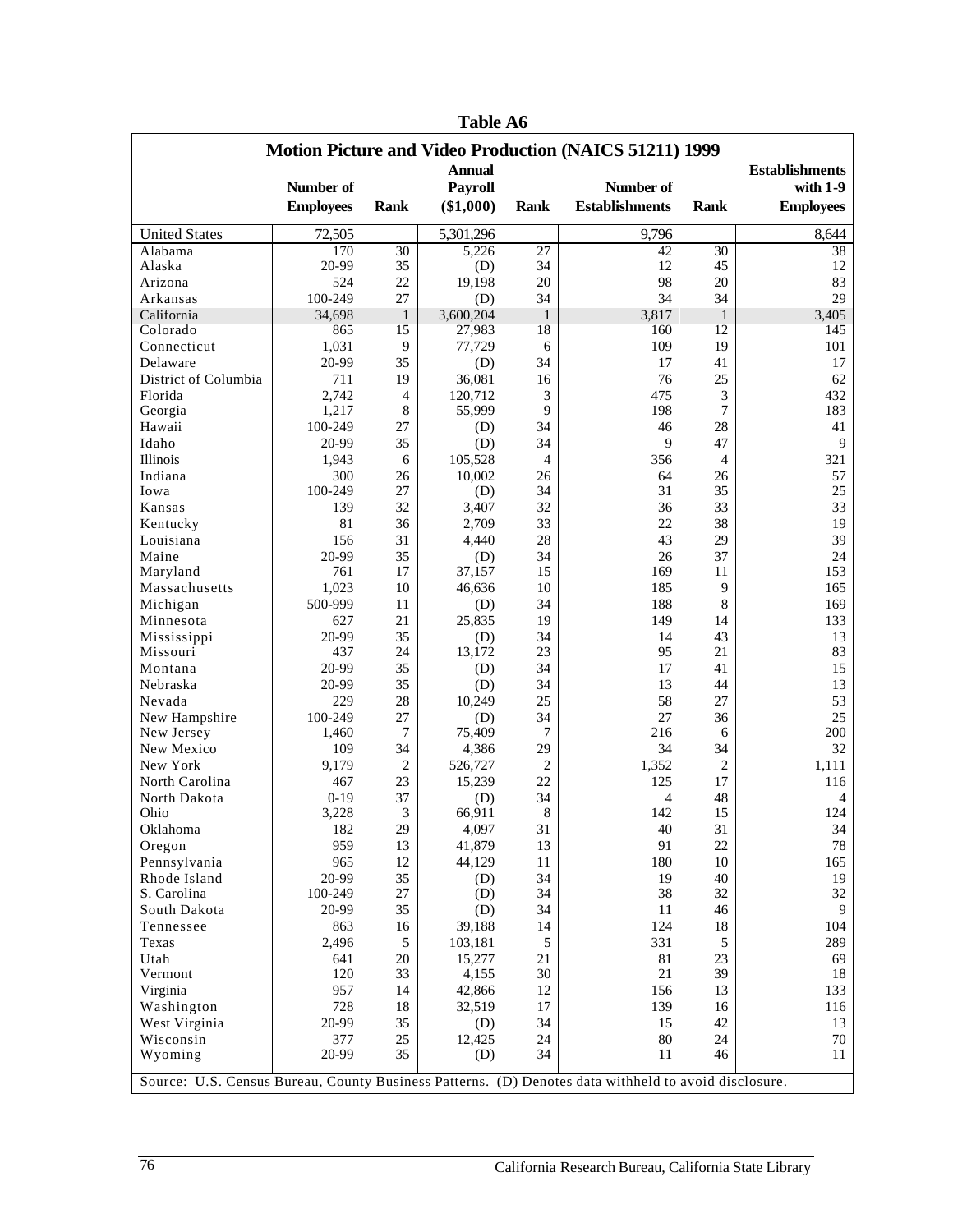| <b>Motion Picture and Video Production (NAICS 51211) 1999</b> |                                                                                                      |                |                               |                       |                                    |                |                                |  |
|---------------------------------------------------------------|------------------------------------------------------------------------------------------------------|----------------|-------------------------------|-----------------------|------------------------------------|----------------|--------------------------------|--|
|                                                               |                                                                                                      |                | <b>Annual</b>                 |                       |                                    |                | <b>Establishments</b>          |  |
|                                                               | Number of<br><b>Employees</b>                                                                        | <b>Rank</b>    | <b>Payroll</b><br>$(\$1,000)$ | <b>Rank</b>           | Number of<br><b>Establishments</b> | <b>Rank</b>    | with $1-9$<br><b>Employees</b> |  |
|                                                               |                                                                                                      |                |                               |                       |                                    |                |                                |  |
| <b>United States</b>                                          | 72,505                                                                                               |                | 5,301,296                     |                       | 9,796                              |                | 8,644                          |  |
| Alabama                                                       | 170<br>20-99                                                                                         | 30<br>35       | 5,226                         | $\overline{27}$<br>34 | 42<br>12                           | 30<br>45       | 38<br>12                       |  |
| Alaska<br>Arizona                                             | 524                                                                                                  | 22             | (D)<br>19,198                 | 20                    | 98                                 | 20             | 83                             |  |
| Arkansas                                                      | 100-249                                                                                              | 27             | (D)                           | 34                    | 34                                 | 34             | 29                             |  |
| California                                                    | 34,698                                                                                               | $\mathbf{1}$   | 3,600,204                     | $\mathbf{1}$          | 3,817                              | $\mathbf{1}$   | 3,405                          |  |
| Colorado                                                      | 865                                                                                                  | 15             | 27,983                        | 18                    | 160                                | 12             | 145                            |  |
| Connecticut                                                   | 1,031                                                                                                | 9              | 77,729                        | 6                     | 109                                | 19             | 101                            |  |
| Delaware                                                      | 20-99                                                                                                | 35             | (D)                           | 34                    | 17                                 | 41             | 17                             |  |
| District of Columbia                                          | 711                                                                                                  | 19             | 36,081                        | 16                    | 76                                 | 25             | 62                             |  |
| Florida                                                       | 2,742                                                                                                | $\overline{4}$ | 120,712                       | 3                     | 475                                | 3              | 432                            |  |
| Georgia                                                       | 1,217                                                                                                | 8              | 55,999                        | 9                     | 198                                | 7              | 183                            |  |
| Hawaii                                                        | 100-249                                                                                              | 27             | (D)                           | 34                    | 46                                 | 28             | 41                             |  |
| Idaho                                                         | 20-99                                                                                                | 35             | (D)                           | 34                    | 9                                  | 47             | 9                              |  |
| Illinois                                                      | 1,943                                                                                                | 6              | 105,528                       | 4                     | 356                                | $\overline{4}$ | 321                            |  |
| Indiana                                                       | 300                                                                                                  | 26             | 10,002                        | 26                    | 64                                 | 26             | 57                             |  |
| Iowa                                                          | 100-249                                                                                              | 27             | (D)                           | 34                    | 31                                 | 35             | 25                             |  |
| Kansas                                                        | 139                                                                                                  | 32             | 3,407                         | 32                    | 36                                 | 33             | 33                             |  |
| Kentucky                                                      | 81                                                                                                   | 36             | 2,709                         | 33                    | 22                                 | 38             | 19                             |  |
| Louisiana                                                     | 156                                                                                                  | 31             | 4,440                         | 28                    | 43                                 | 29             | 39                             |  |
| Maine                                                         | 20-99                                                                                                | 35             | (D)                           | 34                    | 26                                 | 37             | 24                             |  |
| Maryland                                                      | 761                                                                                                  | 17             | 37,157                        | 15                    | 169                                | 11             | 153                            |  |
| Massachusetts                                                 | 1,023                                                                                                | 10             | 46,636                        | 10                    | 185                                | 9              | 165                            |  |
| Michigan                                                      | 500-999                                                                                              | 11             | (D)                           | 34                    | 188                                | 8              | 169                            |  |
| Minnesota                                                     | 627                                                                                                  | 21             | 25,835                        | 19                    | 149                                | 14             | 133                            |  |
| Mississippi                                                   | 20-99                                                                                                | 35             | (D)                           | 34                    | 14                                 | 43             | 13                             |  |
| Missouri                                                      | 437                                                                                                  | 24             | 13,172                        | 23                    | 95                                 | 21             | 83                             |  |
| Montana                                                       | 20-99                                                                                                | 35             | (D)                           | 34                    | 17                                 | 41             | 15                             |  |
| Nebraska                                                      | 20-99                                                                                                | 35             | (D)                           | 34                    | 13                                 | 44             | 13                             |  |
| Nevada                                                        | 229                                                                                                  | 28             | 10,249                        | 25                    | 58                                 | 27             | 53                             |  |
| New Hampshire                                                 | 100-249                                                                                              | 27             | (D)                           | 34                    | 27                                 | 36             | 25                             |  |
| New Jersey                                                    | 1,460                                                                                                | 7              | 75,409                        | 7                     | 216                                | 6              | 200                            |  |
| New Mexico                                                    | 109                                                                                                  | 34             | 4,386                         | 29                    | 34                                 | 34             | 32                             |  |
| New York                                                      | 9,179                                                                                                | $\overline{2}$ | 526,727                       | $\overline{c}$        | 1,352                              | 2              | 1,111                          |  |
| North Carolina                                                | 467                                                                                                  | 23             | 15,239                        | 22                    | 125                                | 17             | 116                            |  |
| North Dakota                                                  | $0-19$                                                                                               | 37             | (D)                           | 34                    | $\overline{4}$                     | 48             | 4                              |  |
| Ohio                                                          | 3,228                                                                                                | 3              | 66,911                        | 8                     | 142                                | 15             | 124                            |  |
| Oklahoma                                                      | 182                                                                                                  | 29             | 4,097                         | 31                    | 40                                 | 31             | 34                             |  |
| Oregon                                                        | 959                                                                                                  | 13             | 41,879                        | 13                    | 91                                 | 22             | 78                             |  |
| Pennsylvania                                                  | 965                                                                                                  | 12             | 44,129                        | 11                    | 180                                | 10             | 165                            |  |
| Rhode Island<br>S. Carolina                                   | 20-99                                                                                                | 35<br>$27\,$   | (D)                           | 34                    | 19                                 | 40             | 19                             |  |
| South Dakota                                                  | 100-249                                                                                              | 35             | (D)                           | 34                    | 38                                 | 32<br>46       | 32<br>9                        |  |
|                                                               | 20-99                                                                                                |                | (D)                           | 34<br>14              | 11<br>124                          |                |                                |  |
| Tennessee                                                     | 863<br>2,496                                                                                         | 16             | 39,188                        |                       | 331                                | 18             | 104<br>289                     |  |
| Texas                                                         |                                                                                                      | 5              | 103,181                       | 5                     |                                    | 5              |                                |  |
| Utah<br>Vermont                                               | 641<br>120                                                                                           | 20<br>33       | 15,277<br>4,155               | 21<br>30              | 81<br>21                           | 23<br>39       | 69<br>18                       |  |
| Virginia                                                      | 957                                                                                                  | 14             | 42,866                        | 12                    | 156                                | 13             | 133                            |  |
| Washington                                                    | 728                                                                                                  | 18             | 32,519                        | 17                    | 139                                | 16             | 116                            |  |
| West Virginia                                                 | 20-99                                                                                                | 35             | (D)                           | 34                    | 15                                 | 42             | 13                             |  |
| Wisconsin                                                     | 377                                                                                                  | 25             | 12,425                        | 24                    | 80                                 | 24             | 70                             |  |
| Wyoming                                                       | 20-99                                                                                                | 35             | (D)                           | 34                    | 11                                 | 46             | 11                             |  |
|                                                               |                                                                                                      |                |                               |                       |                                    |                |                                |  |
|                                                               | Source: U.S. Census Bureau, County Business Patterns. (D) Denotes data withheld to avoid disclosure. |                |                               |                       |                                    |                |                                |  |

**Table A6**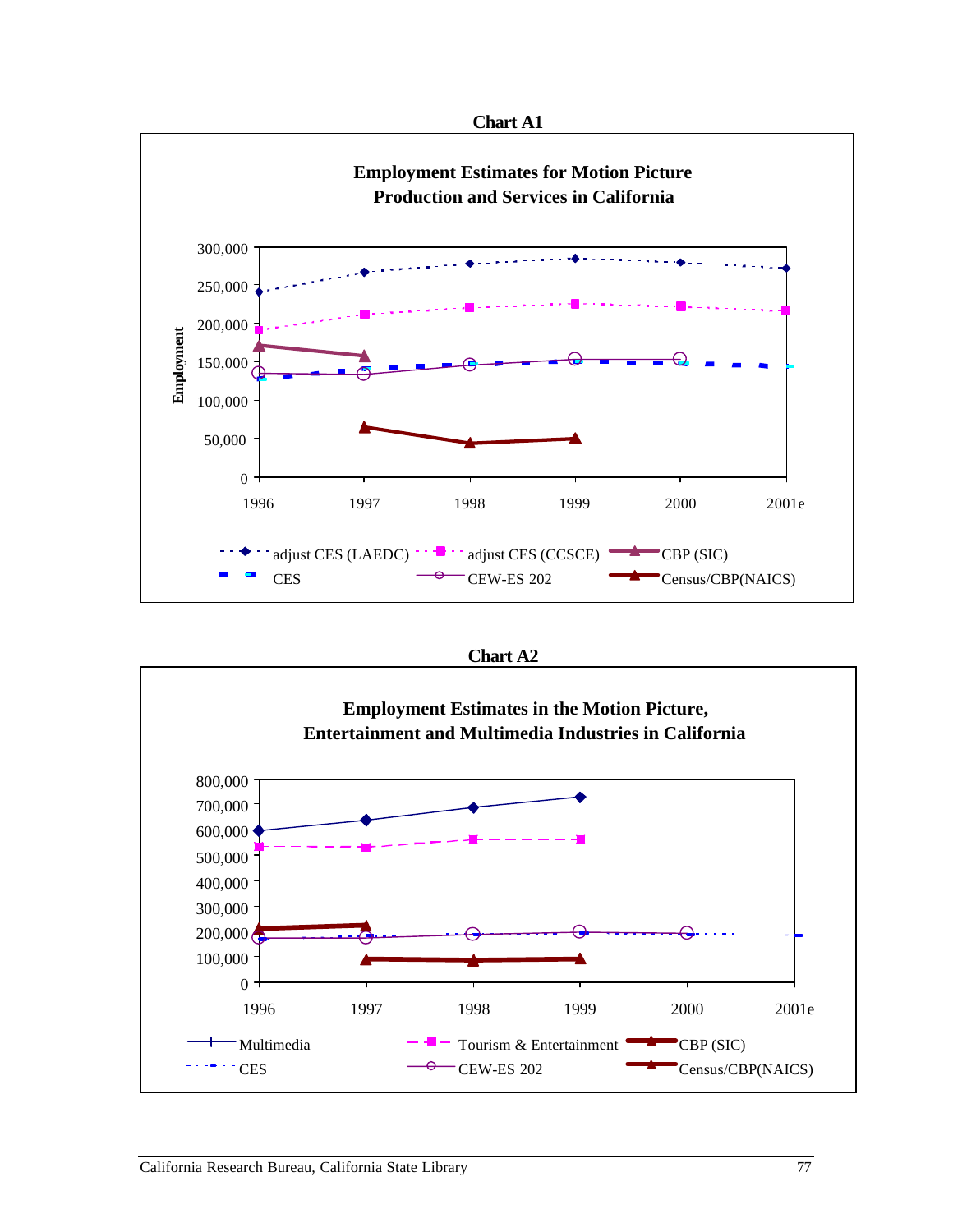

 **Chart A2** 

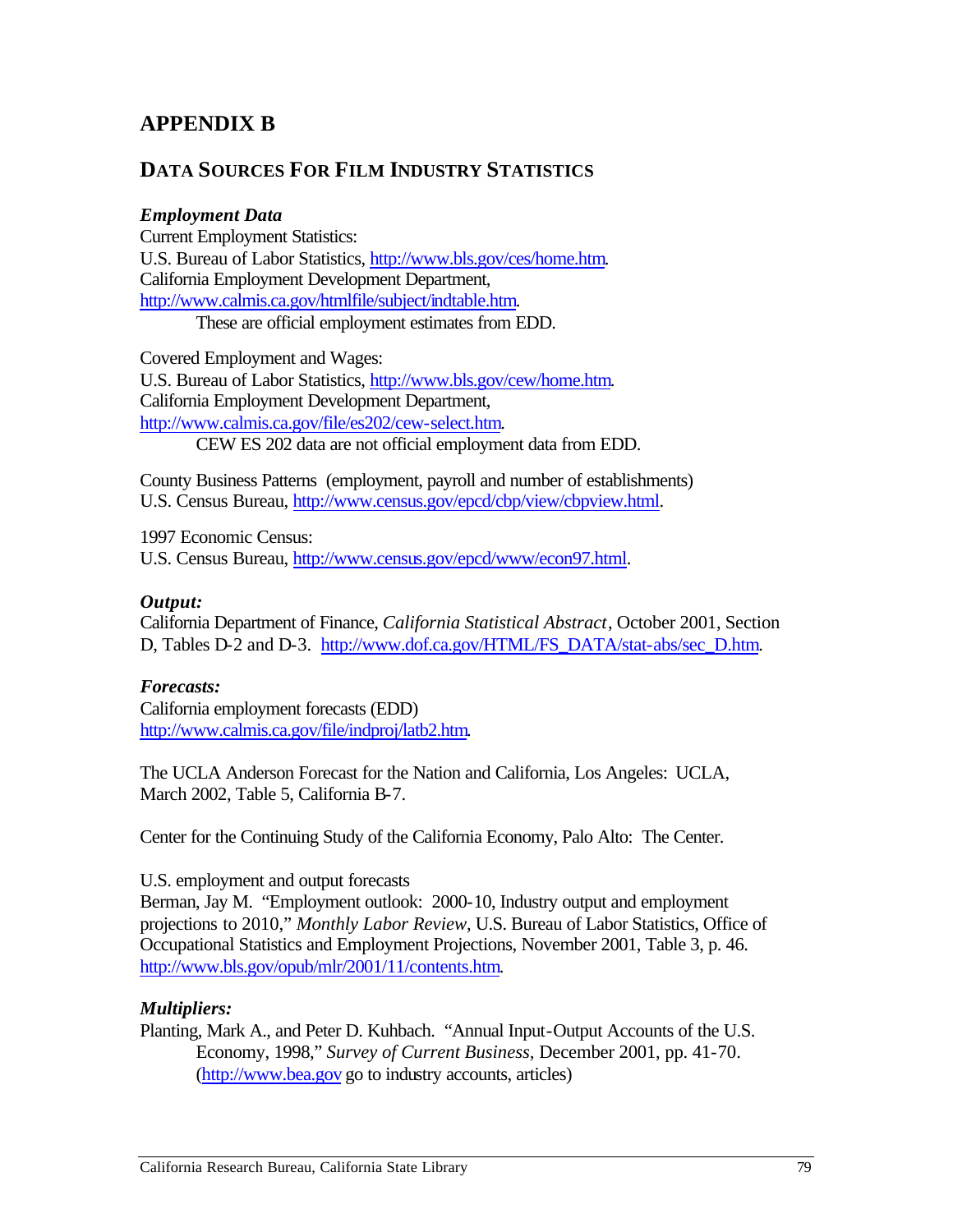# **APPENDIX B**

## **DATA SOURCES FOR FILM INDUSTRY STATISTICS**

#### *Employment Data*

Current Employment Statistics: U.S. Bureau of Labor Statistics, http://www.bls.gov/ces/home.htm. California Employment Development Department, http://www.calmis.ca.gov/htmlfile/subject/indtable.htm.

These are official employment estimates from EDD.

Covered Employment and Wages: U.S. Bureau of Labor Statistics, http://www.bls.gov/cew/home.htm. California Employment Development Department, http://www.calmis.ca.gov/file/es202/cew-select.htm. CEW ES 202 data are not official employment data from EDD.

County Business Patterns (employment, payroll and number of establishments) U.S. Census Bureau, http://www.census.gov/epcd/cbp/view/cbpview.html.

1997 Economic Census: U.S. Census Bureau, http://www.census.gov/epcd/www/econ97.html.

#### *Output:*

California Department of Finance, *California Statistical Abstract*, October 2001, Section D, Tables D-2 and D-3. http://www.dof.ca.gov/HTML/FS\_DATA/stat-abs/sec\_D.htm.

#### *Forecasts:*

California employment forecasts (EDD) http://www.calmis.ca.gov/file/indproj/latb2.htm.

The UCLA Anderson Forecast for the Nation and California, Los Angeles: UCLA, March 2002, Table 5, California B-7.

Center for the Continuing Study of the California Economy, Palo Alto: The Center.

U.S. employment and output forecasts

Berman, Jay M. "Employment outlook: 2000-10, Industry output and employment projections to 2010," *Monthly Labor Review*, U.S. Bureau of Labor Statistics, Office of Occupational Statistics and Employment Projections, November 2001, Table 3, p. 46. http://www.bls.gov/opub/mlr/2001/11/contents.htm.

#### *Multipliers:*

Planting, Mark A., and Peter D. Kuhbach. "Annual Input-Output Accounts of the U.S. Economy, 1998," *Survey of Current Business,* December 2001, pp. 41-70. (http://www.bea.gov go to industry accounts, articles)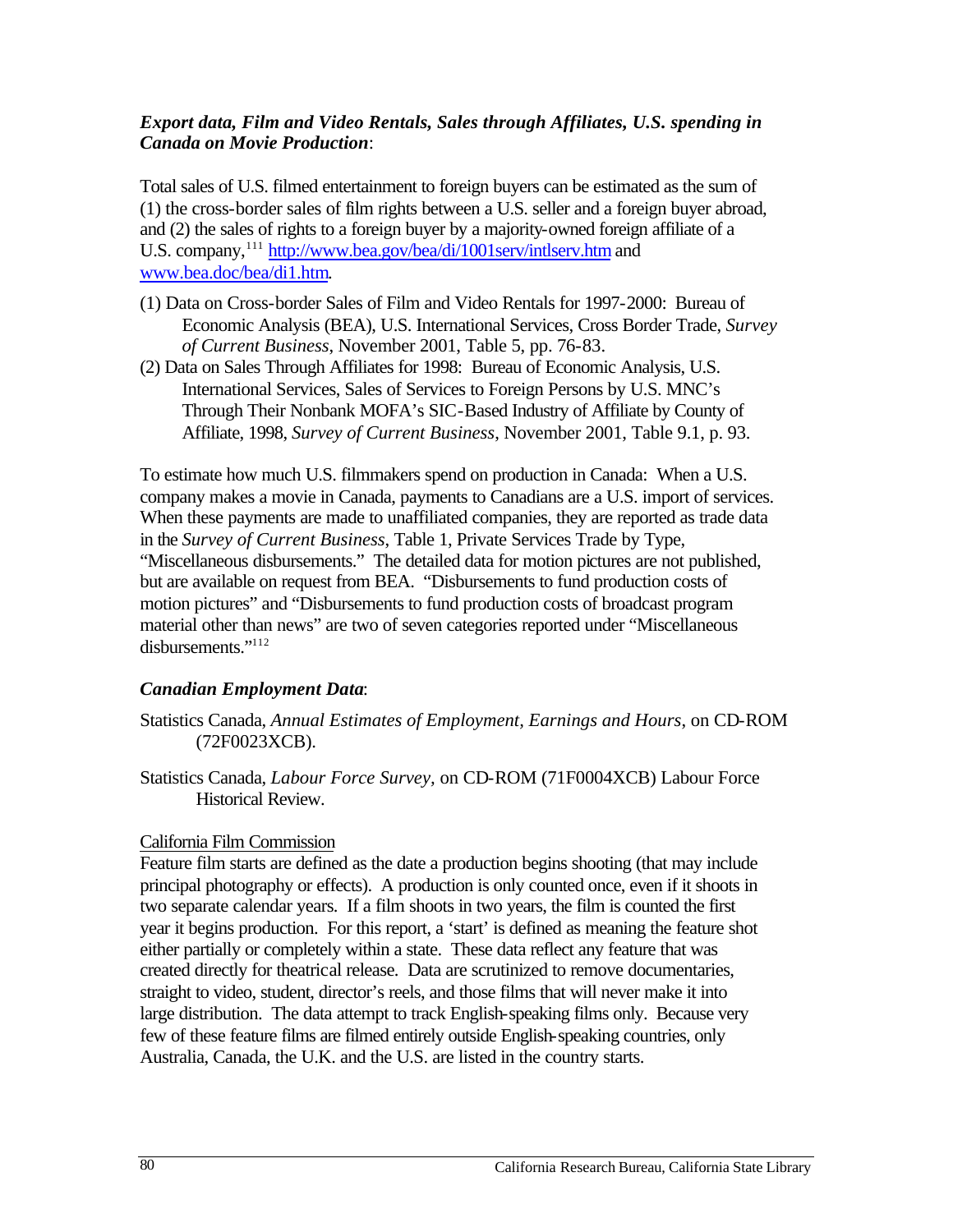#### *Export data, Film and Video Rentals, Sales through Affiliates, U.S. spending in Canada on Movie Production*:

Total sales of U.S. filmed entertainment to foreign buyers can be estimated as the sum of (1) the cross-border sales of film rights between a U.S. seller and a foreign buyer abroad, and (2) the sales of rights to a foreign buyer by a majority-owned foreign affiliate of a U.S. company,<sup>111</sup> http://www.bea.gov/bea/di/1001serv/intlserv.htm and www.bea.doc/bea/di1.htm.

- (1) Data on Cross-border Sales of Film and Video Rentals for 1997-2000: Bureau of Economic Analysis (BEA), U.S. International Services, Cross Border Trade, *Survey of Current Business*, November 2001, Table 5, pp. 76-83.
- (2) Data on Sales Through Affiliates for 1998: Bureau of Economic Analysis, U.S. International Services, Sales of Services to Foreign Persons by U.S. MNC's Through Their Nonbank MOFA's SIC-Based Industry of Affiliate by County of Affiliate, 1998, *Survey of Current Business*, November 2001, Table 9.1, p. 93.

To estimate how much U.S. filmmakers spend on production in Canada: When a U.S. company makes a movie in Canada, payments to Canadians are a U.S. import of services. When these payments are made to unaffiliated companies, they are reported as trade data in the *Survey of Current Business*, Table 1, Private Services Trade by Type, "Miscellaneous disbursements." The detailed data for motion pictures are not published, but are available on request from BEA. "Disbursements to fund production costs of motion pictures" and "Disbursements to fund production costs of broadcast program material other than news" are two of seven categories reported under "Miscellaneous disbursements."112

#### *Canadian Employment Data*:

- Statistics Canada, *Annual Estimates of Employment, Earnings and Hours*, on CD-ROM (72F0023XCB).
- Statistics Canada, *Labour Force Survey,* on CD-ROM (71F0004XCB) Labour Force Historical Review.

#### California Film Commission

Feature film starts are defined as the date a production begins shooting (that may include principal photography or effects). A production is only counted once, even if it shoots in two separate calendar years. If a film shoots in two years, the film is counted the first year it begins production. For this report, a 'start' is defined as meaning the feature shot either partially or completely within a state. These data reflect any feature that was created directly for theatrical release. Data are scrutinized to remove documentaries, straight to video, student, director's reels, and those films that will never make it into large distribution. The data attempt to track English-speaking films only. Because very few of these feature films are filmed entirely outside English-speaking countries, only Australia, Canada, the U.K. and the U.S. are listed in the country starts.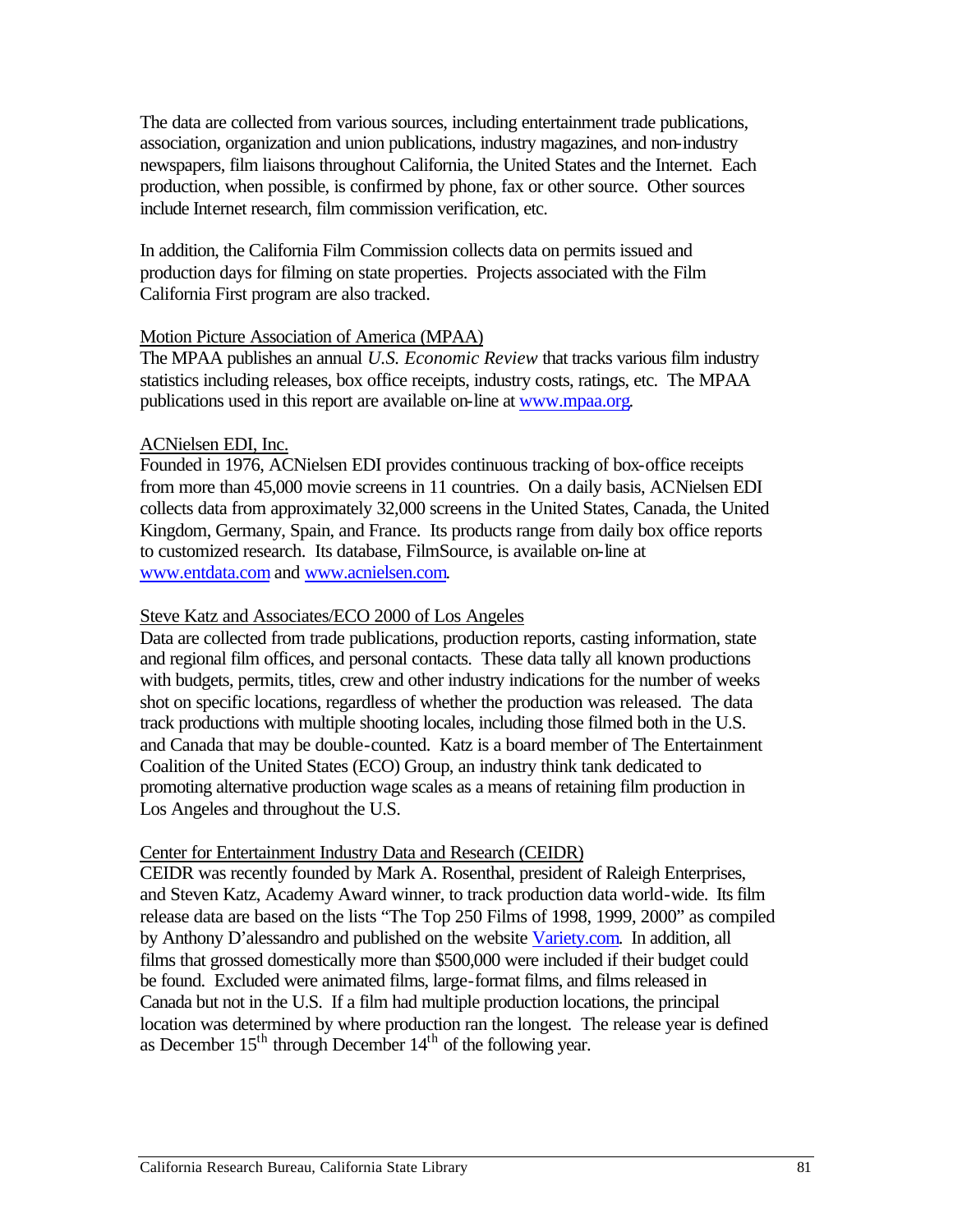include Internet research, film commission verification, etc. The data are collected from various sources, including entertainment trade publications, association, organization and union publications, industry magazines, and non-industry newspapers, film liaisons throughout California, the United States and the Internet. Each production, when possible, is confirmed by phone, fax or other source. Other sources

California First program are also tracked. In addition, the California Film Commission collects data on permits issued and production days for filming on state properties. Projects associated with the Film

#### Motion Picture Association of America (MPAA)

publications used in this report are available on-line at www.mpaa.org.<br>ACNielsen EDI, Inc. The MPAA publishes an annual *U.S. Economic Review* that tracks various film industry statistics including releases, box office receipts, industry costs, ratings, etc. The MPAA

Founded in 1976, ACNielsen EDI provides continuous tracking of box-office receipts from more than 45,000 movie screens in 11 countries. On a daily basis, ACNielsen EDI collects data from approximately 32,000 screens in the United States, Canada, the United Kingdom, Germany, Spain, and France. Its products range from daily box office reports to customized research. Its database, FilmSource, is available on-line at www.entdata.com and www.acnielsen.com.

#### Steve Katz and Associates/ECO 2000 of Los Angeles

Data are collected from trade publications, production reports, casting information, state and regional film offices, and personal contacts. These data tally all known productions with budgets, permits, titles, crew and other industry indications for the number of weeks shot on specific locations, regardless of whether the production was released. The data track productions with multiple shooting locales, including those filmed both in the U.S. and Canada that may be double-counted. Katz is a board member of The Entertainment Coalition of the United States (ECO) Group, an industry think tank dedicated to promoting alternative production wage scales as a means of retaining film production in Los Angeles and throughout the U.S.

#### Center for Entertainment Industry Data and Research (CEIDR)

CEIDR was recently founded by Mark A. Rosenthal, president of Raleigh Enterprises, and Steven Katz, Academy Award winner, to track production data world-wide. Its film release data are based on the lists "The Top 250 Films of 1998, 1999, 2000" as compiled by Anthony D'alessandro and published on the website Variety.com. In addition, all films that grossed domestically more than \$500,000 were included if their budget could be found. Excluded were animated films, large-format films, and films released in Canada but not in the U.S. If a film had multiple production locations, the principal location was determined by where production ran the longest. The release year is defined as December  $15<sup>th</sup>$  through December  $14<sup>th</sup>$  of the following year.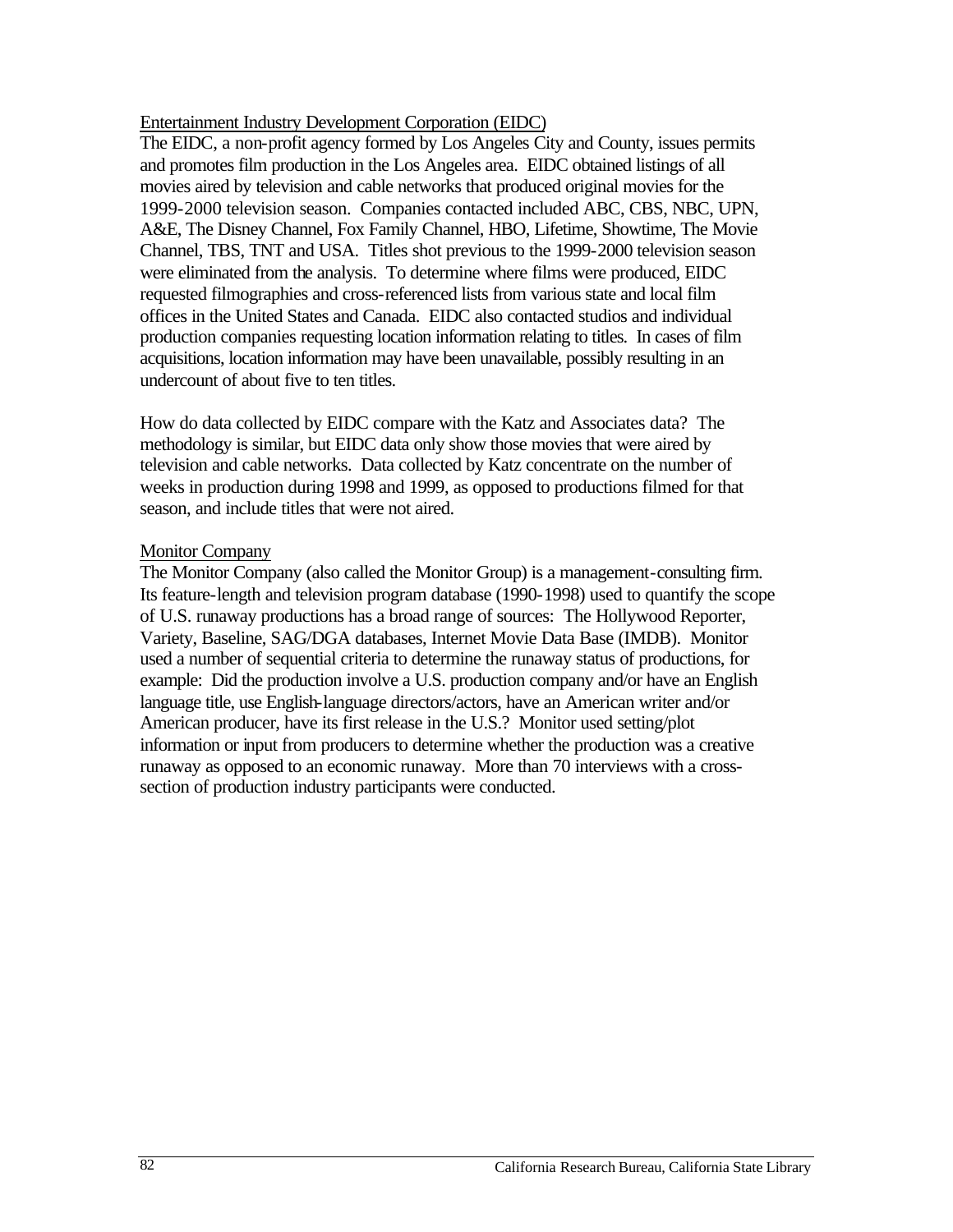#### Entertainment Industry Development Corporation (EIDC)

The EIDC, a non-profit agency formed by Los Angeles City and County, issues permits and promotes film production in the Los Angeles area. EIDC obtained listings of all movies aired by television and cable networks that produced original movies for the 1999-2000 television season. Companies contacted included ABC, CBS, NBC, UPN, A&E, The Disney Channel, Fox Family Channel, HBO, Lifetime, Showtime, The Movie Channel, TBS, TNT and USA. Titles shot previous to the 1999-2000 television season were eliminated from the analysis. To determine where films were produced, EIDC requested filmographies and cross-referenced lists from various state and local film offices in the United States and Canada. EIDC also contacted studios and individual production companies requesting location information relating to titles. In cases of film acquisitions, location information may have been unavailable, possibly resulting in an undercount of about five to ten titles.

How do data collected by EIDC compare with the Katz and Associates data? The methodology is similar, but EIDC data only show those movies that were aired by television and cable networks. Data collected by Katz concentrate on the number of weeks in production during 1998 and 1999, as opposed to productions filmed for that season, and include titles that were not aired.

#### Monitor Company

The Monitor Company (also called the Monitor Group) is a management-consulting firm. Its feature-length and television program database (1990-1998) used to quantify the scope of U.S. runaway productions has a broad range of sources: The Hollywood Reporter, Variety, Baseline, SAG/DGA databases, Internet Movie Data Base (IMDB). Monitor used a number of sequential criteria to determine the runaway status of productions, for example: Did the production involve a U.S. production company and/or have an English language title, use English-language directors/actors, have an American writer and/or American producer, have its first release in the U.S.? Monitor used setting/plot information or input from producers to determine whether the production was a creative runaway as opposed to an economic runaway. More than 70 interviews with a crosssection of production industry participants were conducted.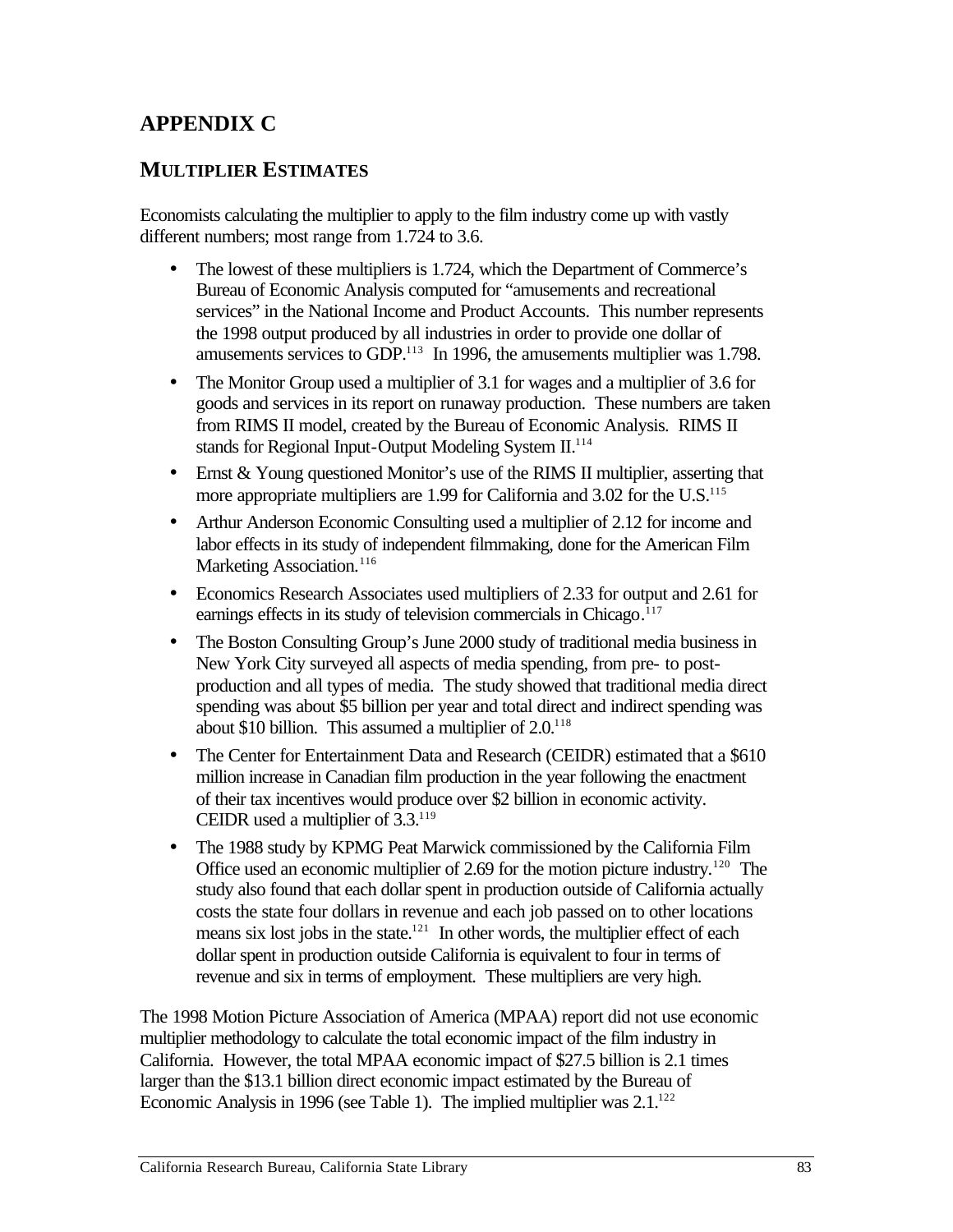# **APPENDIX C**

## **MULTIPLIER ESTIMATES**

Economists calculating the multiplier to apply to the film industry come up with vastly different numbers; most range from 1.724 to 3.6.

- The lowest of these multipliers is 1.724, which the Department of Commerce's Bureau of Economic Analysis computed for "amusements and recreational services" in the National Income and Product Accounts. This number represents the 1998 output produced by all industries in order to provide one dollar of amusements services to GDP.<sup>113</sup> In 1996, the amusements multiplier was 1.798.
- The Monitor Group used a multiplier of 3.1 for wages and a multiplier of 3.6 for goods and services in its report on runaway production. These numbers are taken from RIMS II model, created by the Bureau of Economic Analysis. RIMS II stands for Regional Input-Output Modeling System II.<sup>114</sup>
- Ernst & Young questioned Monitor's use of the RIMS II multiplier, asserting that more appropriate multipliers are  $1.99$  for California and  $3.02$  for the U.S.<sup>115</sup>
- Arthur Anderson Economic Consulting used a multiplier of 2.12 for income and labor effects in its study of independent filmmaking, done for the American Film Marketing Association.<sup>116</sup>
- Economics Research Associates used multipliers of 2.33 for output and 2.61 for earnings effects in its study of television commercials in Chicago.<sup>117</sup>
- The Boston Consulting Group's June 2000 study of traditional media business in New York City surveyed all aspects of media spending, from pre- to postproduction and all types of media. The study showed that traditional media direct spending was about \$5 billion per year and total direct and indirect spending was about \$10 billion. This assumed a multiplier of  $2.0^{118}$
- The Center for Entertainment Data and Research (CEIDR) estimated that a \$610 million increase in Canadian film production in the year following the enactment of their tax incentives would produce over \$2 billion in economic activity. CEIDR used a multiplier of 3.3.119
- The 1988 study by KPMG Peat Marwick commissioned by the California Film Office used an economic multiplier of 2.69 for the motion picture industry.<sup>120</sup> The study also found that each dollar spent in production outside of California actually costs the state four dollars in revenue and each job passed on to other locations means six lost jobs in the state.<sup>121</sup> In other words, the multiplier effect of each dollar spent in production outside California is equivalent to four in terms of revenue and six in terms of employment. These multipliers are very high.

The 1998 Motion Picture Association of America (MPAA) report did not use economic multiplier methodology to calculate the total economic impact of the film industry in California. However, the total MPAA economic impact of \$27.5 billion is 2.1 times larger than the \$13.1 billion direct economic impact estimated by the Bureau of Economic Analysis in 1996 (see Table 1). The implied multiplier was  $2.1^{122}$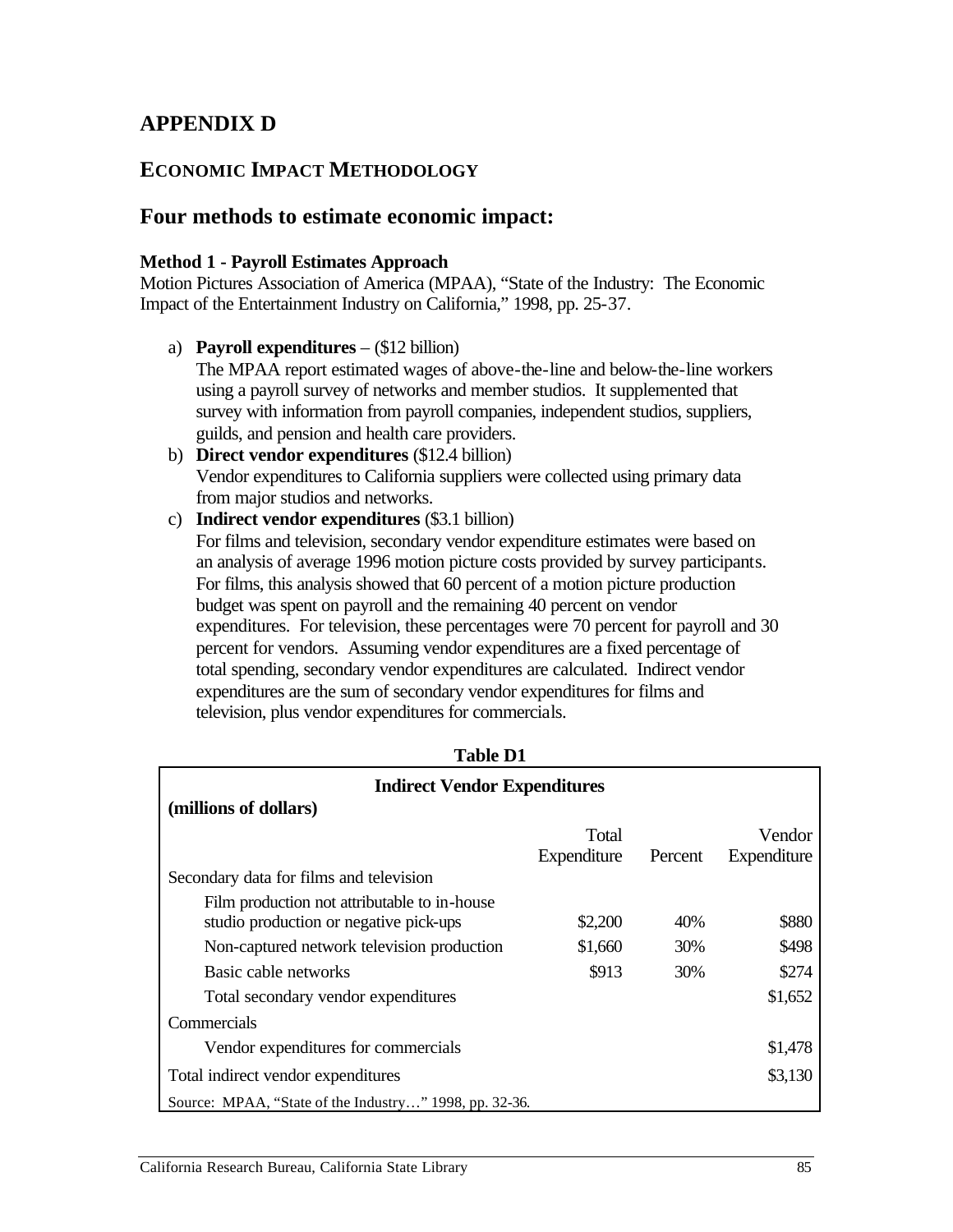# **APPENDIX D**

## **ECONOMIC IMPACT METHODOLOGY**

## **Four methods to estimate economic impact:**

#### **Method 1 - Payroll Estimates Approach**

Motion Pictures Association of America (MPAA), "State of the Industry: The Economic Impact of the Entertainment Industry on California," 1998, pp. 25-37.

a) **Payroll expenditures** – (\$12 billion)

The MPAA report estimated wages of above-the-line and below-the-line workers using a payroll survey of networks and member studios. It supplemented that survey with information from payroll companies, independent studios, suppliers, guilds, and pension and health care providers.

- b) **Direct vendor expenditures** (\$12.4 billion) Vendor expenditures to California suppliers were collected using primary data from major studios and networks.
- c) **Indirect vendor expenditures** (\$3.1 billion)

For films and television, secondary vendor expenditure estimates were based on an analysis of average 1996 motion picture costs provided by survey participants. For films, this analysis showed that 60 percent of a motion picture production budget was spent on payroll and the remaining 40 percent on vendor expenditures. For television, these percentages were 70 percent for payroll and 30 percent for vendors. Assuming vendor expenditures are a fixed percentage of total spending, secondary vendor expenditures are calculated. Indirect vendor expenditures are the sum of secondary vendor expenditures for films and television, plus vendor expenditures for commercials.

| <b>Indirect Vendor Expenditures</b>                    |             |         |             |  |  |  |  |  |
|--------------------------------------------------------|-------------|---------|-------------|--|--|--|--|--|
| (millions of dollars)                                  |             |         |             |  |  |  |  |  |
|                                                        | Total       |         | Vendor      |  |  |  |  |  |
|                                                        | Expenditure | Percent | Expenditure |  |  |  |  |  |
| Secondary data for films and television                |             |         |             |  |  |  |  |  |
| Film production not attributable to in-house           |             |         |             |  |  |  |  |  |
| studio production or negative pick-ups                 | \$2,200     | 40%     | \$880       |  |  |  |  |  |
| Non-captured network television production             | \$1,660     | 30%     | \$498       |  |  |  |  |  |
| Basic cable networks                                   | \$913       | 30%     | \$274       |  |  |  |  |  |
| Total secondary vendor expenditures                    |             |         | \$1,652     |  |  |  |  |  |
| Commercials                                            |             |         |             |  |  |  |  |  |
| Vendor expenditures for commercials                    |             |         | \$1,478     |  |  |  |  |  |
| \$3,130<br>Total indirect vendor expenditures          |             |         |             |  |  |  |  |  |
| Source: MPAA, "State of the Industry" 1998, pp. 32-36. |             |         |             |  |  |  |  |  |

**Table D1**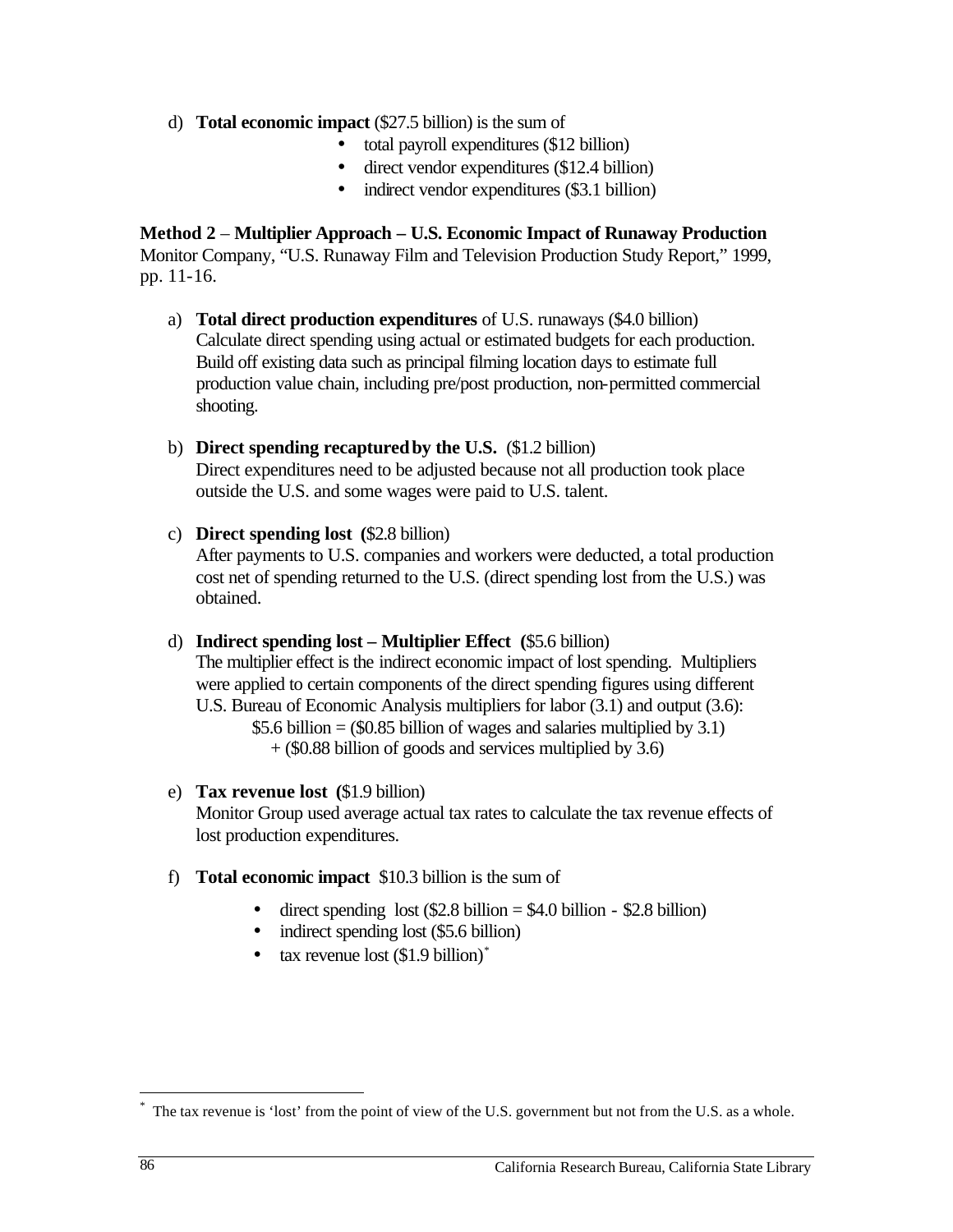d) **Total economic impact** (\$27.5 billion) is the sum of

- total payroll expenditures (\$12 billion)
- direct vendor expenditures (\$12.4 billion)
- indirect vendor expenditures (\$3.1 billion)

**Method 2** – **Multiplier Approach – U.S. Economic Impact of Runaway Production**  Monitor Company, "U.S. Runaway Film and Television Production Study Report," 1999, pp. 11-16.

- a) **Total direct production expenditures** of U.S. runaways (\$4.0 billion) Calculate direct spending using actual or estimated budgets for each production. Build off existing data such as principal filming location days to estimate full production value chain, including pre/post production, non-permitted commercial shooting.
- b) **Direct spending recaptured by the U.S.** (\$1.2 billion) Direct expenditures need to be adjusted because not all production took place outside the U.S. and some wages were paid to U.S. talent.
- c) **Direct spending lost (**\$2.8 billion) After payments to U.S. companies and workers were deducted, a total production cost net of spending returned to the U.S. (direct spending lost from the U.S.) was obtained.
- d) **Indirect spending lost Multiplier Effect (**\$5.6 billion) The multiplier effect is the indirect economic impact of lost spending. Multipliers were applied to certain components of the direct spending figures using different U.S. Bureau of Economic Analysis multipliers for labor (3.1) and output (3.6): \$5.6 billion =  $(\$0.85$  billion of wages and salaries multiplied by 3.1) + (\$0.88 billion of goods and services multiplied by 3.6)
- e) **Tax revenue lost (**\$1.9 billion)

Monitor Group used average actual tax rates to calculate the tax revenue effects of lost production expenditures.

- f) **Total economic impact** \$10.3 billion is the sum of
	- direct spending lost  $$2.8$  billion = \$4.0 billion \$2.8 billion)
	- indirect spending lost (\$5.6 billion)
	- tax revenue lost  $(1.9 \text{ billion})^*$

 $\overline{a}$ 

The tax revenue is 'lost' from the point of view of the U.S. government but not from the U.S. as a whole.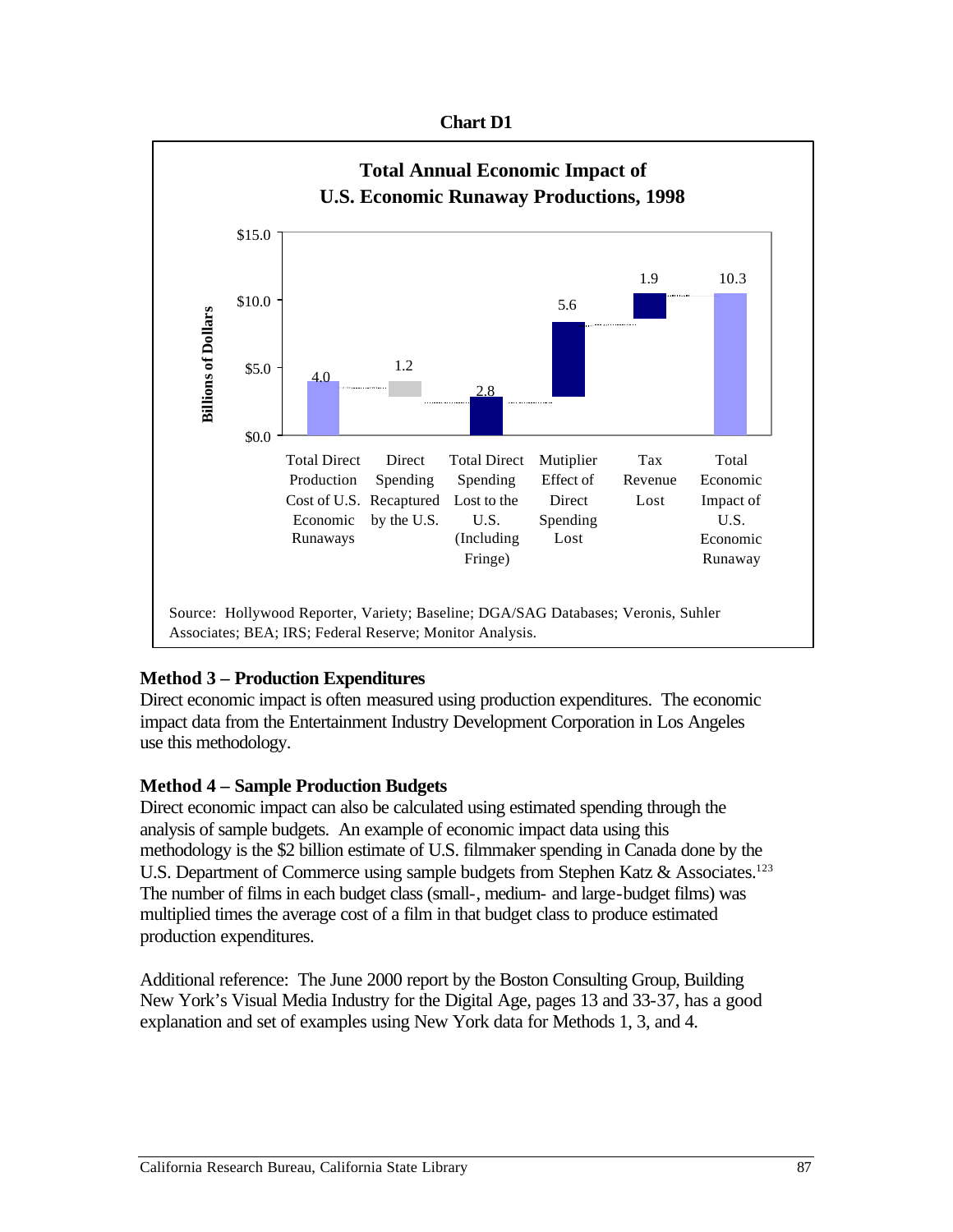#### **Chart D1**



## **Method 3 – Production Expenditures**

Direct economic impact is often measured using production expenditures. The economic impact data from the Entertainment Industry Development Corporation in Los Angeles use this methodology.

#### **Method 4 – Sample Production Budgets**

Direct economic impact can also be calculated using estimated spending through the analysis of sample budgets. An example of economic impact data using this methodology is the \$2 billion estimate of U.S. filmmaker spending in Canada done by the U.S. Department of Commerce using sample budgets from Stephen Katz & Associates.<sup>123</sup> The number of films in each budget class (small-, medium- and large-budget films) was multiplied times the average cost of a film in that budget class to produce estimated production expenditures.

Additional reference: The June 2000 report by the Boston Consulting Group, Building New York's Visual Media Industry for the Digital Age, pages 13 and 33-37, has a good explanation and set of examples using New York data for Methods 1, 3, and 4.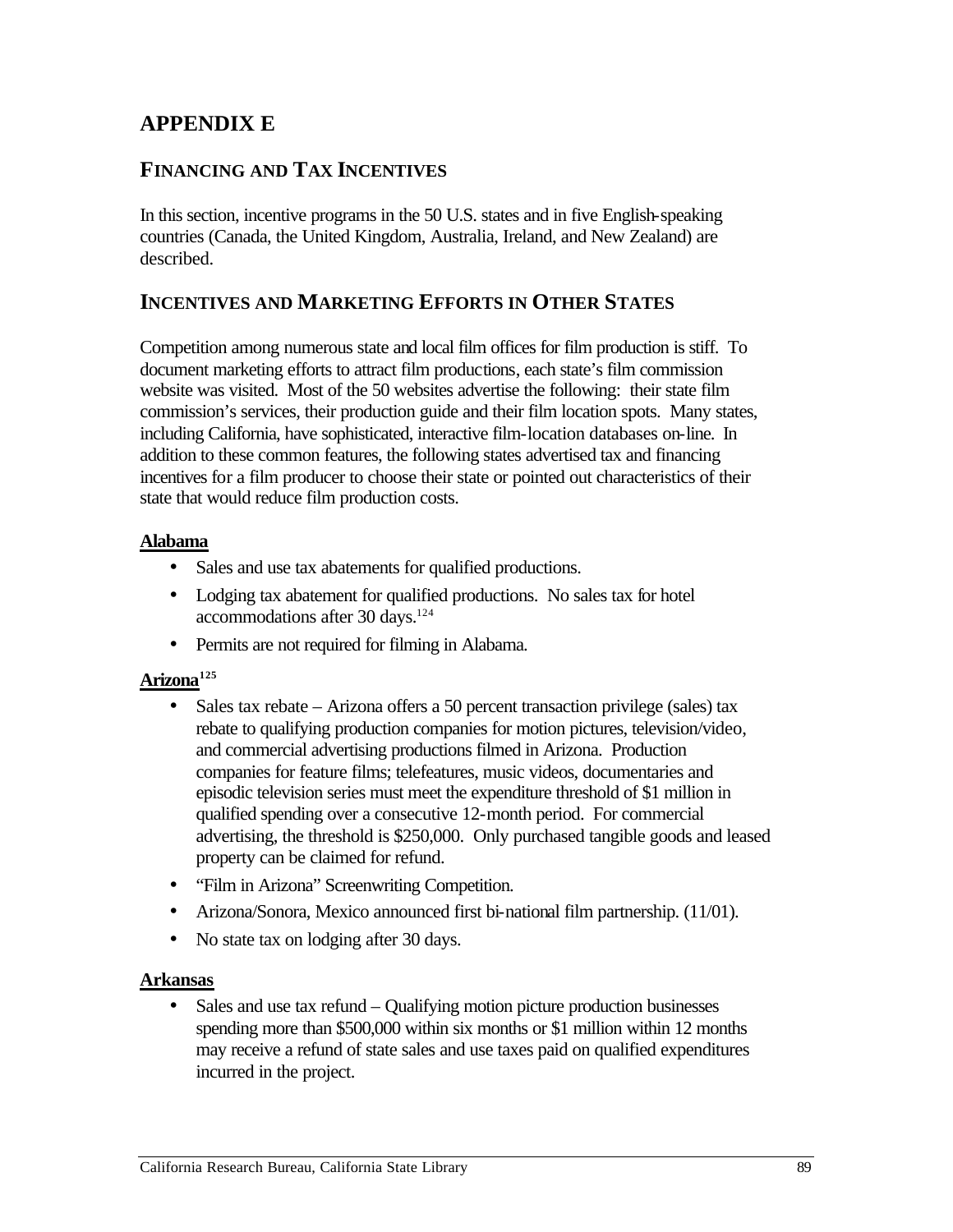# **APPENDIX E**

## **FINANCING AND TAX INCENTIVES**

In this section, incentive programs in the 50 U.S. states and in five English-speaking countries (Canada, the United Kingdom, Australia, Ireland, and New Zealand) are described.

## **INCENTIVES AND MARKETING EFFORTS IN OTHER STATES**

Competition among numerous state and local film offices for film production is stiff. To document marketing efforts to attract film productions, each state's film commission website was visited. Most of the 50 websites advertise the following: their state film commission's services, their production guide and their film location spots. Many states, including California, have sophisticated, interactive film-location databases on-line. In addition to these common features, the following states advertised tax and financing incentives for a film producer to choose their state or pointed out characteristics of their state that would reduce film production costs.

#### **Alabama**

- Sales and use tax abatements for qualified productions.
- Lodging tax abatement for qualified productions. No sales tax for hotel accommodations after 30 days.<sup>124</sup>
- Permits are not required for filming in Alabama.

#### **Arizona125**

- Sales tax rebate  $-$  Arizona offers a 50 percent transaction privilege (sales) tax rebate to qualifying production companies for motion pictures, television/video, and commercial advertising productions filmed in Arizona. Production companies for feature films; telefeatures, music videos, documentaries and episodic television series must meet the expenditure threshold of \$1 million in qualified spending over a consecutive 12-month period. For commercial advertising, the threshold is \$250,000. Only purchased tangible goods and leased property can be claimed for refund.
- "Film in Arizona" Screenwriting Competition.
- Arizona/Sonora, Mexico announced first bi-national film partnership. (11/01).
- No state tax on lodging after 30 days.

#### **Arkansas**

Sales and use tax refund  $-$  Qualifying motion picture production businesses spending more than \$500,000 within six months or \$1 million within 12 months may receive a refund of state sales and use taxes paid on qualified expenditures incurred in the project.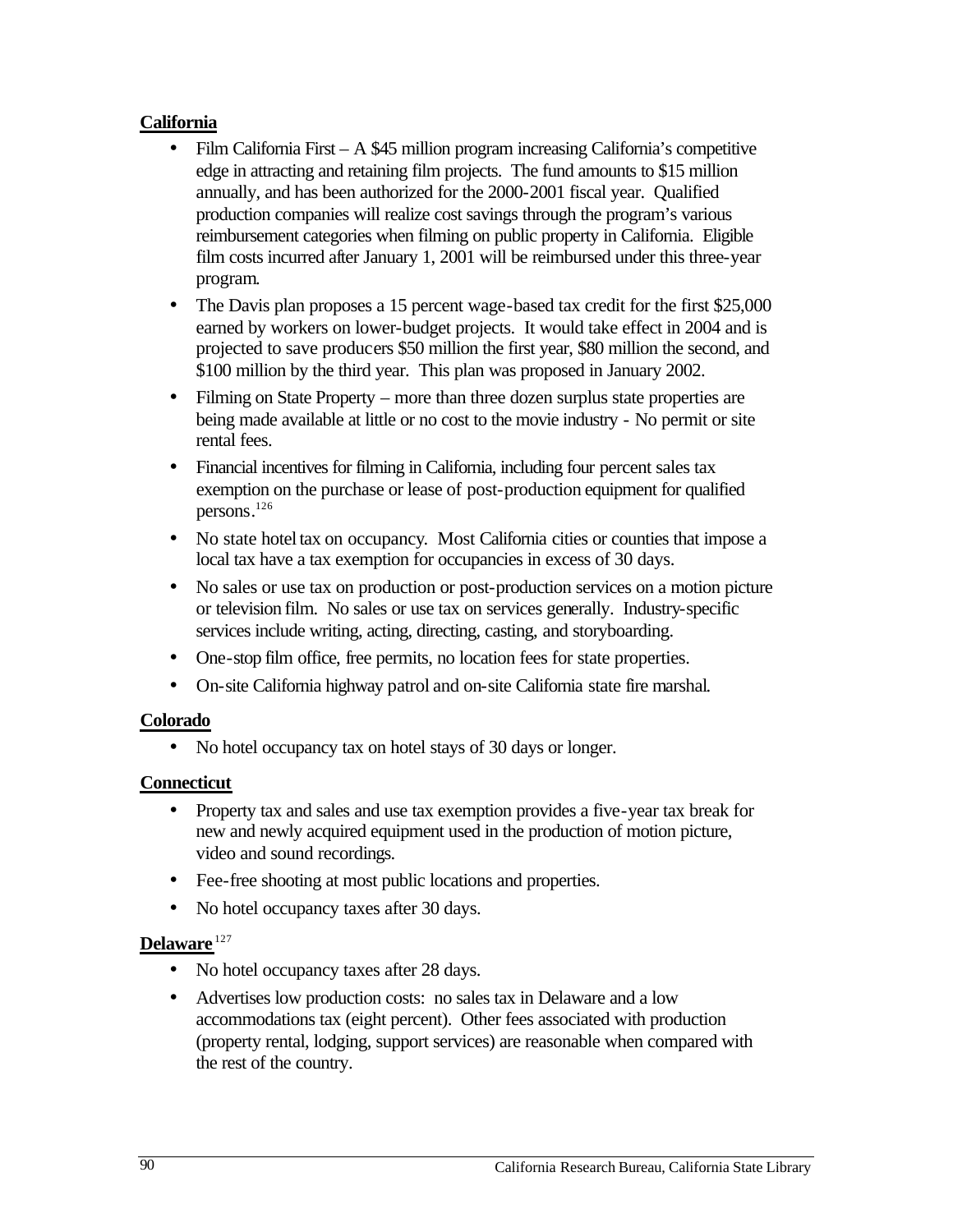## **California**

- Film California First A  $$45$  million program increasing California's competitive edge in attracting and retaining film projects. The fund amounts to \$15 million annually, and has been authorized for the 2000-2001 fiscal year. Qualified production companies will realize cost savings through the program's various reimbursement categories when filming on public property in California. Eligible film costs incurred after January 1, 2001 will be reimbursed under this three-year program.
- The Davis plan proposes a 15 percent wage-based tax credit for the first \$25,000 earned by workers on lower-budget projects. It would take effect in 2004 and is projected to save producers \$50 million the first year, \$80 million the second, and \$100 million by the third year. This plan was proposed in January 2002.
- Filming on State Property more than three dozen surplus state properties are being made available at little or no cost to the movie industry - No permit or site rental fees.
- Financial incentives for filming in California, including four percent sales tax exemption on the purchase or lease of post-production equipment for qualified persons. 126
- No state hotel tax on occupancy. Most California cities or counties that impose a local tax have a tax exemption for occupancies in excess of 30 days.
- No sales or use tax on production or post-production services on a motion picture or television film. No sales or use tax on services generally. Industry-specific services include writing, acting, directing, casting, and storyboarding.
- One-stop film office, free permits, no location fees for state properties.
- On-site California highway patrol and on-site California state fire marshal.

#### **Colorado**

• No hotel occupancy tax on hotel stays of 30 days or longer.

## **Connecticut**

- Property tax and sales and use tax exemption provides a five-year tax break for new and newly acquired equipment used in the production of motion picture, video and sound recordings.
- Fee-free shooting at most public locations and properties.
- No hotel occupancy taxes after 30 days.

## **Delaware** <sup>127</sup>

- No hotel occupancy taxes after 28 days.
- Advertises low production costs: no sales tax in Delaware and a low accommodations tax (eight percent). Other fees associated with production (property rental, lodging, support services) are reasonable when compared with the rest of the country.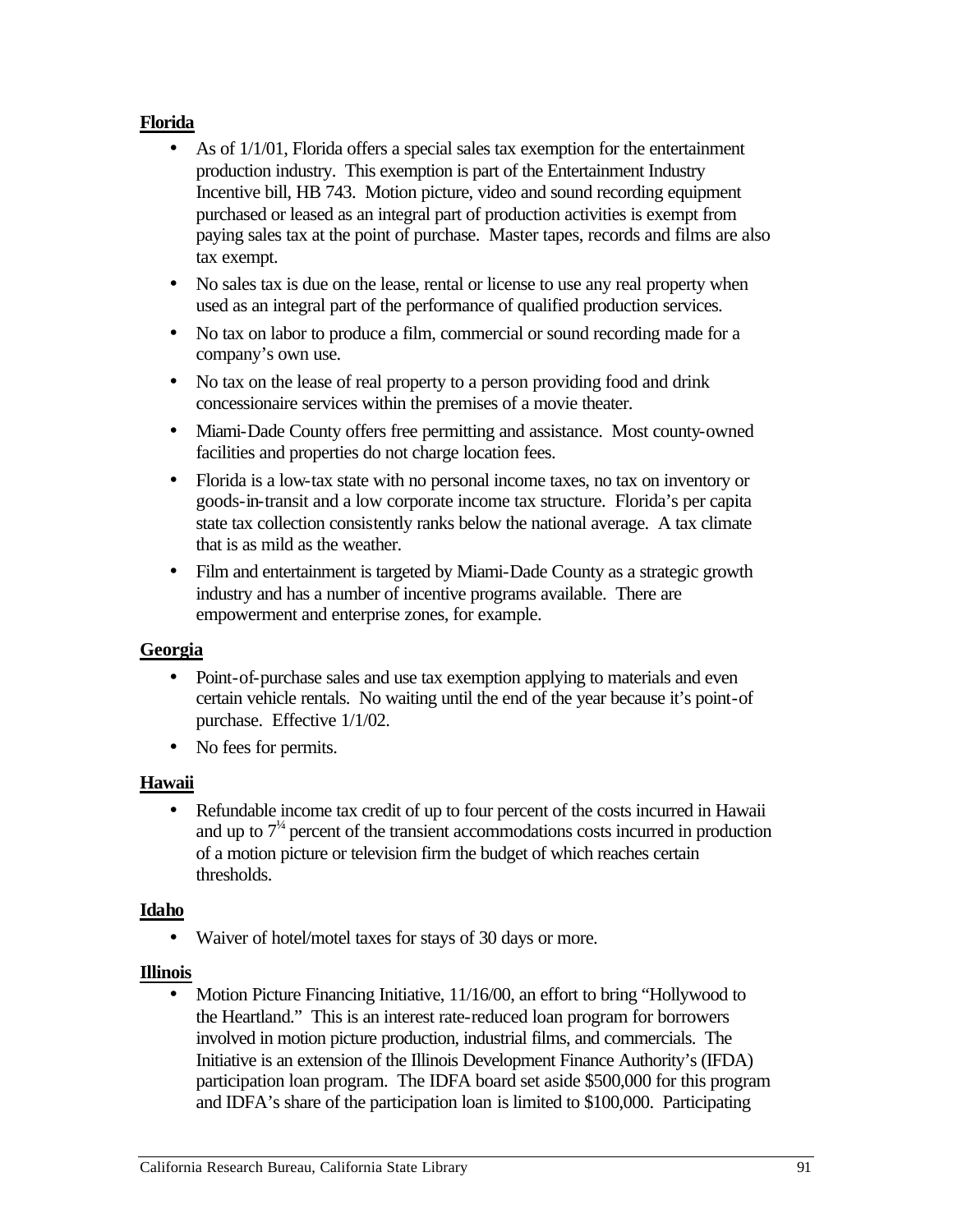### **Florida**

- As of  $1/1/01$ , Florida offers a special sales tax exemption for the entertainment production industry. This exemption is part of the Entertainment Industry Incentive bill, HB 743. Motion picture, video and sound recording equipment purchased or leased as an integral part of production activities is exempt from paying sales tax at the point of purchase. Master tapes, records and films are also tax exempt.
- No sales tax is due on the lease, rental or license to use any real property when used as an integral part of the performance of qualified production services.
- No tax on labor to produce a film, commercial or sound recording made for a company's own use.
- No tax on the lease of real property to a person providing food and drink concessionaire services within the premises of a movie theater.
- Miami-Dade County offers free permitting and assistance. Most county-owned facilities and properties do not charge location fees.
- Florida is a low-tax state with no personal income taxes, no tax on inventory or goods-in-transit and a low corporate income tax structure. Florida's per capita state tax collection consistently ranks below the national average. A tax climate that is as mild as the weather.
- Film and entertainment is targeted by Miami-Dade County as a strategic growth industry and has a number of incentive programs available. There are empowerment and enterprise zones, for example.

#### **Georgia**

- Point-of-purchase sales and use tax exemption applying to materials and even certain vehicle rentals. No waiting until the end of the year because it's point-of purchase. Effective 1/1/02.
- No fees for permits.

## **Hawaii**

• Refundable income tax credit of up to four percent of the costs incurred in Hawaii and up to  $7<sup>4</sup>$  percent of the transient accommodations costs incurred in production of a motion picture or television firm the budget of which reaches certain thresholds.

#### **Idaho**

• Waiver of hotel/motel taxes for stays of 30 days or more.

#### **Illinois**

• Motion Picture Financing Initiative, 11/16/00, an effort to bring "Hollywood to the Heartland." This is an interest rate-reduced loan program for borrowers involved in motion picture production, industrial films, and commercials. The Initiative is an extension of the Illinois Development Finance Authority's (IFDA) participation loan program. The IDFA board set aside \$500,000 for this program and IDFA's share of the participation loan is limited to \$100,000. Participating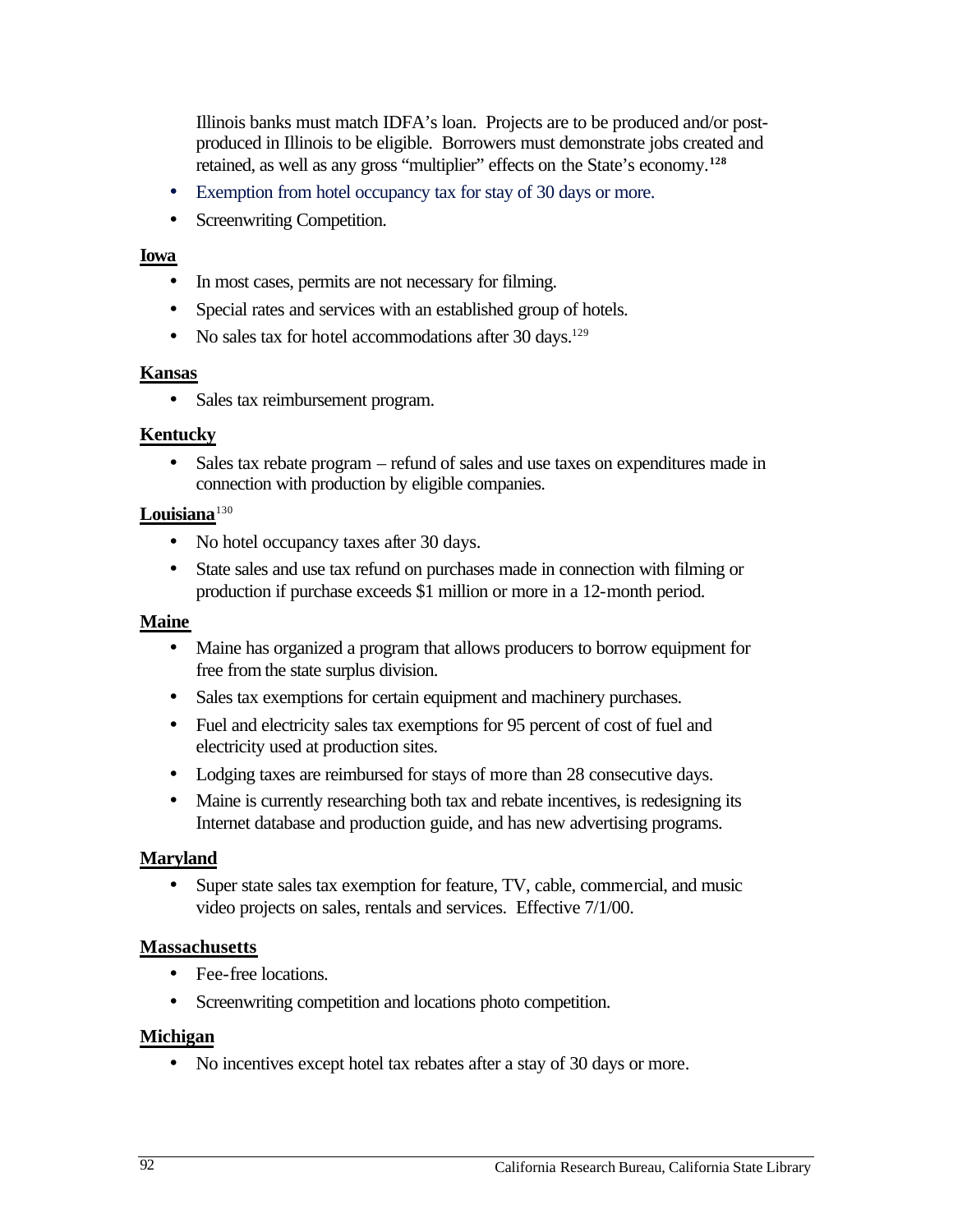Illinois banks must match IDFA's loan. Projects are to be produced and/or postproduced in Illinois to be eligible. Borrowers must demonstrate jobs created and retained, as well as any gross "multiplier" effects on the State's economy.**<sup>128</sup>**

- Exemption from hotel occupancy tax for stay of 30 days or more.
- Screenwriting Competition.

#### **Iowa**

- In most cases, permits are not necessary for filming.
- Special rates and services with an established group of hotels.
- No sales tax for hotel accommodations after  $30 \text{ days}$ .<sup>129</sup>

#### **Kansas**

• Sales tax reimbursement program.

#### **Kentucky**

• Sales tax rebate program – refund of sales and use taxes on expenditures made in connection with production by eligible companies.

#### Louisiana<sup>130</sup>

- No hotel occupancy taxes after 30 days.
- State sales and use tax refund on purchases made in connection with filming or production if purchase exceeds \$1 million or more in a 12-month period.

#### **Maine**

- Maine has organized a program that allows producers to borrow equipment for free from the state surplus division.
- Sales tax exemptions for certain equipment and machinery purchases.
- Fuel and electricity sales tax exemptions for 95 percent of cost of fuel and electricity used at production sites.
- Lodging taxes are reimbursed for stays of more than 28 consecutive days.
- Maine is currently researching both tax and rebate incentives, is redesigning its Internet database and production guide, and has new advertising programs.

#### **Maryland**

• Super state sales tax exemption for feature, TV, cable, commercial, and music video projects on sales, rentals and services. Effective 7/1/00.

#### **Massachusetts**

- Fee-free locations.
- Screenwriting competition and locations photo competition.

#### **Michigan**

• No incentives except hotel tax rebates after a stay of 30 days or more.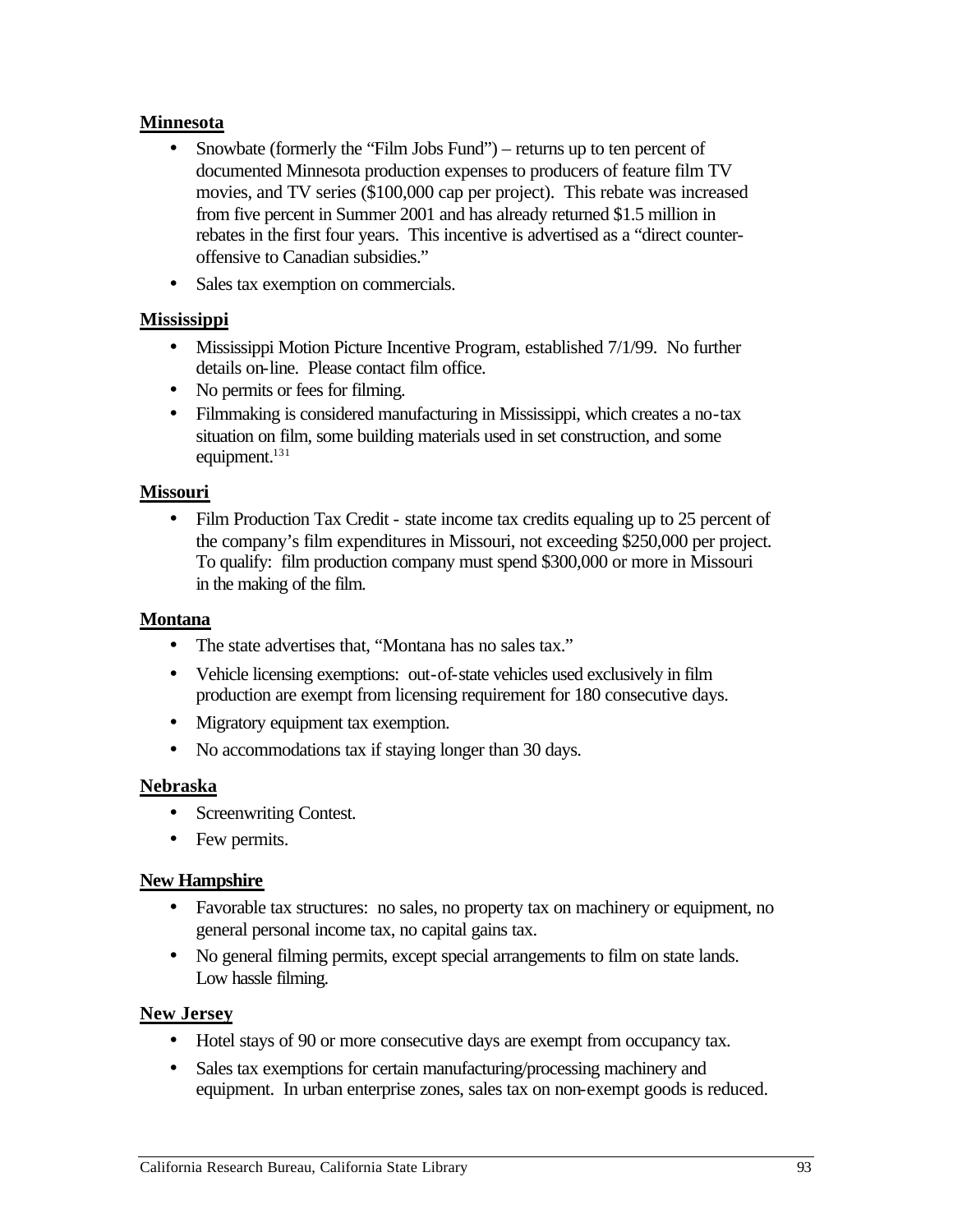#### **Minnesota**

- •Snowbate (formerly the "Film Jobs Fund") returns up to ten percent of documented Minnesota production expenses to producers of feature film TV movies, and TV series (\$100,000 cap per project). This rebate was increased from five percent in Summer 2001 and has already returned \$1.5 million in rebates in the first four years. This incentive is advertised as a "direct counteroffensive to Canadian subsidies."
- Sales tax exemption on commercials.

#### **Mississippi**

- Mississippi Motion Picture Incentive Program, established 7/1/99. No further details on-line. Please contact film office.
- No permits or fees for filming.
- •Filmmaking is considered manufacturing in Mississippi, which creates a no-tax situation on film, some building materials used in set construction, and some equipment.<sup>131</sup>

#### **Missouri**

 $\bullet$ Film Production Tax Credit - state income tax credits equaling up to 25 percent of the company's film expenditures in Missouri, not exceeding \$250,000 per project. To qualify: film production company must spend \$300,000 or more in Missouri in the making of the film.

#### **Montana**

- $\bullet$ The state advertises that, "Montana has no sales tax."
- •Vehicle licensing exemptions: out-of-state vehicles used exclusively in film production are exempt from licensing requirement for 180 consecutive days.
- Migratory equipment tax exemption.
- No accommodations tax if staying longer than 30 days.

#### **Nebraska**

- Screenwriting Contest.
- Few permits.

#### **New Hampshire**

- •Favorable tax structures: no sales, no property tax on machinery or equipment, no general personal income tax, no capital gains tax.
- •No general filming permits, except special arrangements to film on state lands. Low hassle filming.

#### **New Jersey**

- •Hotel stays of 90 or more consecutive days are exempt from occupancy tax.
- Sales tax exemptions for certain manufacturing/processing machinery and equipment. In urban enterprise zones, sales tax on non-exempt goods is reduced.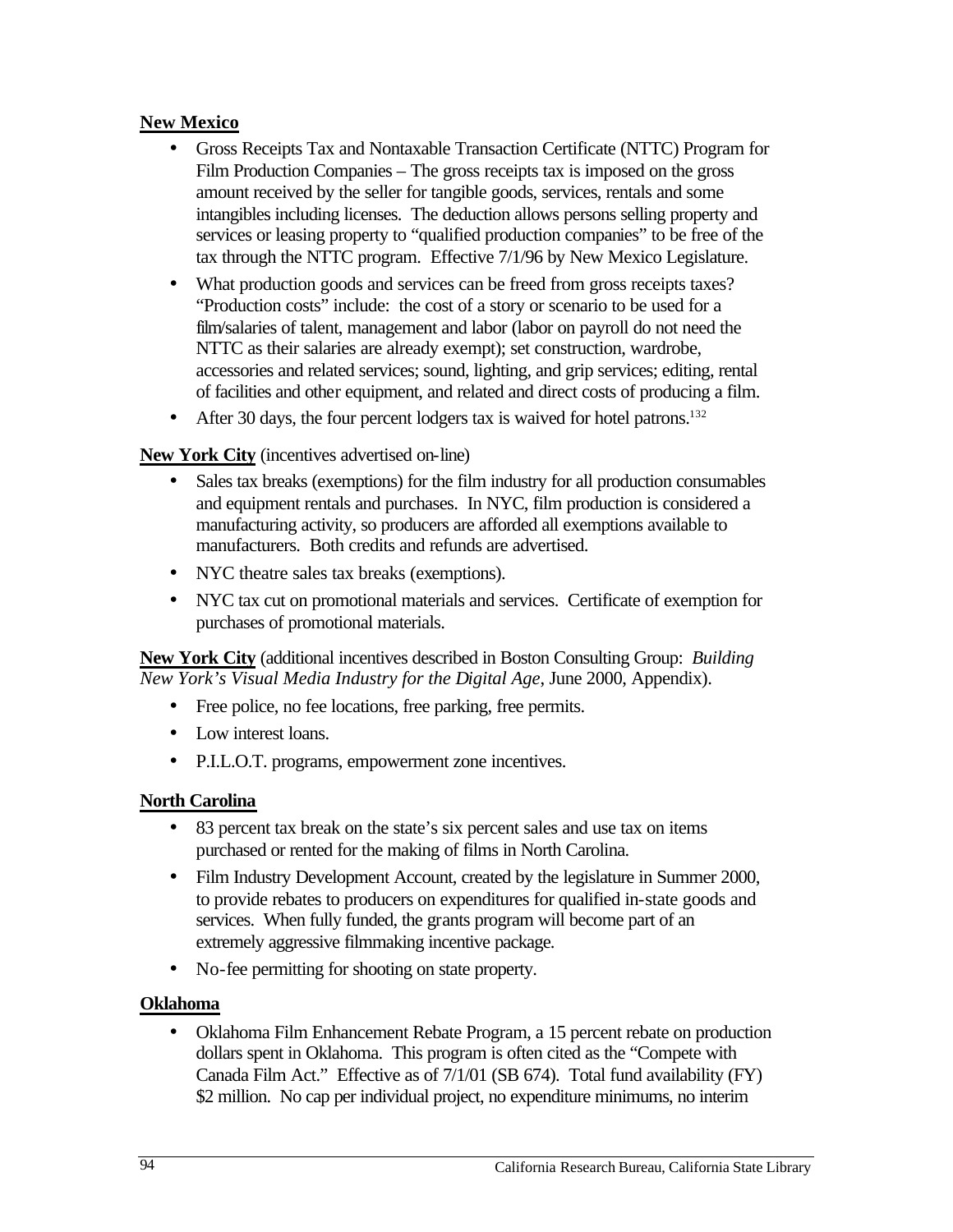## **New Mexico**

- •Gross Receipts Tax and Nontaxable Transaction Certificate (NTTC) Program for Film Production Companies – The gross receipts tax is imposed on the gross amount received by the seller for tangible goods, services, rentals and some intangibles including licenses. The deduction allows persons selling property and services or leasing property to "qualified production companies" to be free of the tax through the NTTC program. Effective 7/1/96 by New Mexico Legislature.
- What production goods and services can be freed from gross receipts taxes? "Production costs" include: the cost of a story or scenario to be used for a film/salaries of talent, management and labor (labor on payroll do not need the NTTC as their salaries are already exempt); set construction, wardrobe, accessories and related services; sound, lighting, and grip services; editing, rental of facilities and other equipment, and related and direct costs of producing a film.
- After 30 days, the four percent lodgers tax is waived for hotel patrons.<sup>132</sup>

## **New York City** (incentives advertised on-line)

- Sales tax breaks (exemptions) for the film industry for all production consumables and equipment rentals and purchases. In NYC, film production is considered a manufacturing activity, so producers are afforded all exemptions available to manufacturers. Both credits and refunds are advertised. •
- NYC theatre sales tax breaks (exemptions).
- • NYC tax cut on promotional materials and services. Certificate of exemption for purchases of promotional materials.

**New York City** (additional incentives described in Boston Consulting Group: *Building New York's Visual Media Industry for the Digital Age*, June 2000, Appendix).

- Free police, no fee locations, free parking, free permits.
- Low interest loans.
- P.I.L.O.T. programs, empowerment zone incentives.

#### **North Carolina**

- 83 percent tax break on the state's six percent sales and use tax on items purchased or rented for the making of films in North Carolina.
- Film Industry Development Account, created by the legislature in Summer 2000, to provide rebates to producers on expenditures for qualified in-state goods and services. When fully funded, the grants program will become part of an extremely aggressive filmmaking incentive package.
- •No-fee permitting for shooting on state property.

#### **Oklahoma**

 $\bullet$ •Oklahoma Film Enhancement Rebate Program, a 15 percent rebate on production dollars spent in Oklahoma. This program is often cited as the "Compete with Canada Film Act." Effective as of 7/1/01 (SB 674). Total fund availability (FY) \$2 million. No cap per individual project, no expenditure minimums, no interim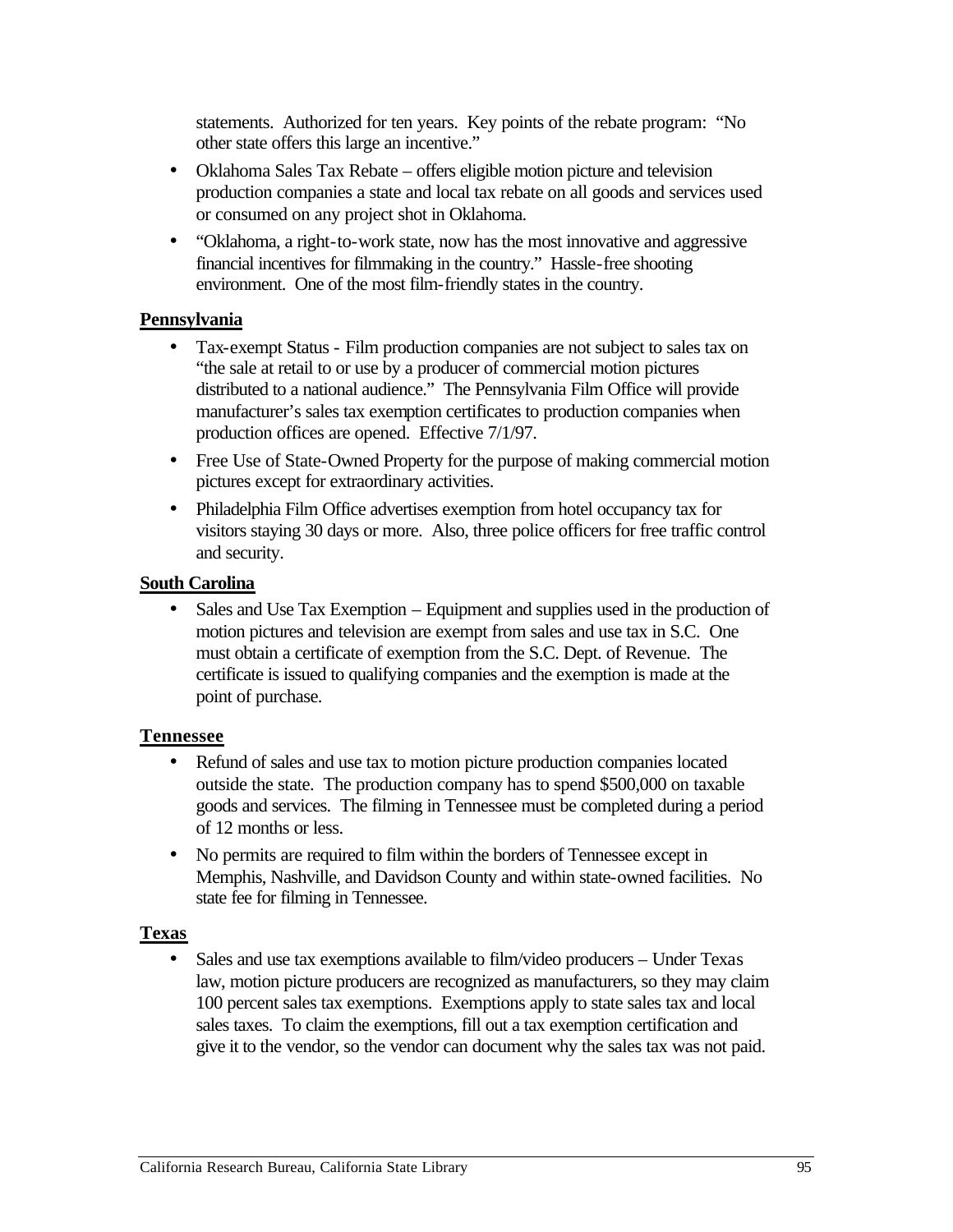statements. Authorized for ten years. Key points of the rebate program: "No other state offers this large an incentive."

- Oklahoma Sales Tax Rebate offers eligible motion picture and television production companies a state and local tax rebate on all goods and services used or consumed on any project shot in Oklahoma.
- "Oklahoma, a right-to-work state, now has the most innovative and aggressive financial incentives for filmmaking in the country." Hassle-free shooting environment. One of the most film-friendly states in the country.

#### **Pennsylvania**

- $\bullet$ •Tax-exempt Status - Film production companies are not subject to sales tax on "the sale at retail to or use by a producer of commercial motion pictures distributed to a national audience." The Pennsylvania Film Office will provide manufacturer's sales tax exemption certificates to production companies when production offices are opened. Effective 7/1/97.
- Free Use of State-Owned Property for the purpose of making commercial motion pictures except for extraordinary activities.
- •Philadelphia Film Office advertises exemption from hotel occupancy tax for visitors staying 30 days or more. Also, three police officers for free traffic control and security.

### **South Carolina**

Sales and Use Tax Exemption – Equipment and supplies used in the production of motion pictures and television are exempt from sales and use tax in S.C. One must obtain a certificate of exemption from the S.C. Dept. of Revenue. The certificate is issued to qualifying companies and the exemption is made at the point of purchase.

#### **Tennessee**

- $\bullet$ •Refund of sales and use tax to motion picture production companies located outside the state. The production company has to spend \$500,000 on taxable goods and services. The filming in Tennessee must be completed during a period of 12 months or less.
- •No permits are required to film within the borders of Tennessee except in Memphis, Nashville, and Davidson County and within state-owned facilities. No state fee for filming in Tennessee.

## **Texas**

 $\bullet$ Sales and use tax exemptions available to film/video producers – Under Texas law, motion picture producers are recognized as manufacturers, so they may claim 100 percent sales tax exemptions. Exemptions apply to state sales tax and local sales taxes. To claim the exemptions, fill out a tax exemption certification and give it to the vendor, so the vendor can document why the sales tax was not paid.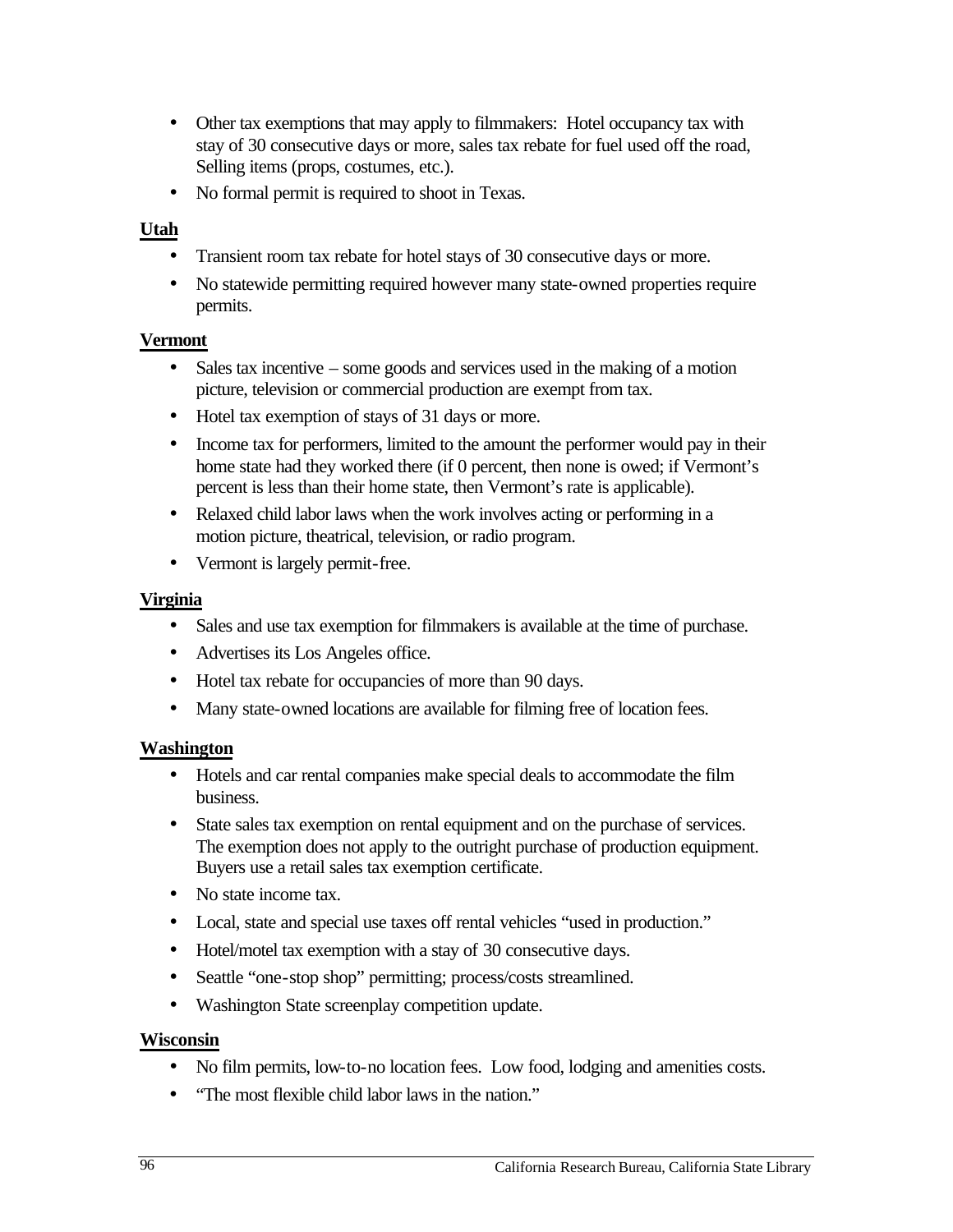- •Other tax exemptions that may apply to filmmakers: Hotel occupancy tax with stay of 30 consecutive days or more, sales tax rebate for fuel used off the road, Selling items (props, costumes, etc.).
- No formal permit is required to shoot in Texas.

## **Utah**

- •Transient room tax rebate for hotel stays of 30 consecutive days or more.
- •No statewide permitting required however many state-owned properties require permits.

#### **Vermont**

- $\bullet$ Sales tax incentive – some goods and services used in the making of a motion picture, television or commercial production are exempt from tax.
- Hotel tax exemption of stays of 31 days or more.
- Income tax for performers, limited to the amount the performer would pay in their home state had they worked there (if 0 percent, then none is owed; if Vermont's percent is less than their home state, then Vermont's rate is applicable).
- •Relaxed child labor laws when the work involves acting or performing in a motion picture, theatrical, television, or radio program.
- •Vermont is largely permit-free.

#### **Virginia**

- Sales and use tax exemption for filmmakers is available at the time of purchase.
- •Advertises its Los Angeles office.
- Hotel tax rebate for occupancies of more than 90 days.
- Many state-owned locations are available for filming free of location fees.

#### **Washington**

- •Hotels and car rental companies make special deals to accommodate the film business.
- State sales tax exemption on rental equipment and on the purchase of services. The exemption does not apply to the outright purchase of production equipment. Buyers use a retail sales tax exemption certificate.
- No state income tax.
- •Local, state and special use taxes off rental vehicles "used in production."
- Hotel/motel tax exemption with a stay of 30 consecutive days.
- $\bullet$ Seattle "one-stop shop" permitting; process/costs streamlined.
- •Washington State screenplay competition update.

#### **Wisconsin**

- No film permits, low-to-no location fees. Low food, lodging and amenities costs.
- "The most flexible child labor laws in the nation."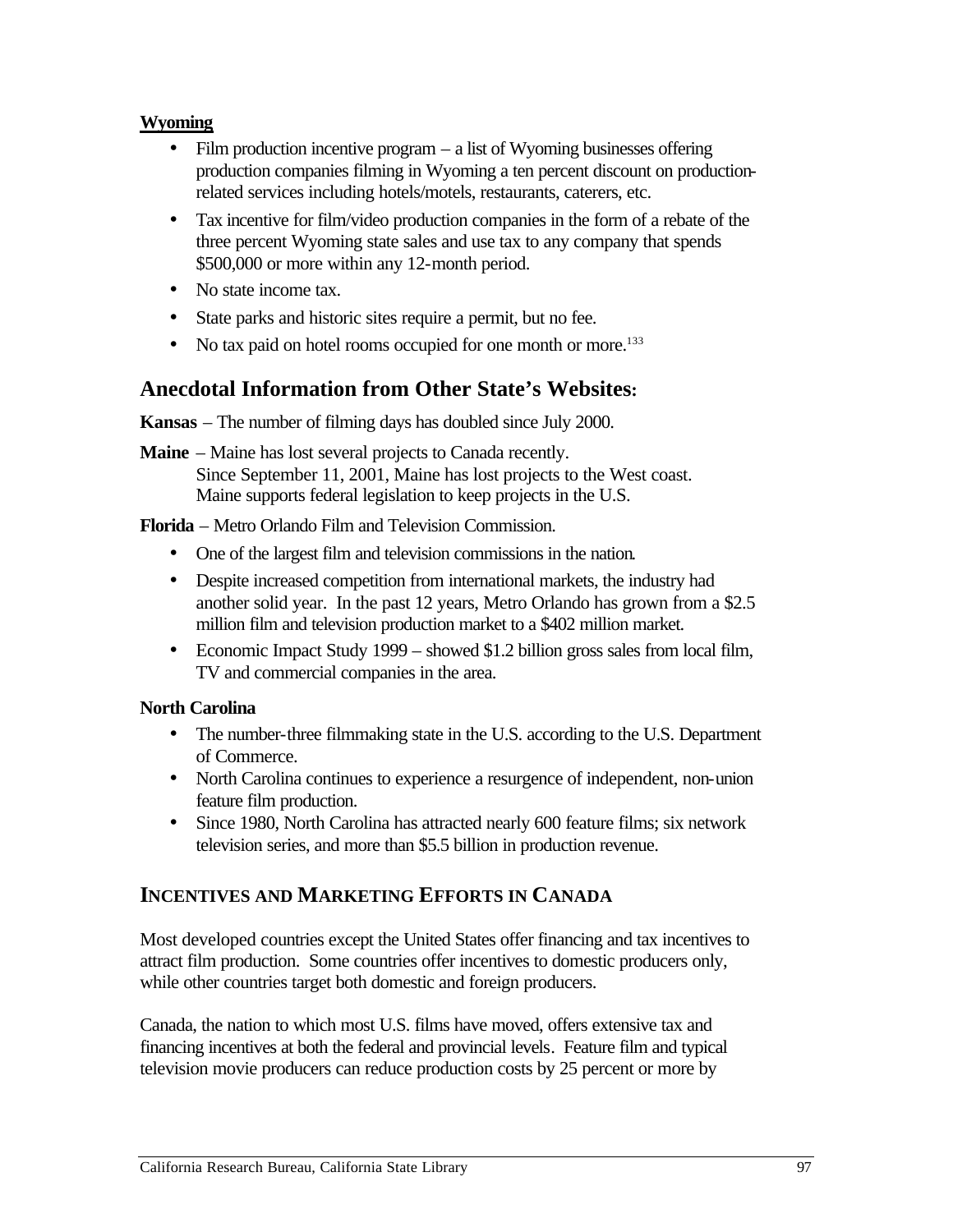#### **Wyoming**

- Film production incentive program a list of Wyoming businesses offering production companies filming in Wyoming a ten percent discount on productionrelated services including hotels/motels, restaurants, caterers, etc.
- •Tax incentive for film/video production companies in the form of a rebate of the three percent Wyoming state sales and use tax to any company that spends \$500,000 or more within any 12-month period.
- No state income tax.
- State parks and historic sites require a permit, but no fee.
- No tax paid on hotel rooms occupied for one month or more.<sup>133</sup>

## **Anecdotal Information from Other State's Websites:**

**Kansas** – The number of filming days has doubled since July 2000.

**Maine** – Maine has lost several projects to Canada recently. Since September 11, 2001, Maine has lost projects to the West coast. Maine supports federal legislation to keep projects in the U.S.

**Florida** – Metro Orlando Film and Television Commission.

- One of the largest film and television commissions in the nation.
- Despite increased competition from international markets, the industry had another solid year. In the past 12 years, Metro Orlando has grown from a \$2.5 million film and television production market to a \$402 million market.
- Economic Impact Study 1999 showed \$1.2 billion gross sales from local film, TV and commercial companies in the area.

#### **North Carolina**

- The number-three filmmaking state in the U.S. according to the U.S. Department of Commerce.
- North Carolina continues to experience a resurgence of independent, non-union feature film production.
- Since 1980, North Carolina has attracted nearly 600 feature films; six network television series, and more than \$5.5 billion in production revenue.

## **INCENTIVES AND MARKETING EFFORTS IN CANADA**

Most developed countries except the United States offer financing and tax incentives to attract film production. Some countries offer incentives to domestic producers only, while other countries target both domestic and foreign producers.

Canada, the nation to which most U.S. films have moved, offers extensive tax and financing incentives at both the federal and provincial levels. Feature film and typical television movie producers can reduce production costs by 25 percent or more by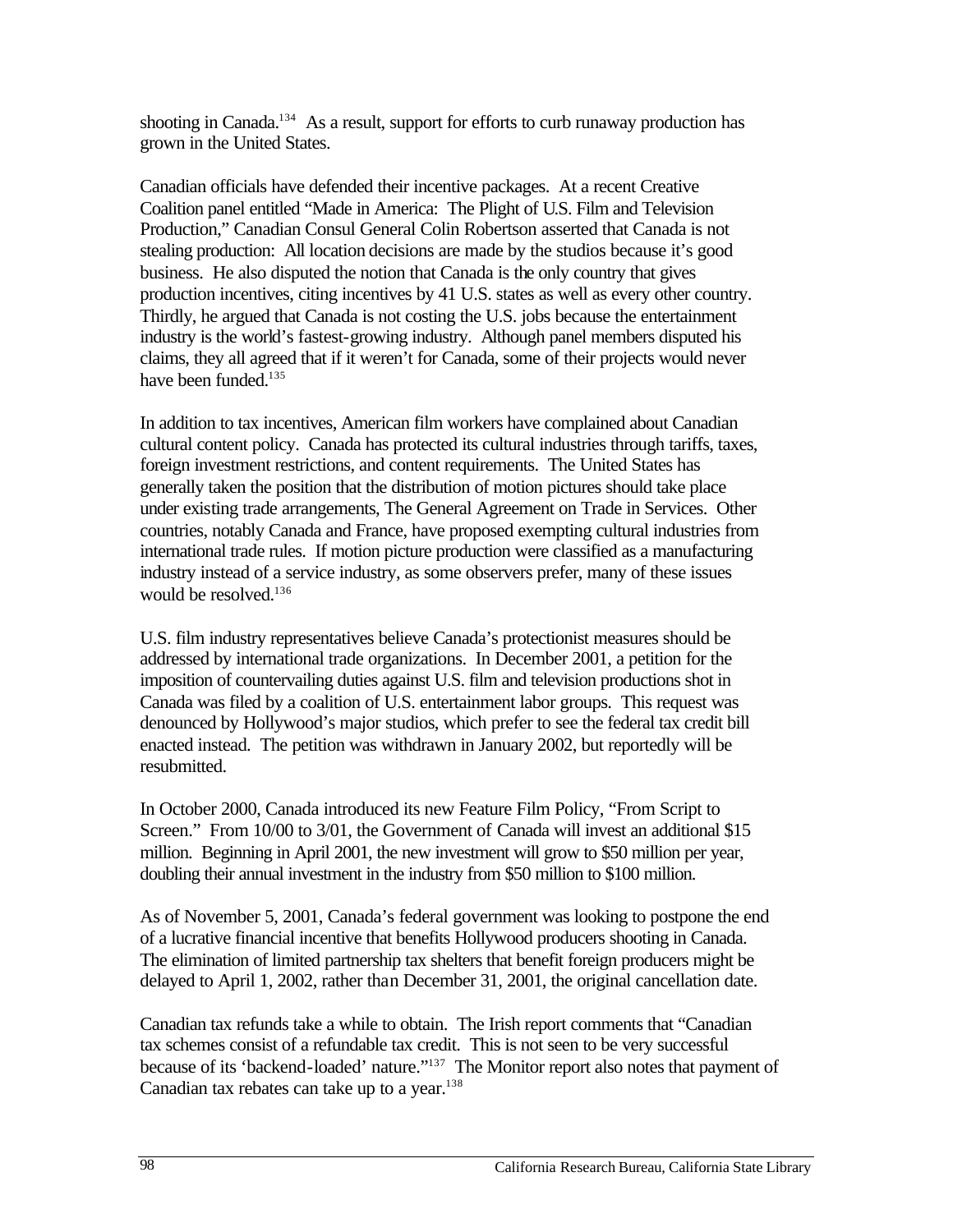shooting in Canada.<sup>134</sup> As a result, support for efforts to curb runaway production has grown in the United States.

Canadian officials have defended their incentive packages. At a recent Creative Coalition panel entitled "Made in America: The Plight of U.S. Film and Television Production," Canadian Consul General Colin Robertson asserted that Canada is not stealing production: All location decisions are made by the studios because it's good business. He also disputed the notion that Canada is the only country that gives production incentives, citing incentives by 41 U.S. states as well as every other country. Thirdly, he argued that Canada is not costing the U.S. jobs because the entertainment industry is the world's fastest-growing industry. Although panel members disputed his claims, they all agreed that if it weren't for Canada, some of their projects would never have been funded.<sup>135</sup>

In addition to tax incentives, American film workers have complained about Canadian cultural content policy. Canada has protected its cultural industries through tariffs, taxes, foreign investment restrictions, and content requirements. The United States has generally taken the position that the distribution of motion pictures should take place under existing trade arrangements, The General Agreement on Trade in Services. Other countries, notably Canada and France, have proposed exempting cultural industries from international trade rules. If motion picture production were classified as a manufacturing industry instead of a service industry, as some observers prefer, many of these issues would be resolved.<sup>136</sup>

U.S. film industry representatives believe Canada's protectionist measures should be addressed by international trade organizations. In December 2001, a petition for the imposition of countervailing duties against U.S. film and television productions shot in Canada was filed by a coalition of U.S. entertainment labor groups. This request was denounced by Hollywood's major studios, which prefer to see the federal tax credit bill enacted instead. The petition was withdrawn in January 2002, but reportedly will be resubmitted.

In October 2000, Canada introduced its new Feature Film Policy, "From Script to Screen." From 10/00 to 3/01, the Government of Canada will invest an additional \$15 million. Beginning in April 2001, the new investment will grow to \$50 million per year, doubling their annual investment in the industry from \$50 million to \$100 million.

As of November 5, 2001, Canada's federal government was looking to postpone the end of a lucrative financial incentive that benefits Hollywood producers shooting in Canada. The elimination of limited partnership tax shelters that benefit foreign producers might be delayed to April 1, 2002, rather than December 31, 2001, the original cancellation date.

Canadian tax refunds take a while to obtain. The Irish report comments that "Canadian tax schemes consist of a refundable tax credit. This is not seen to be very successful because of its 'backend-loaded' nature."137 The Monitor report also notes that payment of Canadian tax rebates can take up to a year. $138$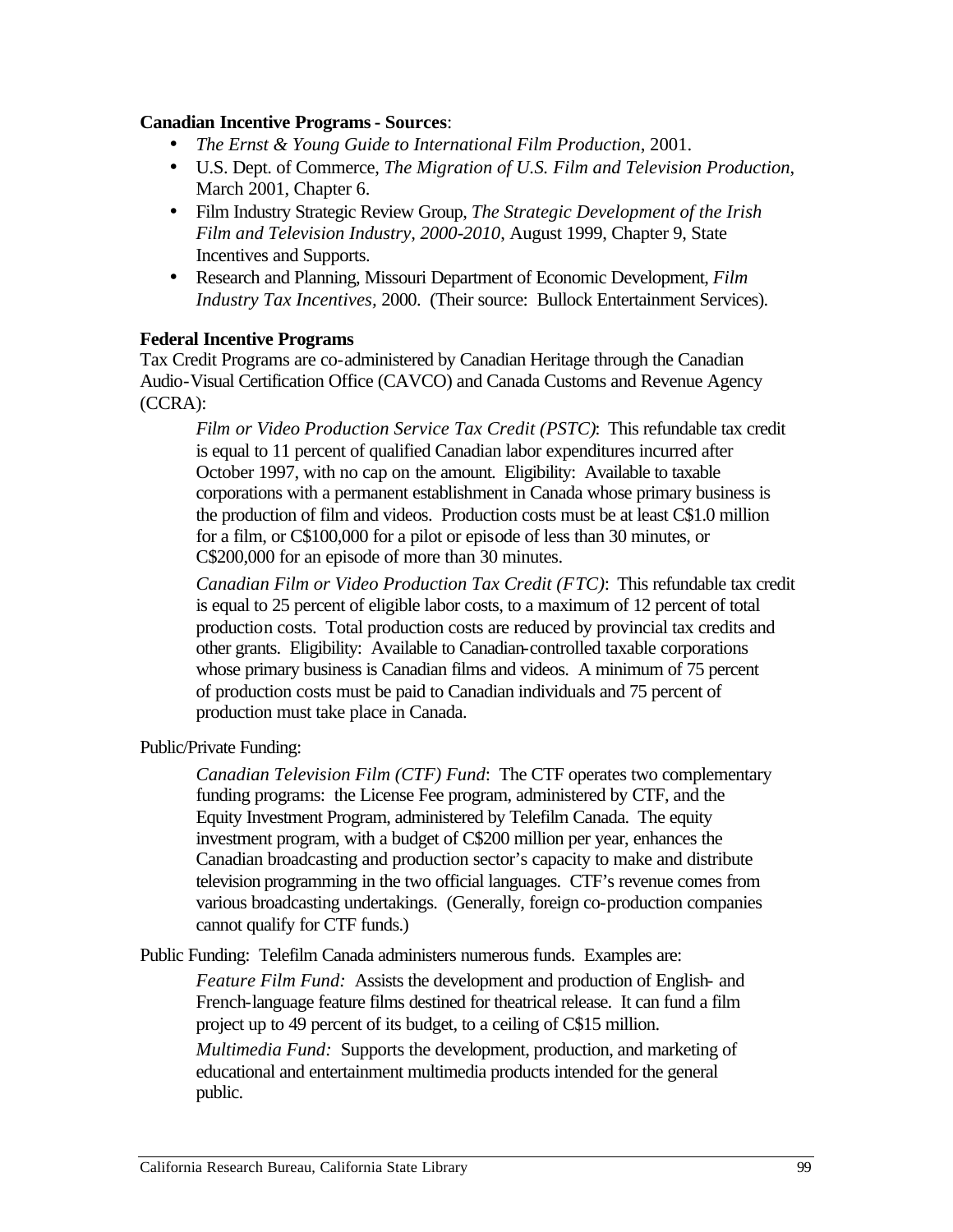#### **Canadian Incentive Programs - Sources**:

- •*The Ernst & Young Guide to International Film Production*, 2001.
- •U.S. Dept. of Commerce, *The Migration of U.S. Film and Television Production*, March 2001, Chapter 6.
- •Film Industry Strategic Review Group, *The Strategic Development of the Irish Film and Television Industry, 2000-2010*, August 1999, Chapter 9, State Incentives and Supports.
- •Research and Planning, Missouri Department of Economic Development, *Film Industry Tax Incentives,* 2000. (Their source: Bullock Entertainment Services).

#### **Federal Incentive Programs**

Tax Credit Programs are co-administered by Canadian Heritage through the Canadian Audio-Visual Certification Office (CAVCO) and Canada Customs and Revenue Agency (CCRA):

*Film or Video Production Service Tax Credit (PSTC)*: This refundable tax credit is equal to 11 percent of qualified Canadian labor expenditures incurred after October 1997, with no cap on the amount. Eligibility: Available to taxable corporations with a permanent establishment in Canada whose primary business is the production of film and videos. Production costs must be at least C\$1.0 million for a film, or C\$100,000 for a pilot or episode of less than 30 minutes, or C\$200,000 for an episode of more than 30 minutes.

*Canadian Film or Video Production Tax Credit (FTC)*: This refundable tax credit is equal to 25 percent of eligible labor costs, to a maximum of 12 percent of total production costs. Total production costs are reduced by provincial tax credits and other grants. Eligibility: Available to Canadian-controlled taxable corporations whose primary business is Canadian films and videos. A minimum of 75 percent of production costs must be paid to Canadian individuals and 75 percent of production must take place in Canada.

Public/Private Funding:

*Canadian Television Film (CTF) Fund*: The CTF operates two complementary funding programs: the License Fee program, administered by CTF, and the Equity Investment Program, administered by Telefilm Canada. The equity investment program, with a budget of C\$200 million per year, enhances the Canadian broadcasting and production sector's capacity to make and distribute television programming in the two official languages. CTF's revenue comes from various broadcasting undertakings. (Generally, foreign co-production companies cannot qualify for CTF funds.)

Public Funding: Telefilm Canada administers numerous funds. Examples are:

*Feature Film Fund:* Assists the development and production of English- and French-language feature films destined for theatrical release. It can fund a film project up to 49 percent of its budget, to a ceiling of C\$15 million.

*Multimedia Fund:* Supports the development, production, and marketing of educational and entertainment multimedia products intended for the general public.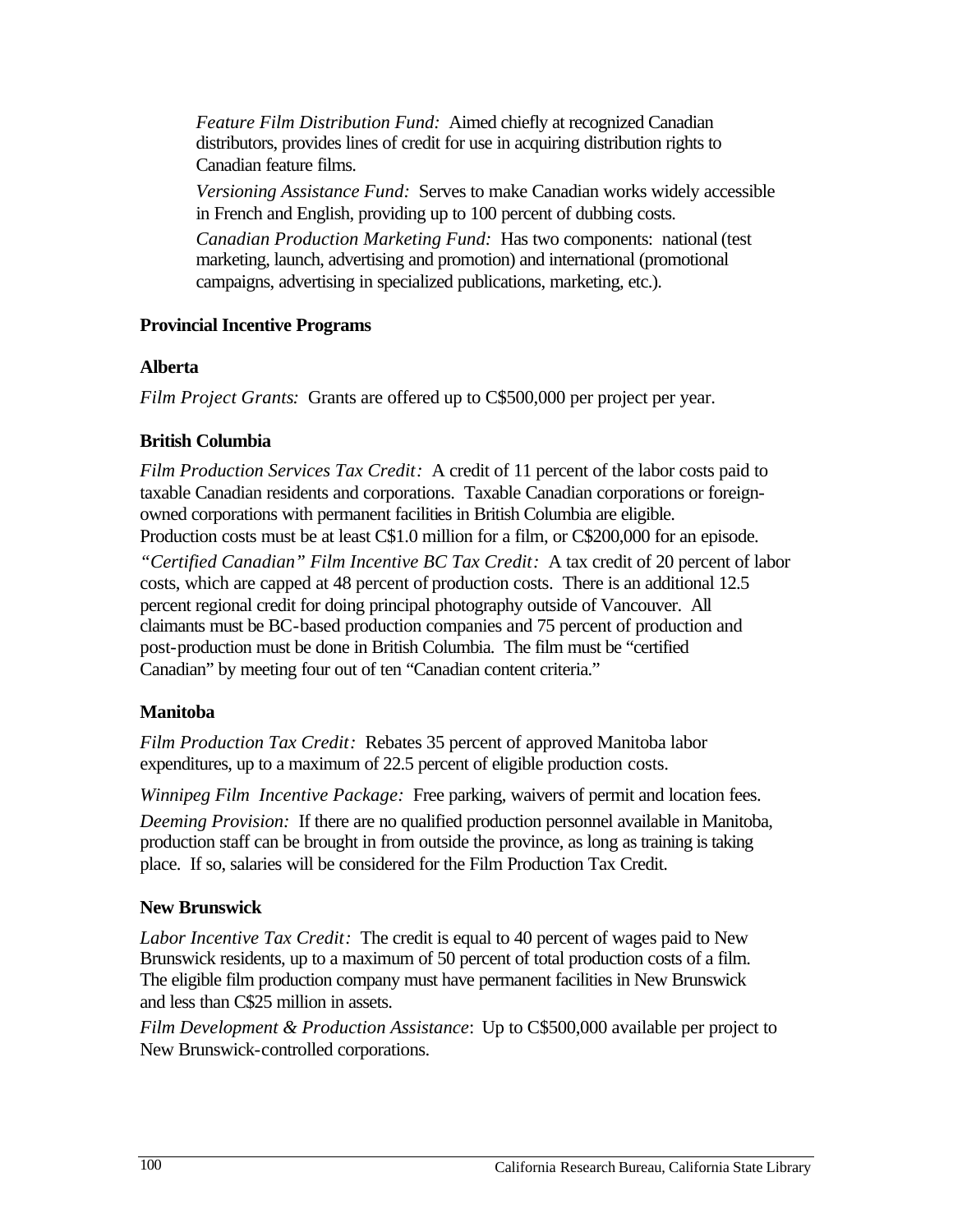*Feature Film Distribution Fund:* Aimed chiefly at recognized Canadian distributors, provides lines of credit for use in acquiring distribution rights to Canadian feature films.

*Versioning Assistance Fund:* Serves to make Canadian works widely accessible in French and English, providing up to 100 percent of dubbing costs.

*Canadian Production Marketing Fund:* Has two components: national (test marketing, launch, advertising and promotion) and international (promotional campaigns, advertising in specialized publications, marketing, etc.).

### **Provincial Incentive Programs**

### **Alberta**

*Film Project Grants:* Grants are offered up to C\$500,000 per project per year.

## **British Columbia**

 Production costs must be at least C\$1.0 million for a film, or C\$200,000 for an episode.*Film Production Services Tax Credit:* A credit of 11 percent of the labor costs paid to taxable Canadian residents and corporations. Taxable Canadian corporations or foreignowned corporations with permanent facilities in British Columbia are eligible.

 Canadian" by meeting four out of ten "Canadian content criteria." *"Certified Canadian" Film Incentive BC Tax Credit:* A tax credit of 20 percent of labor costs, which are capped at 48 percent of production costs. There is an additional 12.5 percent regional credit for doing principal photography outside of Vancouver. All claimants must be BC-based production companies and 75 percent of production and post-production must be done in British Columbia. The film must be "certified

## **Manitoba**

*Film Production Tax Credit:* Rebates 35 percent of approved Manitoba labor expenditures, up to a maximum of 22.5 percent of eligible production costs.

 *Winnipeg Film Incentive Package:* Free parking, waivers of permit and location fees. *Deeming Provision:* If there are no qualified production personnel available in Manitoba, production staff can be brought in from outside the province, as long as training is taking place. If so, salaries will be considered for the Film Production Tax Credit.

## **New Brunswick**

*Labor Incentive Tax Credit:* The credit is equal to 40 percent of wages paid to New Brunswick residents, up to a maximum of 50 percent of total production costs of a film. The eligible film production company must have permanent facilities in New Brunswick and less than C\$25 million in assets.

*Film Development & Production Assistance*: Up to C\$500,000 available per project to New Brunswick-controlled corporations.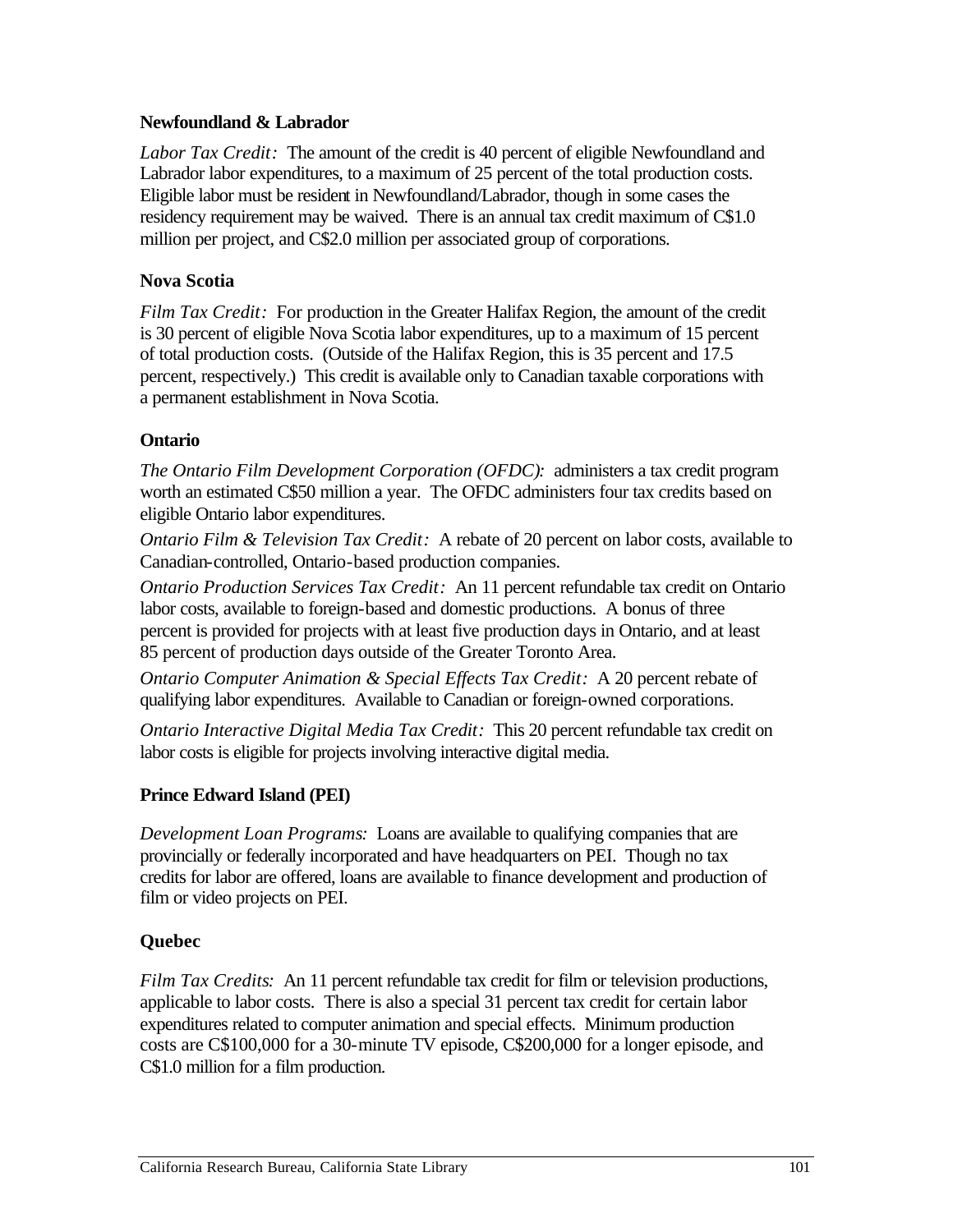#### **Newfoundland & Labrador**

Labor Tax Credit: The amount of the credit is 40 percent of eligible Newfoundland and Labrador labor expenditures, to a maximum of 25 percent of the total production costs. Eligible labor must be resident in Newfoundland/Labrador, though in some cases the residency requirement may be waived. There is an annual tax credit maximum of C\$1.0 million per project, and C\$2.0 million per associated group of corporations.

#### **Nova Scotia**

*Film Tax Credit:* For production in the Greater Halifax Region, the amount of the credit is 30 percent of eligible Nova Scotia labor expenditures, up to a maximum of 15 percent of total production costs. (Outside of the Halifax Region, this is 35 percent and 17.5 percent, respectively.) This credit is available only to Canadian taxable corporations with a permanent establishment in Nova Scotia.

#### **Ontario**

*The Ontario Film Development Corporation (OFDC):* administers a tax credit program worth an estimated C\$50 million a year. The OFDC administers four tax credits based on eligible Ontario labor expenditures.

*Ontario Film & Television Tax Credit:* A rebate of 20 percent on labor costs, available to Canadian-controlled, Ontario-based production companies.

 *Ontario Production Services Tax Credit:* An 11 percent refundable tax credit on Ontario labor costs, available to foreign-based and domestic productions. A bonus of three percent is provided for projects with at least five production days in Ontario, and at least 85 percent of production days outside of the Greater Toronto Area.

*Ontario Computer Animation & Special Effects Tax Credit:* A 20 percent rebate of qualifying labor expenditures. Available to Canadian or foreign-owned corporations.

*Ontario Interactive Digital Media Tax Credit:* This 20 percent refundable tax credit on labor costs is eligible for projects involving interactive digital media.

#### **Prince Edward Island (PEI)**

*Development Loan Programs:* Loans are available to qualifying companies that are provincially or federally incorporated and have headquarters on PEI. Though no tax credits for labor are offered, loans are available to finance development and production of film or video projects on PEI.

#### **Quebec**

 *Film Tax Credits:* An 11 percent refundable tax credit for film or television productions, applicable to labor costs. There is also a special 31 percent tax credit for certain labor expenditures related to computer animation and special effects. Minimum production costs are C\$100,000 for a 30-minute TV episode, C\$200,000 for a longer episode, and C\$1.0 million for a film production.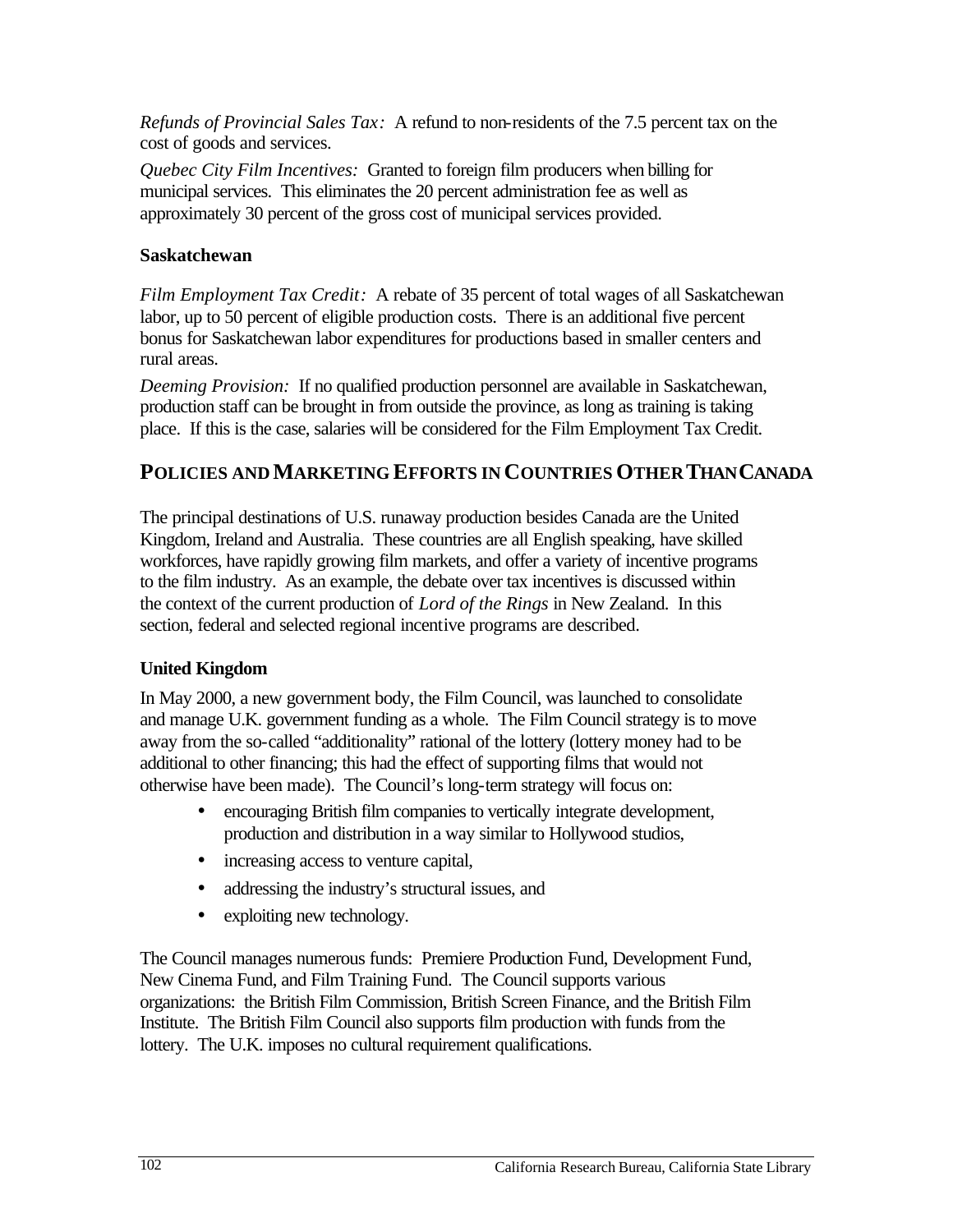cost of goods and services.*Refunds of Provincial Sales Tax:* A refund to non-residents of the 7.5 percent tax on the

 *Quebec City Film Incentives:* Granted to foreign film producers when billing for approximately 30 percent of the gross cost of municipal services provided.municipal services. This eliminates the 20 percent administration fee as well as

#### **Saskatchewan**

*Film Employment Tax Credit:* A rebate of 35 percent of total wages of all Saskatchewan labor, up to 50 percent of eligible production costs. There is an additional five percent bonus for Saskatchewan labor expenditures for productions based in smaller centers and rural areas.

*Deeming Provision:* If no qualified production personnel are available in Saskatchewan, production staff can be brought in from outside the province, as long as training is taking place. If this is the case, salaries will be considered for the Film Employment Tax Credit.

# **POLICIES AND MARKETING EFFORTS IN COUNTRIES OTHER THANCANADA**

The principal destinations of U.S. runaway production besides Canada are the United Kingdom, Ireland and Australia. These countries are all English speaking, have skilled workforces, have rapidly growing film markets, and offer a variety of incentive programs to the film industry. As an example, the debate over tax incentives is discussed within the context of the current production of *Lord of the Rings* in New Zealand. In this section, federal and selected regional incentive programs are described.

#### **United Kingdom**

In May 2000, a new government body, the Film Council, was launched to consolidate and manage U.K. government funding as a whole. The Film Council strategy is to move away from the so-called "additionality" rational of the lottery (lottery money had to be additional to other financing; this had the effect of supporting films that would not otherwise have been made). The Council's long-term strategy will focus on:

- encouraging British film companies to vertically integrate development, production and distribution in a way similar to Hollywood studios,
- increasing access to venture capital,
- addressing the industry's structural issues, and
- exploiting new technology.

The Council manages numerous funds: Premiere Production Fund, Development Fund, New Cinema Fund, and Film Training Fund. The Council supports various organizations: the British Film Commission, British Screen Finance, and the British Film Institute. The British Film Council also supports film production with funds from the lottery. The U.K. imposes no cultural requirement qualifications.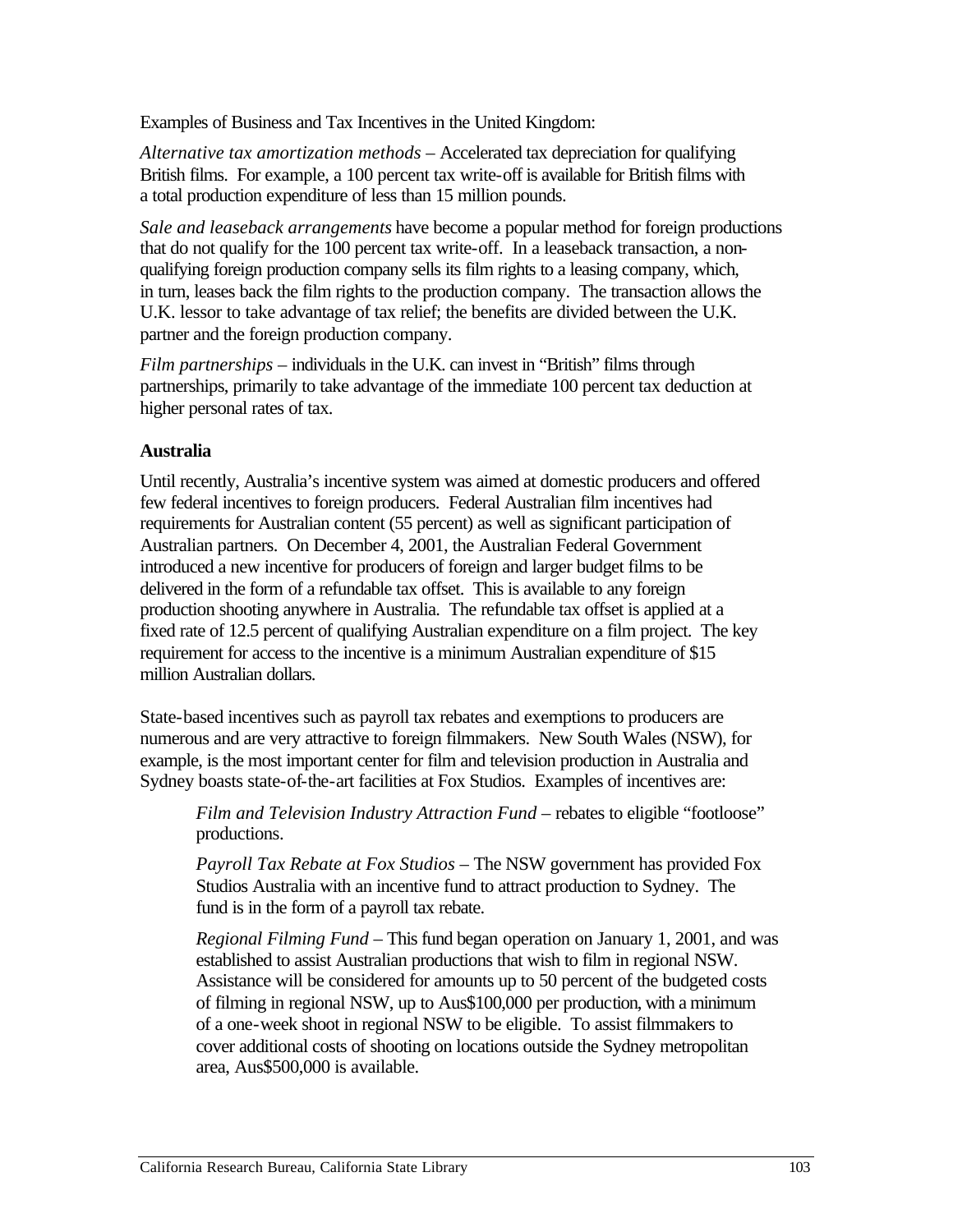Examples of Business and Tax Incentives in the United Kingdom:

*Alternative tax amortization methods* – Accelerated tax depreciation for qualifying British films. For example, a 100 percent tax write-off is available for British films with a total production expenditure of less than 15 million pounds.

*Sale and leaseback arrangements* have become a popular method for foreign productions that do not qualify for the 100 percent tax write-off. In a leaseback transaction, a nonqualifying foreign production company sells its film rights to a leasing company, which, in turn, leases back the film rights to the production company. The transaction allows the U.K. lessor to take advantage of tax relief; the benefits are divided between the U.K. partner and the foreign production company.

*Film partnerships* – individuals in the U.K. can invest in "British" films through partnerships, primarily to take advantage of the immediate 100 percent tax deduction at higher personal rates of tax.

#### **Australia**

Until recently, Australia's incentive system was aimed at domestic producers and offered few federal incentives to foreign producers. Federal Australian film incentives had requirements for Australian content (55 percent) as well as significant participation of Australian partners. On December 4, 2001, the Australian Federal Government introduced a new incentive for producers of foreign and larger budget films to be delivered in the form of a refundable tax offset. This is available to any foreign production shooting anywhere in Australia. The refundable tax offset is applied at a fixed rate of 12.5 percent of qualifying Australian expenditure on a film project. The key requirement for access to the incentive is a minimum Australian expenditure of \$15 million Australian dollars.

State-based incentives such as payroll tax rebates and exemptions to producers are numerous and are very attractive to foreign filmmakers. New South Wales (NSW), for example, is the most important center for film and television production in Australia and Sydney boasts state-of-the-art facilities at Fox Studios. Examples of incentives are:

*Film and Television Industry Attraction Fund – rebates to eligible "footloose"* productions.

*Payroll Tax Rebate at Fox Studios* – The NSW government has provided Fox Studios Australia with an incentive fund to attract production to Sydney. The fund is in the form of a payroll tax rebate.

*Regional Filming Fund* – This fund began operation on January 1, 2001, and was established to assist Australian productions that wish to film in regional NSW. Assistance will be considered for amounts up to 50 percent of the budgeted costs of filming in regional NSW, up to Aus\$100,000 per production, with a minimum of a one-week shoot in regional NSW to be eligible. To assist filmmakers to cover additional costs of shooting on locations outside the Sydney metropolitan area, Aus\$500,000 is available.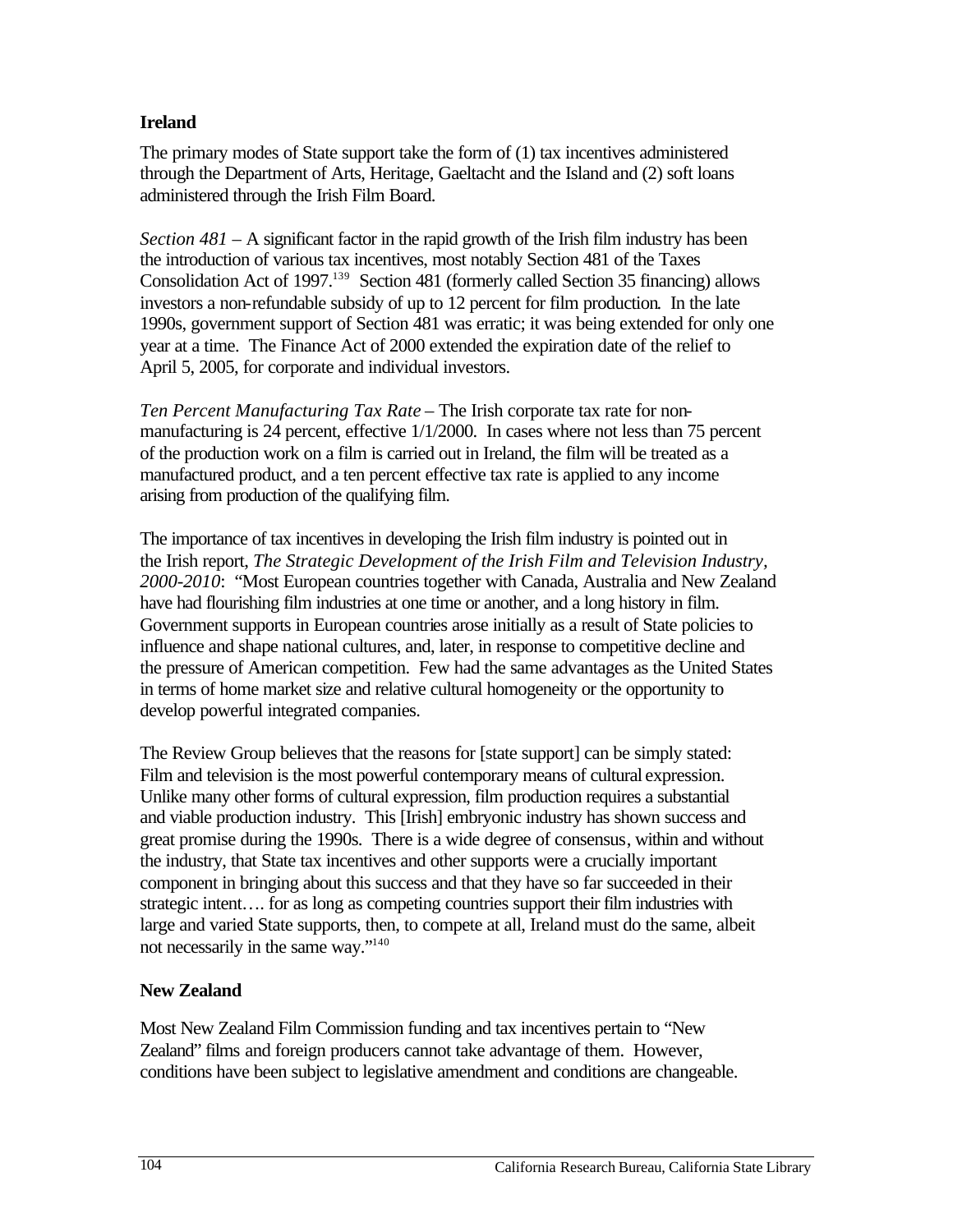#### **Ireland**

The primary modes of State support take the form of (1) tax incentives administered through the Department of Arts, Heritage, Gaeltacht and the Island and (2) soft loans administered through the Irish Film Board.

*Section 481* – A significant factor in the rapid growth of the Irish film industry has been the introduction of various tax incentives, most notably Section 481 of the Taxes Consolidation Act of 1997.<sup>139</sup> Section 481 (formerly called Section 35 financing) allows investors a non-refundable subsidy of up to 12 percent for film production. In the late 1990s, government support of Section 481 was erratic; it was being extended for only one year at a time. The Finance Act of 2000 extended the expiration date of the relief to April 5, 2005, for corporate and individual investors.

*Ten Percent Manufacturing Tax Rate* – The Irish corporate tax rate for nonmanufacturing is 24 percent, effective 1/1/2000. In cases where not less than 75 percent of the production work on a film is carried out in Ireland, the film will be treated as a manufactured product, and a ten percent effective tax rate is applied to any income arising from production of the qualifying film.

The importance of tax incentives in developing the Irish film industry is pointed out in the Irish report, *The Strategic Development of the Irish Film and Television Industry, 2000-2010*: "Most European countries together with Canada, Australia and New Zealand have had flourishing film industries at one time or another, and a long history in film. Government supports in European countries arose initially as a result of State policies to influence and shape national cultures, and, later, in response to competitive decline and the pressure of American competition. Few had the same advantages as the United States in terms of home market size and relative cultural homogeneity or the opportunity to develop powerful integrated companies.

The Review Group believes that the reasons for [state support] can be simply stated: Film and television is the most powerful contemporary means of cultural expression. Unlike many other forms of cultural expression, film production requires a substantial and viable production industry. This [Irish] embryonic industry has shown success and great promise during the 1990s. There is a wide degree of consensus, within and without the industry, that State tax incentives and other supports were a crucially important component in bringing about this success and that they have so far succeeded in their strategic intent…. for as long as competing countries support their film industries with large and varied State supports, then, to compete at all, Ireland must do the same, albeit not necessarily in the same way."140

#### **New Zealand**

Most New Zealand Film Commission funding and tax incentives pertain to "New Zealand" films and foreign producers cannot take advantage of them. However, conditions have been subject to legislative amendment and conditions are changeable.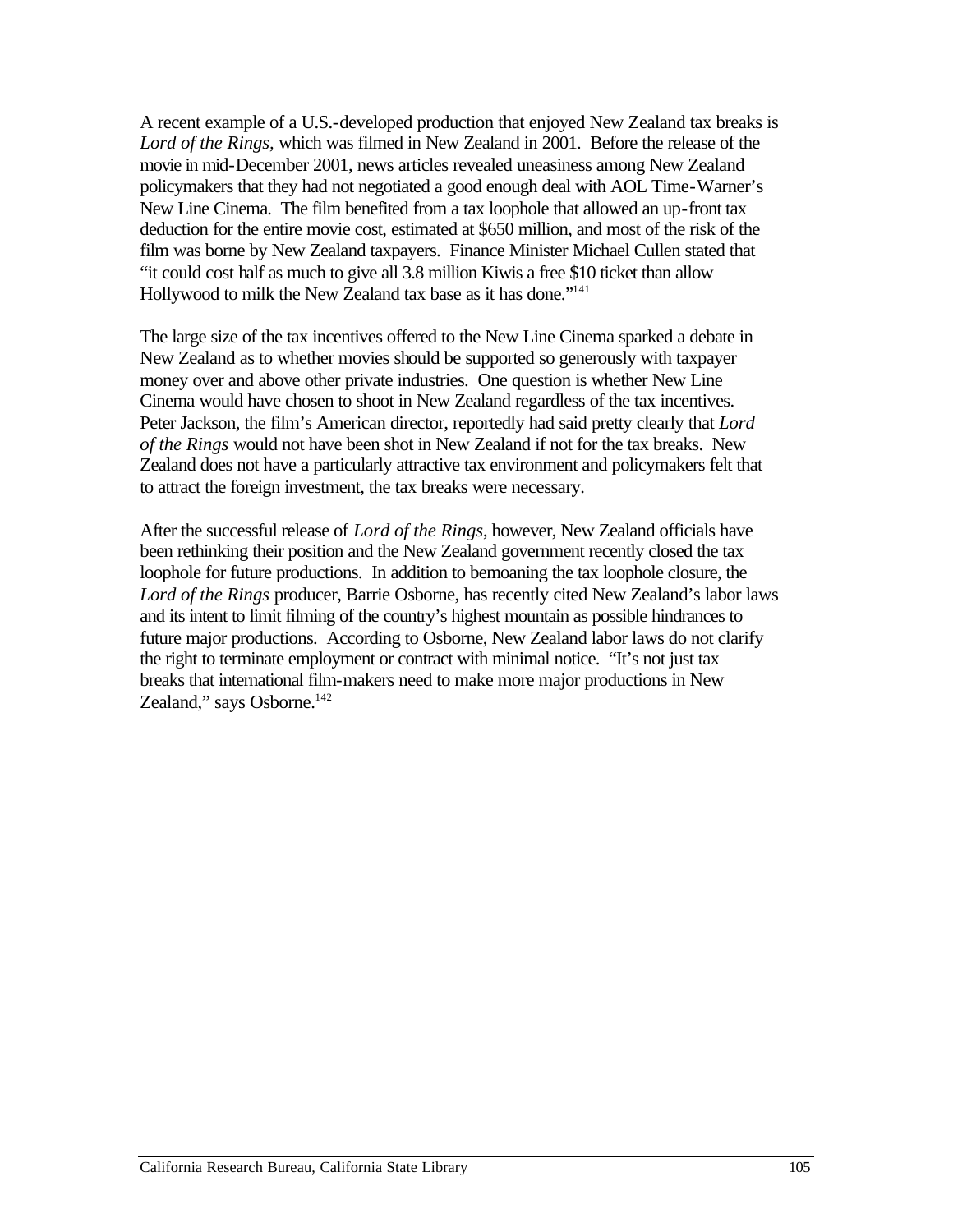A recent example of a U.S.-developed production that enjoyed New Zealand tax breaks is *Lord of the Rings,* which was filmed in New Zealand in 2001. Before the release of the movie in mid-December 2001, news articles revealed uneasiness among New Zealand policymakers that they had not negotiated a good enough deal with AOL Time-Warner's New Line Cinema. The film benefited from a tax loophole that allowed an up-front tax deduction for the entire movie cost, estimated at \$650 million, and most of the risk of the film was borne by New Zealand taxpayers. Finance Minister Michael Cullen stated that "it could cost half as much to give all 3.8 million Kiwis a free \$10 ticket than allow Hollywood to milk the New Zealand tax base as it has done."141

The large size of the tax incentives offered to the New Line Cinema sparked a debate in New Zealand as to whether movies should be supported so generously with taxpayer money over and above other private industries. One question is whether New Line Cinema would have chosen to shoot in New Zealand regardless of the tax incentives. Peter Jackson, the film's American director, reportedly had said pretty clearly that *Lord of the Rings* would not have been shot in New Zealand if not for the tax breaks. New Zealand does not have a particularly attractive tax environment and policymakers felt that to attract the foreign investment, the tax breaks were necessary.

After the successful release of *Lord of the Rings*, however, New Zealand officials have been rethinking their position and the New Zealand government recently closed the tax loophole for future productions. In addition to bemoaning the tax loophole closure, the *Lord of the Rings* producer, Barrie Osborne, has recently cited New Zealand's labor laws and its intent to limit filming of the country's highest mountain as possible hindrances to future major productions. According to Osborne, New Zealand labor laws do not clarify the right to terminate employment or contract with minimal notice. "It's not just tax breaks that international film-makers need to make more major productions in New Zealand," says Osborne.<sup>142</sup>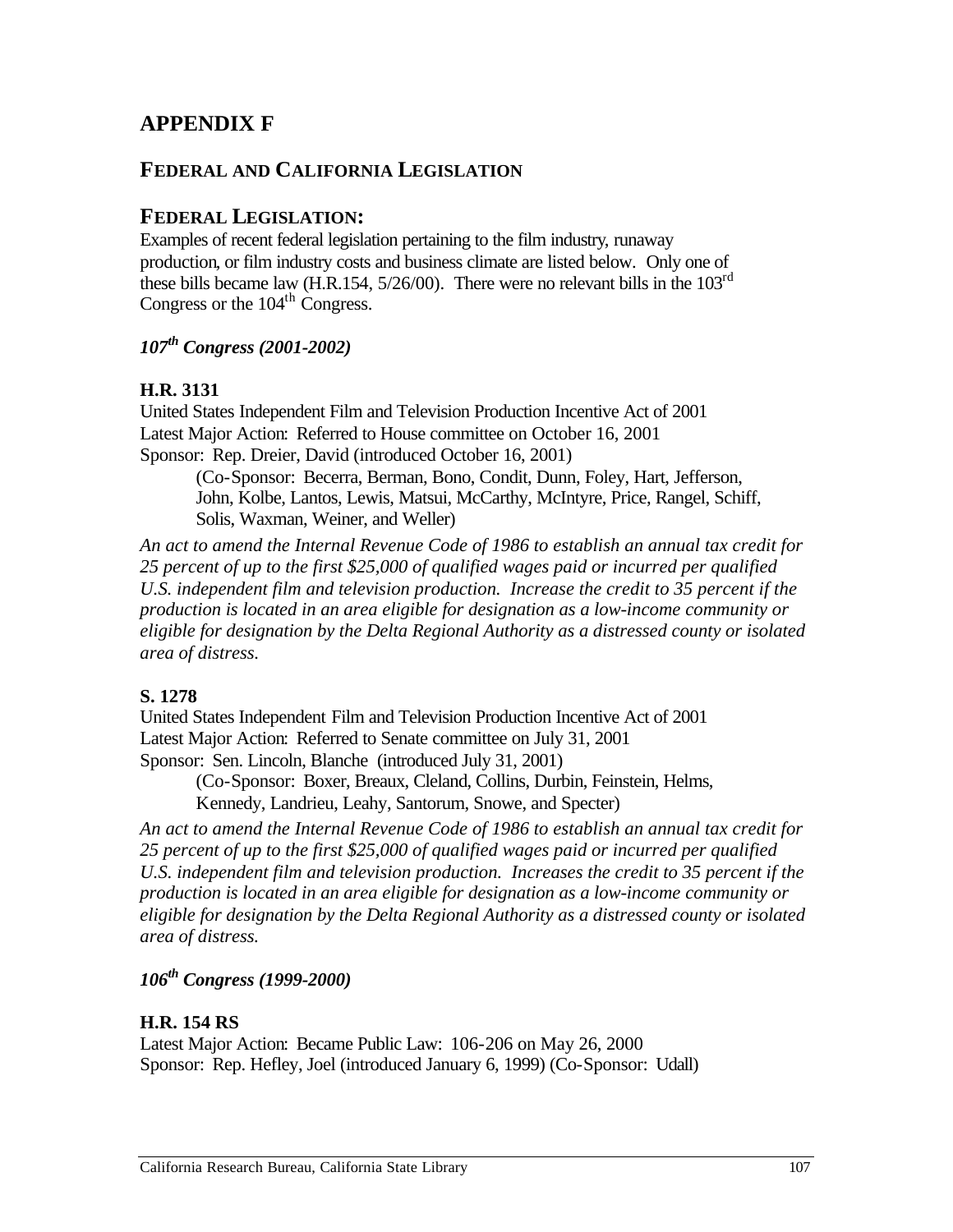# **APPENDIX F**

#### **FEDERAL AND CALIFORNIA LEGISLATION**

#### **FEDERAL LEGISLATION:**

Examples of recent federal legislation pertaining to the film industry, runaway production, or film industry costs and business climate are listed below. Only one of these bills became law (H.R.154, 5/26/00). There were no relevant bills in the 103rd Congress or the  $104<sup>th</sup>$  Congress.

*107th Congress (2001-2002)* 

#### **H.R. 3131**

United States Independent Film and Television Production Incentive Act of 2001 Latest Major Action: Referred to House committee on October 16, 2001 Sponsor: Rep. Dreier, David (introduced October 16, 2001)

(Co-Sponsor: Becerra, Berman, Bono, Condit, Dunn, Foley, Hart, Jefferson, John, Kolbe, Lantos, Lewis, Matsui, McCarthy, McIntyre, Price, Rangel, Schiff, Solis, Waxman, Weiner, and Weller)

*An act to amend the Internal Revenue Code of 1986 to establish an annual tax credit for 25 percent of up to the first \$25,000 of qualified wages paid or incurred per qualified U.S. independent film and television production. Increase the credit to 35 percent if the production is located in an area eligible for designation as a low-income community or eligible for designation by the Delta Regional Authority as a distressed county or isolated area of distress.* 

#### **S. 1278**

United States Independent Film and Television Production Incentive Act of 2001 Latest Major Action: Referred to Senate committee on July 31, 2001 Sponsor: Sen. Lincoln, Blanche (introduced July 31, 2001)

(Co-Sponsor: Boxer, Breaux, Cleland, Collins, Durbin, Feinstein, Helms,

Kennedy, Landrieu, Leahy, Santorum, Snowe, and Specter)

*An act to amend the Internal Revenue Code of 1986 to establish an annual tax credit for 25 percent of up to the first \$25,000 of qualified wages paid or incurred per qualified U.S. independent film and television production. Increases the credit to 35 percent if the production is located in an area eligible for designation as a low-income community or eligible for designation by the Delta Regional Authority as a distressed county or isolated area of distress.* 

# *106th Congress (1999-2000)*

#### **H.R. 154 RS**

Latest Major Action: Became Public Law: 106-206 on May 26, 2000 Sponsor: Rep. Hefley, Joel (introduced January 6, 1999) (Co-Sponsor: Udall)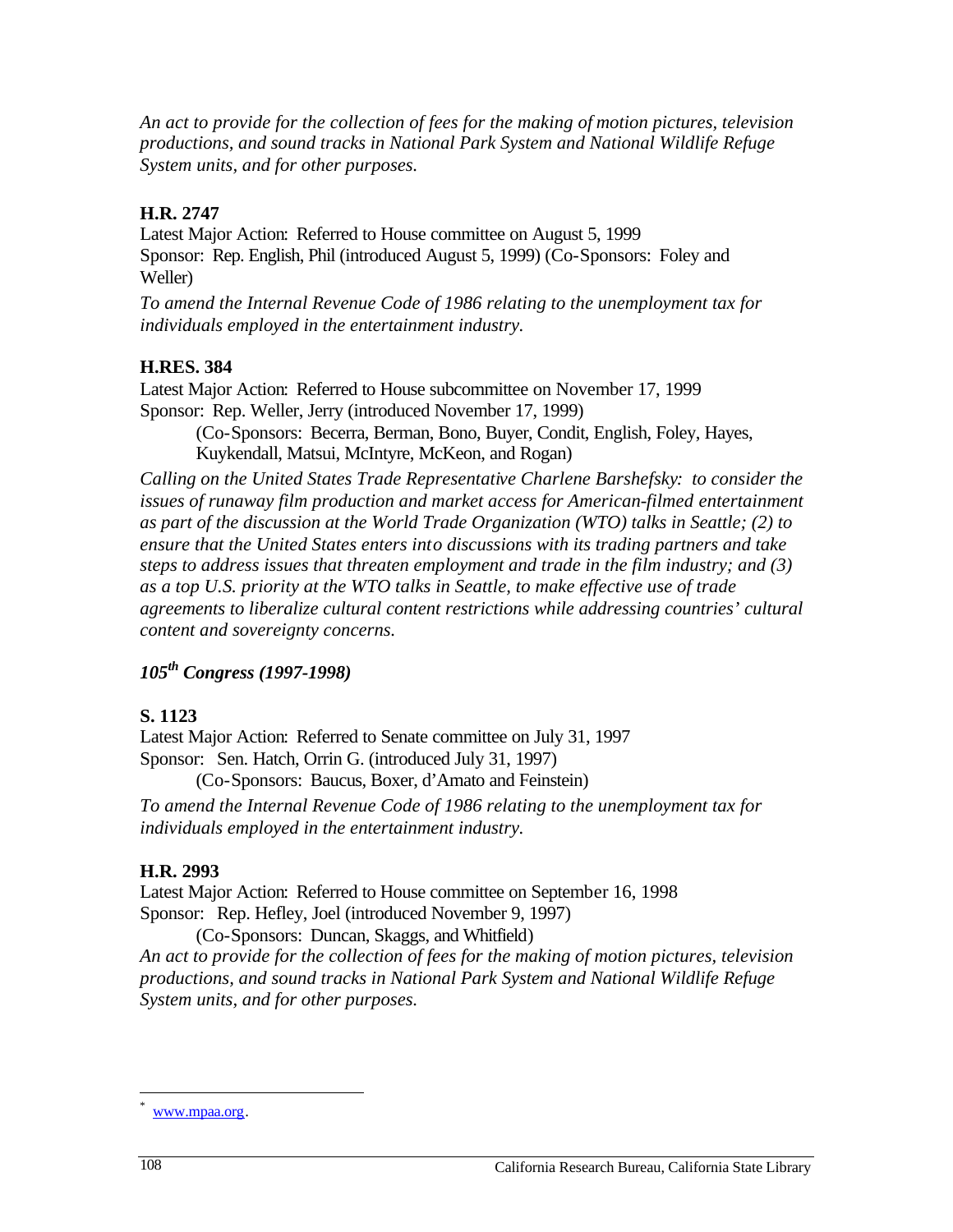*An act to provide for the collection of fees for the making of motion pictures, television productions, and sound tracks in National Park System and National Wildlife Refuge System units, and for other purposes.* 

#### **H.R. 2747**

Latest Major Action: Referred to House committee on August 5, 1999 Sponsor: Rep. English, Phil (introduced August 5, 1999) (Co-Sponsors: Foley and Weller)

*To amend the Internal Revenue Code of 1986 relating to the unemployment tax for individuals employed in the entertainment industry.* 

## **H.RES. 384**

Latest Major Action: Referred to House subcommittee on November 17, 1999 Sponsor: Rep. Weller, Jerry (introduced November 17, 1999)

(Co-Sponsors: Becerra, Berman, Bono, Buyer, Condit, English, Foley, Hayes, Kuykendall, Matsui, McIntyre, McKeon, and Rogan)

*Calling on the United States Trade Representative Charlene Barshefsky: to consider the*  issues of runaway film production and market access for American-filmed entertainment *as part of the discussion at the World Trade Organization (WTO) talks in Seattle; (2) to ensure that the United States enters into discussions with its trading partners and take steps to address issues that threaten employment and trade in the film industry; and (3) as a top U.S. priority at the WTO talks in Seattle, to make effective use of trade agreements to liberalize cultural content restrictions while addressing countries' cultural content and sovereignty concerns.* 

# *105th Congress (1997-1998)*

# **S. 1123**

Latest Major Action: Referred to Senate committee on July 31, 1997 Sponsor: Sen. Hatch, Orrin G. (introduced July 31, 1997)

(Co-Sponsors: Baucus, Boxer, d'Amato and Feinstein)

*To amend the Internal Revenue Code of 1986 relating to the unemployment tax for individuals employed in the entertainment industry.* 

# **H.R. 2993**

Latest Major Action: Referred to House committee on September 16, 1998 Sponsor: Rep. Hefley, Joel (introduced November 9, 1997)

(Co-Sponsors: Duncan, Skaggs, and Whitfield) *An act to provide for the collection of fees for the making of motion pictures, television productions, and sound tracks in National Park System and National Wildlife Refuge System units, and for other purposes.* 

<sup>\*</sup>  www.mpaa.org.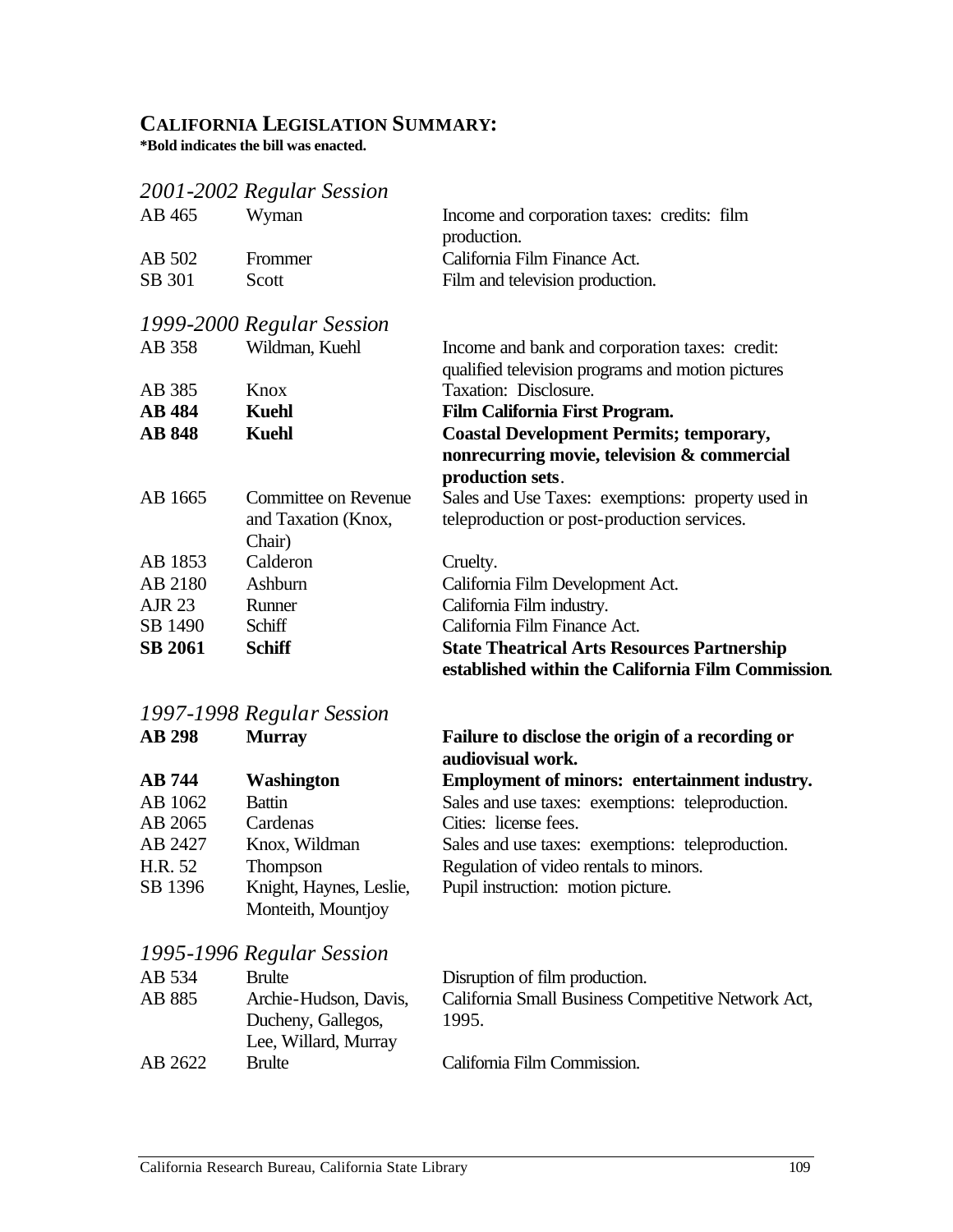# **CALIFORNIA LEGISLATION SUMMARY:**

**\*Bold indicates the bill was enacted.** 

# *2001-2002 Regular Session*

| AB 465         | Wyman                     | Income and corporation taxes: credits: film<br>production.                                               |
|----------------|---------------------------|----------------------------------------------------------------------------------------------------------|
| AB 502         | Frommer                   | California Film Finance Act.                                                                             |
| SB 301         | Scott                     | Film and television production.                                                                          |
|                | 1999-2000 Regular Session |                                                                                                          |
| AB 358         | Wildman, Kuehl            | Income and bank and corporation taxes: credit:                                                           |
|                |                           | qualified television programs and motion pictures                                                        |
| AB 385         | Knox                      | Taxation: Disclosure.                                                                                    |
| <b>AB</b> 484  | <b>Kuehl</b>              | Film California First Program.                                                                           |
| <b>AB 848</b>  | <b>Kuehl</b>              | <b>Coastal Development Permits; temporary,</b>                                                           |
|                |                           | nonrecurring movie, television & commercial<br>production sets.                                          |
| AB 1665        | Committee on Revenue      | Sales and Use Taxes: exemptions: property used in                                                        |
|                | and Taxation (Knox,       | teleproduction or post-production services.                                                              |
|                | Chair)                    |                                                                                                          |
| AB 1853        | Calderon                  | Cruelty.                                                                                                 |
| AB 2180        | Ashburn                   | California Film Development Act.                                                                         |
| AJR 23         | Runner                    | California Film industry.                                                                                |
| SB 1490        | Schiff                    | California Film Finance Act.                                                                             |
| <b>SB 2061</b> | <b>Schiff</b>             | <b>State Theatrical Arts Resources Partnership</b><br>established within the California Film Commission. |

# *1997-1998 Regular Session*

| <b>AB 298</b> | <b>Murray</b>           | Failure to disclose the origin of a recording or<br>audiovisual work. |
|---------------|-------------------------|-----------------------------------------------------------------------|
| <b>AB</b> 744 | <b>Washington</b>       | Employment of minors: entertainment industry.                         |
| AB 1062       | <b>Battin</b>           | Sales and use taxes: exemptions: teleproduction.                      |
| AB 2065       | Cardenas                | Cities: license fees.                                                 |
| AB 2427       | Knox, Wildman           | Sales and use taxes: exemptions: teleproduction.                      |
| H.R. 52       | Thompson                | Regulation of video rentals to minors.                                |
| SB 1396       | Knight, Haynes, Leslie, | Pupil instruction: motion picture.                                    |
|               | Monteith, Mountjoy      |                                                                       |

# *1995-1996 Regular Session*

| AB 534  | <b>Brulte</b>         | Disruption of film production.                     |
|---------|-----------------------|----------------------------------------------------|
| AB 885  | Archie-Hudson, Davis, | California Small Business Competitive Network Act, |
|         | Ducheny, Gallegos,    | 1995.                                              |
|         | Lee, Willard, Murray  |                                                    |
| AB 2622 | <b>Brulte</b>         | California Film Commission.                        |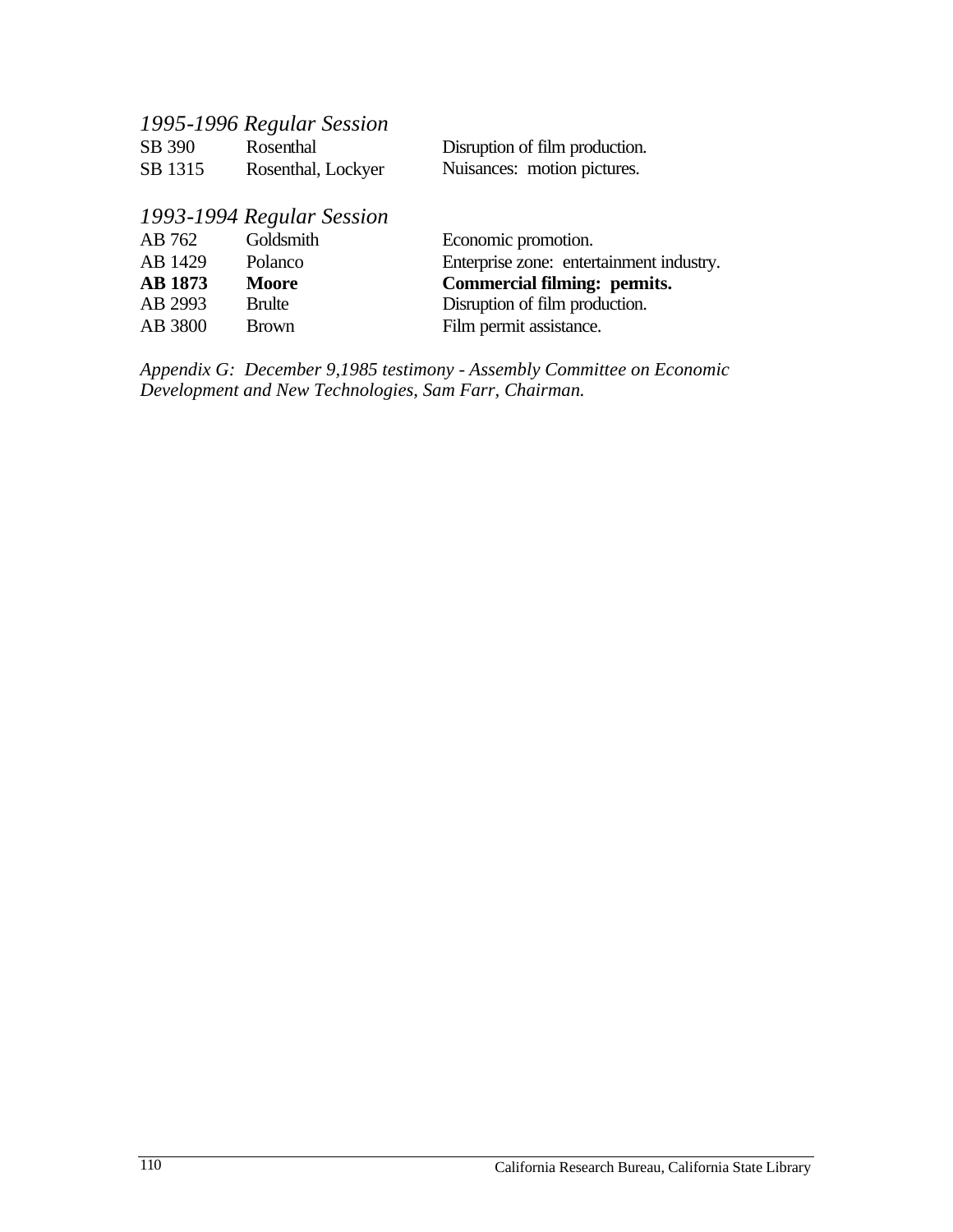| 1995-1996 Regular Session |                    |                                |  |
|---------------------------|--------------------|--------------------------------|--|
| SB 390                    | Rosenthal          | Disruption of film production. |  |
| SB 1315                   | Rosenthal, Lockyer | Nuisances: motion pictures.    |  |

# *1993-1994 Regular Session*

| AB 762         | Goldsmith     | Economic promotion.                      |
|----------------|---------------|------------------------------------------|
| AB 1429        | Polanco       | Enterprise zone: entertainment industry. |
| <b>AB</b> 1873 | <b>Moore</b>  | Commercial filming: permits.             |
| AB 2993        | <b>Brulte</b> | Disruption of film production.           |
| AB 3800        | <b>Brown</b>  | Film permit assistance.                  |
|                |               |                                          |

*Appendix G: December 9,1985 testimony - Assembly Committee on Economic Development and New Technologies, Sam Farr, Chairman.*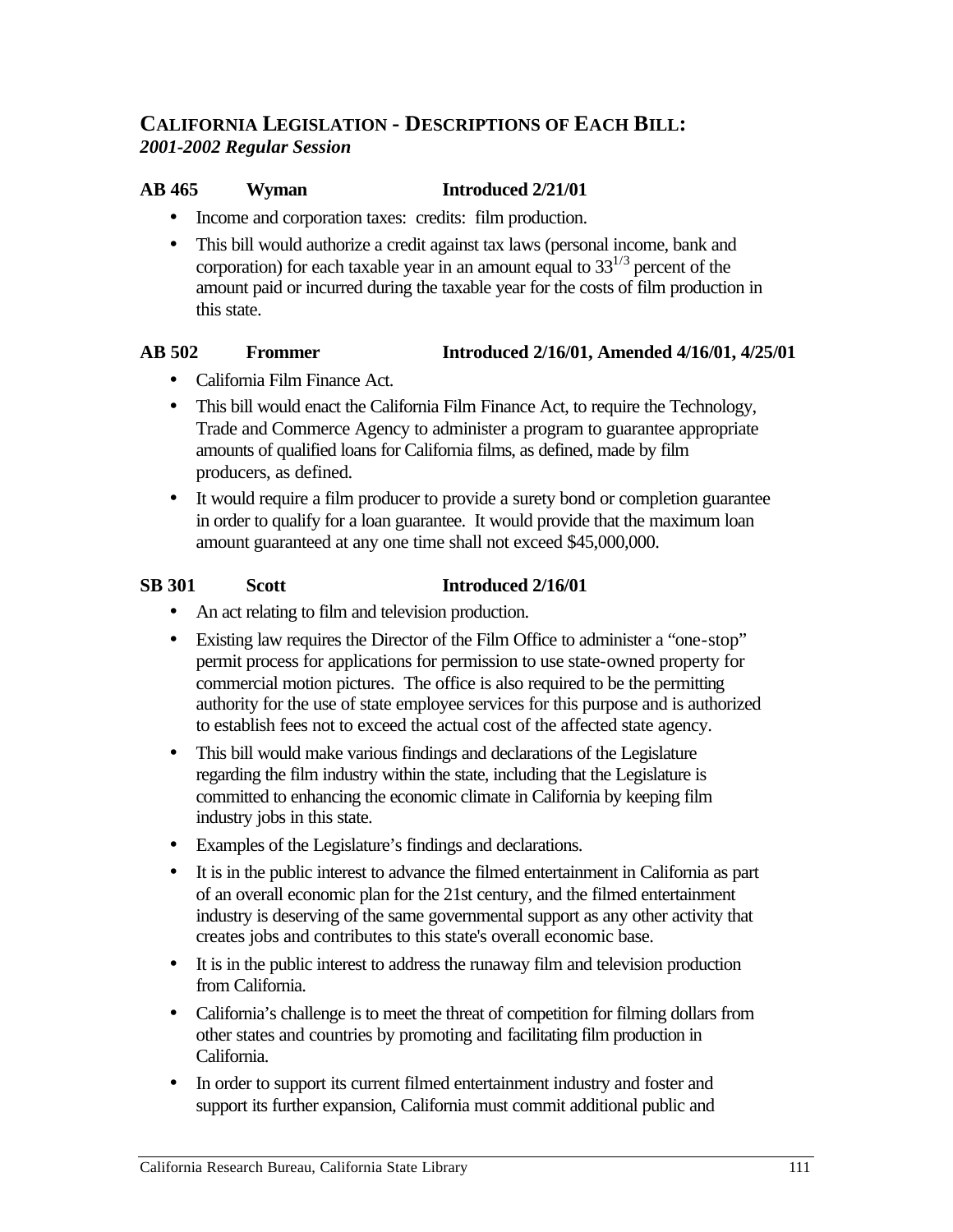### **CALIFORNIA LEGISLATION - DESCRIPTIONS OF EACH BILL:**  *2001-2002 Regular Session*

#### **AB 465** Wyman **Introduced 2/21/01**

- Income and corporation taxes: credits: film production.
- This bill would authorize a credit against tax laws (personal income, bank and corporation) for each taxable year in an amount equal to  $33^{1/3}$  percent of the amount paid or incurred during the taxable year for the costs of film production in this state.

#### **AB 502** Frommer Introduced 2/16/01, Amended 4/16/01, 4/25/01

- • California Film Finance Act.
- This bill would enact the California Film Finance Act, to require the Technology, Trade and Commerce Agency to administer a program to guarantee appropriate amounts of qualified loans for California films, as defined, made by film producers, as defined.
- It would require a film producer to provide a surety bond or completion guarantee in order to qualify for a loan guarantee. It would provide that the maximum loan amount guaranteed at any one time shall not exceed \$45,000,000.

#### **SB 301** Scott **Introduced 2/16/01**

- An act relating to film and television production.
- Existing law requires the Director of the Film Office to administer a "one-stop" permit process for applications for permission to use state-owned property for commercial motion pictures. The office is also required to be the permitting authority for the use of state employee services for this purpose and is authorized to establish fees not to exceed the actual cost of the affected state agency.
- This bill would make various findings and declarations of the Legislature regarding the film industry within the state, including that the Legislature is committed to enhancing the economic climate in California by keeping film industry jobs in this state.
- • Examples of the Legislature's findings and declarations.
- It is in the public interest to advance the filmed entertainment in California as part of an overall economic plan for the 21st century, and the filmed entertainment industry is deserving of the same governmental support as any other activity that creates jobs and contributes to this state's overall economic base.
- It is in the public interest to address the runaway film and television production from California.
- California's challenge is to meet the threat of competition for filming dollars from other states and countries by promoting and facilitating film production in California.
- In order to support its current filmed entertainment industry and foster and support its further expansion, California must commit additional public and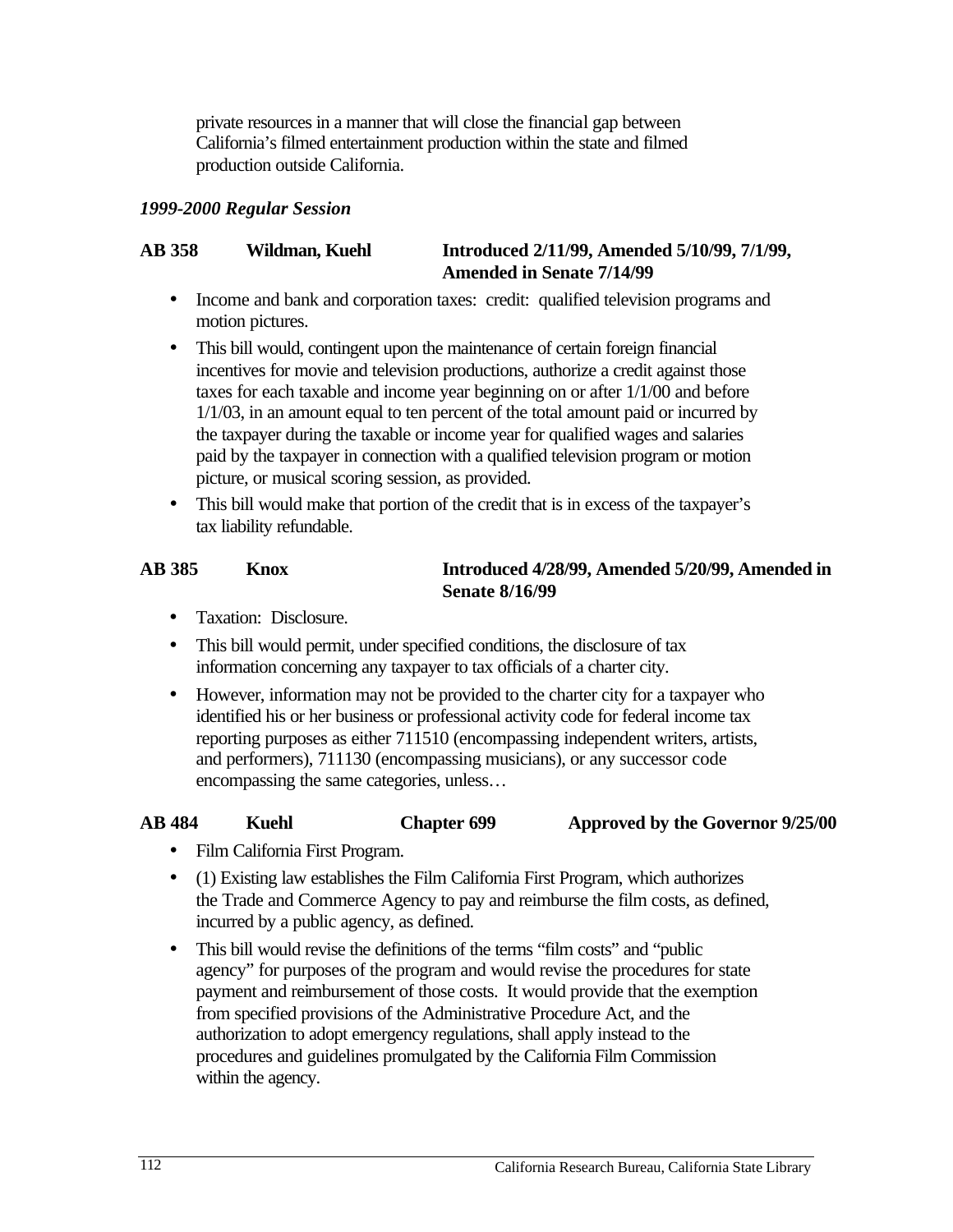private resources in a manner that will close the financial gap between California's filmed entertainment production within the state and filmed production outside California.

#### *1999-2000 Regular Session*

#### **AB 358 Wildman, Kuehl Introduced 2/11/99, Amended 5/10/99, 7/1/99, Amended in Senate 7/14/99**

- Income and bank and corporation taxes: credit: qualified television programs and motion pictures.
- This bill would, contingent upon the maintenance of certain foreign financial incentives for movie and television productions, authorize a credit against those taxes for each taxable and income year beginning on or after 1/1/00 and before 1/1/03, in an amount equal to ten percent of the total amount paid or incurred by the taxpayer during the taxable or income year for qualified wages and salaries paid by the taxpayer in connection with a qualified television program or motion picture, or musical scoring session, as provided.
- This bill would make that portion of the credit that is in excess of the taxpayer's tax liability refundable.

#### **AB 385 Knox Introduced 4/28/99, Amended 5/20/99, Amended in Senate 8/16/99**

- Taxation: Disclosure.
- This bill would permit, under specified conditions, the disclosure of tax information concerning any taxpayer to tax officials of a charter city.
- However, information may not be provided to the charter city for a taxpayer who identified his or her business or professional activity code for federal income tax reporting purposes as either 711510 (encompassing independent writers, artists, and performers), 711130 (encompassing musicians), or any successor code encompassing the same categories, unless…

#### **AB 484 Kuehl Chapter 699 Approved by the Governor 9/25/00**

- Film California First Program.
- (1) Existing law establishes the Film California First Program, which authorizes the Trade and Commerce Agency to pay and reimburse the film costs, as defined, incurred by a public agency, as defined.
- This bill would revise the definitions of the terms "film costs" and "public agency" for purposes of the program and would revise the procedures for state payment and reimbursement of those costs. It would provide that the exemption from specified provisions of the Administrative Procedure Act, and the authorization to adopt emergency regulations, shall apply instead to the procedures and guidelines promulgated by the California Film Commission within the agency.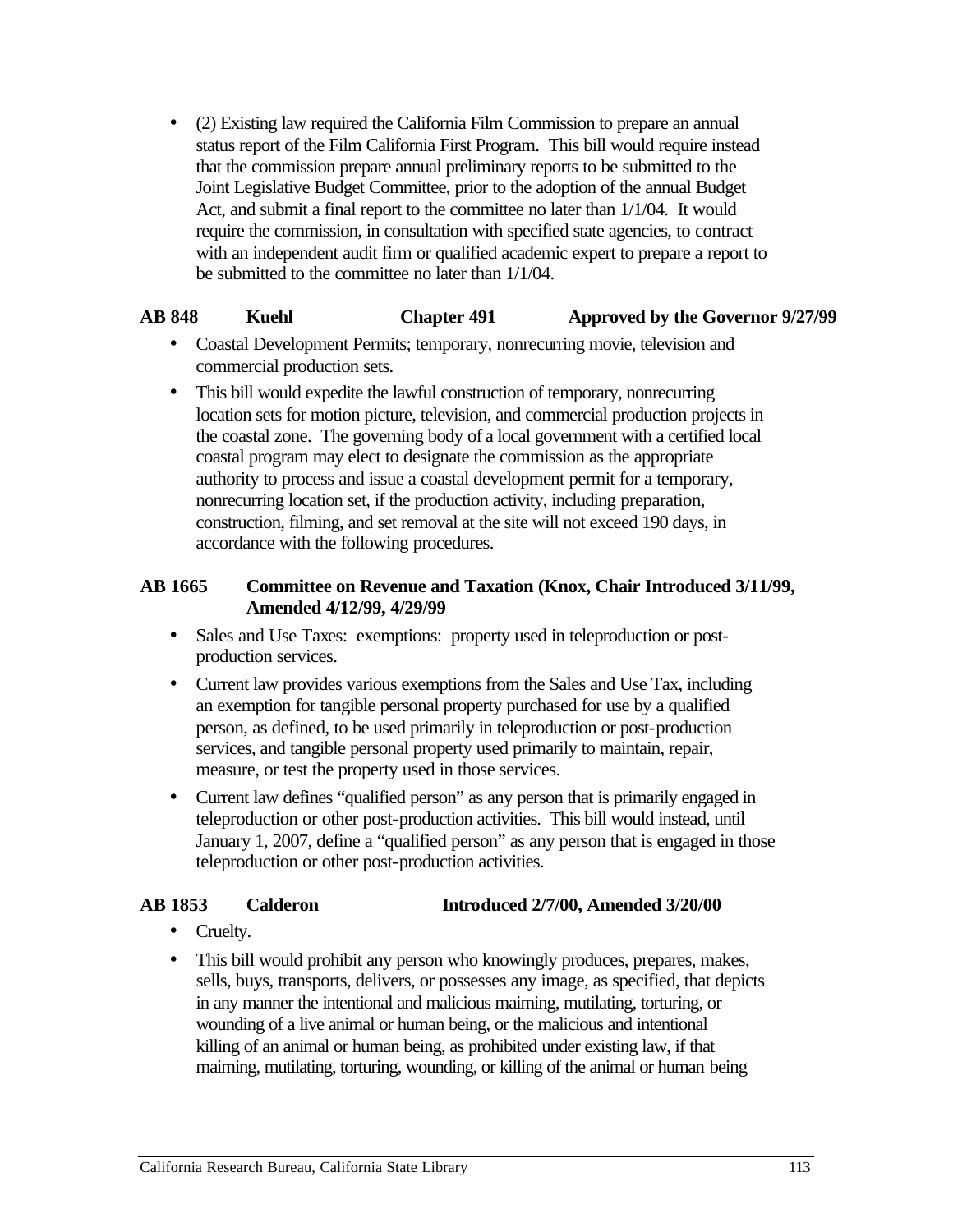• (2) Existing law required the California Film Commission to prepare an annual status report of the Film California First Program. This bill would require instead that the commission prepare annual preliminary reports to be submitted to the Joint Legislative Budget Committee, prior to the adoption of the annual Budget Act, and submit a final report to the committee no later than 1/1/04. It would require the commission, in consultation with specified state agencies, to contract with an independent audit firm or qualified academic expert to prepare a report to be submitted to the committee no later than 1/1/04.

#### **AB 848 Kuehl Chapter 491 Approved by the Governor 9/27/99**

- Coastal Development Permits; temporary, nonrecurring movie, television and commercial production sets.
- This bill would expedite the lawful construction of temporary, nonrecurring location sets for motion picture, television, and commercial production projects in the coastal zone. The governing body of a local government with a certified local coastal program may elect to designate the commission as the appropriate authority to process and issue a coastal development permit for a temporary, nonrecurring location set, if the production activity, including preparation, construction, filming, and set removal at the site will not exceed 190 days, in accordance with the following procedures.

#### **AB 1665 Committee on Revenue and Taxation (Knox, Chair Introduced 3/11/99, Amended 4/12/99, 4/29/99**

- Sales and Use Taxes: exemptions: property used in teleproduction or postproduction services.
- Current law provides various exemptions from the Sales and Use Tax, including an exemption for tangible personal property purchased for use by a qualified person, as defined, to be used primarily in teleproduction or post-production services, and tangible personal property used primarily to maintain, repair, measure, or test the property used in those services.
- Current law defines "qualified person" as any person that is primarily engaged in teleproduction or other post-production activities. This bill would instead, until January 1, 2007, define a "qualified person" as any person that is engaged in those teleproduction or other post-production activities.

#### **AB 1853 Calderon Introduced 2/7/00, Amended 3/20/00**

- Cruelty.
- This bill would prohibit any person who knowingly produces, prepares, makes, sells, buys, transports, delivers, or possesses any image, as specified, that depicts in any manner the intentional and malicious maiming, mutilating, torturing, or wounding of a live animal or human being, or the malicious and intentional killing of an animal or human being, as prohibited under existing law, if that maiming, mutilating, torturing, wounding, or killing of the animal or human being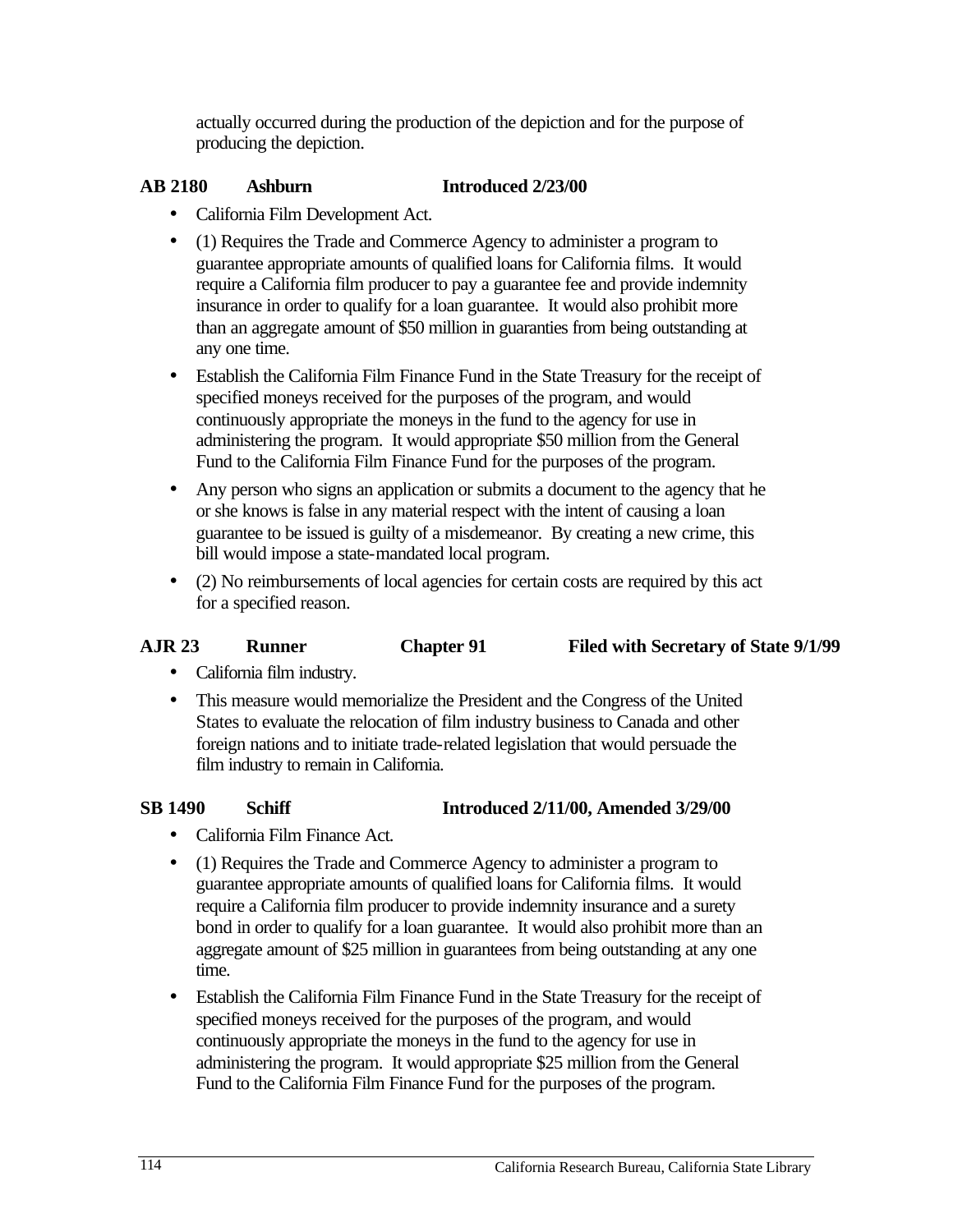actually occurred during the production of the depiction and for the purpose of producing the depiction.

#### **AB 2180 Ashburn Introduced 2/23/00**

- California Film Development Act.
- (1) Requires the Trade and Commerce Agency to administer a program to guarantee appropriate amounts of qualified loans for California films. It would require a California film producer to pay a guarantee fee and provide indemnity insurance in order to qualify for a loan guarantee. It would also prohibit more than an aggregate amount of \$50 million in guaranties from being outstanding at any one time.
- Establish the California Film Finance Fund in the State Treasury for the receipt of specified moneys received for the purposes of the program, and would continuously appropriate the moneys in the fund to the agency for use in administering the program. It would appropriate \$50 million from the General Fund to the California Film Finance Fund for the purposes of the program.
- Any person who signs an application or submits a document to the agency that he or she knows is false in any material respect with the intent of causing a loan guarantee to be issued is guilty of a misdemeanor. By creating a new crime, this bill would impose a state-mandated local program.
- (2) No reimbursements of local agencies for certain costs are required by this act for a specified reason.

#### **AJR 23 Runner Chapter 91 Filed with Secretary of State 9/1/99**

- California film industry.
- This measure would memorialize the President and the Congress of the United States to evaluate the relocation of film industry business to Canada and other foreign nations and to initiate trade-related legislation that would persuade the film industry to remain in California.

#### **SB 1490 Schiff Introduced 2/11/00, Amended 3/29/00**

- California Film Finance Act.
- (1) Requires the Trade and Commerce Agency to administer a program to guarantee appropriate amounts of qualified loans for California films. It would require a California film producer to provide indemnity insurance and a surety bond in order to qualify for a loan guarantee. It would also prohibit more than an aggregate amount of \$25 million in guarantees from being outstanding at any one time.
- Establish the California Film Finance Fund in the State Treasury for the receipt of specified moneys received for the purposes of the program, and would continuously appropriate the moneys in the fund to the agency for use in administering the program. It would appropriate \$25 million from the General Fund to the California Film Finance Fund for the purposes of the program.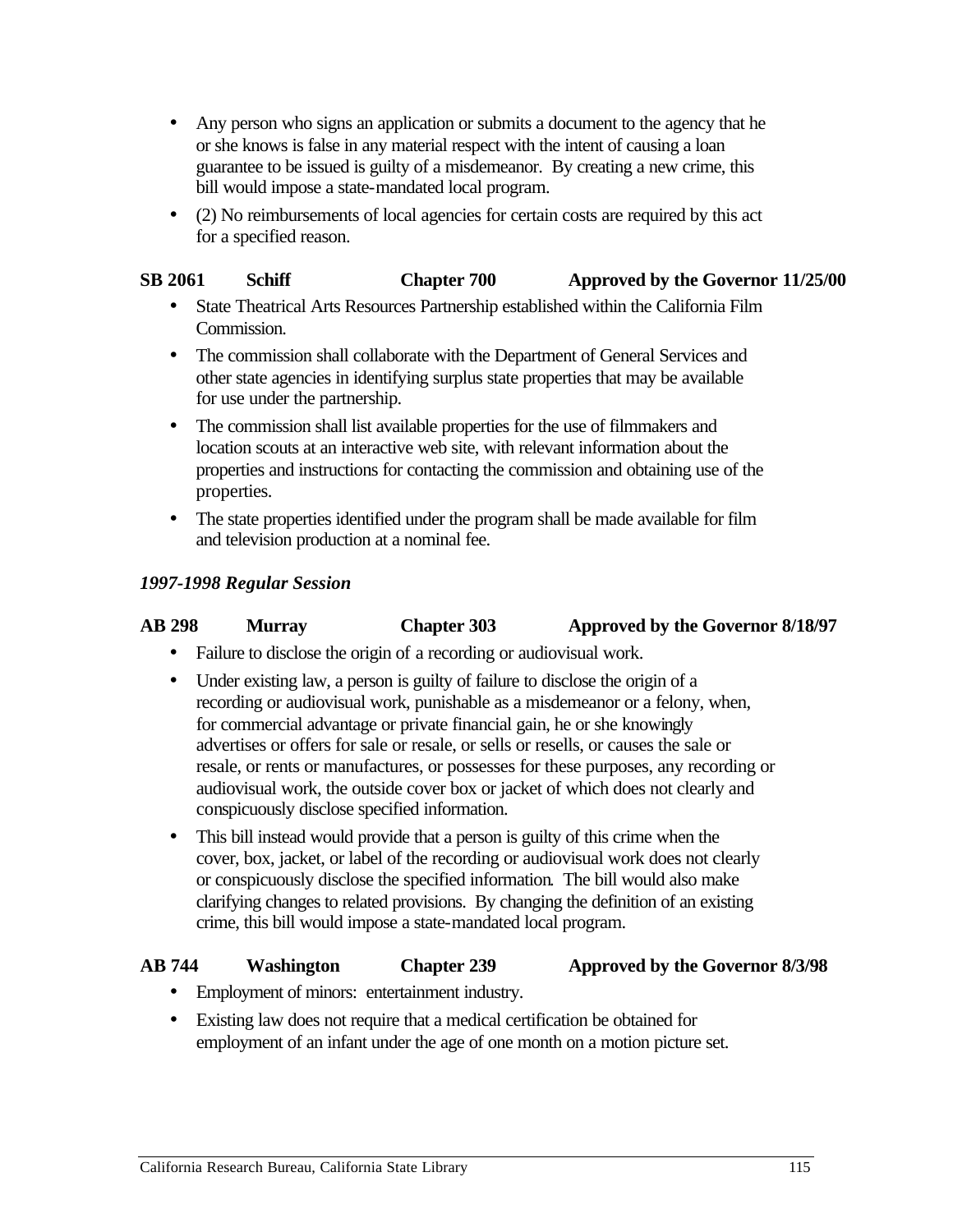- Any person who signs an application or submits a document to the agency that he or she knows is false in any material respect with the intent of causing a loan guarantee to be issued is guilty of a misdemeanor. By creating a new crime, this bill would impose a state-mandated local program.
- (2) No reimbursements of local agencies for certain costs are required by this act for a specified reason.

#### **SB 2061 Schiff Chapter 700 Approved by the Governor 11/25/00**

- State Theatrical Arts Resources Partnership established within the California Film Commission.
- The commission shall collaborate with the Department of General Services and other state agencies in identifying surplus state properties that may be available for use under the partnership.
- The commission shall list available properties for the use of filmmakers and location scouts at an interactive web site, with relevant information about the properties and instructions for contacting the commission and obtaining use of the properties.
- The state properties identified under the program shall be made available for film and television production at a nominal fee.

#### *1997-1998 Regular Session*

#### **AB 298 Murray Chapter 303 Approved by the Governor 8/18/97**

- Failure to disclose the origin of a recording or audiovisual work.
- Under existing law, a person is guilty of failure to disclose the origin of a recording or audiovisual work, punishable as a misdemeanor or a felony, when, for commercial advantage or private financial gain, he or she knowingly advertises or offers for sale or resale, or sells or resells, or causes the sale or resale, or rents or manufactures, or possesses for these purposes, any recording or audiovisual work, the outside cover box or jacket of which does not clearly and conspicuously disclose specified information.
- This bill instead would provide that a person is guilty of this crime when the cover, box, jacket, or label of the recording or audiovisual work does not clearly or conspicuously disclose the specified information. The bill would also make clarifying changes to related provisions. By changing the definition of an existing crime, this bill would impose a state-mandated local program.

#### **AB 744 Washington Chapter 239 Approved by the Governor 8/3/98**

- Employment of minors: entertainment industry.
- Existing law does not require that a medical certification be obtained for employment of an infant under the age of one month on a motion picture set.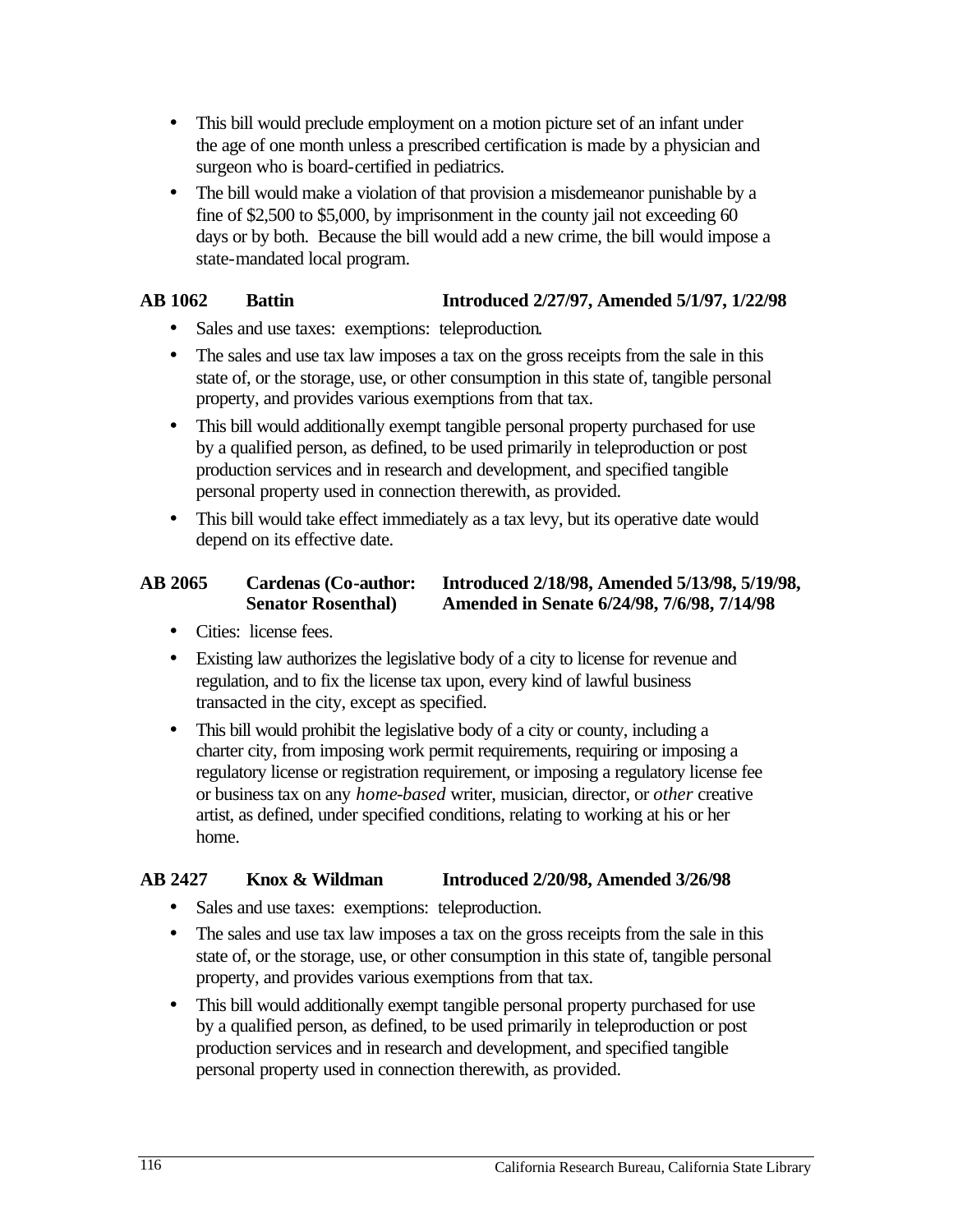- This bill would preclude employment on a motion picture set of an infant under the age of one month unless a prescribed certification is made by a physician and surgeon who is board-certified in pediatrics.
- The bill would make a violation of that provision a misdemeanor punishable by a fine of \$2,500 to \$5,000, by imprisonment in the county jail not exceeding 60 days or by both. Because the bill would add a new crime, the bill would impose a state-mandated local program.

# **AB 1062 Battin Introduced 2/27/97, Amended 5/1/97, 1/22/98**

- • Sales and use taxes: exemptions: teleproduction.
- The sales and use tax law imposes a tax on the gross receipts from the sale in this state of, or the storage, use, or other consumption in this state of, tangible personal property, and provides various exemptions from that tax.
- This bill would additionally exempt tangible personal property purchased for use by a qualified person, as defined, to be used primarily in teleproduction or post production services and in research and development, and specified tangible personal property used in connection therewith, as provided.
- This bill would take effect immediately as a tax levy, but its operative date would depend on its effective date.

#### **AB 2065 Cardenas (Co-author: Introduced 2/18/98, Amended 5/13/98, 5/19/98, Senator Rosenthal) Amended in Senate 6/24/98, 7/6/98, 7/14/98**

- Cities: license fees.
- Existing law authorizes the legislative body of a city to license for revenue and regulation, and to fix the license tax upon, every kind of lawful business transacted in the city, except as specified.
- This bill would prohibit the legislative body of a city or county, including a charter city, from imposing work permit requirements, requiring or imposing a regulatory license or registration requirement, or imposing a regulatory license fee or business tax on any *home-based* writer, musician, director, or *other* creative artist, as defined, under specified conditions, relating to working at his or her home.

# **AB 2427 Knox & Wildman Introduced 2/20/98, Amended 3/26/98**

- Sales and use taxes: exemptions: teleproduction.
- The sales and use tax law imposes a tax on the gross receipts from the sale in this state of, or the storage, use, or other consumption in this state of, tangible personal property, and provides various exemptions from that tax.
- This bill would additionally exempt tangible personal property purchased for use by a qualified person, as defined, to be used primarily in teleproduction or post production services and in research and development, and specified tangible personal property used in connection therewith, as provided.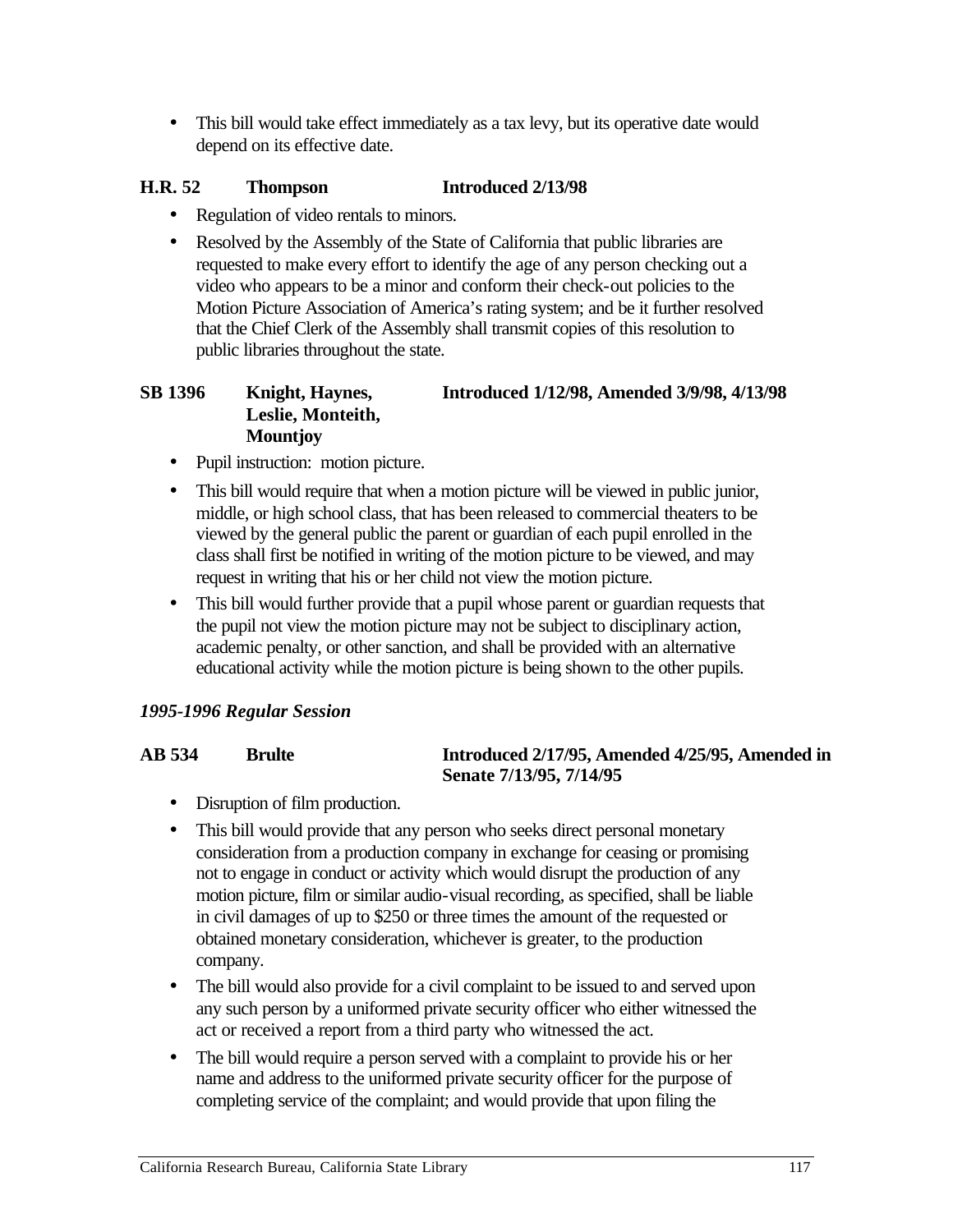• This bill would take effect immediately as a tax levy, but its operative date would depend on its effective date.

#### **H.R. 52 Thompson Introduced 2/13/98**

- Regulation of video rentals to minors.
- Resolved by the Assembly of the State of California that public libraries are requested to make every effort to identify the age of any person checking out a video who appears to be a minor and conform their check-out policies to the Motion Picture Association of America's rating system; and be it further resolved that the Chief Clerk of the Assembly shall transmit copies of this resolution to public libraries throughout the state.

#### **SB 1396 Knight, Haynes, Introduced 1/12/98, Amended 3/9/98, 4/13/98 Leslie, Monteith, Mountjoy**

- Pupil instruction: motion picture.
- This bill would require that when a motion picture will be viewed in public junior, middle, or high school class, that has been released to commercial theaters to be viewed by the general public the parent or guardian of each pupil enrolled in the class shall first be notified in writing of the motion picture to be viewed, and may request in writing that his or her child not view the motion picture.
- This bill would further provide that a pupil whose parent or guardian requests that the pupil not view the motion picture may not be subject to disciplinary action, academic penalty, or other sanction, and shall be provided with an alternative educational activity while the motion picture is being shown to the other pupils.

# *1995-1996 Regular Session*

#### **AB 534** Brulte **Introduced 2/17/95, Amended 4/25/95, Amended in Senate 7/13/95, 7/14/95**

- Disruption of film production.
- This bill would provide that any person who seeks direct personal monetary consideration from a production company in exchange for ceasing or promising not to engage in conduct or activity which would disrupt the production of any motion picture, film or similar audio-visual recording, as specified, shall be liable in civil damages of up to \$250 or three times the amount of the requested or obtained monetary consideration, whichever is greater, to the production company.
- The bill would also provide for a civil complaint to be issued to and served upon any such person by a uniformed private security officer who either witnessed the act or received a report from a third party who witnessed the act.
- The bill would require a person served with a complaint to provide his or her name and address to the uniformed private security officer for the purpose of completing service of the complaint; and would provide that upon filing the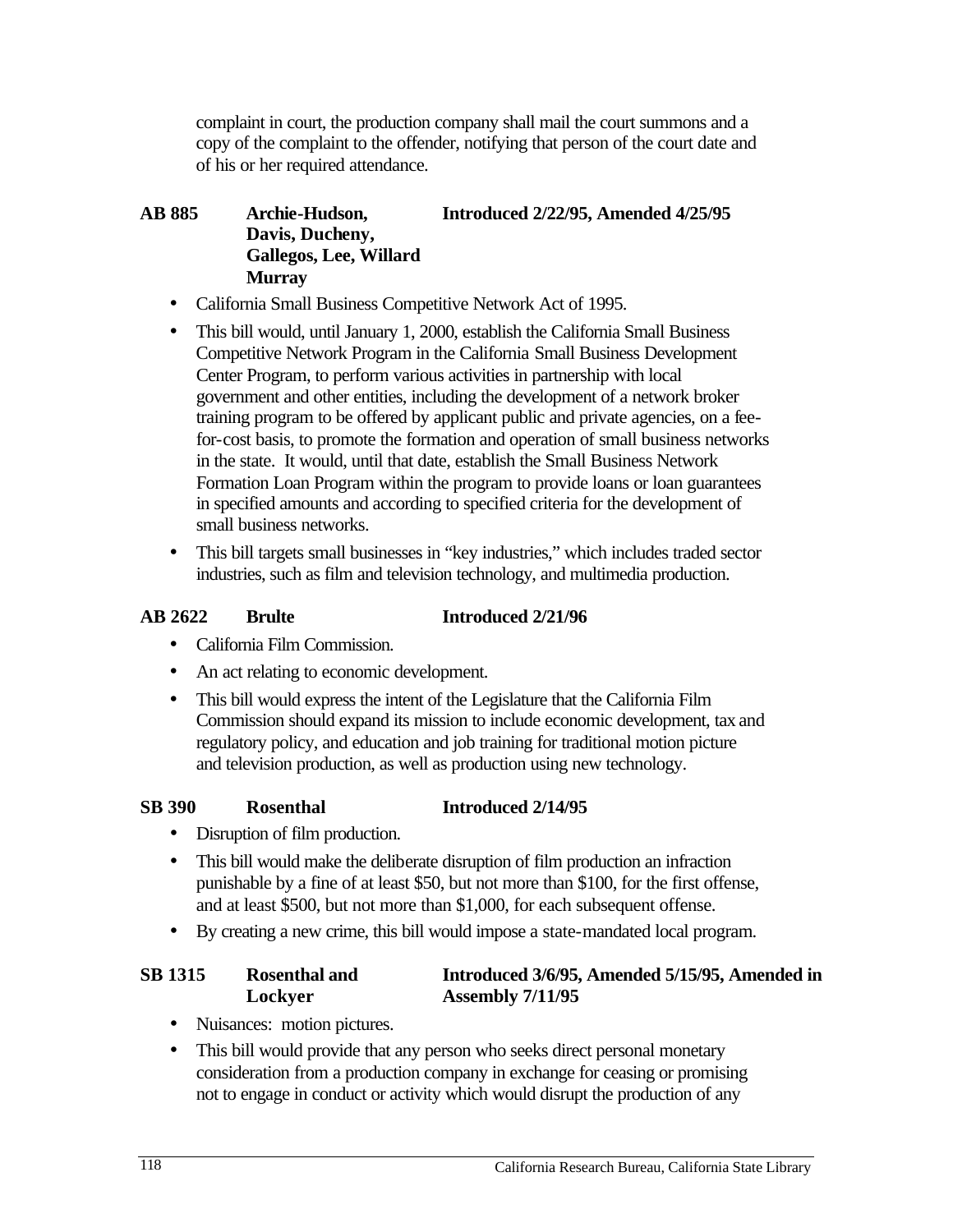complaint in court, the production company shall mail the court summons and a copy of the complaint to the offender, notifying that person of the court date and of his or her required attendance.

#### **AB 885 Archie-Hudson, Introduced 2/22/95, Amended 4/25/95 Davis, Ducheny, Gallegos, Lee, Willard Murray**

- California Small Business Competitive Network Act of 1995.
- This bill would, until January 1, 2000, establish the California Small Business Competitive Network Program in the California Small Business Development Center Program, to perform various activities in partnership with local government and other entities, including the development of a network broker training program to be offered by applicant public and private agencies, on a feefor-cost basis, to promote the formation and operation of small business networks in the state. It would, until that date, establish the Small Business Network Formation Loan Program within the program to provide loans or loan guarantees in specified amounts and according to specified criteria for the development of small business networks.
- This bill targets small businesses in "key industries," which includes traded sector industries, such as film and television technology, and multimedia production.

#### **AB 2622 Brulte Introduced 2/21/96**

- • California Film Commission.
- An act relating to economic development.
- This bill would express the intent of the Legislature that the California Film Commission should expand its mission to include economic development, tax and regulatory policy, and education and job training for traditional motion picture and television production, as well as production using new technology.

#### **SB 390 Rosenthal Introduced 2/14/95**

- Disruption of film production.
- This bill would make the deliberate disruption of film production an infraction punishable by a fine of at least \$50, but not more than \$100, for the first offense, and at least \$500, but not more than \$1,000, for each subsequent offense.
- By creating a new crime, this bill would impose a state-mandated local program.

## **SB 1315 Rosenthal and Introduced 3/6/95, Amended 5/15/95, Amended in Lockyer Assembly 7/11/95**

- Nuisances: motion pictures.
- This bill would provide that any person who seeks direct personal monetary consideration from a production company in exchange for ceasing or promising not to engage in conduct or activity which would disrupt the production of any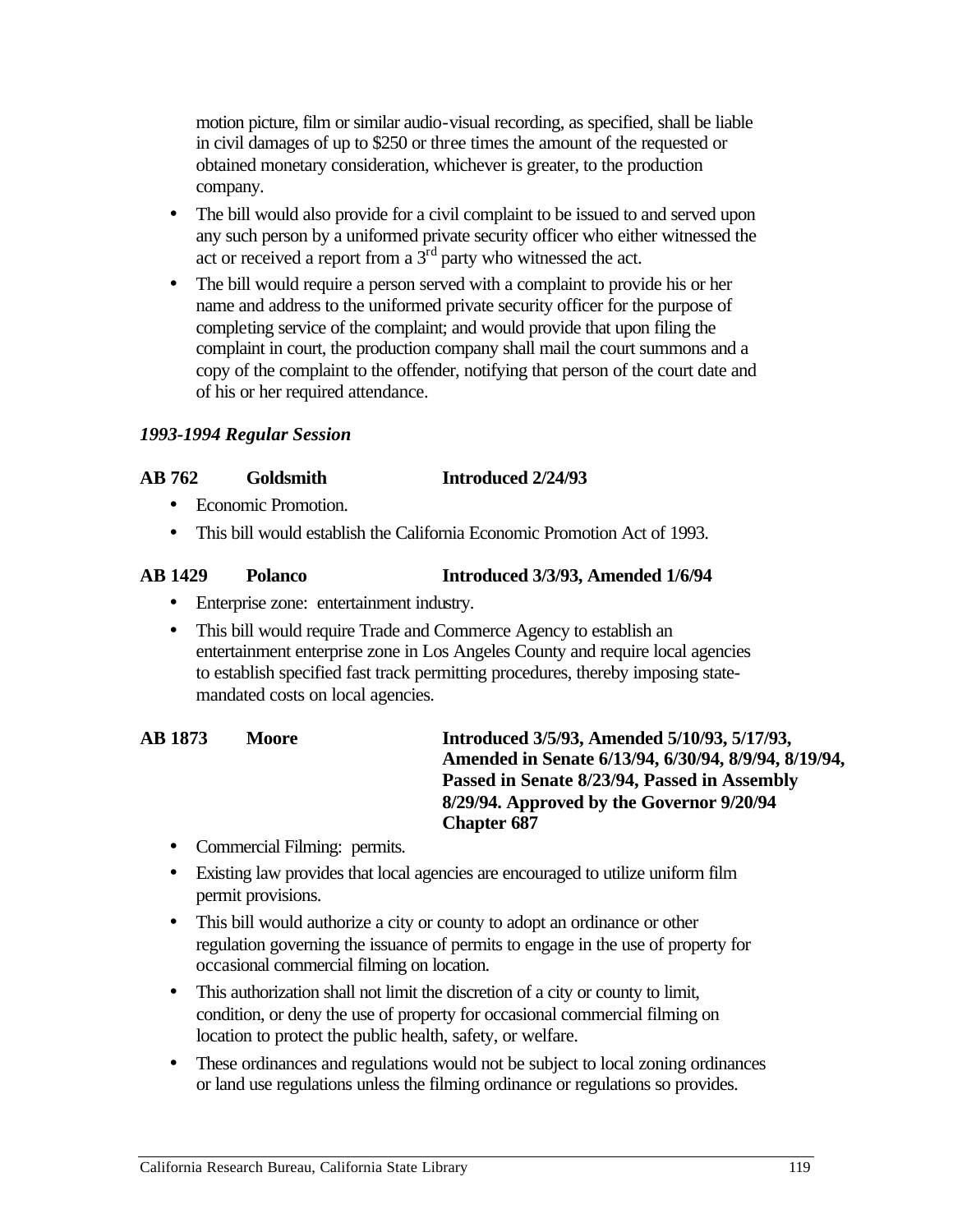motion picture, film or similar audio-visual recording, as specified, shall be liable in civil damages of up to \$250 or three times the amount of the requested or obtained monetary consideration, whichever is greater, to the production company.

- The bill would also provide for a civil complaint to be issued to and served upon any such person by a uniformed private security officer who either witnessed the act or received a report from a  $3<sup>rd</sup>$  party who witnessed the act.
- The bill would require a person served with a complaint to provide his or her name and address to the uniformed private security officer for the purpose of completing service of the complaint; and would provide that upon filing the complaint in court, the production company shall mail the court summons and a copy of the complaint to the offender, notifying that person of the court date and of his or her required attendance.

#### *1993-1994 Regular Session*

#### **AB 762 Goldsmith Introduced 2/24/93**

- Economic Promotion.
- This bill would establish the California Economic Promotion Act of 1993.

#### **AB 1429 Polanco Introduced 3/3/93, Amended 1/6/94**

- • Enterprise zone: entertainment industry.
- This bill would require Trade and Commerce Agency to establish an entertainment enterprise zone in Los Angeles County and require local agencies to establish specified fast track permitting procedures, thereby imposing statemandated costs on local agencies.

#### AB 1873 Moore **Introduced 3/5/93, Amended 5/10/93, 5/17/93, Amended in Senate 6/13/94, 6/30/94, 8/9/94, 8/19/94, Passed in Senate 8/23/94, Passed in Assembly 8/29/94. Approved by the Governor 9/20/94 Chapter 687**

- Commercial Filming: permits.
- Existing law provides that local agencies are encouraged to utilize uniform film permit provisions.
- This bill would authorize a city or county to adopt an ordinance or other regulation governing the issuance of permits to engage in the use of property for occasional commercial filming on location.
- This authorization shall not limit the discretion of a city or county to limit, condition, or deny the use of property for occasional commercial filming on location to protect the public health, safety, or welfare.
- These ordinances and regulations would not be subject to local zoning ordinances or land use regulations unless the filming ordinance or regulations so provides.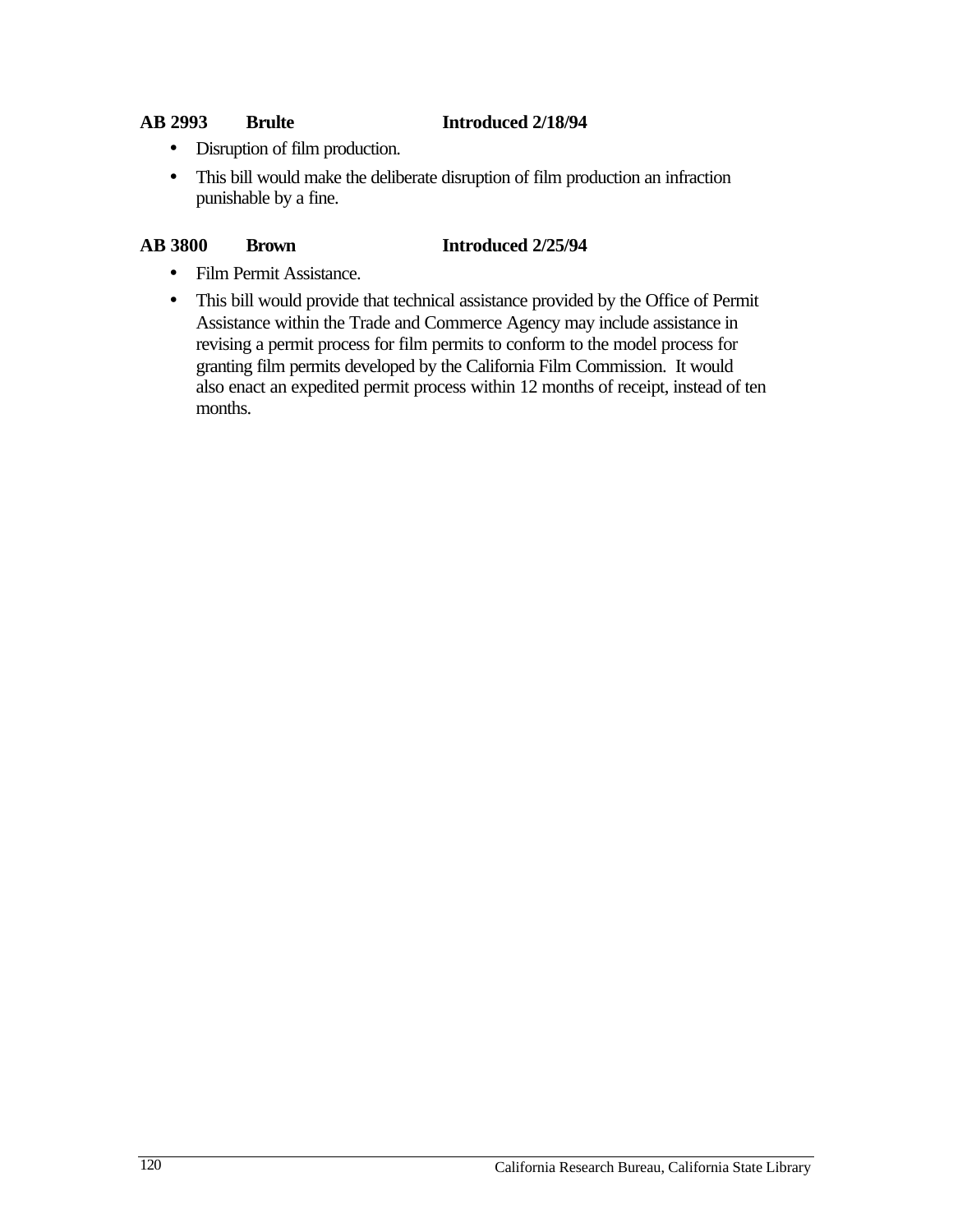#### **AB 2993 Brulte Introduced 2/18/94**

- Disruption of film production.
- This bill would make the deliberate disruption of film production an infraction punishable by a fine.

#### **AB 3800 Brown 11troduced 2/25/94**

- Film Permit Assistance.
- This bill would provide that technical assistance provided by the Office of Permit Assistance within the Trade and Commerce Agency may include assistance in revising a permit process for film permits to conform to the model process for granting film permits developed by the California Film Commission. It would also enact an expedited permit process within 12 months of receipt, instead of ten months.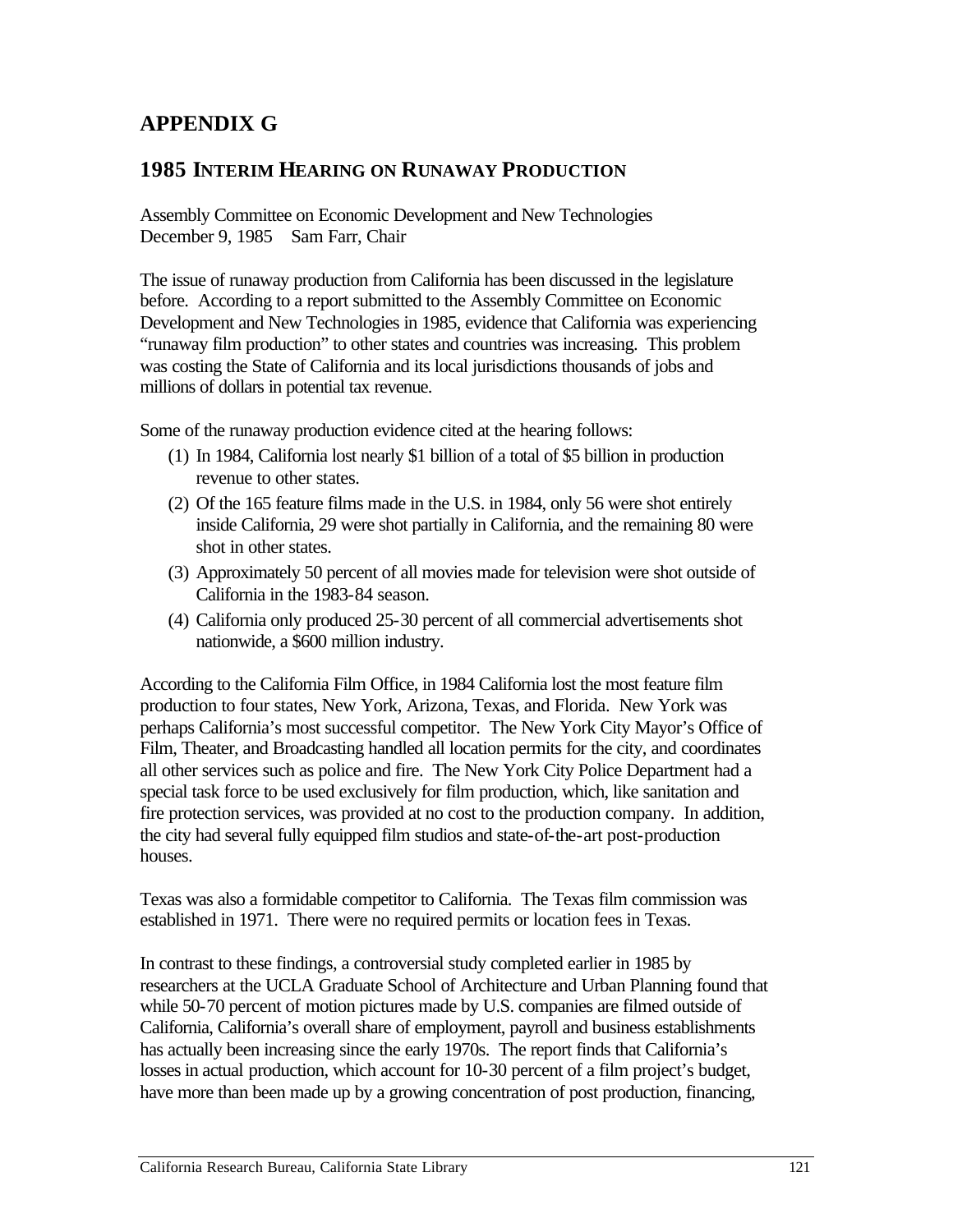# **APPENDIX G**

# **1985 INTERIM HEARING ON RUNAWAY PRODUCTION**

Assembly Committee on Economic Development and New Technologies December 9, 1985 Sam Farr, Chair

The issue of runaway production from California has been discussed in the legislature before. According to a report submitted to the Assembly Committee on Economic Development and New Technologies in 1985, evidence that California was experiencing "runaway film production" to other states and countries was increasing. This problem was costing the State of California and its local jurisdictions thousands of jobs and millions of dollars in potential tax revenue.

Some of the runaway production evidence cited at the hearing follows:

- (1) In 1984, California lost nearly \$1 billion of a total of \$5 billion in production revenue to other states.
- (2) Of the 165 feature films made in the U.S. in 1984, only 56 were shot entirely inside California, 29 were shot partially in California, and the remaining 80 were shot in other states.
- (3) Approximately 50 percent of all movies made for television were shot outside of California in the 1983-84 season.
- (4) California only produced 25-30 percent of all commercial advertisements shot nationwide, a \$600 million industry.

According to the California Film Office, in 1984 California lost the most feature film production to four states, New York, Arizona, Texas, and Florida. New York was perhaps California's most successful competitor. The New York City Mayor's Office of Film, Theater, and Broadcasting handled all location permits for the city, and coordinates all other services such as police and fire. The New York City Police Department had a special task force to be used exclusively for film production, which, like sanitation and fire protection services, was provided at no cost to the production company. In addition, the city had several fully equipped film studios and state-of-the-art post-production houses.

Texas was also a formidable competitor to California. The Texas film commission was established in 1971. There were no required permits or location fees in Texas.

In contrast to these findings, a controversial study completed earlier in 1985 by researchers at the UCLA Graduate School of Architecture and Urban Planning found that while 50-70 percent of motion pictures made by U.S. companies are filmed outside of California, California's overall share of employment, payroll and business establishments has actually been increasing since the early 1970s. The report finds that California's losses in actual production, which account for 10-30 percent of a film project's budget, have more than been made up by a growing concentration of post production, financing,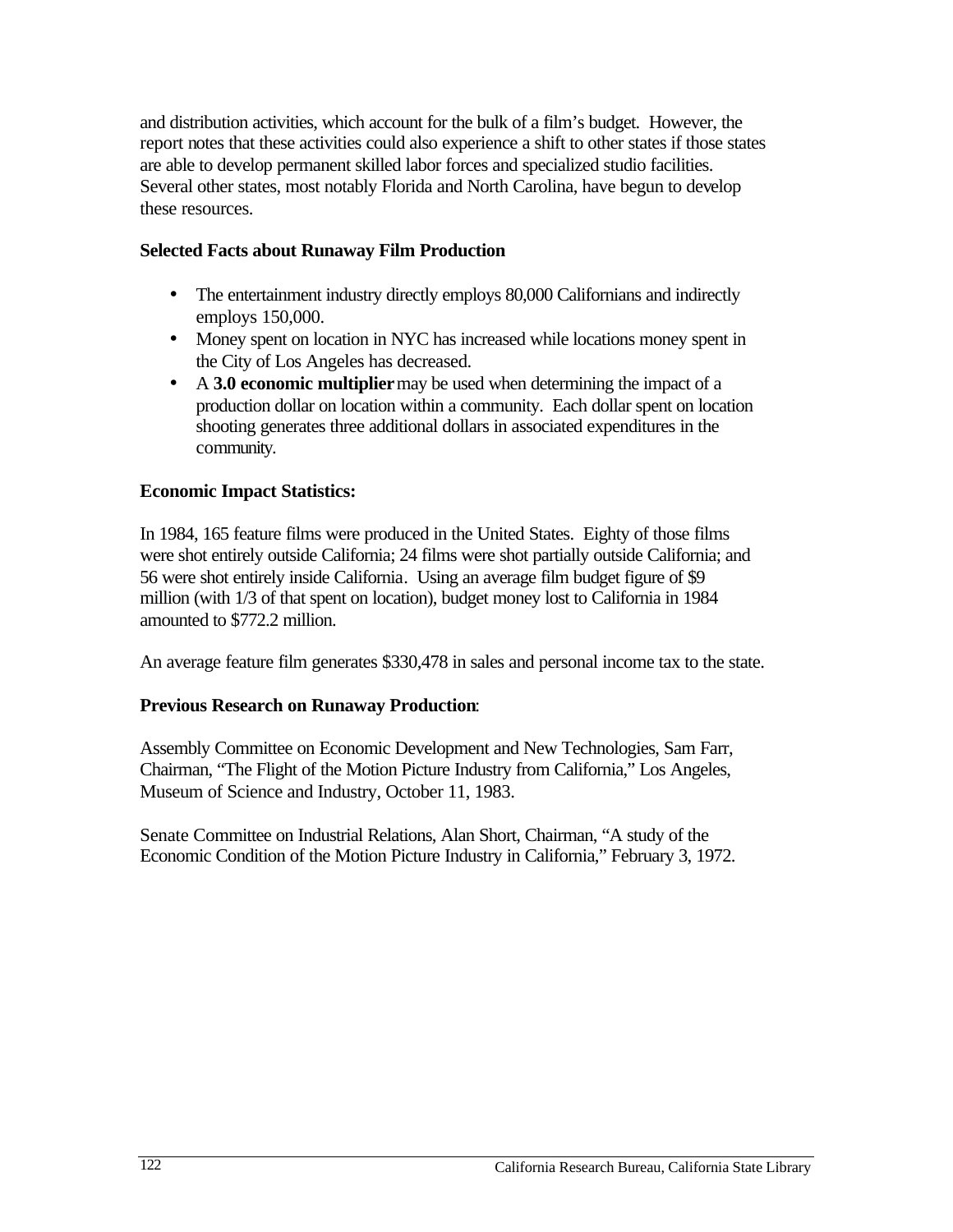and distribution activities, which account for the bulk of a film's budget. However, the report notes that these activities could also experience a shift to other states if those states are able to develop permanent skilled labor forces and specialized studio facilities. Several other states, most notably Florida and North Carolina, have begun to develop these resources.

#### **Selected Facts about Runaway Film Production**

- The entertainment industry directly employs 80,000 Californians and indirectly employs 150,000.
- Money spent on location in NYC has increased while locations money spent in the City of Los Angeles has decreased.
- •A **3.0 economic multiplier** may be used when determining the impact of a production dollar on location within a community. Each dollar spent on location shooting generates three additional dollars in associated expenditures in the community.

#### **Economic Impact Statistics:**

In 1984, 165 feature films were produced in the United States. Eighty of those films were shot entirely outside California; 24 films were shot partially outside California; and 56 were shot entirely inside California. Using an average film budget figure of \$9 million (with 1/3 of that spent on location), budget money lost to California in 1984 amounted to \$772.2 million.

An average feature film generates \$330,478 in sales and personal income tax to the state.

#### **Previous Research on Runaway Production**:

Assembly Committee on Economic Development and New Technologies, Sam Farr, Chairman, "The Flight of the Motion Picture Industry from California," Los Angeles, Museum of Science and Industry, October 11, 1983.

Senate Committee on Industrial Relations, Alan Short, Chairman, "A study of the Economic Condition of the Motion Picture Industry in California," February 3, 1972.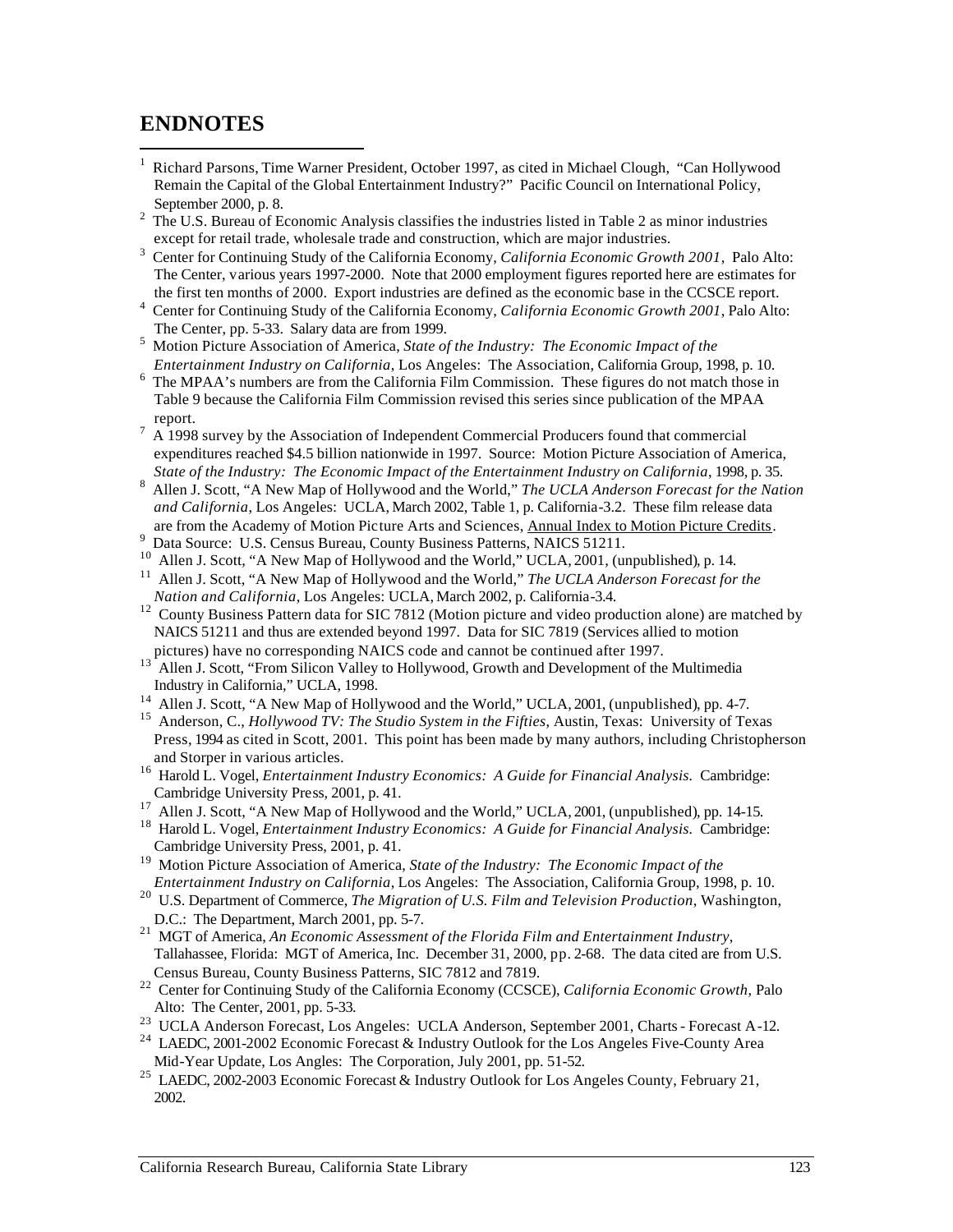# **ENDNOTES**

- 1 Richard Parsons, Time Warner President, October 1997, as cited in Michael Clough, "Can Hollywood Remain the Capital of the Global Entertainment Industry?" Pacific Council on International Policy, September 2000, p. 8.
- 2 The U.S. Bureau of Economic Analysis classifies the industries listed in Table 2 as minor industries except for retail trade, wholesale trade and construction, which are major industries.
- 3 Center for Continuing Study of the California Economy, *California Economic Growth 2001*, Palo Alto: The Center, various years 1997-2000. Note that 2000 employment figures reported here are estimates for the first ten months of 2000. Export industries are defined as the economic base in the CCSCE report.
- 4 Center for Continuing Study of the California Economy, *California Economic Growth 2001*, Palo Alto: The Center, pp. 5-33. Salary data are from 1999.
- 5 Motion Picture Association of America, *State of the Industry: The Economic Impact of the Entertainment Industry on California*, Los Angeles: The Association, California Group, 1998, p. 10.
- 6 The MPAA's numbers are from the California Film Commission. These figures do not match those in Table 9 because the California Film Commission revised this series since publication of the MPAA report.
- $\frac{7}{1}$  A 1998 survey by the Association of Independent Commercial Producers found that commercial expenditures reached \$4.5 billion nationwide in 1997. Source: Motion Picture Association of America, *State of the Industry: The Economic Impact of the Entertainment Industry on California*, 1998, p. 35.
- 8 Allen J. Scott, "A New Map of Hollywood and the World," *The UCLA Anderson Forecast for the Nation and California*, Los Angeles: UCLA, March 2002, Table 1, p. California-3.2. These film release data are from the Academy of Motion Picture Arts and Sciences, Annual Index to Motion Picture Credits. 9 Data Source: U.S. Census Bureau, County Business Patterns, NAICS 51211.
- 
- 
- <sup>9</sup> Data Source: U.S. Census Bureau, County Business Patterns, NAICS 51211.<br><sup>10</sup> Allen J. Scott, "A New Map of Hollywood and the World," UCLA, 2001, (unpublished), p. 14.<br><sup>11</sup> Allen J. Scott, "A New Map of Hollywood and th *Nation and California*, Los Angeles: UCLA, March 2002, p. California-3.4.
- <sup>12</sup> County Business Pattern data for SIC 7812 (Motion picture and video production alone) are matched by NAICS 51211 and thus are extended beyond 1997. Data for SIC 7819 (Services allied to motion pictures) have no corresponding NAICS code and cannot be continued after 1997.
- 13 Allen J. Scott, "From Silicon Valley to Hollywood, Growth and Development of the Multimedia Industry in California," UCLA, 1998.
- <sup>14</sup> Allen J. Scott, "A New Map of Hollywood and the World," UCLA, 2001, (unpublished), pp. 4-7.
- 15 Anderson, C., *Hollywood TV: The Studio System in the Fifties*, Austin, Texas: University of Texas Press, 1994 as cited in Scott, 2001. This point has been made by many authors, including Christopherson and Storper in various articles.
- <sup>16</sup> Harold L. Vogel, *Entertainment Industry Economics: A Guide for Financial Analysis. Cambridge:* Cambridge University Press, 2001, p. 41.
- <sup>17</sup> Allen J. Scott, "A New Map of Hollywood and the World," UCLA, 2001, (unpublished), pp. 14-15.
- <sup>18</sup> Harold L. Vogel, *Entertainment Industry Economics: A Guide for Financial Analysis. Cambridge:* Cambridge University Press, 2001, p. 41.
- 19 Motion Picture Association of America, *State of the Industry: The Economic Impact of the Entertainment Industry on California*, Los Angeles: The Association, California Group, 1998, p. 10.
- 20 U.S. Department of Commerce, *The Migration of U.S. Film and Television Production*, Washington, D.C.: The Department, March 2001, pp. 5-7.
- 21 MGT of America, *An Economic Assessment of the Florida Film and Entertainment Industry*, Tallahassee, Florida: MGT of America, Inc. December 31, 2000, pp. 2-68. The data cited are from U.S. Census Bureau, County Business Patterns, SIC 7812 and 7819.
- 22 Center for Continuing Study of the California Economy (CCSCE), *California Economic Growth*, Palo Alto: The Center, 2001, pp. 5-33.
- 23 UCLA Anderson Forecast, Los Angeles: UCLA Anderson, September 2001, Charts Forecast A-12.
- <sup>24</sup> LAEDC, 2001-2002 Economic Forecast & Industry Outlook for the Los Angeles Five-County Area Mid-Year Update, Los Angles: The Corporation, July 2001, pp. 51-52.
- <sup>25</sup> LAEDC, 2002-2003 Economic Forecast & Industry Outlook for Los Angeles County, February 21, 2002.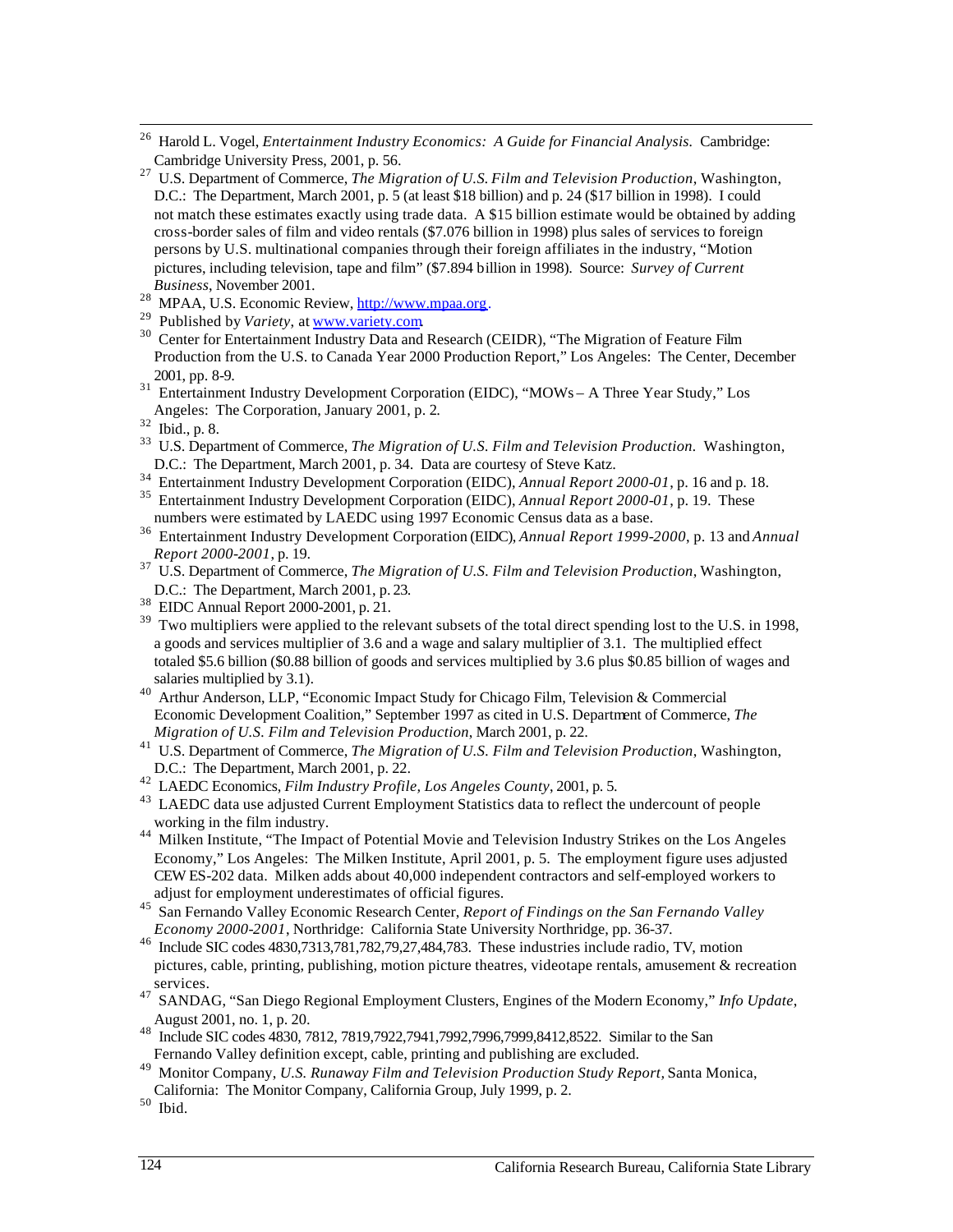- $\overline{a}$ <sup>26</sup> Harold L. Vogel, *Entertainment Industry Economics: A Guide for Financial Analysis. Cambridge:* Cambridge University Press, 2001, p. 56.
- 27 U.S. Department of Commerce, *The Migration of U.S. Film and Television Production*, Washington, D.C.: The Department, March 2001, p. 5 (at least \$18 billion) and p. 24 (\$17 billion in 1998). I could not match these estimates exactly using trade data. A \$15 billion estimate would be obtained by adding cross-border sales of film and video rentals (\$7.076 billion in 1998) plus sales of services to foreign persons by U.S. multinational companies through their foreign affiliates in the industry, "Motion pictures, including television, tape and film" (\$7.894 billion in 1998). Source: *Survey of Current Business*, November 2001.
- 28 MPAA, U.S. Economic Review, http://www.mpaa.org.
- <sup>29</sup> Published by Variety, at www.variety.com
- <sup>28</sup> MPAA, U.S. Economic Review, <u>http://www.mpaa.org</u>.<br><sup>29</sup> Published by *Variety*, at <u>www.variety.com</u><br><sup>30</sup> Center for Entertainment Industry Data and Research (CEIDR), "The Migration of Feature Film Production from the U.S. to Canada Year 2000 Production Report," Los Angeles: The Center, December 2001, pp. 8-9.
- <sup>31</sup> Entertainment Industry Development Corporation (EIDC), "MOWs A Three Year Study," Los Angeles: The Corporation, January 2001, p. 2.

- 33 U.S. Department of Commerce, *The Migration of U.S. Film and Television Production.* Washington, D.C.: The Department*,* March 2001, p. 34. Data are courtesy of Steve Katz.
- <sup>34</sup> Entertainment Industry Development Corporation (EIDC), *Annual Report 2000-01*, p. 16 and p. 18.
- 35 Entertainment Industry Development Corporation (EIDC), *Annual Report 2000-01*, p. 19. These numbers were estimated by LAEDC using 1997 Economic Census data as a base.
- 36 Entertainment Industry Development Corporation (EIDC), *Annual Report 1999-2000*, p. 13 and *Annual Report 2000-2001*, p. 19.
- D.C.: The Department*,* March 2001, p. 23. 37 U.S. Department of Commerce, *The Migration of U.S. Film and Television Production*, Washington,
- 38 EIDC Annual Report 2000-2001, p. 21.
- <sup>39</sup> Two multipliers were applied to the relevant subsets of the total direct spending lost to the U.S. in 1998, a goods and services multiplier of 3.6 and a wage and salary multiplier of 3.1. The multiplied effect totaled \$5.6 billion (\$0.88 billion of goods and services multiplied by 3.6 plus \$0.85 billion of wages and salaries multiplied by 3.1).
- 40 Arthur Anderson, LLP, "Economic Impact Study for Chicago Film, Television & Commercial Economic Development Coalition," September 1997 as cited in U.S. Department of Commerce, *The Migration of U.S. Film and Television Production*, March 2001, p. 22.
- 41 U.S. Department of Commerce, *The Migration of U.S. Film and Television Production*, Washington, D.C.: The Department, March 2001, p. 22.
- 42 LAEDC Economics, *Film Industry Profile, Los Angeles County*, 2001, p. 5.
- <sup>43</sup> LAEDC data use adjusted Current Employment Statistics data to reflect the undercount of people working in the film industry.
- <sup>44</sup> Milken Institute, "The Impact of Potential Movie and Television Industry Strikes on the Los Angeles Economy," Los Angeles: The Milken Institute, April 2001, p. 5. The employment figure uses adjusted CEW ES-202 data. Milken adds about 40,000 independent contractors and self-employed workers to adjust for employment underestimates of official figures.
- 45 San Fernando Valley Economic Research Center, *Report of Findings on the San Fernando Valley Economy 2000-2001*, Northridge: California State University Northridge, pp. 36-37.
- 46 Include SIC codes 4830,7313,781,782,79,27,484,783. These industries include radio, TV, motion pictures, cable, printing, publishing, motion picture theatres, videotape rentals, amusement & recreation services.
- 47 SANDAG, "San Diego Regional Employment Clusters, Engines of the Modern Economy," *Info Update*, August 2001, no. 1, p. 20.
- 48 Include SIC codes 4830, 7812, 7819,7922,7941,7992,7996,7999,8412,8522. Similar to the San Fernando Valley definition except, cable, printing and publishing are excluded.
- 49 Monitor Company, *U.S. Runaway Film and Television Production Study Report,* Santa Monica,
- California: The Monitor Company, California Group, July 1999, p. 2.
- $50$  Ibid.

<sup>32</sup> Ibid., p. 8.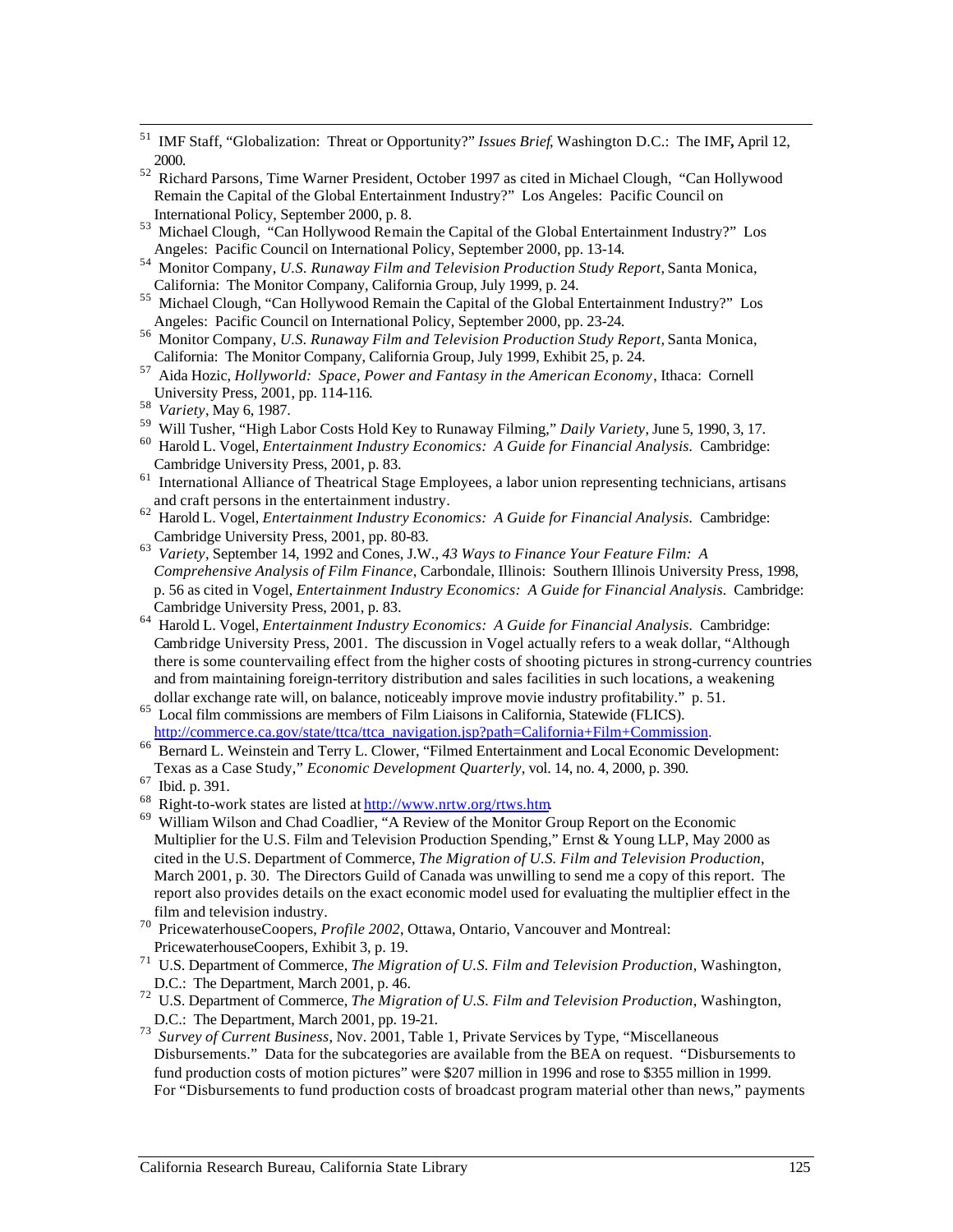- 51 IMF Staff, "Globalization: Threat or Opportunity?" *Issues Brief*, Washington D.C.: The IMF**,** April 12, 2000.
- <sup>52</sup> Richard Parsons, Time Warner President, October 1997 as cited in Michael Clough, "Can Hollywood Remain the Capital of the Global Entertainment Industry?" Los Angeles: Pacific Council on International Policy, September 2000, p. 8.
- 53 Michael Clough, "Can Hollywood Remain the Capital of the Global Entertainment Industry?" Los Angeles: Pacific Council on International Policy, September 2000, pp. 13-14.
- 54 Monitor Company, *U.S. Runaway Film and Television Production Study Report,* Santa Monica, California: The Monitor Company, California Group, July 1999, p. 24.
- <sup>55</sup> Michael Clough, "Can Hollywood Remain the Capital of the Global Entertainment Industry?" Los Angeles: Pacific Council on International Policy, September 2000, pp. 23-24.
- 56 Monitor Company, *U.S. Runaway Film and Television Production Study Report,* Santa Monica, California: The Monitor Company, California Group, July 1999, Exhibit 25, p. 24.
- 57 Aida Hozic, *Hollyworld: Space, Power and Fantasy in the American Economy*, Ithaca: Cornell University Press, 2001, pp. 114-116.
- <sup>58</sup>*Variety*, May 6, 1987.

- 59 Will Tusher, "High Labor Costs Hold Key to Runaway Filming," *Daily Variety*, June 5, 1990, 3, 17.
- 60 Harold L. Vogel, *Entertainment Industry Economics: A Guide for Financial Analysis.* Cambridge: Cambridge University Press, 2001, p. 83.
- <sup>61</sup> International Alliance of Theatrical Stage Employees, a labor union representing technicians, artisans and craft persons in the entertainment industry.
- $\overline{a}$ 62 Harold L. Vogel, *Entertainment Industry Economics: A Guide for Financial Analysis.* Cambridge: Cambridge University Press, 2001, pp. 80-83.
- <sup>63</sup>*Variety*, September 14, 1992 and Cones, J.W., *43 Ways to Finance Your Feature Film: A*  p. 56 as cited in Vogel, *Entertainment Industry Economics: A Guide for Financial Analysis.* Cambridge: *Comprehensive Analysis of Film Finance*, Carbondale, Illinois: Southern Illinois University Press, 1998, Cambridge University Press, 2001, p. 83.
- 64 Harold L. Vogel, *Entertainment Industry Economics: A Guide for Financial Analysis.* Cambridge: Cambridge University Press, 2001. The discussion in Vogel actually refers to a weak dollar, "Although there is some countervailing effect from the higher costs of shooting pictures in strong-currency countries and from maintaining foreign-territory distribution and sales facilities in such locations, a weakening dollar exchange rate will, on balance, noticeably improve movie industry profitability." p. 51.
- 65 Local film commissions are members of Film Liaisons in California, Statewide (FLICS).<br>http://commerce.ca.gov/state/ttca/ttca navigation.jsp?path=California+Film+Commission.
- <sup>66</sup> Bernard L. Weinstein and Terry L. Clower, "Filmed Entertainment and Local Economic Development: Texas as a Case Study," *Economic Development Quarterly*, vol. 14, no. 4, 2000, p. 390.
- 
- <sup>67</sup> Ibid. p. 391.<br><sup>68</sup> Right-to-work states are listed at  $\frac{http://www.nrtw.org/rtws.htm}{http://www.nrtw.org/rtws.htm}$
- <sup>69</sup> William Wilson and Chad Coadlier, "A Review of the Monitor Group Report on the Economic Multiplier for the U.S. Film and Television Production Spending," Ernst & Young LLP, May 2000 as cited in the U.S. Department of Commerce, *The Migration of U.S. Film and Television Production*, March 2001, p. 30. The Directors Guild of Canada was unwilling to send me a copy of this report. The report also provides details on the exact economic model used for evaluating the multiplier effect in the film and television industry.
- <sup>70</sup> PricewaterhouseCoopers, *Profile 2002*, Ottawa, Ontario, Vancouver and Montreal: PricewaterhouseCoopers, Exhibit 3, p. 19.
- 71 U.S. Department of Commerce, *The Migration of U.S. Film and Television Production*, Washington, D.C.: The Department, March 2001, p. 46.
- 72 U.S. Department of Commerce, *The Migration of U.S. Film and Television Production*, Washington, D.C.: The Department, March 2001, pp. 19-21.
- <sup>73</sup>*Survey of Current Business*, Nov. 2001, Table 1, Private Services by Type, "Miscellaneous Disbursements." Data for the subcategories are available from the BEA on request. "Disbursements to fund production costs of motion pictures" were \$207 million in 1996 and rose to \$355 million in 1999. For "Disbursements to fund production costs of broadcast program material other than news," payments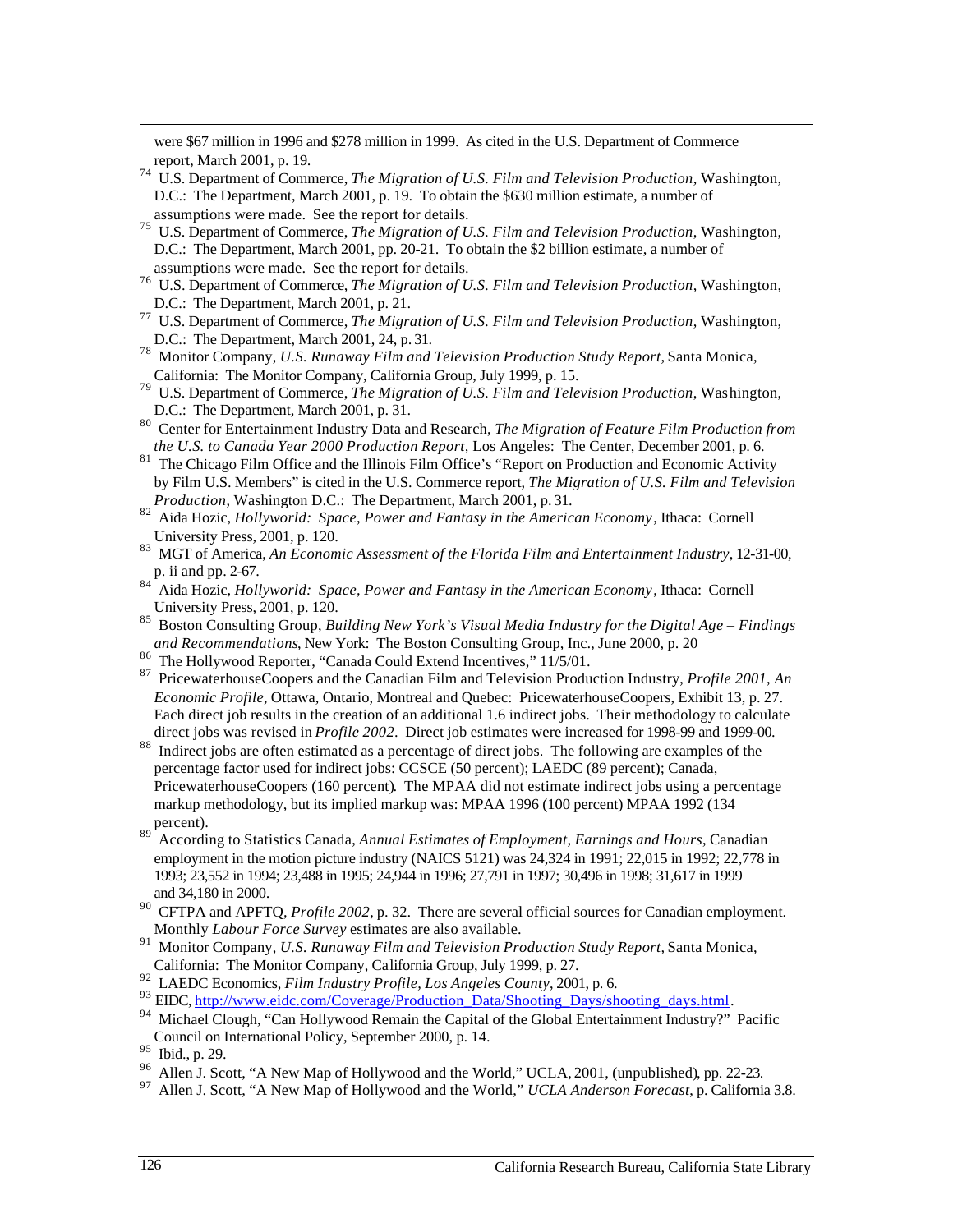report, March 2001, p. 19. were \$67 million in 1996 and \$278 million in 1999. As cited in the U.S. Department of Commerce

- report, March 2001, p. 19.<br><sup>74</sup> U.S. Department of Commerce, *The Migration of U.S. Film and Television Production*, Washington, D.C.: The Department, March 2001, p. 19. To obtain the \$630 million estimate, a number of assumptions were made. See the report for details.
- 75 U.S. Department of Commerce, *The Migration of U.S. Film and Television Production*, Washington, D.C.: The Department, March 2001, pp. 20-21. To obtain the \$2 billion estimate, a number of assumptions were made. See the report for details.
- 76 U.S. Department of Commerce, *The Migration of U.S. Film and Television Production*, Washington, D.C.: The Department, March 2001, p. 21.
- 77 U.S. Department of Commerce, *The Migration of U.S. Film and Television Production*, Washington, D.C.: The Department, March 2001, 24, p. 31.
- 78 Monitor Company, *U.S. Runaway Film and Television Production Study Report,* Santa Monica, California: The Monitor Company, California Group, July 1999, p. 15.
- 79 U.S. Department of Commerce, *The Migration of U.S. Film and Television Production*, Washington, D.C.: The Department, March 2001, p. 31.
- 80 Center for Entertainment Industry Data and Research, *The Migration of Feature Film Production from the U.S. to Canada Year 2000 Production Report,* Los Angeles: The Center, December 2001, p. 6.
- <sup>81</sup> The Chicago Film Office and the Illinois Film Office's "Report on Production and Economic Activity by Film U.S. Members" is cited in the U.S. Commerce report, *The Migration of U.S. Film and Television Production*, Washington D.C.: The Department, March 2001, p. 31.
- 82 Aida Hozic, *Hollyworld: Space, Power and Fantasy in the American Economy*, Ithaca: Cornell University Press, 2001, p. 120.
- 83 MGT of America, *An Economic Assessment of the Florida Film and Entertainment Industry*, 12-31-00, p. ii and pp. 2-67.
- 84 Aida Hozic, *Hollyworld: Space, Power and Fantasy in the American Economy*, Ithaca: Cornell University Press, 2001, p. 120.
- 85 Boston Consulting Group, *Building New York's Visual Media Industry for the Digital Age Findings and Recommendations*, New York: The Boston Consulting Group, Inc., June 2000, p. 20
- <sup>86</sup> The Hollywood Reporter, "Canada Could Extend Incentives," 11/5/01.
- 87 PricewaterhouseCoopers and the Canadian Film and Television Production Industry, *Profile 2001, An Economic Profile*, Ottawa, Ontario, Montreal and Quebec: PricewaterhouseCoopers, Exhibit 13, p. 27. Each direct job results in the creation of an additional 1.6 indirect jobs. Their methodology to calculate direct jobs was revised in *Profile 2002*. Direct job estimates were increased for 1998-99 and 1999-00.
- <sup>88</sup> Indirect jobs are often estimated as a percentage of direct jobs. The following are examples of the percentage factor used for indirect jobs: CCSCE (50 percent); LAEDC (89 percent); Canada, PricewaterhouseCoopers (160 percent). The MPAA did not estimate indirect jobs using a percentage markup methodology, but its implied markup was: MPAA 1996 (100 percent) MPAA 1992 (134  $\frac{1}{89}$  percent).
- 89 According to Statistics Canada, *Annual Estimates of Employment, Earnings and Hours*, Canadian employment in the motion picture industry (NAICS 5121) was 24,324 in 1991; 22,015 in 1992; 22,778 in 1993; 23,552 in 1994; 23,488 in 1995; 24,944 in 1996; 27,791 in 1997; 30,496 in 1998; 31,617 in 1999 and 34,180 in 2000.
- <sup>90</sup> CFTPA and APFTQ, *Profile 2002*, p. 32. There are several official sources for Canadian employment. Monthly *Labour Force Survey* estimates are also available.
- 91 Monitor Company, *U.S. Runaway Film and Television Production Study Report,* Santa Monica, California: The Monitor Company, California Group, July 1999, p. 27.
- 
- <sup>92</sup> LAEDC Economics, *Film Industry Profile, Los Angeles County*, 2001, p. 6.<br><sup>93</sup> EIDC, http://www.eidc.com/Coverage/Production Data/Shooting Days/shooting days.html.
- <sup>94</sup> Michael Clough, "Can Hollywood Remain the Capital of the Global Entertainment Industry?" Pacific Council on International Policy, September 2000, p. 14.

- $^{96}$  Allen J. Scott, "A New Map of Hollywood and the World," UCLA, 2001, (unpublished), pp. 22-23.
- 97 Allen J. Scott, "A New Map of Hollywood and the World," *UCLA Anderson Forecast*, p. California 3.8.

<sup>95</sup> Ibid., p. 29.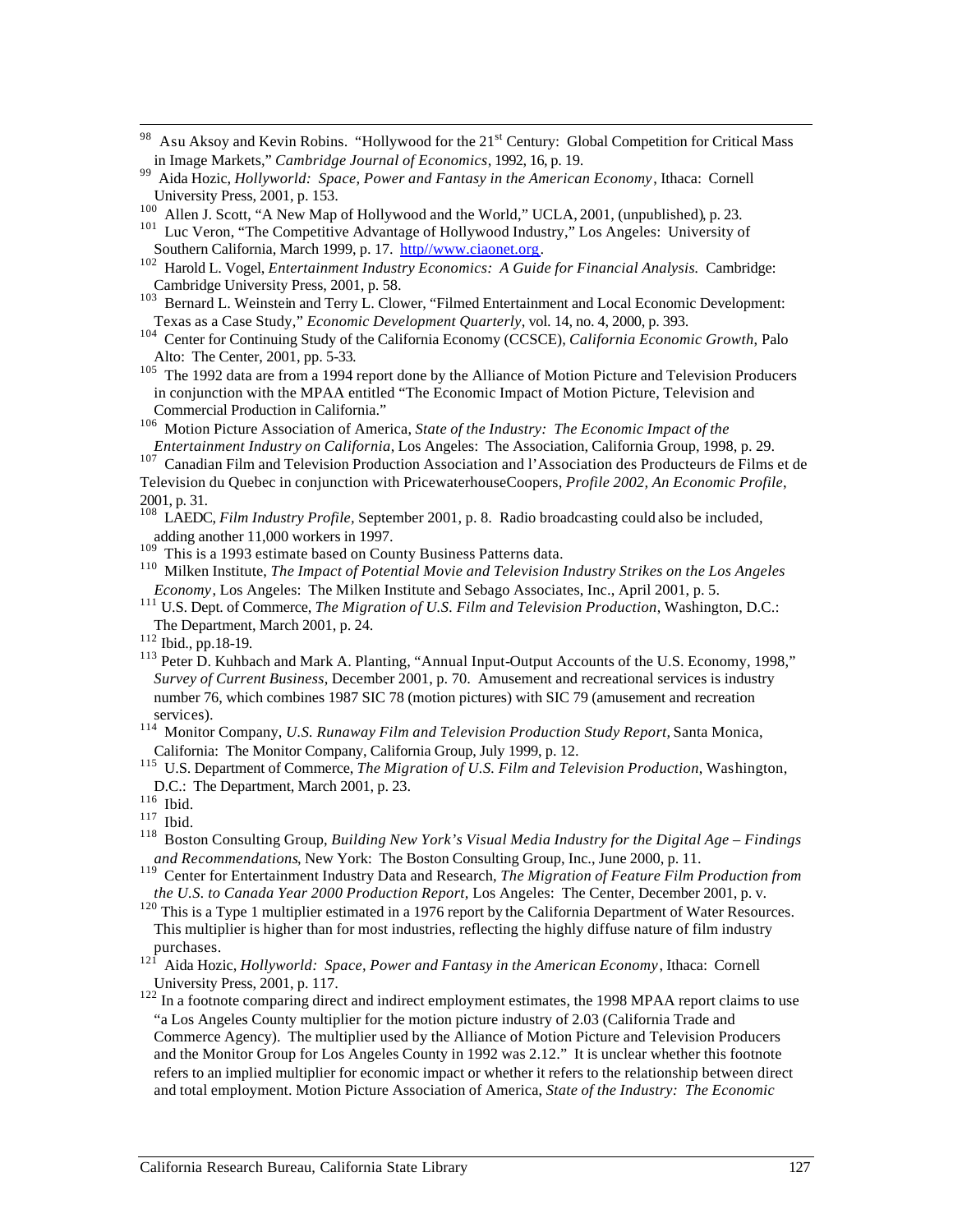- 98 Asu Aksoy and Kevin Robins. "Hollywood for the 21<sup>st</sup> Century: Global Competition for Critical Mass in Image Markets," *Cambridge Journal of Economics*, 1992, 16, p. 19.
- 99 Aida Hozic, *Hollyworld: Space, Power and Fantasy in the American Economy*, Ithaca: Cornell University Press, 2001, p. 153.
- <sup>100</sup> Allen J. Scott, "A New Map of Hollywood and the World," UCLA, 2001, (unpublished), p. 23.
- <sup>101</sup> Luc Veron, "The Competitive Advantage of Hollywood Industry," Los Angeles: University of Southern California, March 1999, p. 17. http://www.ciaonet.org.
- Southern California, March 1999, p. 17. http//www.ciaonet.org.<br><sup>102</sup> Harold L. Vogel, *Entertainment Industry Economics: A Guide for Financial Analysis.* Cambridge: Cambridge University Press, 2001, p. 58.
- <sup>103</sup> Bernard L. Weinstein and Terry L. Clower, "Filmed Entertainment and Local Economic Development: Texas as a Case Study," *Economic Development Quarterly*, vol. 14, no. 4, 2000, p. 393.
- 104 Center for Continuing Study of the California Economy (CCSCE), *California Economic Growth*, Palo Alto: The Center, 2001, pp. 5-33.
- <sup>105</sup> The 1992 data are from a 1994 report done by the Alliance of Motion Picture and Television Producers in conjunction with the MPAA entitled "The Economic Impact of Motion Picture, Television and Commercial Production in California."
- 106 Motion Picture Association of America, *State of the Industry: The Economic Impact of the Entertainment Industry on California*, Los Angeles: The Association, California Group, 1998, p. 29.

<sup>107</sup> Canadian Film and Television Production Association and l'Association des Producteurs de Films et de Television du Quebec in conjunction with PricewaterhouseCoopers, *Profile 2002, An Economic Profile*, 2001, p. 31.

- 108 LAEDC, *Film Industry Profile,* September 2001, p. 8. Radio broadcasting could also be included, adding another 11,000 workers in 1997.
- $109$  This is a 1993 estimate based on County Business Patterns data.
- 110 Milken Institute, *The Impact of Potential Movie and Television Industry Strikes on the Los Angeles Economy*, Los Angeles: The Milken Institute and Sebago Associates, Inc., April 2001, p. 5.
- 111 U.S. Dept. of Commerce, *The Migration of U.S. Film and Television Production*, Washington, D.C.: The Department, March 2001, p. 24.
- 112 Ibid., pp.18-19.
- <sup>113</sup> Peter D. Kuhbach and Mark A. Planting, "Annual Input-Output Accounts of the U.S. Economy, 1998," *Survey of Current Business*, December 2001, p. 70. Amusement and recreational services is industry number 76, which combines 1987 SIC 78 (motion pictures) with SIC 79 (amusement and recreation services).
- 114 Monitor Company, *U.S. Runaway Film and Television Production Study Report,* Santa Monica, California: The Monitor Company, California Group, July 1999, p. 12.
- 115 U.S. Department of Commerce, *The Migration of U.S. Film and Television Production*, Washington, D.C.: The Department, March 2001, p. 23.

118 Boston Consulting Group, *Building New York's Visual Media Industry for the Digital Age – Findings and Recommendations*, New York: The Boston Consulting Group, Inc., June 2000, p. 11.

- <sup>120</sup> This is a Type 1 multiplier estimated in a 1976 report by the California Department of Water Resources. This multiplier is higher than for most industries, reflecting the highly diffuse nature of film industry purchases.
- 121 Aida Hozic, *Hollyworld: Space, Power and Fantasy in the American Economy*, Ithaca: Cornell University Press, 2001, p. 117.
- $122$  In a footnote comparing direct and indirect employment estimates, the 1998 MPAA report claims to use "a Los Angeles County multiplier for the motion picture industry of 2.03 (California Trade and Commerce Agency). The multiplier used by the Alliance of Motion Picture and Television Producers and the Monitor Group for Los Angeles County in 1992 was 2.12." It is unclear whether this footnote refers to an implied multiplier for economic impact or whether it refers to the relationship between direct and total employment. Motion Picture Association of America, *State of the Industry: The Economic*

 $^{116}\,$  Ibid.

 $117$  Ibid.

<sup>119</sup> Center for Entertainment Industry Data and Research, *The Migration of Feature Film Production from the U.S. to Canada Year 2000 Production Report,* Los Angeles: The Center, December 2001, p. v.